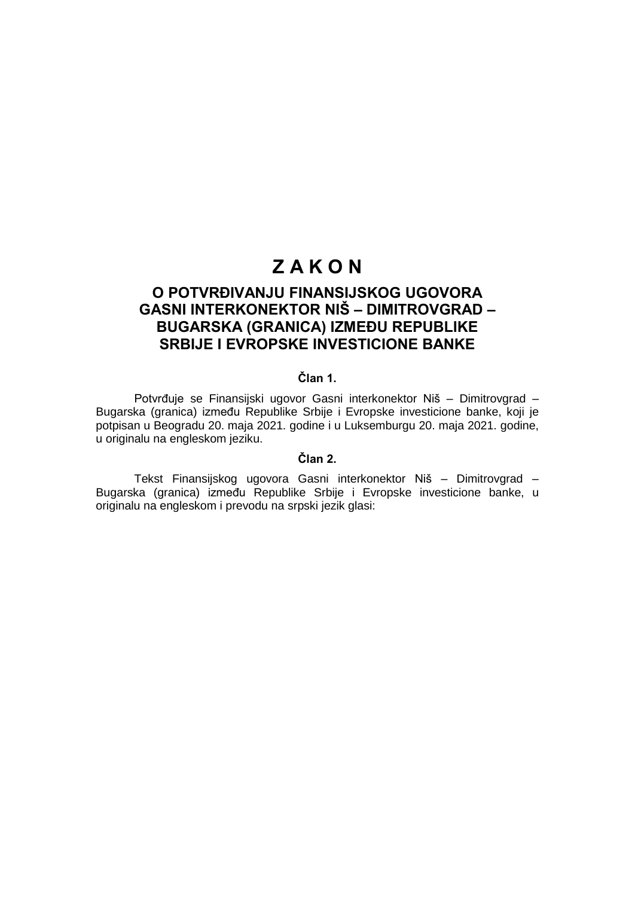# **Z A K O N**

# **O POTVRĐIVANJU FINANSIJSKOG UGOVORA GASNI INTERKONEKTOR NIŠ – DIMITROVGRAD – BUGARSKA (GRANICA) IZMEĐU REPUBLIKE SRBIJE I EVROPSKE INVESTICIONE BANKE**

# **Član 1.**

Potvrđuje se Finansijski ugovor Gasni interkonektor Niš – Dimitrovgrad – Bugarska (granica) između Republike Srbije i Evropske investicione banke, koji je potpisan u Beogradu 20. maja 2021. godine i u Luksemburgu 20. maja 2021. godine, u originalu na engleskom jeziku.

## **Član 2.**

Tekst Finansijskog ugovora Gasni interkonektor Niš – Dimitrovgrad – Bugarska (granica) između Republike Srbije i Evropske investicione banke, u originalu na engleskom i prevodu na srpski jezik glasi: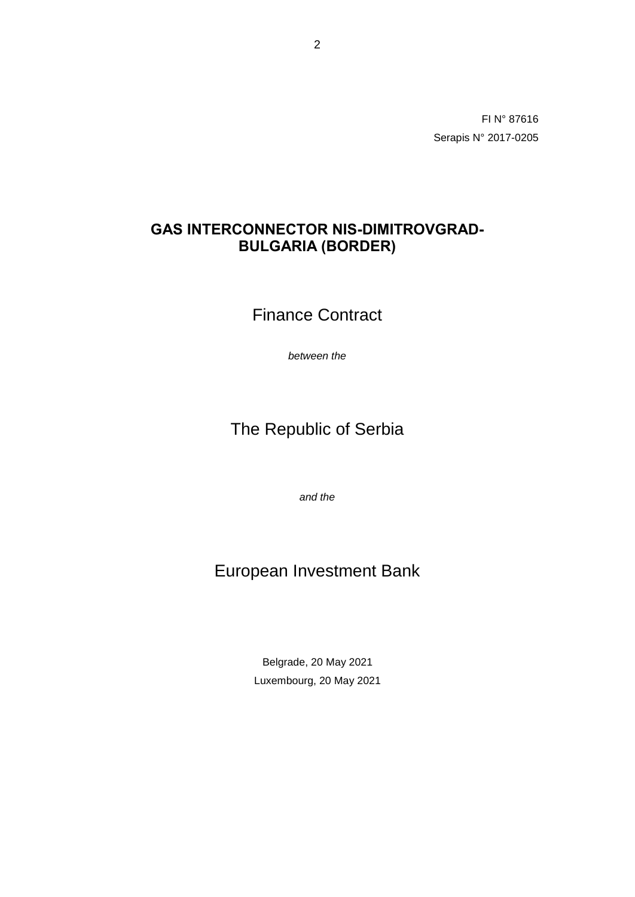FI N° 87616 Serapis N° 2017-0205

# **GAS INTERCONNECTOR NIS-DIMITROVGRAD-BULGARIA (BORDER)**

Finance Contract

*between the*

# The Republic of Serbia

*and the*

# European Investment Bank

Belgrade, 20 May 2021 Luxembourg, 20 May 2021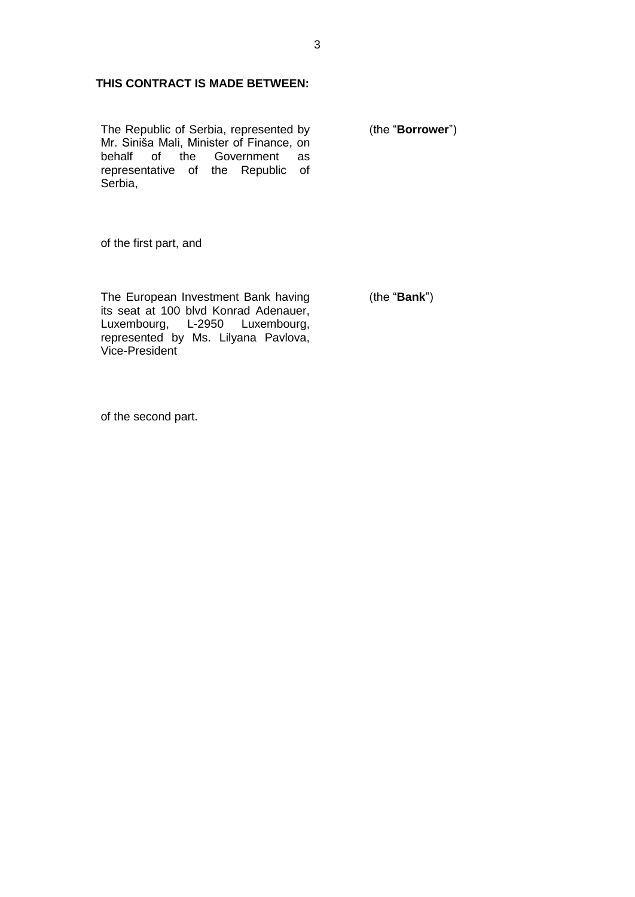# **THIS CONTRACT IS MADE BETWEEN:**

The Republic of Serbia, represented by Mr. Siniša Mali, Minister of Finance, on behalf of the Government as representative of the Republic of Serbia,

(the "**Borrower**")

of the first part, and

The European Investment Bank having its seat at 100 blvd Konrad Adenauer, Luxembourg, L-2950 Luxembourg, represented by Ms. Lilyana Pavlova, Vice-President

(the "**Bank**")

of the second part.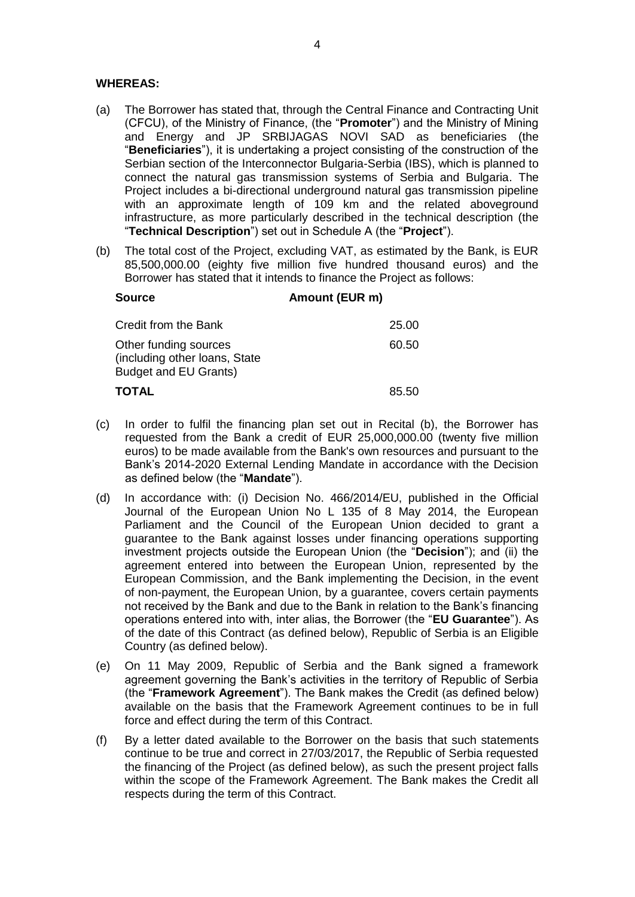### **WHEREAS:**

- (a) The Borrower has stated that, through the Central Finance and Contracting Unit (CFCU), of the Ministry of Finance, (the "**Promoter**") and the Ministry of Mining and Energy and JP SRBIJAGAS NOVI SAD as beneficiaries (the "**Beneficiaries**"), it is undertaking a project consisting of the construction of the Serbian section of the Interconnector Bulgaria-Serbia (IBS), which is planned to connect the natural gas transmission systems of Serbia and Bulgaria. The Project includes a bi-directional underground natural gas transmission pipeline with an approximate length of 109 km and the related aboveground infrastructure, as more particularly described in the technical description (the "**Technical Description**") set out in Schedule A (the "**Project**").
- (b) The total cost of the Project, excluding VAT, as estimated by the Bank, is EUR 85,500,000.00 (eighty five million five hundred thousand euros) and the Borrower has stated that it intends to finance the Project as follows:

| <b>Source</b>                                                                          | Amount (EUR m) |
|----------------------------------------------------------------------------------------|----------------|
| Credit from the Bank                                                                   | 25.00          |
| Other funding sources<br>(including other loans, State<br><b>Budget and EU Grants)</b> | 60.50          |
| <b>TOTAL</b>                                                                           | 85.50          |

- (c) In order to fulfil the financing plan set out in Recital (b), the Borrower has requested from the Bank a credit of EUR 25,000,000.00 (twenty five million euros) to be made available from the Bank's own resources and pursuant to the Bank's 2014-2020 External Lending Mandate in accordance with the Decision as defined below (the "**Mandate**").
- (d) In accordance with: (i) Decision No. 466/2014/EU, published in the Official Journal of the European Union No L 135 of 8 May 2014, the European Parliament and the Council of the European Union decided to grant a guarantee to the Bank against losses under financing operations supporting investment projects outside the European Union (the "**Decision**"); and (ii) the agreement entered into between the European Union, represented by the European Commission, and the Bank implementing the Decision, in the event of non-payment, the European Union, by a guarantee, covers certain payments not received by the Bank and due to the Bank in relation to the Bank's financing operations entered into with, inter alias, the Borrower (the "**EU Guarantee**"). As of the date of this Contract (as defined below), Republic of Serbia is an Eligible Country (as defined below).
- (e) On 11 May 2009, Republic of Serbia and the Bank signed a framework agreement governing the Bank's activities in the territory of Republic of Serbia (the "**Framework Agreement**"). The Bank makes the Credit (as defined below) available on the basis that the Framework Agreement continues to be in full force and effect during the term of this Contract.
- (f) By a letter dated available to the Borrower on the basis that such statements continue to be true and correct in 27/03/2017, the Republic of Serbia requested the financing of the Project (as defined below), as such the present project falls within the scope of the Framework Agreement. The Bank makes the Credit all respects during the term of this Contract.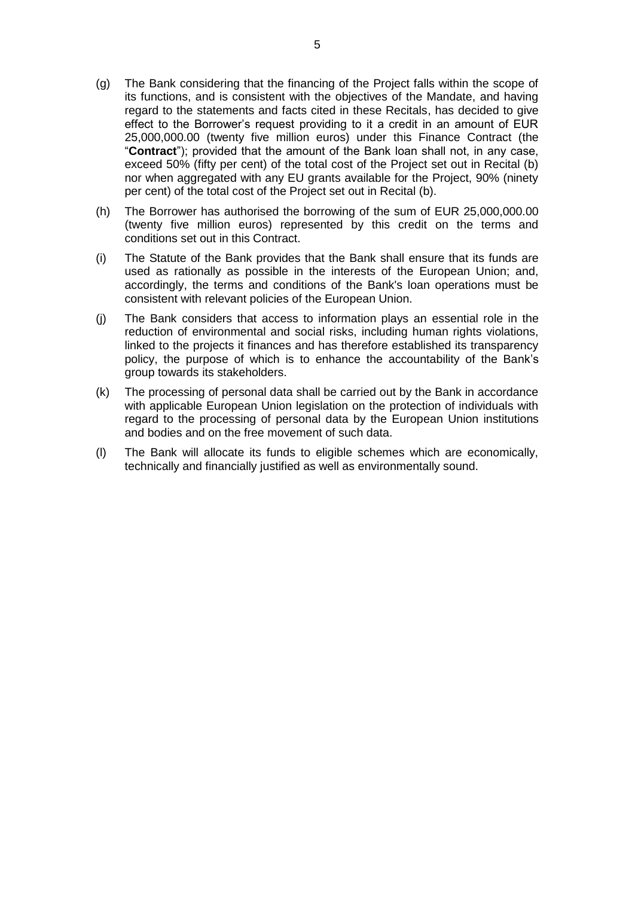- (g) The Bank considering that the financing of the Project falls within the scope of its functions, and is consistent with the objectives of the Mandate, and having regard to the statements and facts cited in these Recitals, has decided to give effect to the Borrower's request providing to it a credit in an amount of EUR 25,000,000.00 (twenty five million euros) under this Finance Contract (the "**Contract**"); provided that the amount of the Bank loan shall not, in any case, exceed 50% (fifty per cent) of the total cost of the Project set out in Recital (b) nor when aggregated with any EU grants available for the Project, 90% (ninety per cent) of the total cost of the Project set out in Recital (b).
- (h) The Borrower has authorised the borrowing of the sum of EUR 25,000,000.00 (twenty five million euros) represented by this credit on the terms and conditions set out in this Contract.
- (i) The Statute of the Bank provides that the Bank shall ensure that its funds are used as rationally as possible in the interests of the European Union; and, accordingly, the terms and conditions of the Bank's loan operations must be consistent with relevant policies of the European Union.
- (j) The Bank considers that access to information plays an essential role in the reduction of environmental and social risks, including human rights violations, linked to the projects it finances and has therefore established its transparency policy, the purpose of which is to enhance the accountability of the Bank's group towards its stakeholders.
- (k) The processing of personal data shall be carried out by the Bank in accordance with applicable European Union legislation on the protection of individuals with regard to the processing of personal data by the European Union institutions and bodies and on the free movement of such data.
- (l) The Bank will allocate its funds to eligible schemes which are economically, technically and financially justified as well as environmentally sound.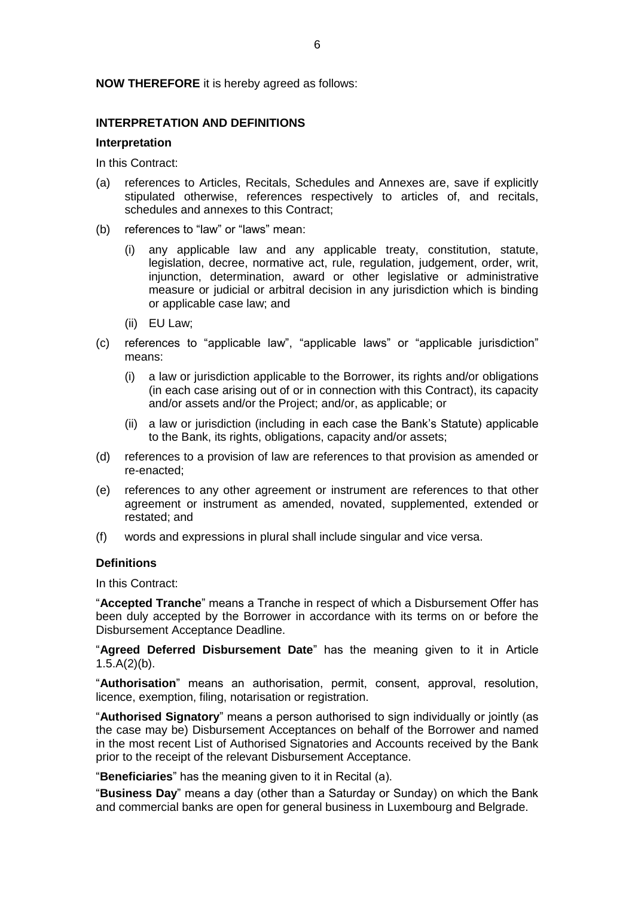#### **NOW THEREFORE** it is hereby agreed as follows:

# **INTERPRETATION AND DEFINITIONS**

#### **Interpretation**

In this Contract:

- (a) references to Articles, Recitals, Schedules and Annexes are, save if explicitly stipulated otherwise, references respectively to articles of, and recitals, schedules and annexes to this Contract;
- (b) references to "law" or "laws" mean:
	- (i) any applicable law and any applicable treaty, constitution, statute, legislation, decree, normative act, rule, regulation, judgement, order, writ, injunction, determination, award or other legislative or administrative measure or judicial or arbitral decision in any jurisdiction which is binding or applicable case law; and
	- (ii) EU Law;
- (c) references to "applicable law", "applicable laws" or "applicable jurisdiction" means:
	- (i) a law or jurisdiction applicable to the Borrower, its rights and/or obligations (in each case arising out of or in connection with this Contract), its capacity and/or assets and/or the Project; and/or, as applicable; or
	- (ii) a law or jurisdiction (including in each case the Bank's Statute) applicable to the Bank, its rights, obligations, capacity and/or assets;
- (d) references to a provision of law are references to that provision as amended or re-enacted;
- (e) references to any other agreement or instrument are references to that other agreement or instrument as amended, novated, supplemented, extended or restated; and
- (f) words and expressions in plural shall include singular and vice versa.

#### **Definitions**

In this Contract:

"**Accepted Tranche**" means a Tranche in respect of which a Disbursement Offer has been duly accepted by the Borrower in accordance with its terms on or before the Disbursement Acceptance Deadline.

"**Agreed Deferred Disbursement Date**" has the meaning given to it in Article  $1.5.A(2)(b)$ .

"**Authorisation**" means an authorisation, permit, consent, approval, resolution, licence, exemption, filing, notarisation or registration.

"**Authorised Signatory**" means a person authorised to sign individually or jointly (as the case may be) Disbursement Acceptances on behalf of the Borrower and named in the most recent List of Authorised Signatories and Accounts received by the Bank prior to the receipt of the relevant Disbursement Acceptance.

"**Beneficiaries**" has the meaning given to it in Recital (a).

"**Business Day**" means a day (other than a Saturday or Sunday) on which the Bank and commercial banks are open for general business in Luxembourg and Belgrade.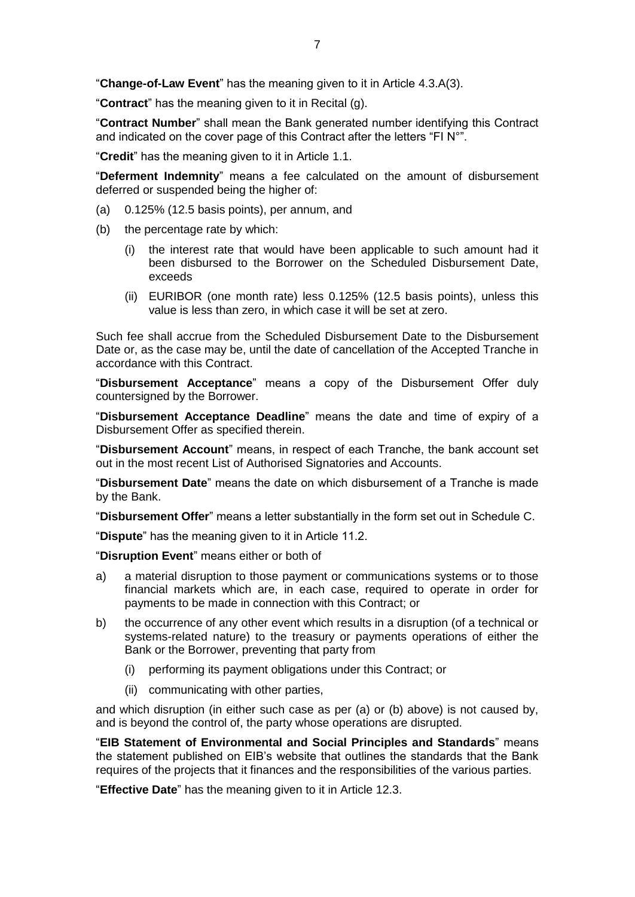"**Change-of-Law Event**" has the meaning given to it in Article 4.3.A(3).

"**Contract**" has the meaning given to it in Recital (g).

"**Contract Number**" shall mean the Bank generated number identifying this Contract and indicated on the cover page of this Contract after the letters "FI N°".

"**Credit**" has the meaning given to it in Article 1.1.

"**Deferment Indemnity**" means a fee calculated on the amount of disbursement deferred or suspended being the higher of:

- (a) 0.125% (12.5 basis points), per annum, and
- (b) the percentage rate by which:
	- (i) the interest rate that would have been applicable to such amount had it been disbursed to the Borrower on the Scheduled Disbursement Date, exceeds
	- (ii) EURIBOR (one month rate) less 0.125% (12.5 basis points), unless this value is less than zero, in which case it will be set at zero.

Such fee shall accrue from the Scheduled Disbursement Date to the Disbursement Date or, as the case may be, until the date of cancellation of the Accepted Tranche in accordance with this Contract.

"**Disbursement Acceptance**" means a copy of the Disbursement Offer duly countersigned by the Borrower.

"**Disbursement Acceptance Deadline**" means the date and time of expiry of a Disbursement Offer as specified therein.

"**Disbursement Account**" means, in respect of each Tranche, the bank account set out in the most recent List of Authorised Signatories and Accounts.

"**Disbursement Date**" means the date on which disbursement of a Tranche is made by the Bank.

"**Disbursement Offer**" means a letter substantially in the form set out in Schedule C.

"**Dispute**" has the meaning given to it in Article 11.2.

"**Disruption Event**" means either or both of

- a) a material disruption to those payment or communications systems or to those financial markets which are, in each case, required to operate in order for payments to be made in connection with this Contract; or
- b) the occurrence of any other event which results in a disruption (of a technical or systems-related nature) to the treasury or payments operations of either the Bank or the Borrower, preventing that party from
	- (i) performing its payment obligations under this Contract; or
	- (ii) communicating with other parties,

and which disruption (in either such case as per (a) or (b) above) is not caused by, and is beyond the control of, the party whose operations are disrupted.

"**EIB Statement of Environmental and Social Principles and Standards**" means the statement published on EIB's website that outlines the standards that the Bank requires of the projects that it finances and the responsibilities of the various parties.

"**Effective Date**" has the meaning given to it in Article 12.3.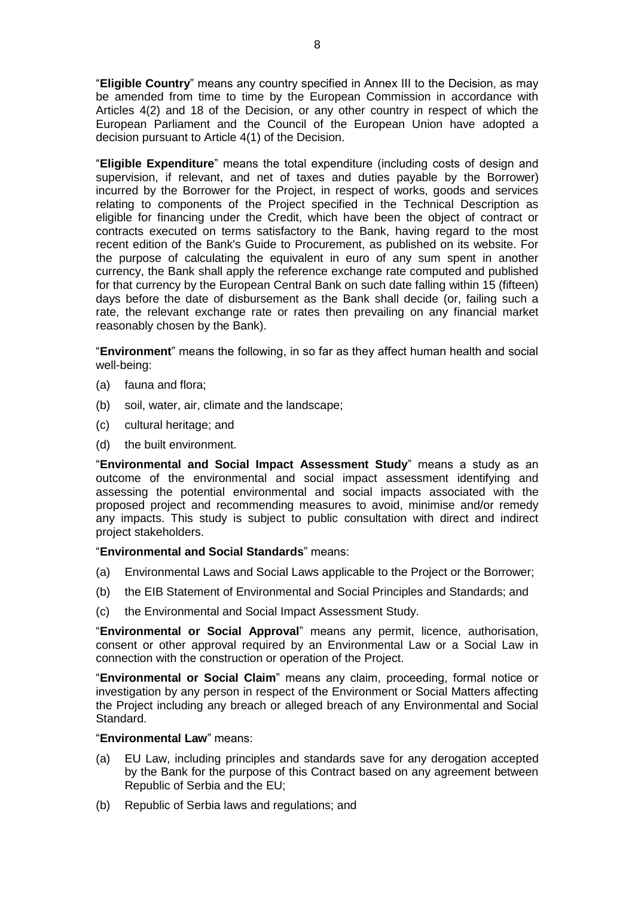"**Eligible Country**" means any country specified in Annex III to the Decision, as may be amended from time to time by the European Commission in accordance with Articles 4(2) and 18 of the Decision, or any other country in respect of which the European Parliament and the Council of the European Union have adopted a decision pursuant to Article 4(1) of the Decision.

"**Eligible Expenditure**" means the total expenditure (including costs of design and supervision, if relevant, and net of taxes and duties payable by the Borrower) incurred by the Borrower for the Project, in respect of works, goods and services relating to components of the Project specified in the Technical Description as eligible for financing under the Credit, which have been the object of contract or contracts executed on terms satisfactory to the Bank, having regard to the most recent edition of the Bank's Guide to Procurement, as published on its website. For the purpose of calculating the equivalent in euro of any sum spent in another currency, the Bank shall apply the reference exchange rate computed and published for that currency by the European Central Bank on such date falling within 15 (fifteen) days before the date of disbursement as the Bank shall decide (or, failing such a rate, the relevant exchange rate or rates then prevailing on any financial market reasonably chosen by the Bank).

"**Environment**" means the following, in so far as they affect human health and social well-being:

- (a) fauna and flora;
- (b) soil, water, air, climate and the landscape;
- (c) cultural heritage; and
- (d) the built environment.

"**Environmental and Social Impact Assessment Study**" means a study as an outcome of the environmental and social impact assessment identifying and assessing the potential environmental and social impacts associated with the proposed project and recommending measures to avoid, minimise and/or remedy any impacts. This study is subject to public consultation with direct and indirect project stakeholders.

#### "**Environmental and Social Standards**" means:

- (a) Environmental Laws and Social Laws applicable to the Project or the Borrower;
- (b) the EIB Statement of Environmental and Social Principles and Standards; and
- (c) the Environmental and Social Impact Assessment Study.

"**Environmental or Social Approval**" means any permit, licence, authorisation, consent or other approval required by an Environmental Law or a Social Law in connection with the construction or operation of the Project.

"**Environmental or Social Claim**" means any claim, proceeding, formal notice or investigation by any person in respect of the Environment or Social Matters affecting the Project including any breach or alleged breach of any Environmental and Social Standard.

#### "**Environmental Law**" means:

- (a) EU Law, including principles and standards save for any derogation accepted by the Bank for the purpose of this Contract based on any agreement between Republic of Serbia and the EU;
- (b) Republic of Serbia laws and regulations; and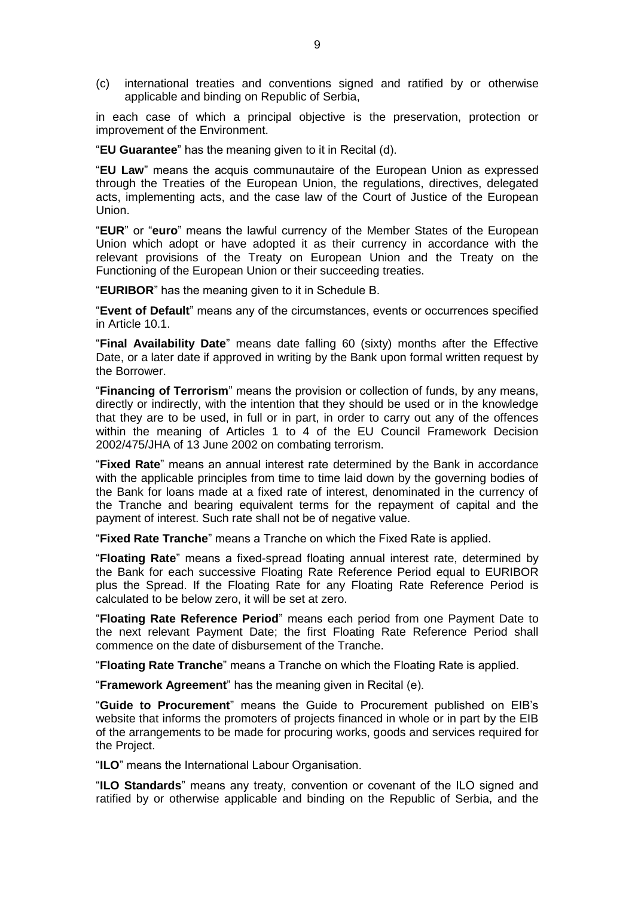(c) international treaties and conventions signed and ratified by or otherwise applicable and binding on Republic of Serbia,

in each case of which a principal objective is the preservation, protection or improvement of the Environment.

"**EU Guarantee**" has the meaning given to it in Recital (d).

"**EU Law**" means the acquis communautaire of the European Union as expressed through the Treaties of the European Union, the regulations, directives, delegated acts, implementing acts, and the case law of the Court of Justice of the European Union.

"**EUR**" or "**euro**" means the lawful currency of the Member States of the European Union which adopt or have adopted it as their currency in accordance with the relevant provisions of the Treaty on European Union and the Treaty on the Functioning of the European Union or their succeeding treaties.

"**EURIBOR**" has the meaning given to it in Schedule B.

"**Event of Default**" means any of the circumstances, events or occurrences specified in Article 10.1.

"**Final Availability Date**" means date falling 60 (sixty) months after the Effective Date, or a later date if approved in writing by the Bank upon formal written request by the Borrower.

"**Financing of Terrorism**" means the provision or collection of funds, by any means, directly or indirectly, with the intention that they should be used or in the knowledge that they are to be used, in full or in part, in order to carry out any of the offences within the meaning of Articles 1 to 4 of the EU Council Framework Decision 2002/475/JHA of 13 June 2002 on combating terrorism.

"**Fixed Rate**" means an annual interest rate determined by the Bank in accordance with the applicable principles from time to time laid down by the governing bodies of the Bank for loans made at a fixed rate of interest, denominated in the currency of the Tranche and bearing equivalent terms for the repayment of capital and the payment of interest. Such rate shall not be of negative value.

"**Fixed Rate Tranche**" means a Tranche on which the Fixed Rate is applied.

"**Floating Rate**" means a fixed-spread floating annual interest rate, determined by the Bank for each successive Floating Rate Reference Period equal to EURIBOR plus the Spread. If the Floating Rate for any Floating Rate Reference Period is calculated to be below zero, it will be set at zero.

"**Floating Rate Reference Period**" means each period from one Payment Date to the next relevant Payment Date; the first Floating Rate Reference Period shall commence on the date of disbursement of the Tranche.

"**Floating Rate Tranche**" means a Tranche on which the Floating Rate is applied.

"**Framework Agreement**" has the meaning given in Recital (e).

"**Guide to Procurement**" means the Guide to Procurement published on EIB's website that informs the promoters of projects financed in whole or in part by the EIB of the arrangements to be made for procuring works, goods and services required for the Project.

"**ILO**" means the International Labour Organisation.

"**ILO Standards**" means any treaty, convention or covenant of the ILO signed and ratified by or otherwise applicable and binding on the Republic of Serbia, and the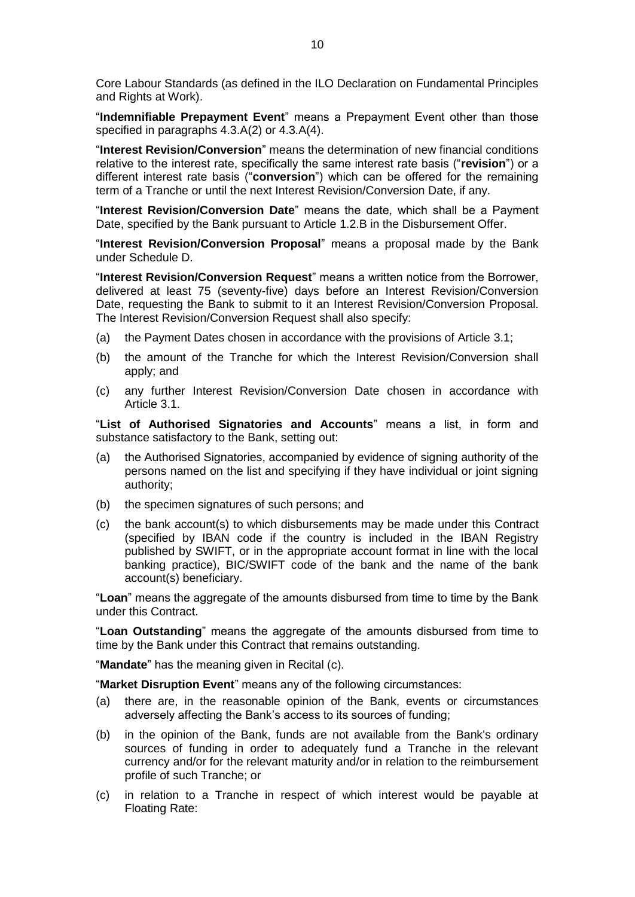Core Labour Standards (as defined in the ILO Declaration on Fundamental Principles and Rights at Work).

"**Indemnifiable Prepayment Event**" means a Prepayment Event other than those specified in paragraphs 4.3.A(2) or 4.3.A(4).

"**Interest Revision/Conversion**" means the determination of new financial conditions relative to the interest rate, specifically the same interest rate basis ("**revision**") or a different interest rate basis ("**conversion**") which can be offered for the remaining term of a Tranche or until the next Interest Revision/Conversion Date, if any.

"**Interest Revision/Conversion Date**" means the date, which shall be a Payment Date, specified by the Bank pursuant to Article 1.2.B in the Disbursement Offer.

"**Interest Revision/Conversion Proposal**" means a proposal made by the Bank under Schedule D.

"**Interest Revision/Conversion Request**" means a written notice from the Borrower, delivered at least 75 (seventy-five) days before an Interest Revision/Conversion Date, requesting the Bank to submit to it an Interest Revision/Conversion Proposal. The Interest Revision/Conversion Request shall also specify:

- (a) the Payment Dates chosen in accordance with the provisions of Article 3.1;
- (b) the amount of the Tranche for which the Interest Revision/Conversion shall apply; and
- (c) any further Interest Revision/Conversion Date chosen in accordance with Article 3.1.

"**List of Authorised Signatories and Accounts**" means a list, in form and substance satisfactory to the Bank, setting out:

- (a) the Authorised Signatories, accompanied by evidence of signing authority of the persons named on the list and specifying if they have individual or joint signing authority;
- (b) the specimen signatures of such persons; and
- (c) the bank account(s) to which disbursements may be made under this Contract (specified by IBAN code if the country is included in the IBAN Registry published by SWIFT, or in the appropriate account format in line with the local banking practice), BIC/SWIFT code of the bank and the name of the bank account(s) beneficiary.

"**Loan**" means the aggregate of the amounts disbursed from time to time by the Bank under this Contract.

"**Loan Outstanding**" means the aggregate of the amounts disbursed from time to time by the Bank under this Contract that remains outstanding.

"**Mandate**" has the meaning given in Recital (c).

"**Market Disruption Event**" means any of the following circumstances:

- (a) there are, in the reasonable opinion of the Bank, events or circumstances adversely affecting the Bank's access to its sources of funding;
- (b) in the opinion of the Bank, funds are not available from the Bank's ordinary sources of funding in order to adequately fund a Tranche in the relevant currency and/or for the relevant maturity and/or in relation to the reimbursement profile of such Tranche; or
- (c) in relation to a Tranche in respect of which interest would be payable at Floating Rate: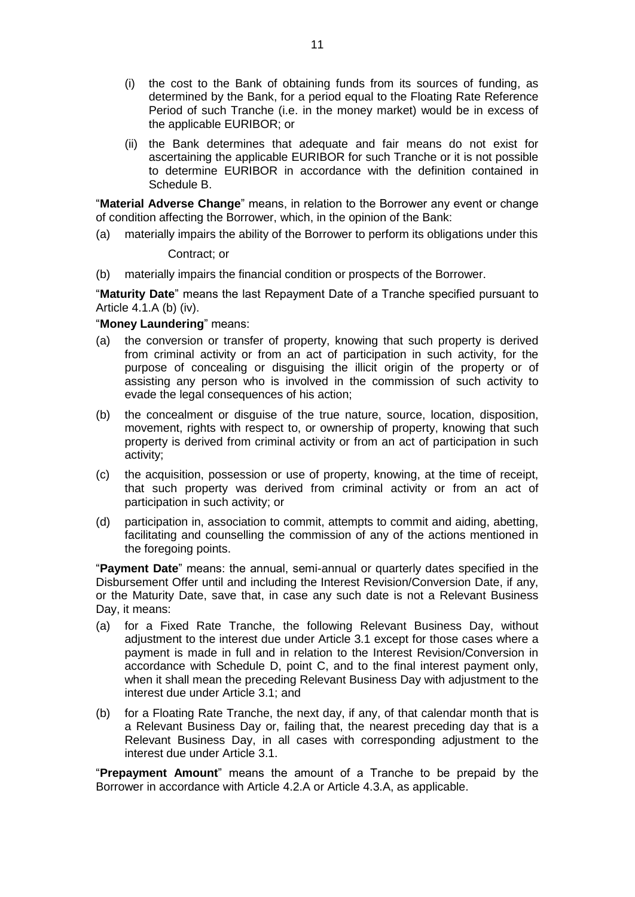- (i) the cost to the Bank of obtaining funds from its sources of funding, as determined by the Bank, for a period equal to the Floating Rate Reference Period of such Tranche (i.e. in the money market) would be in excess of the applicable EURIBOR; or
- (ii) the Bank determines that adequate and fair means do not exist for ascertaining the applicable EURIBOR for such Tranche or it is not possible to determine EURIBOR in accordance with the definition contained in Schedule B.

"**Material Adverse Change**" means, in relation to the Borrower any event or change of condition affecting the Borrower, which, in the opinion of the Bank:

(a) materially impairs the ability of the Borrower to perform its obligations under this

Contract; or

(b) materially impairs the financial condition or prospects of the Borrower.

"**Maturity Date**" means the last Repayment Date of a Tranche specified pursuant to Article 4.1.A (b) (iv).

### "**Money Laundering**" means:

- (a) the conversion or transfer of property, knowing that such property is derived from criminal activity or from an act of participation in such activity, for the purpose of concealing or disguising the illicit origin of the property or of assisting any person who is involved in the commission of such activity to evade the legal consequences of his action;
- (b) the concealment or disguise of the true nature, source, location, disposition, movement, rights with respect to, or ownership of property, knowing that such property is derived from criminal activity or from an act of participation in such activity;
- (c) the acquisition, possession or use of property, knowing, at the time of receipt, that such property was derived from criminal activity or from an act of participation in such activity; or
- (d) participation in, association to commit, attempts to commit and aiding, abetting, facilitating and counselling the commission of any of the actions mentioned in the foregoing points.

"**Payment Date**" means: the annual, semi-annual or quarterly dates specified in the Disbursement Offer until and including the Interest Revision/Conversion Date, if any, or the Maturity Date, save that, in case any such date is not a Relevant Business Day, it means:

- (a) for a Fixed Rate Tranche, the following Relevant Business Day, without adjustment to the interest due under Article 3.1 except for those cases where a payment is made in full and in relation to the Interest Revision/Conversion in accordance with Schedule D, point C, and to the final interest payment only, when it shall mean the preceding Relevant Business Day with adjustment to the interest due under Article 3.1; and
- (b) for a Floating Rate Tranche, the next day, if any, of that calendar month that is a Relevant Business Day or, failing that, the nearest preceding day that is a Relevant Business Day, in all cases with corresponding adjustment to the interest due under Article 3.1.

"**Prepayment Amount**" means the amount of a Tranche to be prepaid by the Borrower in accordance with Article 4.2.A or Article 4.3.A, as applicable.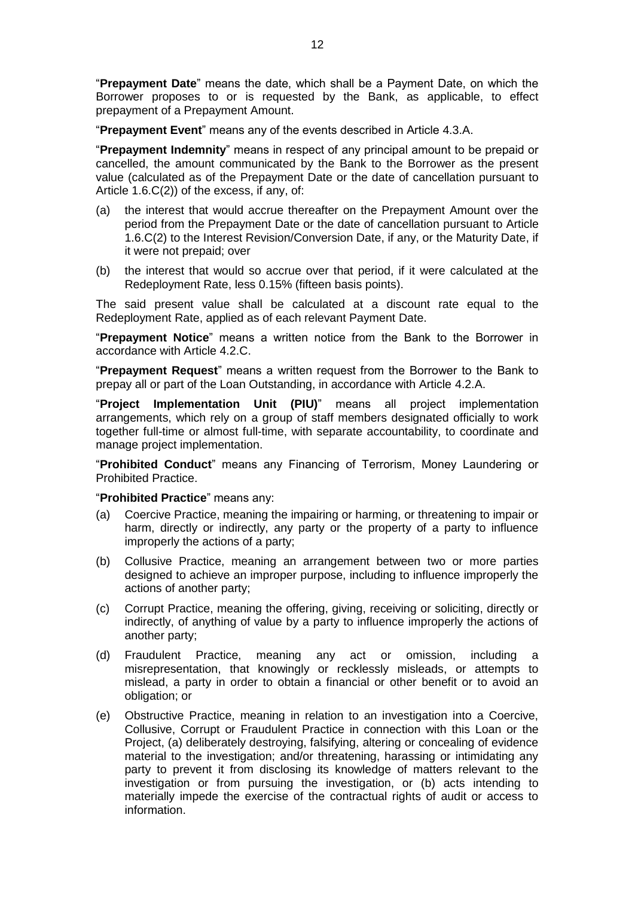"**Prepayment Date**" means the date, which shall be a Payment Date, on which the Borrower proposes to or is requested by the Bank, as applicable, to effect prepayment of a Prepayment Amount.

"**Prepayment Event**" means any of the events described in Article 4.3.A.

"**Prepayment Indemnity**" means in respect of any principal amount to be prepaid or cancelled, the amount communicated by the Bank to the Borrower as the present value (calculated as of the Prepayment Date or the date of cancellation pursuant to Article 1.6.C(2)) of the excess, if any, of:

- (a) the interest that would accrue thereafter on the Prepayment Amount over the period from the Prepayment Date or the date of cancellation pursuant to Article 1.6.C(2) to the Interest Revision/Conversion Date, if any, or the Maturity Date, if it were not prepaid; over
- (b) the interest that would so accrue over that period, if it were calculated at the Redeployment Rate, less 0.15% (fifteen basis points).

The said present value shall be calculated at a discount rate equal to the Redeployment Rate, applied as of each relevant Payment Date.

"**Prepayment Notice**" means a written notice from the Bank to the Borrower in accordance with Article 4.2.C.

"**Prepayment Request**" means a written request from the Borrower to the Bank to prepay all or part of the Loan Outstanding, in accordance with Article 4.2.A.

"**Project Implementation Unit (PIU)**" means all project implementation arrangements, which rely on a group of staff members designated officially to work together full-time or almost full-time, with separate accountability, to coordinate and manage project implementation.

"**Prohibited Conduct**" means any Financing of Terrorism, Money Laundering or Prohibited Practice.

#### "**Prohibited Practice**" means any:

- (a) Coercive Practice, meaning the impairing or harming, or threatening to impair or harm, directly or indirectly, any party or the property of a party to influence improperly the actions of a party;
- (b) Collusive Practice, meaning an arrangement between two or more parties designed to achieve an improper purpose, including to influence improperly the actions of another party;
- (c) Corrupt Practice, meaning the offering, giving, receiving or soliciting, directly or indirectly, of anything of value by a party to influence improperly the actions of another party;
- (d) Fraudulent Practice, meaning any act or omission, including a misrepresentation, that knowingly or recklessly misleads, or attempts to mislead, a party in order to obtain a financial or other benefit or to avoid an obligation; or
- (e) Obstructive Practice, meaning in relation to an investigation into a Coercive, Collusive, Corrupt or Fraudulent Practice in connection with this Loan or the Project, (a) deliberately destroying, falsifying, altering or concealing of evidence material to the investigation; and/or threatening, harassing or intimidating any party to prevent it from disclosing its knowledge of matters relevant to the investigation or from pursuing the investigation, or (b) acts intending to materially impede the exercise of the contractual rights of audit or access to information.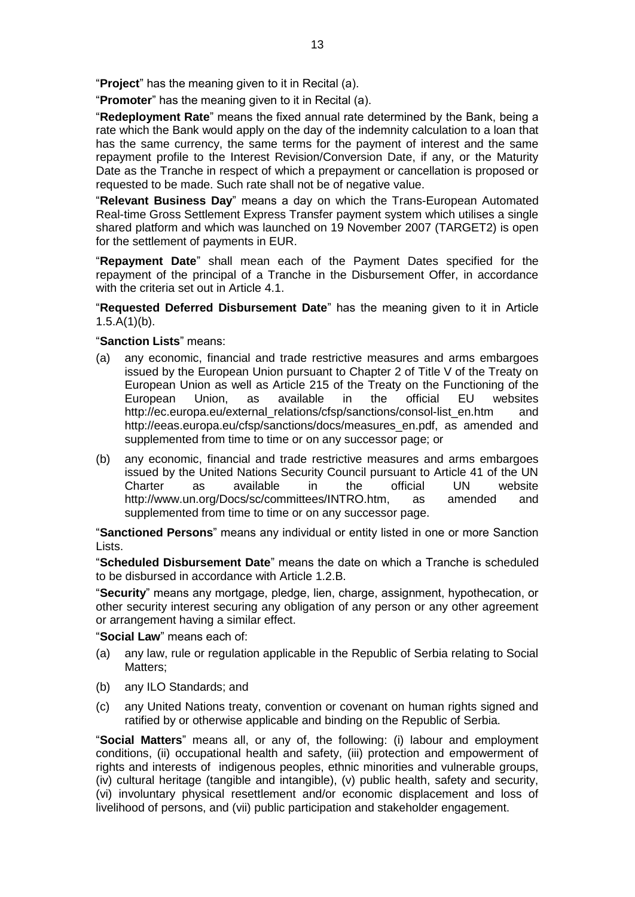"**Project**" has the meaning given to it in Recital (a).

"**Promoter**" has the meaning given to it in Recital (a).

"**Redeployment Rate**" means the fixed annual rate determined by the Bank, being a rate which the Bank would apply on the day of the indemnity calculation to a loan that has the same currency, the same terms for the payment of interest and the same repayment profile to the Interest Revision/Conversion Date, if any, or the Maturity Date as the Tranche in respect of which a prepayment or cancellation is proposed or requested to be made. Such rate shall not be of negative value.

"**Relevant Business Day**" means a day on which the Trans-European Automated Real-time Gross Settlement Express Transfer payment system which utilises a single shared platform and which was launched on 19 November 2007 (TARGET2) is open for the settlement of payments in EUR.

"**Repayment Date**" shall mean each of the Payment Dates specified for the repayment of the principal of a Tranche in the Disbursement Offer, in accordance with the criteria set out in Article 4.1.

"**Requested Deferred Disbursement Date**" has the meaning given to it in Article  $1.5.A(1)(b)$ .

# "**Sanction Lists**" means:

- (a) any economic, financial and trade restrictive measures and arms embargoes issued by the European Union pursuant to Chapter 2 of Title V of the Treaty on European Union as well as Article 215 of the Treaty on the Functioning of the European Union, as available in the official EU websites http://ec.europa.eu/external\_relations/cfsp/sanctions/consol-list\_en.htm and http://eeas.europa.eu/cfsp/sanctions/docs/measures\_en.pdf, as amended and supplemented from time to time or on any successor page; or
- (b) any economic, financial and trade restrictive measures and arms embargoes issued by the United Nations Security Council pursuant to Article 41 of the UN Charter as available in the official UN website http://www.un.org/Docs/sc/committees/INTRO.htm, as amended and supplemented from time to time or on any successor page.

"**Sanctioned Persons**" means any individual or entity listed in one or more Sanction Lists.

"**Scheduled Disbursement Date**" means the date on which a Tranche is scheduled to be disbursed in accordance with Article 1.2.B.

"**Security**" means any mortgage, pledge, lien, charge, assignment, hypothecation, or other security interest securing any obligation of any person or any other agreement or arrangement having a similar effect.

"**Social Law**" means each of:

- (a) any law, rule or regulation applicable in the Republic of Serbia relating to Social Matters;
- (b) any ILO Standards; and
- (c) any United Nations treaty, convention or covenant on human rights signed and ratified by or otherwise applicable and binding on the Republic of Serbia.

"**Social Matters**" means all, or any of, the following: (i) labour and employment conditions, (ii) occupational health and safety, (iii) protection and empowerment of rights and interests of indigenous peoples, ethnic minorities and vulnerable groups, (iv) cultural heritage (tangible and intangible), (v) public health, safety and security, (vi) involuntary physical resettlement and/or economic displacement and loss of livelihood of persons, and (vii) public participation and stakeholder engagement.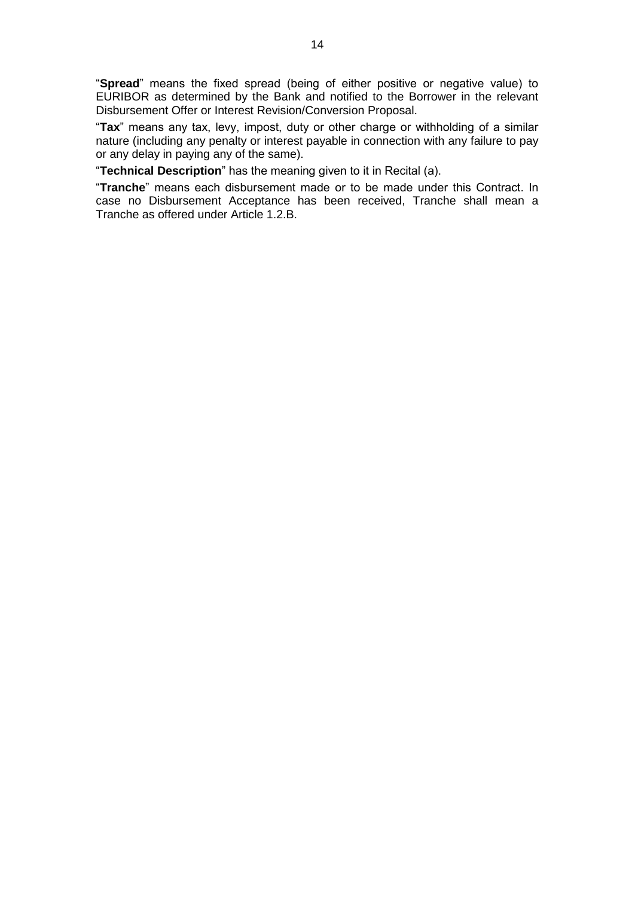"**Spread**" means the fixed spread (being of either positive or negative value) to EURIBOR as determined by the Bank and notified to the Borrower in the relevant Disbursement Offer or Interest Revision/Conversion Proposal.

"**Tax**" means any tax, levy, impost, duty or other charge or withholding of a similar nature (including any penalty or interest payable in connection with any failure to pay or any delay in paying any of the same).

"**Technical Description**" has the meaning given to it in Recital (a).

"**Tranche**" means each disbursement made or to be made under this Contract. In case no Disbursement Acceptance has been received, Tranche shall mean a Tranche as offered under Article 1.2.B.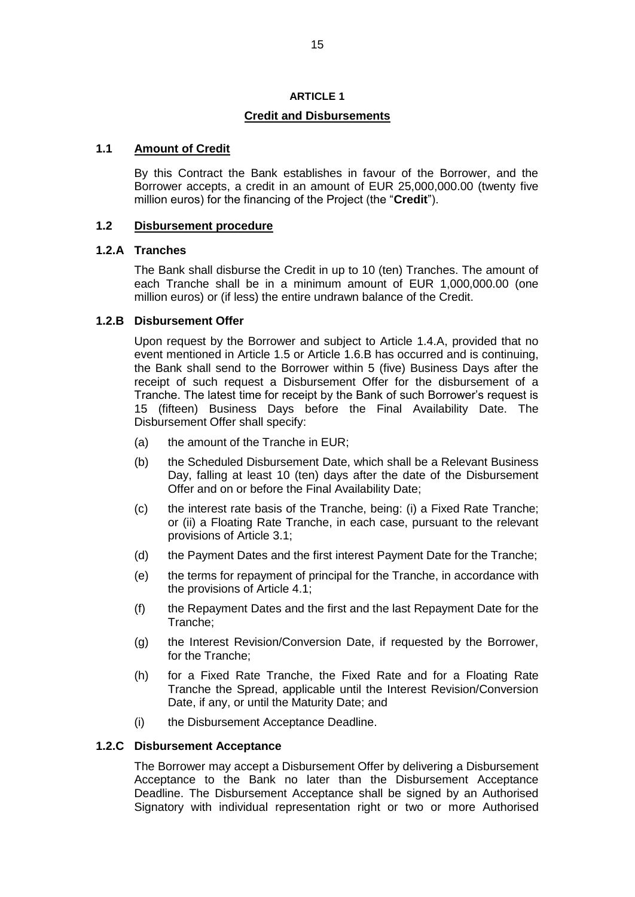### **ARTICLE 1**

# **Credit and Disbursements**

# **1.1 Amount of Credit**

By this Contract the Bank establishes in favour of the Borrower, and the Borrower accepts, a credit in an amount of EUR 25,000,000.00 (twenty five million euros) for the financing of the Project (the "**Credit**").

# **1.2 Disbursement procedure**

# **1.2.A Tranches**

The Bank shall disburse the Credit in up to 10 (ten) Tranches. The amount of each Tranche shall be in a minimum amount of EUR 1,000,000.00 (one million euros) or (if less) the entire undrawn balance of the Credit.

# **1.2.B Disbursement Offer**

Upon request by the Borrower and subject to Article 1.4.A, provided that no event mentioned in Article 1.5 or Article 1.6.B has occurred and is continuing, the Bank shall send to the Borrower within 5 (five) Business Days after the receipt of such request a Disbursement Offer for the disbursement of a Tranche. The latest time for receipt by the Bank of such Borrower's request is 15 (fifteen) Business Days before the Final Availability Date. The Disbursement Offer shall specify:

- (a) the amount of the Tranche in EUR;
- (b) the Scheduled Disbursement Date, which shall be a Relevant Business Day, falling at least 10 (ten) days after the date of the Disbursement Offer and on or before the Final Availability Date;
- (c) the interest rate basis of the Tranche, being: (i) a Fixed Rate Tranche; or (ii) a Floating Rate Tranche, in each case, pursuant to the relevant provisions of Article 3.1;
- (d) the Payment Dates and the first interest Payment Date for the Tranche;
- (e) the terms for repayment of principal for the Tranche, in accordance with the provisions of Article 4.1;
- (f) the Repayment Dates and the first and the last Repayment Date for the Tranche;
- (g) the Interest Revision/Conversion Date, if requested by the Borrower, for the Tranche;
- (h) for a Fixed Rate Tranche, the Fixed Rate and for a Floating Rate Tranche the Spread, applicable until the Interest Revision/Conversion Date, if any, or until the Maturity Date; and
- (i) the Disbursement Acceptance Deadline.

#### **1.2.C Disbursement Acceptance**

The Borrower may accept a Disbursement Offer by delivering a Disbursement Acceptance to the Bank no later than the Disbursement Acceptance Deadline. The Disbursement Acceptance shall be signed by an Authorised Signatory with individual representation right or two or more Authorised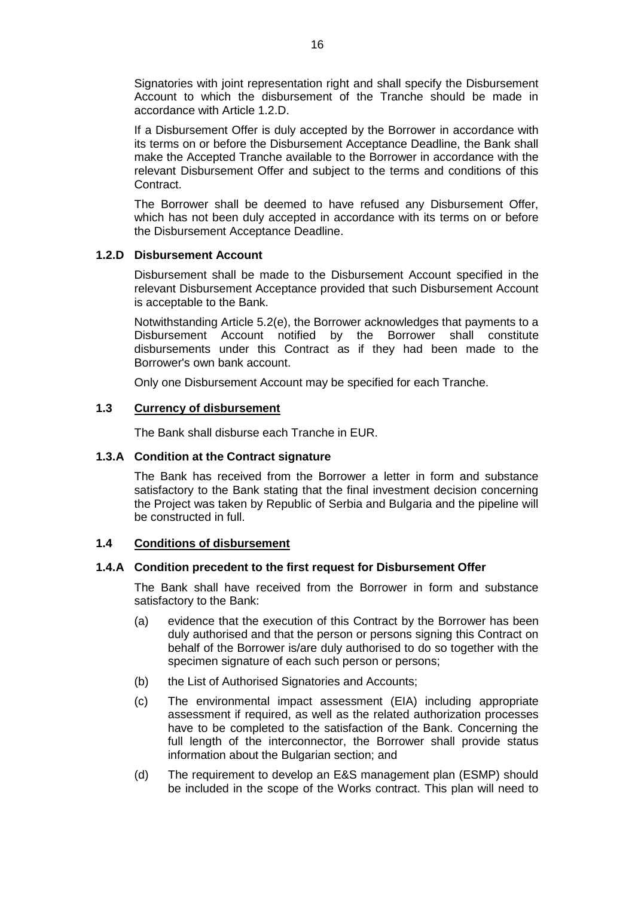Signatories with joint representation right and shall specify the Disbursement Account to which the disbursement of the Tranche should be made in accordance with Article 1.2.D.

If a Disbursement Offer is duly accepted by the Borrower in accordance with its terms on or before the Disbursement Acceptance Deadline, the Bank shall make the Accepted Tranche available to the Borrower in accordance with the relevant Disbursement Offer and subject to the terms and conditions of this Contract.

The Borrower shall be deemed to have refused any Disbursement Offer, which has not been duly accepted in accordance with its terms on or before the Disbursement Acceptance Deadline.

# **1.2.D Disbursement Account**

Disbursement shall be made to the Disbursement Account specified in the relevant Disbursement Acceptance provided that such Disbursement Account is acceptable to the Bank.

Notwithstanding Article 5.2(e), the Borrower acknowledges that payments to a Disbursement Account notified by the Borrower shall constitute disbursements under this Contract as if they had been made to the Borrower's own bank account.

Only one Disbursement Account may be specified for each Tranche.

#### **1.3 Currency of disbursement**

The Bank shall disburse each Tranche in EUR.

#### **1.3.A Condition at the Contract signature**

The Bank has received from the Borrower a letter in form and substance satisfactory to the Bank stating that the final investment decision concerning the Project was taken by Republic of Serbia and Bulgaria and the pipeline will be constructed in full.

# **1.4 Conditions of disbursement**

#### **1.4.A Condition precedent to the first request for Disbursement Offer**

The Bank shall have received from the Borrower in form and substance satisfactory to the Bank:

- (a) evidence that the execution of this Contract by the Borrower has been duly authorised and that the person or persons signing this Contract on behalf of the Borrower is/are duly authorised to do so together with the specimen signature of each such person or persons;
- (b) the List of Authorised Signatories and Accounts;
- (c) The environmental impact assessment (EIA) including appropriate assessment if required, as well as the related authorization processes have to be completed to the satisfaction of the Bank. Concerning the full length of the interconnector, the Borrower shall provide status information about the Bulgarian section; and
- (d) The requirement to develop an E&S management plan (ESMP) should be included in the scope of the Works contract. This plan will need to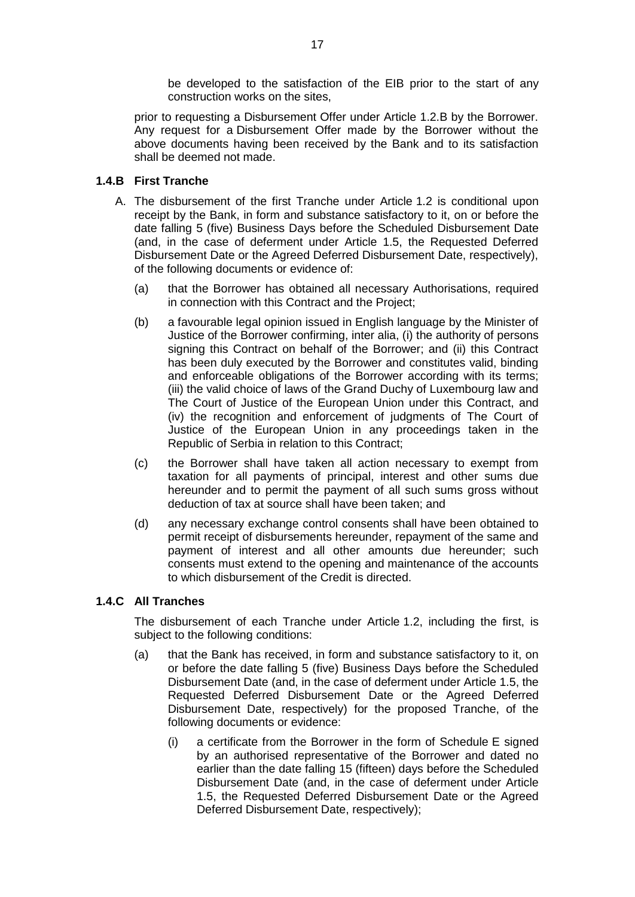be developed to the satisfaction of the EIB prior to the start of any construction works on the sites,

prior to requesting a Disbursement Offer under Article 1.2.B by the Borrower. Any request for a Disbursement Offer made by the Borrower without the above documents having been received by the Bank and to its satisfaction shall be deemed not made.

# **1.4.B First Tranche**

- A. The disbursement of the first Tranche under Article 1.2 is conditional upon receipt by the Bank, in form and substance satisfactory to it, on or before the date falling 5 (five) Business Days before the Scheduled Disbursement Date (and, in the case of deferment under Article 1.5, the Requested Deferred Disbursement Date or the Agreed Deferred Disbursement Date, respectively), of the following documents or evidence of:
	- (a) that the Borrower has obtained all necessary Authorisations, required in connection with this Contract and the Project;
	- (b) a favourable legal opinion issued in English language by the Minister of Justice of the Borrower confirming, inter alia, (i) the authority of persons signing this Contract on behalf of the Borrower; and (ii) this Contract has been duly executed by the Borrower and constitutes valid, binding and enforceable obligations of the Borrower according with its terms; (iii) the valid choice of laws of the Grand Duchy of Luxembourg law and The Court of Justice of the European Union under this Contract, and (iv) the recognition and enforcement of judgments of The Court of Justice of the European Union in any proceedings taken in the Republic of Serbia in relation to this Contract;
	- (c) the Borrower shall have taken all action necessary to exempt from taxation for all payments of principal, interest and other sums due hereunder and to permit the payment of all such sums gross without deduction of tax at source shall have been taken; and
	- (d) any necessary exchange control consents shall have been obtained to permit receipt of disbursements hereunder, repayment of the same and payment of interest and all other amounts due hereunder; such consents must extend to the opening and maintenance of the accounts to which disbursement of the Credit is directed.

# **1.4.C All Tranches**

The disbursement of each Tranche under Article 1.2, including the first, is subject to the following conditions:

- (a) that the Bank has received, in form and substance satisfactory to it, on or before the date falling 5 (five) Business Days before the Scheduled Disbursement Date (and, in the case of deferment under Article 1.5, the Requested Deferred Disbursement Date or the Agreed Deferred Disbursement Date, respectively) for the proposed Tranche, of the following documents or evidence:
	- (i) a certificate from the Borrower in the form of Schedule E signed by an authorised representative of the Borrower and dated no earlier than the date falling 15 (fifteen) days before the Scheduled Disbursement Date (and, in the case of deferment under Article 1.5, the Requested Deferred Disbursement Date or the Agreed Deferred Disbursement Date, respectively);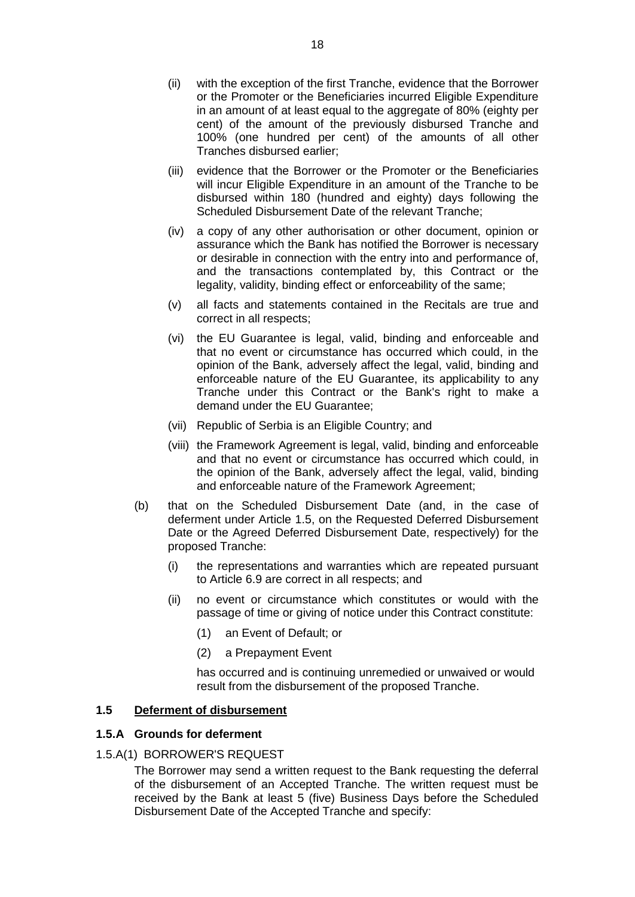- (ii) with the exception of the first Tranche, evidence that the Borrower or the Promoter or the Beneficiaries incurred Eligible Expenditure in an amount of at least equal to the aggregate of 80% (eighty per cent) of the amount of the previously disbursed Tranche and 100% (one hundred per cent) of the amounts of all other Tranches disbursed earlier;
- (iii) evidence that the Borrower or the Promoter or the Beneficiaries will incur Eligible Expenditure in an amount of the Tranche to be disbursed within 180 (hundred and eighty) days following the Scheduled Disbursement Date of the relevant Tranche;
- (iv) a copy of any other authorisation or other document, opinion or assurance which the Bank has notified the Borrower is necessary or desirable in connection with the entry into and performance of, and the transactions contemplated by, this Contract or the legality, validity, binding effect or enforceability of the same;
- (v) all facts and statements contained in the Recitals are true and correct in all respects;
- (vi) the EU Guarantee is legal, valid, binding and enforceable and that no event or circumstance has occurred which could, in the opinion of the Bank, adversely affect the legal, valid, binding and enforceable nature of the EU Guarantee, its applicability to any Tranche under this Contract or the Bank's right to make a demand under the EU Guarantee;
- (vii) Republic of Serbia is an Eligible Country; and
- (viii) the Framework Agreement is legal, valid, binding and enforceable and that no event or circumstance has occurred which could, in the opinion of the Bank, adversely affect the legal, valid, binding and enforceable nature of the Framework Agreement;
- (b) that on the Scheduled Disbursement Date (and, in the case of deferment under Article 1.5, on the Requested Deferred Disbursement Date or the Agreed Deferred Disbursement Date, respectively) for the proposed Tranche:
	- (i) the representations and warranties which are repeated pursuant to Article 6.9 are correct in all respects; and
	- (ii) no event or circumstance which constitutes or would with the passage of time or giving of notice under this Contract constitute:
		- (1) an Event of Default; or
		- (2) a Prepayment Event

has occurred and is continuing unremedied or unwaived or would result from the disbursement of the proposed Tranche.

# **1.5 Deferment of disbursement**

#### **1.5.A Grounds for deferment**

#### 1.5.A(1) BORROWER'S REQUEST

The Borrower may send a written request to the Bank requesting the deferral of the disbursement of an Accepted Tranche. The written request must be received by the Bank at least 5 (five) Business Days before the Scheduled Disbursement Date of the Accepted Tranche and specify: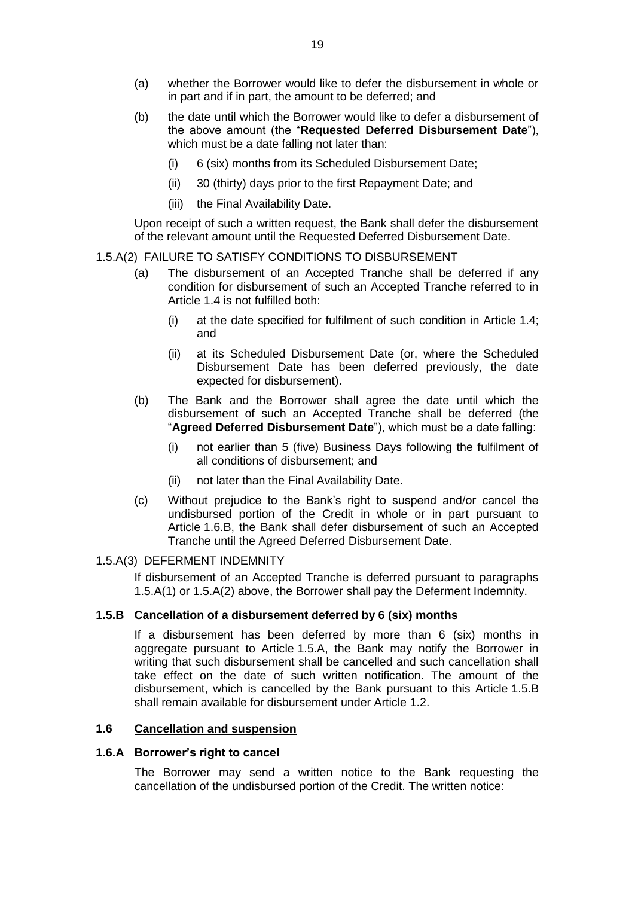- (a) whether the Borrower would like to defer the disbursement in whole or in part and if in part, the amount to be deferred; and
- (b) the date until which the Borrower would like to defer a disbursement of the above amount (the "**Requested Deferred Disbursement Date**"), which must be a date falling not later than:
	- (i) 6 (six) months from its Scheduled Disbursement Date;
	- (ii) 30 (thirty) days prior to the first Repayment Date; and
	- (iii) the Final Availability Date.

Upon receipt of such a written request, the Bank shall defer the disbursement of the relevant amount until the Requested Deferred Disbursement Date.

#### 1.5.A(2) FAILURE TO SATISFY CONDITIONS TO DISBURSEMENT

- (a) The disbursement of an Accepted Tranche shall be deferred if any condition for disbursement of such an Accepted Tranche referred to in Article 1.4 is not fulfilled both:
	- (i) at the date specified for fulfilment of such condition in Article 1.4; and
	- (ii) at its Scheduled Disbursement Date (or, where the Scheduled Disbursement Date has been deferred previously, the date expected for disbursement).
- (b) The Bank and the Borrower shall agree the date until which the disbursement of such an Accepted Tranche shall be deferred (the "**Agreed Deferred Disbursement Date**"), which must be a date falling:
	- (i) not earlier than 5 (five) Business Days following the fulfilment of all conditions of disbursement; and
	- (ii) not later than the Final Availability Date.
- (c) Without prejudice to the Bank's right to suspend and/or cancel the undisbursed portion of the Credit in whole or in part pursuant to Article 1.6.B, the Bank shall defer disbursement of such an Accepted Tranche until the Agreed Deferred Disbursement Date.

#### 1.5.A(3) DEFERMENT INDEMNITY

If disbursement of an Accepted Tranche is deferred pursuant to paragraphs 1.5.A(1) or 1.5.A(2) above, the Borrower shall pay the Deferment Indemnity.

#### **1.5.B Cancellation of a disbursement deferred by 6 (six) months**

If a disbursement has been deferred by more than 6 (six) months in aggregate pursuant to Article 1.5.A, the Bank may notify the Borrower in writing that such disbursement shall be cancelled and such cancellation shall take effect on the date of such written notification. The amount of the disbursement, which is cancelled by the Bank pursuant to this Article 1.5.B shall remain available for disbursement under Article 1.2.

# **1.6 Cancellation and suspension**

#### **1.6.A Borrower's right to cancel**

The Borrower may send a written notice to the Bank requesting the cancellation of the undisbursed portion of the Credit. The written notice: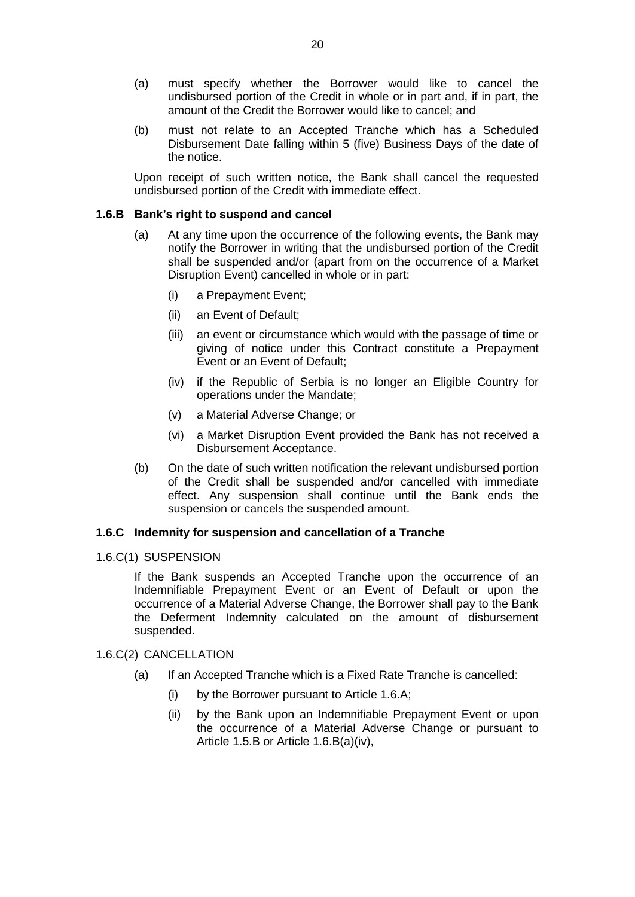- (a) must specify whether the Borrower would like to cancel the undisbursed portion of the Credit in whole or in part and, if in part, the amount of the Credit the Borrower would like to cancel; and
- (b) must not relate to an Accepted Tranche which has a Scheduled Disbursement Date falling within 5 (five) Business Days of the date of the notice.

Upon receipt of such written notice, the Bank shall cancel the requested undisbursed portion of the Credit with immediate effect.

### **1.6.B Bank's right to suspend and cancel**

- (a) At any time upon the occurrence of the following events, the Bank may notify the Borrower in writing that the undisbursed portion of the Credit shall be suspended and/or (apart from on the occurrence of a Market Disruption Event) cancelled in whole or in part:
	- (i) a Prepayment Event;
	- (ii) an Event of Default;
	- (iii) an event or circumstance which would with the passage of time or giving of notice under this Contract constitute a Prepayment Event or an Event of Default;
	- (iv) if the Republic of Serbia is no longer an Eligible Country for operations under the Mandate;
	- (v) a Material Adverse Change; or
	- (vi) a Market Disruption Event provided the Bank has not received a Disbursement Acceptance.
- (b) On the date of such written notification the relevant undisbursed portion of the Credit shall be suspended and/or cancelled with immediate effect. Any suspension shall continue until the Bank ends the suspension or cancels the suspended amount.

# **1.6.C Indemnity for suspension and cancellation of a Tranche**

1.6.C(1) SUSPENSION

If the Bank suspends an Accepted Tranche upon the occurrence of an Indemnifiable Prepayment Event or an Event of Default or upon the occurrence of a Material Adverse Change, the Borrower shall pay to the Bank the Deferment Indemnity calculated on the amount of disbursement suspended.

#### 1.6.C(2) CANCELLATION

- (a) If an Accepted Tranche which is a Fixed Rate Tranche is cancelled:
	- (i) by the Borrower pursuant to Article 1.6.A;
	- (ii) by the Bank upon an Indemnifiable Prepayment Event or upon the occurrence of a Material Adverse Change or pursuant to Article 1.5.B or Article 1.6.B(a)(iv),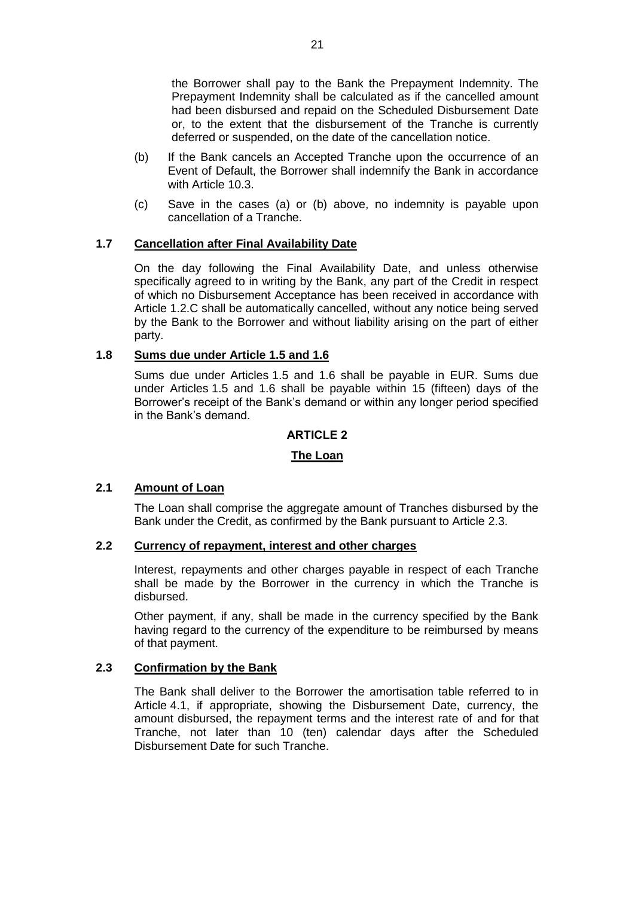the Borrower shall pay to the Bank the Prepayment Indemnity. The Prepayment Indemnity shall be calculated as if the cancelled amount had been disbursed and repaid on the Scheduled Disbursement Date or, to the extent that the disbursement of the Tranche is currently deferred or suspended, on the date of the cancellation notice.

- (b) If the Bank cancels an Accepted Tranche upon the occurrence of an Event of Default, the Borrower shall indemnify the Bank in accordance with Article 10.3.
- (c) Save in the cases (a) or (b) above, no indemnity is payable upon cancellation of a Tranche.

# **1.7 Cancellation after Final Availability Date**

On the day following the Final Availability Date, and unless otherwise specifically agreed to in writing by the Bank, any part of the Credit in respect of which no Disbursement Acceptance has been received in accordance with Article 1.2.C shall be automatically cancelled, without any notice being served by the Bank to the Borrower and without liability arising on the part of either party.

# **1.8 Sums due under Article 1.5 and 1.6**

Sums due under Articles 1.5 and 1.6 shall be payable in EUR. Sums due under Articles 1.5 and 1.6 shall be payable within 15 (fifteen) days of the Borrower's receipt of the Bank's demand or within any longer period specified in the Bank's demand.

#### **ARTICLE 2**

#### **The Loan**

#### **2.1 Amount of Loan**

The Loan shall comprise the aggregate amount of Tranches disbursed by the Bank under the Credit, as confirmed by the Bank pursuant to Article 2.3.

# **2.2 Currency of repayment, interest and other charges**

Interest, repayments and other charges payable in respect of each Tranche shall be made by the Borrower in the currency in which the Tranche is disbursed.

Other payment, if any, shall be made in the currency specified by the Bank having regard to the currency of the expenditure to be reimbursed by means of that payment.

#### **2.3 Confirmation by the Bank**

The Bank shall deliver to the Borrower the amortisation table referred to in Article 4.1, if appropriate, showing the Disbursement Date, currency, the amount disbursed, the repayment terms and the interest rate of and for that Tranche, not later than 10 (ten) calendar days after the Scheduled Disbursement Date for such Tranche.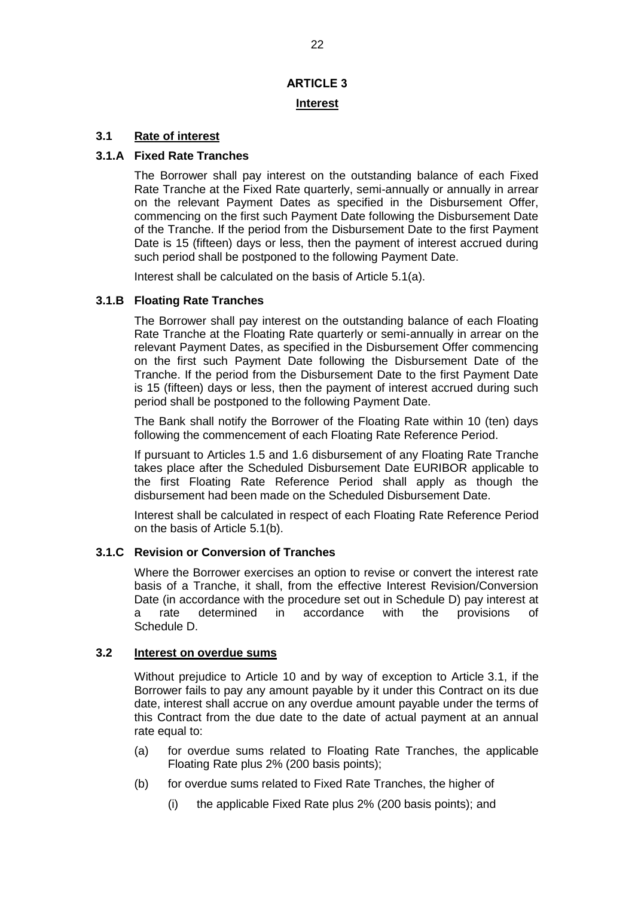# **ARTICLE 3 Interest**

# **3.1 Rate of interest**

# **3.1.A Fixed Rate Tranches**

The Borrower shall pay interest on the outstanding balance of each Fixed Rate Tranche at the Fixed Rate quarterly, semi-annually or annually in arrear on the relevant Payment Dates as specified in the Disbursement Offer, commencing on the first such Payment Date following the Disbursement Date of the Tranche. If the period from the Disbursement Date to the first Payment Date is 15 (fifteen) days or less, then the payment of interest accrued during such period shall be postponed to the following Payment Date.

Interest shall be calculated on the basis of Article 5.1(a).

#### **3.1.B Floating Rate Tranches**

The Borrower shall pay interest on the outstanding balance of each Floating Rate Tranche at the Floating Rate quarterly or semi-annually in arrear on the relevant Payment Dates, as specified in the Disbursement Offer commencing on the first such Payment Date following the Disbursement Date of the Tranche. If the period from the Disbursement Date to the first Payment Date is 15 (fifteen) days or less, then the payment of interest accrued during such period shall be postponed to the following Payment Date.

The Bank shall notify the Borrower of the Floating Rate within 10 (ten) days following the commencement of each Floating Rate Reference Period.

If pursuant to Articles 1.5 and 1.6 disbursement of any Floating Rate Tranche takes place after the Scheduled Disbursement Date EURIBOR applicable to the first Floating Rate Reference Period shall apply as though the disbursement had been made on the Scheduled Disbursement Date.

Interest shall be calculated in respect of each Floating Rate Reference Period on the basis of Article 5.1(b).

## **3.1.C Revision or Conversion of Tranches**

Where the Borrower exercises an option to revise or convert the interest rate basis of a Tranche, it shall, from the effective Interest Revision/Conversion Date (in accordance with the procedure set out in Schedule D) pay interest at a rate determined in accordance with the provisions of Schedule D.

#### **3.2 Interest on overdue sums**

Without prejudice to Article 10 and by way of exception to Article 3.1, if the Borrower fails to pay any amount payable by it under this Contract on its due date, interest shall accrue on any overdue amount payable under the terms of this Contract from the due date to the date of actual payment at an annual rate equal to:

- (a) for overdue sums related to Floating Rate Tranches, the applicable Floating Rate plus 2% (200 basis points);
- (b) for overdue sums related to Fixed Rate Tranches, the higher of
	- (i) the applicable Fixed Rate plus 2% (200 basis points); and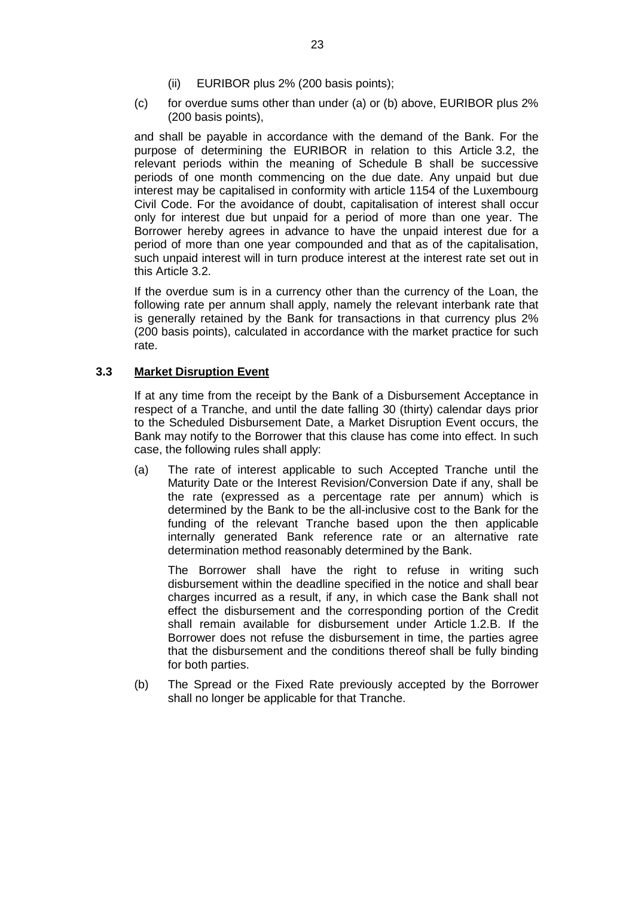- (ii) EURIBOR plus 2% (200 basis points);
- (c) for overdue sums other than under (a) or (b) above, EURIBOR plus 2% (200 basis points),

and shall be payable in accordance with the demand of the Bank. For the purpose of determining the EURIBOR in relation to this Article 3.2, the relevant periods within the meaning of Schedule B shall be successive periods of one month commencing on the due date. Any unpaid but due interest may be capitalised in conformity with article 1154 of the Luxembourg Civil Code. For the avoidance of doubt, capitalisation of interest shall occur only for interest due but unpaid for a period of more than one year. The Borrower hereby agrees in advance to have the unpaid interest due for a period of more than one year compounded and that as of the capitalisation, such unpaid interest will in turn produce interest at the interest rate set out in this Article 3.2.

If the overdue sum is in a currency other than the currency of the Loan, the following rate per annum shall apply, namely the relevant interbank rate that is generally retained by the Bank for transactions in that currency plus 2% (200 basis points), calculated in accordance with the market practice for such rate.

# **3.3 Market Disruption Event**

If at any time from the receipt by the Bank of a Disbursement Acceptance in respect of a Tranche, and until the date falling 30 (thirty) calendar days prior to the Scheduled Disbursement Date, a Market Disruption Event occurs, the Bank may notify to the Borrower that this clause has come into effect. In such case, the following rules shall apply:

(a) The rate of interest applicable to such Accepted Tranche until the Maturity Date or the Interest Revision/Conversion Date if any, shall be the rate (expressed as a percentage rate per annum) which is determined by the Bank to be the all-inclusive cost to the Bank for the funding of the relevant Tranche based upon the then applicable internally generated Bank reference rate or an alternative rate determination method reasonably determined by the Bank.

The Borrower shall have the right to refuse in writing such disbursement within the deadline specified in the notice and shall bear charges incurred as a result, if any, in which case the Bank shall not effect the disbursement and the corresponding portion of the Credit shall remain available for disbursement under Article 1.2.B. If the Borrower does not refuse the disbursement in time, the parties agree that the disbursement and the conditions thereof shall be fully binding for both parties.

(b) The Spread or the Fixed Rate previously accepted by the Borrower shall no longer be applicable for that Tranche.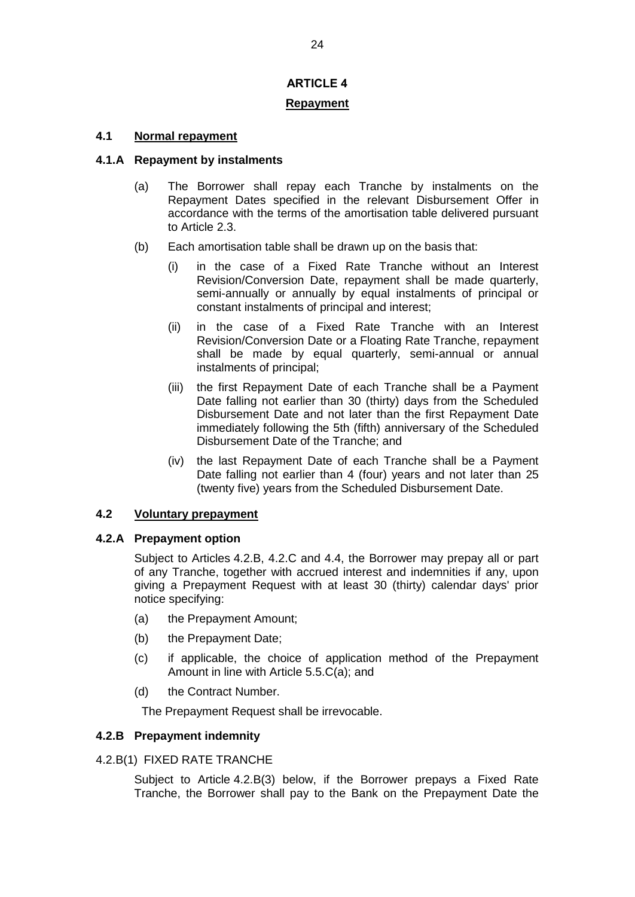# **ARTICLE 4**

# **Repayment**

# **4.1 Normal repayment**

# **4.1.A Repayment by instalments**

- (a) The Borrower shall repay each Tranche by instalments on the Repayment Dates specified in the relevant Disbursement Offer in accordance with the terms of the amortisation table delivered pursuant to Article 2.3.
- (b) Each amortisation table shall be drawn up on the basis that:
	- (i) in the case of a Fixed Rate Tranche without an Interest Revision/Conversion Date, repayment shall be made quarterly, semi-annually or annually by equal instalments of principal or constant instalments of principal and interest;
	- (ii) in the case of a Fixed Rate Tranche with an Interest Revision/Conversion Date or a Floating Rate Tranche, repayment shall be made by equal quarterly, semi-annual or annual instalments of principal;
	- (iii) the first Repayment Date of each Tranche shall be a Payment Date falling not earlier than 30 (thirty) days from the Scheduled Disbursement Date and not later than the first Repayment Date immediately following the 5th (fifth) anniversary of the Scheduled Disbursement Date of the Tranche; and
	- (iv) the last Repayment Date of each Tranche shall be a Payment Date falling not earlier than 4 (four) years and not later than 25 (twenty five) years from the Scheduled Disbursement Date.

# **4.2 Voluntary prepayment**

# **4.2.A Prepayment option**

Subject to Articles 4.2.B, 4.2.C and 4.4, the Borrower may prepay all or part of any Tranche, together with accrued interest and indemnities if any, upon giving a Prepayment Request with at least 30 (thirty) calendar days' prior notice specifying:

- (a) the Prepayment Amount;
- (b) the Prepayment Date;
- (c) if applicable, the choice of application method of the Prepayment Amount in line with Article 5.5.C(a); and
- (d) the Contract Number.

The Prepayment Request shall be irrevocable.

# **4.2.B Prepayment indemnity**

# 4.2.B(1) FIXED RATE TRANCHE

Subject to Article 4.2.B(3) below, if the Borrower prepays a Fixed Rate Tranche, the Borrower shall pay to the Bank on the Prepayment Date the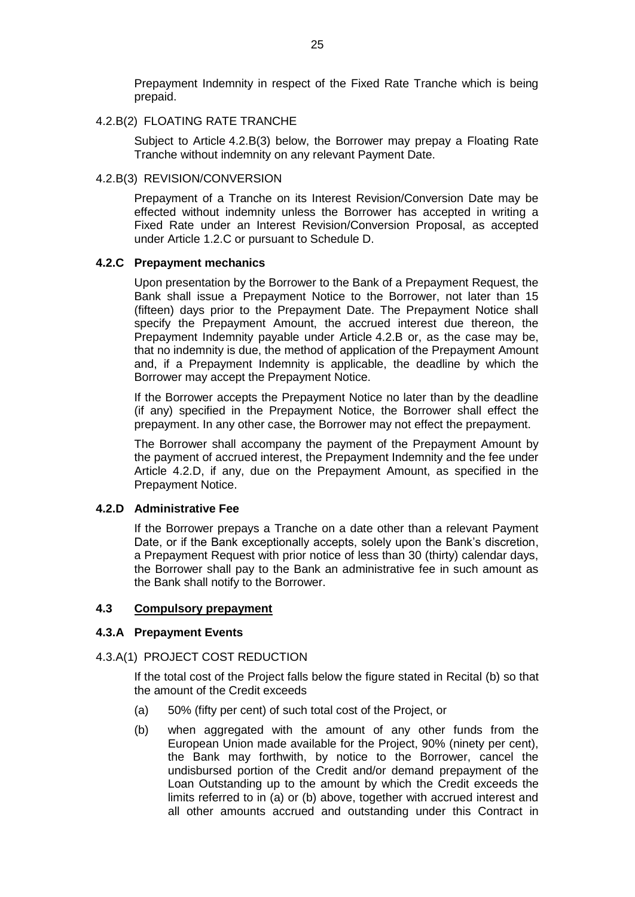Prepayment Indemnity in respect of the Fixed Rate Tranche which is being prepaid.

# 4.2.B(2) FLOATING RATE TRANCHE

Subject to Article 4.2.B(3) below, the Borrower may prepay a Floating Rate Tranche without indemnity on any relevant Payment Date.

### 4.2.B(3) REVISION/CONVERSION

Prepayment of a Tranche on its Interest Revision/Conversion Date may be effected without indemnity unless the Borrower has accepted in writing a Fixed Rate under an Interest Revision/Conversion Proposal, as accepted under Article 1.2.C or pursuant to Schedule D.

# **4.2.C Prepayment mechanics**

Upon presentation by the Borrower to the Bank of a Prepayment Request, the Bank shall issue a Prepayment Notice to the Borrower, not later than 15 (fifteen) days prior to the Prepayment Date. The Prepayment Notice shall specify the Prepayment Amount, the accrued interest due thereon, the Prepayment Indemnity payable under Article 4.2.B or, as the case may be, that no indemnity is due, the method of application of the Prepayment Amount and, if a Prepayment Indemnity is applicable, the deadline by which the Borrower may accept the Prepayment Notice.

If the Borrower accepts the Prepayment Notice no later than by the deadline (if any) specified in the Prepayment Notice, the Borrower shall effect the prepayment. In any other case, the Borrower may not effect the prepayment.

The Borrower shall accompany the payment of the Prepayment Amount by the payment of accrued interest, the Prepayment Indemnity and the fee under Article 4.2.D, if any, due on the Prepayment Amount, as specified in the Prepayment Notice.

# **4.2.D Administrative Fee**

If the Borrower prepays a Tranche on a date other than a relevant Payment Date, or if the Bank exceptionally accepts, solely upon the Bank's discretion, a Prepayment Request with prior notice of less than 30 (thirty) calendar days, the Borrower shall pay to the Bank an administrative fee in such amount as the Bank shall notify to the Borrower.

#### **4.3 Compulsory prepayment**

#### **4.3.A Prepayment Events**

#### 4.3.A(1) PROJECT COST REDUCTION

If the total cost of the Project falls below the figure stated in Recital (b) so that the amount of the Credit exceeds

- (a) 50% (fifty per cent) of such total cost of the Project, or
- (b) when aggregated with the amount of any other funds from the European Union made available for the Project, 90% (ninety per cent), the Bank may forthwith, by notice to the Borrower, cancel the undisbursed portion of the Credit and/or demand prepayment of the Loan Outstanding up to the amount by which the Credit exceeds the limits referred to in (a) or (b) above, together with accrued interest and all other amounts accrued and outstanding under this Contract in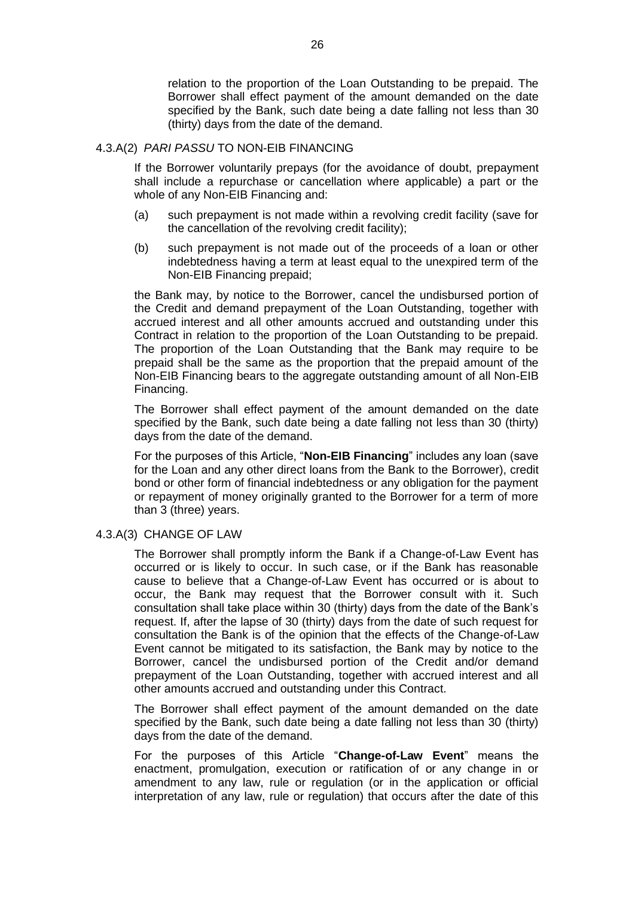relation to the proportion of the Loan Outstanding to be prepaid. The Borrower shall effect payment of the amount demanded on the date specified by the Bank, such date being a date falling not less than 30 (thirty) days from the date of the demand.

# 4.3.A(2) *PARI PASSU* TO NON-EIB FINANCING

If the Borrower voluntarily prepays (for the avoidance of doubt, prepayment shall include a repurchase or cancellation where applicable) a part or the whole of any Non-EIB Financing and:

- (a) such prepayment is not made within a revolving credit facility (save for the cancellation of the revolving credit facility);
- (b) such prepayment is not made out of the proceeds of a loan or other indebtedness having a term at least equal to the unexpired term of the Non-EIB Financing prepaid;

the Bank may, by notice to the Borrower, cancel the undisbursed portion of the Credit and demand prepayment of the Loan Outstanding, together with accrued interest and all other amounts accrued and outstanding under this Contract in relation to the proportion of the Loan Outstanding to be prepaid. The proportion of the Loan Outstanding that the Bank may require to be prepaid shall be the same as the proportion that the prepaid amount of the Non-EIB Financing bears to the aggregate outstanding amount of all Non-EIB Financing.

The Borrower shall effect payment of the amount demanded on the date specified by the Bank, such date being a date falling not less than 30 (thirty) days from the date of the demand.

For the purposes of this Article, "**Non-EIB Financing**" includes any loan (save for the Loan and any other direct loans from the Bank to the Borrower), credit bond or other form of financial indebtedness or any obligation for the payment or repayment of money originally granted to the Borrower for a term of more than 3 (three) years.

#### 4.3.A(3) CHANGE OF LAW

The Borrower shall promptly inform the Bank if a Change-of-Law Event has occurred or is likely to occur. In such case, or if the Bank has reasonable cause to believe that a Change-of-Law Event has occurred or is about to occur, the Bank may request that the Borrower consult with it. Such consultation shall take place within 30 (thirty) days from the date of the Bank's request. If, after the lapse of 30 (thirty) days from the date of such request for consultation the Bank is of the opinion that the effects of the Change-of-Law Event cannot be mitigated to its satisfaction, the Bank may by notice to the Borrower, cancel the undisbursed portion of the Credit and/or demand prepayment of the Loan Outstanding, together with accrued interest and all other amounts accrued and outstanding under this Contract.

The Borrower shall effect payment of the amount demanded on the date specified by the Bank, such date being a date falling not less than 30 (thirty) days from the date of the demand.

For the purposes of this Article "**Change-of-Law Event**" means the enactment, promulgation, execution or ratification of or any change in or amendment to any law, rule or regulation (or in the application or official interpretation of any law, rule or regulation) that occurs after the date of this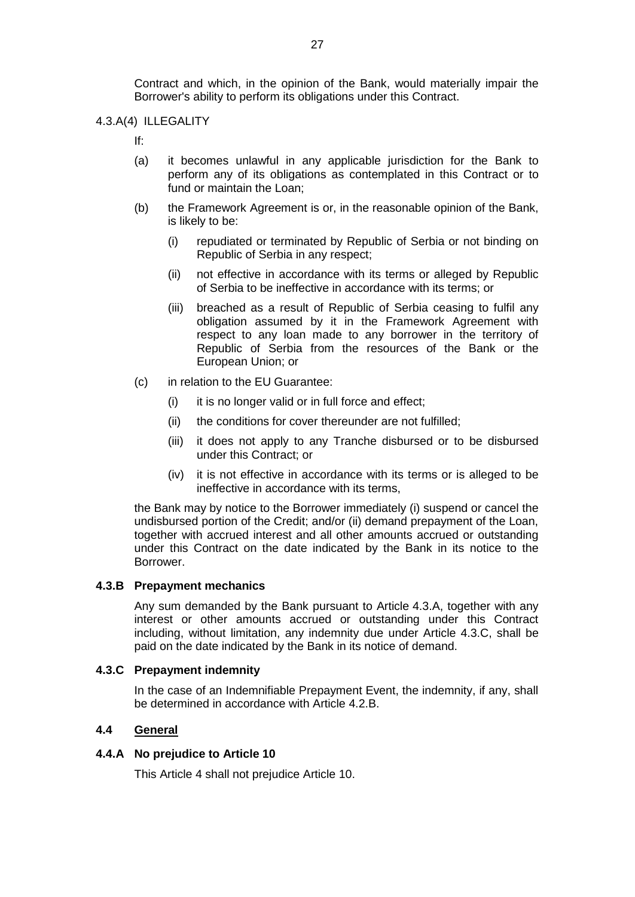Contract and which, in the opinion of the Bank, would materially impair the Borrower's ability to perform its obligations under this Contract.

#### 4.3.A(4) ILLEGALITY

If:

- (a) it becomes unlawful in any applicable jurisdiction for the Bank to perform any of its obligations as contemplated in this Contract or to fund or maintain the Loan;
- (b) the Framework Agreement is or, in the reasonable opinion of the Bank, is likely to be:
	- (i) repudiated or terminated by Republic of Serbia or not binding on Republic of Serbia in any respect;
	- (ii) not effective in accordance with its terms or alleged by Republic of Serbia to be ineffective in accordance with its terms; or
	- (iii) breached as a result of Republic of Serbia ceasing to fulfil any obligation assumed by it in the Framework Agreement with respect to any loan made to any borrower in the territory of Republic of Serbia from the resources of the Bank or the European Union; or
- (c) in relation to the EU Guarantee:
	- (i) it is no longer valid or in full force and effect;
	- (ii) the conditions for cover thereunder are not fulfilled;
	- (iii) it does not apply to any Tranche disbursed or to be disbursed under this Contract; or
	- (iv) it is not effective in accordance with its terms or is alleged to be ineffective in accordance with its terms,

the Bank may by notice to the Borrower immediately (i) suspend or cancel the undisbursed portion of the Credit; and/or (ii) demand prepayment of the Loan, together with accrued interest and all other amounts accrued or outstanding under this Contract on the date indicated by the Bank in its notice to the Borrower.

#### **4.3.B Prepayment mechanics**

Any sum demanded by the Bank pursuant to Article 4.3.A, together with any interest or other amounts accrued or outstanding under this Contract including, without limitation, any indemnity due under Article 4.3.C, shall be paid on the date indicated by the Bank in its notice of demand.

#### **4.3.C Prepayment indemnity**

In the case of an Indemnifiable Prepayment Event, the indemnity, if any, shall be determined in accordance with Article 4.2.B.

#### **4.4 General**

#### **4.4.A No prejudice to Article 10**

This Article 4 shall not prejudice Article 10.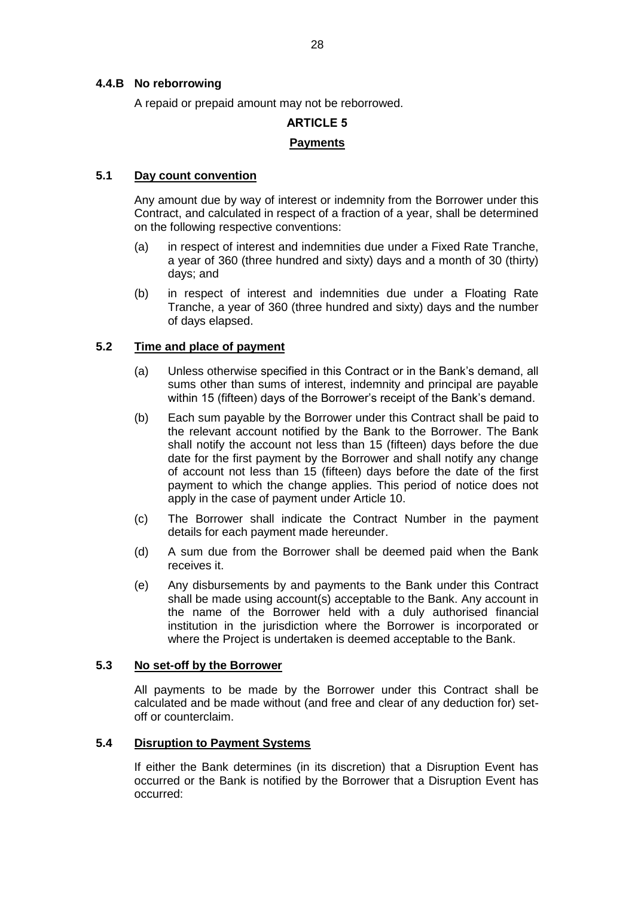# **4.4.B No reborrowing**

A repaid or prepaid amount may not be reborrowed.

# **ARTICLE 5 Payments**

# **5.1 Day count convention**

Any amount due by way of interest or indemnity from the Borrower under this Contract, and calculated in respect of a fraction of a year, shall be determined on the following respective conventions:

- (a) in respect of interest and indemnities due under a Fixed Rate Tranche, a year of 360 (three hundred and sixty) days and a month of 30 (thirty) days; and
- (b) in respect of interest and indemnities due under a Floating Rate Tranche, a year of 360 (three hundred and sixty) days and the number of days elapsed.

# **5.2 Time and place of payment**

- (a) Unless otherwise specified in this Contract or in the Bank's demand, all sums other than sums of interest, indemnity and principal are payable within 15 (fifteen) days of the Borrower's receipt of the Bank's demand.
- (b) Each sum payable by the Borrower under this Contract shall be paid to the relevant account notified by the Bank to the Borrower. The Bank shall notify the account not less than 15 (fifteen) days before the due date for the first payment by the Borrower and shall notify any change of account not less than 15 (fifteen) days before the date of the first payment to which the change applies. This period of notice does not apply in the case of payment under Article 10.
- (c) The Borrower shall indicate the Contract Number in the payment details for each payment made hereunder.
- (d) A sum due from the Borrower shall be deemed paid when the Bank receives it.
- (e) Any disbursements by and payments to the Bank under this Contract shall be made using account(s) acceptable to the Bank. Any account in the name of the Borrower held with a duly authorised financial institution in the jurisdiction where the Borrower is incorporated or where the Project is undertaken is deemed acceptable to the Bank.

# **5.3 No set-off by the Borrower**

All payments to be made by the Borrower under this Contract shall be calculated and be made without (and free and clear of any deduction for) setoff or counterclaim.

# **5.4 Disruption to Payment Systems**

If either the Bank determines (in its discretion) that a Disruption Event has occurred or the Bank is notified by the Borrower that a Disruption Event has occurred: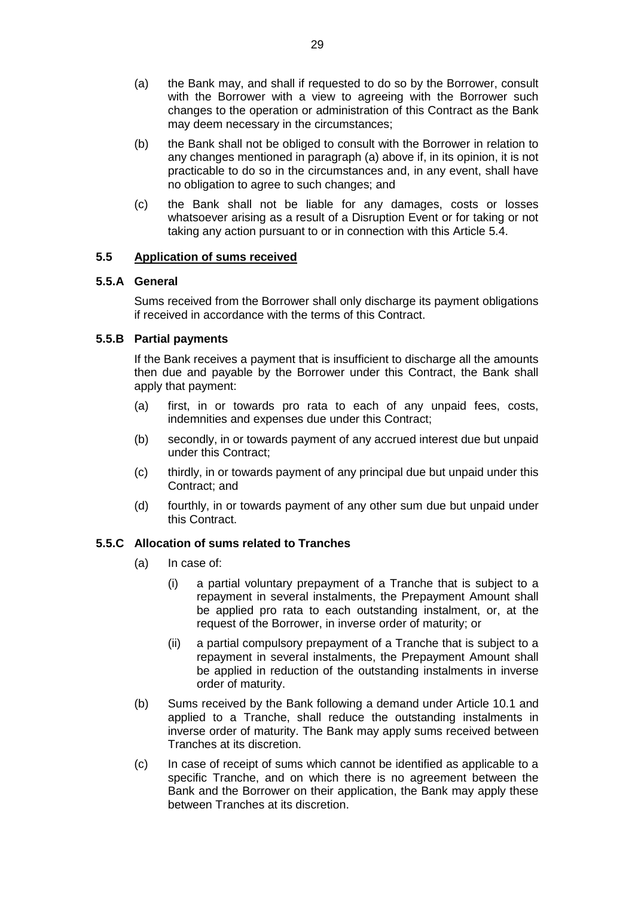- (a) the Bank may, and shall if requested to do so by the Borrower, consult with the Borrower with a view to agreeing with the Borrower such changes to the operation or administration of this Contract as the Bank may deem necessary in the circumstances;
- (b) the Bank shall not be obliged to consult with the Borrower in relation to any changes mentioned in paragraph (a) above if, in its opinion, it is not practicable to do so in the circumstances and, in any event, shall have no obligation to agree to such changes; and
- (c) the Bank shall not be liable for any damages, costs or losses whatsoever arising as a result of a Disruption Event or for taking or not taking any action pursuant to or in connection with this Article 5.4.

# **5.5 Application of sums received**

# **5.5.A General**

Sums received from the Borrower shall only discharge its payment obligations if received in accordance with the terms of this Contract.

# **5.5.B Partial payments**

If the Bank receives a payment that is insufficient to discharge all the amounts then due and payable by the Borrower under this Contract, the Bank shall apply that payment:

- (a) first, in or towards pro rata to each of any unpaid fees, costs, indemnities and expenses due under this Contract;
- (b) secondly, in or towards payment of any accrued interest due but unpaid under this Contract;
- (c) thirdly, in or towards payment of any principal due but unpaid under this Contract; and
- (d) fourthly, in or towards payment of any other sum due but unpaid under this Contract.

# **5.5.C Allocation of sums related to Tranches**

- (a) In case of:
	- (i) a partial voluntary prepayment of a Tranche that is subject to a repayment in several instalments, the Prepayment Amount shall be applied pro rata to each outstanding instalment, or, at the request of the Borrower, in inverse order of maturity; or
	- (ii) a partial compulsory prepayment of a Tranche that is subject to a repayment in several instalments, the Prepayment Amount shall be applied in reduction of the outstanding instalments in inverse order of maturity.
- (b) Sums received by the Bank following a demand under Article 10.1 and applied to a Tranche, shall reduce the outstanding instalments in inverse order of maturity. The Bank may apply sums received between Tranches at its discretion.
- (c) In case of receipt of sums which cannot be identified as applicable to a specific Tranche, and on which there is no agreement between the Bank and the Borrower on their application, the Bank may apply these between Tranches at its discretion.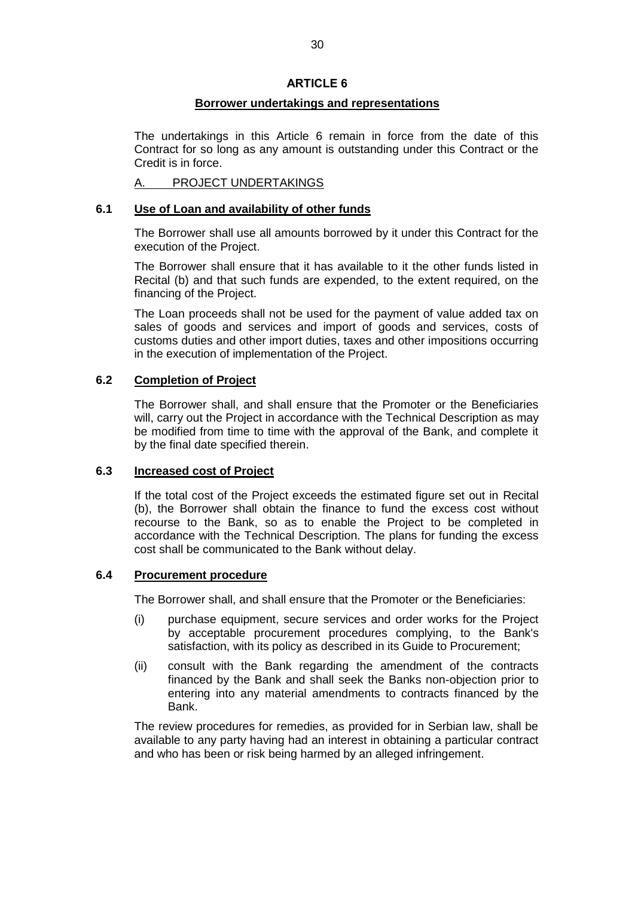# **ARTICLE 6**

# **Borrower undertakings and representations**

The undertakings in this Article 6 remain in force from the date of this Contract for so long as any amount is outstanding under this Contract or the Credit is in force.

# A. PROJECT UNDERTAKINGS

### **6.1 Use of Loan and availability of other funds**

The Borrower shall use all amounts borrowed by it under this Contract for the execution of the Project.

The Borrower shall ensure that it has available to it the other funds listed in Recital (b) and that such funds are expended, to the extent required, on the financing of the Project.

The Loan proceeds shall not be used for the payment of value added tax on sales of goods and services and import of goods and services, costs of customs duties and other import duties, taxes and other impositions occurring in the execution of implementation of the Project.

# **6.2 Completion of Project**

The Borrower shall, and shall ensure that the Promoter or the Beneficiaries will, carry out the Project in accordance with the Technical Description as may be modified from time to time with the approval of the Bank, and complete it by the final date specified therein.

#### **6.3 Increased cost of Project**

If the total cost of the Project exceeds the estimated figure set out in Recital (b), the Borrower shall obtain the finance to fund the excess cost without recourse to the Bank, so as to enable the Project to be completed in accordance with the Technical Description. The plans for funding the excess cost shall be communicated to the Bank without delay.

#### **6.4 Procurement procedure**

The Borrower shall, and shall ensure that the Promoter or the Beneficiaries:

- (i) purchase equipment, secure services and order works for the Project by acceptable procurement procedures complying, to the Bank's satisfaction, with its policy as described in its Guide to Procurement;
- (ii) consult with the Bank regarding the amendment of the contracts financed by the Bank and shall seek the Banks non-objection prior to entering into any material amendments to contracts financed by the Bank.

The review procedures for remedies, as provided for in Serbian law, shall be available to any party having had an interest in obtaining a particular contract and who has been or risk being harmed by an alleged infringement.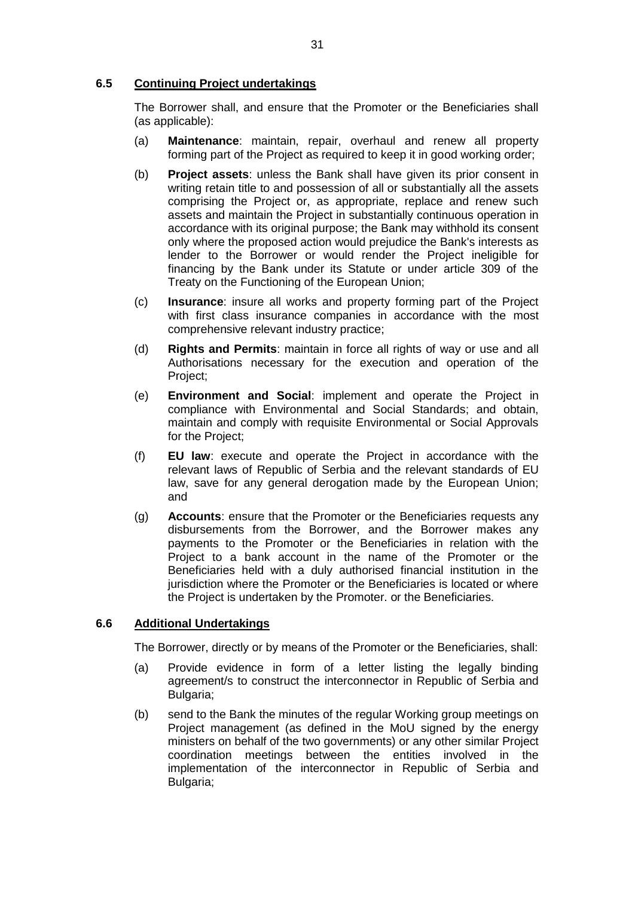# **6.5 Continuing Project undertakings**

The Borrower shall, and ensure that the Promoter or the Beneficiaries shall (as applicable):

- (a) **Maintenance**: maintain, repair, overhaul and renew all property forming part of the Project as required to keep it in good working order;
- (b) **Project assets**: unless the Bank shall have given its prior consent in writing retain title to and possession of all or substantially all the assets comprising the Project or, as appropriate, replace and renew such assets and maintain the Project in substantially continuous operation in accordance with its original purpose; the Bank may withhold its consent only where the proposed action would prejudice the Bank's interests as lender to the Borrower or would render the Project ineligible for financing by the Bank under its Statute or under article 309 of the Treaty on the Functioning of the European Union;
- (c) **Insurance**: insure all works and property forming part of the Project with first class insurance companies in accordance with the most comprehensive relevant industry practice;
- (d) **Rights and Permits**: maintain in force all rights of way or use and all Authorisations necessary for the execution and operation of the Project;
- (e) **Environment and Social**: implement and operate the Project in compliance with Environmental and Social Standards; and obtain, maintain and comply with requisite Environmental or Social Approvals for the Project;
- (f) **EU law**: execute and operate the Project in accordance with the relevant laws of Republic of Serbia and the relevant standards of EU law, save for any general derogation made by the European Union; and
- (g) **Accounts**: ensure that the Promoter or the Beneficiaries requests any disbursements from the Borrower, and the Borrower makes any payments to the Promoter or the Beneficiaries in relation with the Project to a bank account in the name of the Promoter or the Beneficiaries held with a duly authorised financial institution in the jurisdiction where the Promoter or the Beneficiaries is located or where the Project is undertaken by the Promoter. or the Beneficiaries.

# **6.6 Additional Undertakings**

The Borrower, directly or by means of the Promoter or the Beneficiaries, shall:

- (a) Provide evidence in form of a letter listing the legally binding agreement/s to construct the interconnector in Republic of Serbia and Bulgaria;
- (b) send to the Bank the minutes of the regular Working group meetings on Project management (as defined in the MoU signed by the energy ministers on behalf of the two governments) or any other similar Project coordination meetings between the entities involved in the implementation of the interconnector in Republic of Serbia and Bulgaria;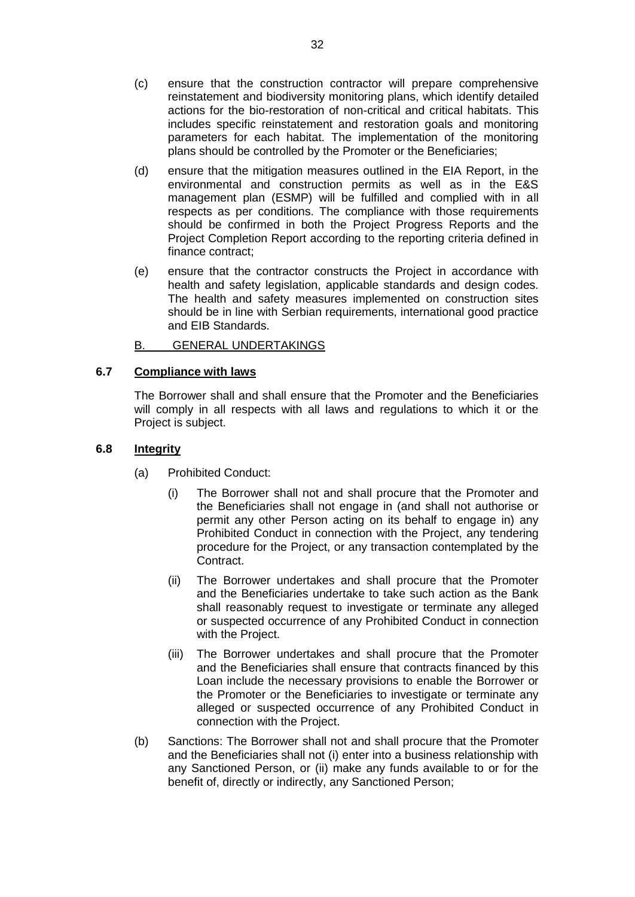- (c) ensure that the construction contractor will prepare comprehensive reinstatement and biodiversity monitoring plans, which identify detailed actions for the bio-restoration of non-critical and critical habitats. This includes specific reinstatement and restoration goals and monitoring parameters for each habitat. The implementation of the monitoring plans should be controlled by the Promoter or the Beneficiaries;
- (d) ensure that the mitigation measures outlined in the EIA Report, in the environmental and construction permits as well as in the E&S management plan (ESMP) will be fulfilled and complied with in all respects as per conditions. The compliance with those requirements should be confirmed in both the Project Progress Reports and the Project Completion Report according to the reporting criteria defined in finance contract;
- (e) ensure that the contractor constructs the Project in accordance with health and safety legislation, applicable standards and design codes. The health and safety measures implemented on construction sites should be in line with Serbian requirements, international good practice and EIB Standards.

# B. GENERAL UNDERTAKINGS

# **6.7 Compliance with laws**

The Borrower shall and shall ensure that the Promoter and the Beneficiaries will comply in all respects with all laws and regulations to which it or the Project is subject.

# **6.8 Integrity**

- (a) Prohibited Conduct:
	- (i) The Borrower shall not and shall procure that the Promoter and the Beneficiaries shall not engage in (and shall not authorise or permit any other Person acting on its behalf to engage in) any Prohibited Conduct in connection with the Project, any tendering procedure for the Project, or any transaction contemplated by the Contract.
	- (ii) The Borrower undertakes and shall procure that the Promoter and the Beneficiaries undertake to take such action as the Bank shall reasonably request to investigate or terminate any alleged or suspected occurrence of any Prohibited Conduct in connection with the Project.
	- (iii) The Borrower undertakes and shall procure that the Promoter and the Beneficiaries shall ensure that contracts financed by this Loan include the necessary provisions to enable the Borrower or the Promoter or the Beneficiaries to investigate or terminate any alleged or suspected occurrence of any Prohibited Conduct in connection with the Project.
- (b) Sanctions: The Borrower shall not and shall procure that the Promoter and the Beneficiaries shall not (i) enter into a business relationship with any Sanctioned Person, or (ii) make any funds available to or for the benefit of, directly or indirectly, any Sanctioned Person;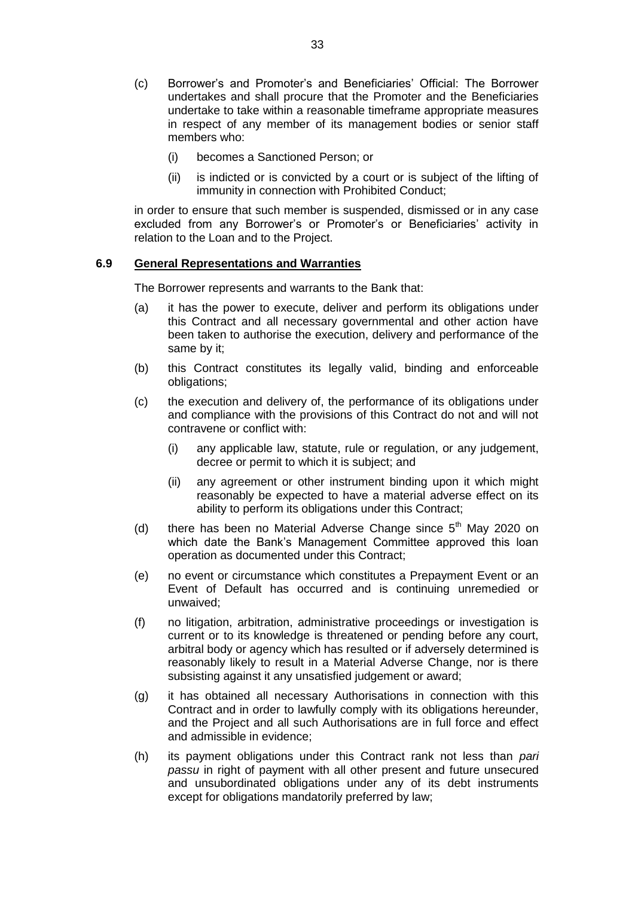- (c) Borrower's and Promoter's and Beneficiaries' Official: The Borrower undertakes and shall procure that the Promoter and the Beneficiaries undertake to take within a reasonable timeframe appropriate measures in respect of any member of its management bodies or senior staff members who:
	- (i) becomes a Sanctioned Person; or
	- (ii) is indicted or is convicted by a court or is subject of the lifting of immunity in connection with Prohibited Conduct;

in order to ensure that such member is suspended, dismissed or in any case excluded from any Borrower's or Promoter's or Beneficiaries' activity in relation to the Loan and to the Project.

#### **6.9 General Representations and Warranties**

The Borrower represents and warrants to the Bank that:

- (a) it has the power to execute, deliver and perform its obligations under this Contract and all necessary governmental and other action have been taken to authorise the execution, delivery and performance of the same by it;
- (b) this Contract constitutes its legally valid, binding and enforceable obligations;
- (c) the execution and delivery of, the performance of its obligations under and compliance with the provisions of this Contract do not and will not contravene or conflict with:
	- (i) any applicable law, statute, rule or regulation, or any judgement, decree or permit to which it is subject; and
	- (ii) any agreement or other instrument binding upon it which might reasonably be expected to have a material adverse effect on its ability to perform its obligations under this Contract;
- (d) there has been no Material Adverse Change since  $5<sup>th</sup>$  May 2020 on which date the Bank's Management Committee approved this loan operation as documented under this Contract;
- (e) no event or circumstance which constitutes a Prepayment Event or an Event of Default has occurred and is continuing unremedied or unwaived;
- (f) no litigation, arbitration, administrative proceedings or investigation is current or to its knowledge is threatened or pending before any court, arbitral body or agency which has resulted or if adversely determined is reasonably likely to result in a Material Adverse Change, nor is there subsisting against it any unsatisfied judgement or award;
- (g) it has obtained all necessary Authorisations in connection with this Contract and in order to lawfully comply with its obligations hereunder, and the Project and all such Authorisations are in full force and effect and admissible in evidence;
- (h) its payment obligations under this Contract rank not less than *pari passu* in right of payment with all other present and future unsecured and unsubordinated obligations under any of its debt instruments except for obligations mandatorily preferred by law;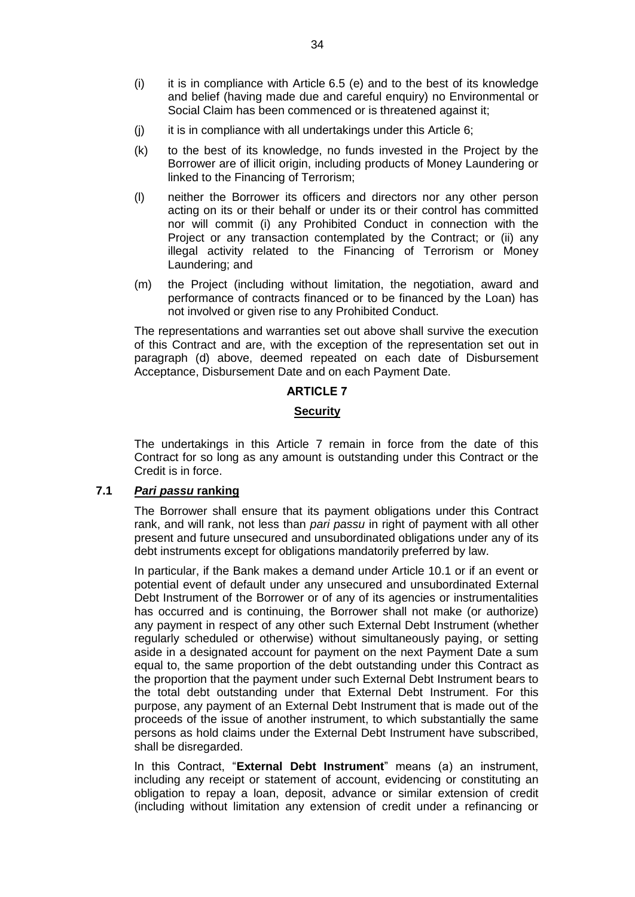- (i) it is in compliance with Article 6.5 (e) and to the best of its knowledge and belief (having made due and careful enquiry) no Environmental or Social Claim has been commenced or is threatened against it;
- $(i)$  it is in compliance with all undertakings under this Article 6;
- (k) to the best of its knowledge, no funds invested in the Project by the Borrower are of illicit origin, including products of Money Laundering or linked to the Financing of Terrorism;
- (l) neither the Borrower its officers and directors nor any other person acting on its or their behalf or under its or their control has committed nor will commit (i) any Prohibited Conduct in connection with the Project or any transaction contemplated by the Contract; or (ii) any illegal activity related to the Financing of Terrorism or Money Laundering; and
- (m) the Project (including without limitation, the negotiation, award and performance of contracts financed or to be financed by the Loan) has not involved or given rise to any Prohibited Conduct.

The representations and warranties set out above shall survive the execution of this Contract and are, with the exception of the representation set out in paragraph (d) above, deemed repeated on each date of Disbursement Acceptance, Disbursement Date and on each Payment Date.

# **ARTICLE 7**

# **Security**

The undertakings in this Article 7 remain in force from the date of this Contract for so long as any amount is outstanding under this Contract or the Credit is in force.

# **7.1** *Pari passu* **ranking**

The Borrower shall ensure that its payment obligations under this Contract rank, and will rank, not less than *pari passu* in right of payment with all other present and future unsecured and unsubordinated obligations under any of its debt instruments except for obligations mandatorily preferred by law.

In particular, if the Bank makes a demand under Article 10.1 or if an event or potential event of default under any unsecured and unsubordinated External Debt Instrument of the Borrower or of any of its agencies or instrumentalities has occurred and is continuing, the Borrower shall not make (or authorize) any payment in respect of any other such External Debt Instrument (whether regularly scheduled or otherwise) without simultaneously paying, or setting aside in a designated account for payment on the next Payment Date a sum equal to, the same proportion of the debt outstanding under this Contract as the proportion that the payment under such External Debt Instrument bears to the total debt outstanding under that External Debt Instrument. For this purpose, any payment of an External Debt Instrument that is made out of the proceeds of the issue of another instrument, to which substantially the same persons as hold claims under the External Debt Instrument have subscribed, shall be disregarded.

In this Contract, "**External Debt Instrument**" means (a) an instrument, including any receipt or statement of account, evidencing or constituting an obligation to repay a loan, deposit, advance or similar extension of credit (including without limitation any extension of credit under a refinancing or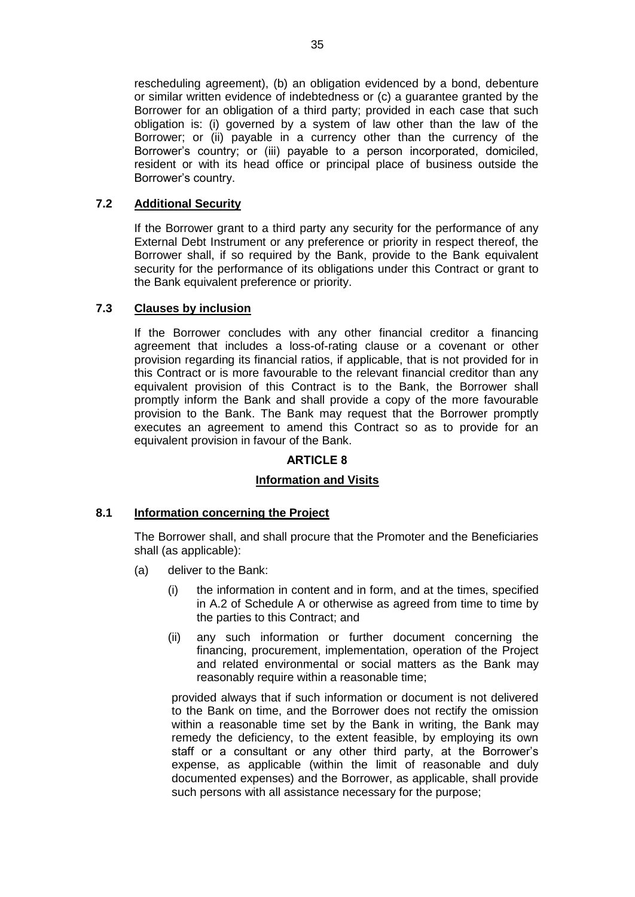rescheduling agreement), (b) an obligation evidenced by a bond, debenture or similar written evidence of indebtedness or (c) a guarantee granted by the Borrower for an obligation of a third party; provided in each case that such obligation is: (i) governed by a system of law other than the law of the Borrower; or (ii) payable in a currency other than the currency of the Borrower's country; or (iii) payable to a person incorporated, domiciled, resident or with its head office or principal place of business outside the Borrower's country.

# **7.2 Additional Security**

If the Borrower grant to a third party any security for the performance of any External Debt Instrument or any preference or priority in respect thereof, the Borrower shall, if so required by the Bank, provide to the Bank equivalent security for the performance of its obligations under this Contract or grant to the Bank equivalent preference or priority.

# **7.3 Clauses by inclusion**

If the Borrower concludes with any other financial creditor a financing agreement that includes a loss-of-rating clause or a covenant or other provision regarding its financial ratios, if applicable, that is not provided for in this Contract or is more favourable to the relevant financial creditor than any equivalent provision of this Contract is to the Bank, the Borrower shall promptly inform the Bank and shall provide a copy of the more favourable provision to the Bank. The Bank may request that the Borrower promptly executes an agreement to amend this Contract so as to provide for an equivalent provision in favour of the Bank.

# **ARTICLE 8**

# **Information and Visits**

# **8.1 Information concerning the Project**

The Borrower shall, and shall procure that the Promoter and the Beneficiaries shall (as applicable):

- (a) deliver to the Bank:
	- (i) the information in content and in form, and at the times, specified in A.2 of Schedule A or otherwise as agreed from time to time by the parties to this Contract; and
	- (ii) any such information or further document concerning the financing, procurement, implementation, operation of the Project and related environmental or social matters as the Bank may reasonably require within a reasonable time;

provided always that if such information or document is not delivered to the Bank on time, and the Borrower does not rectify the omission within a reasonable time set by the Bank in writing, the Bank may remedy the deficiency, to the extent feasible, by employing its own staff or a consultant or any other third party, at the Borrower's expense, as applicable (within the limit of reasonable and duly documented expenses) and the Borrower, as applicable, shall provide such persons with all assistance necessary for the purpose;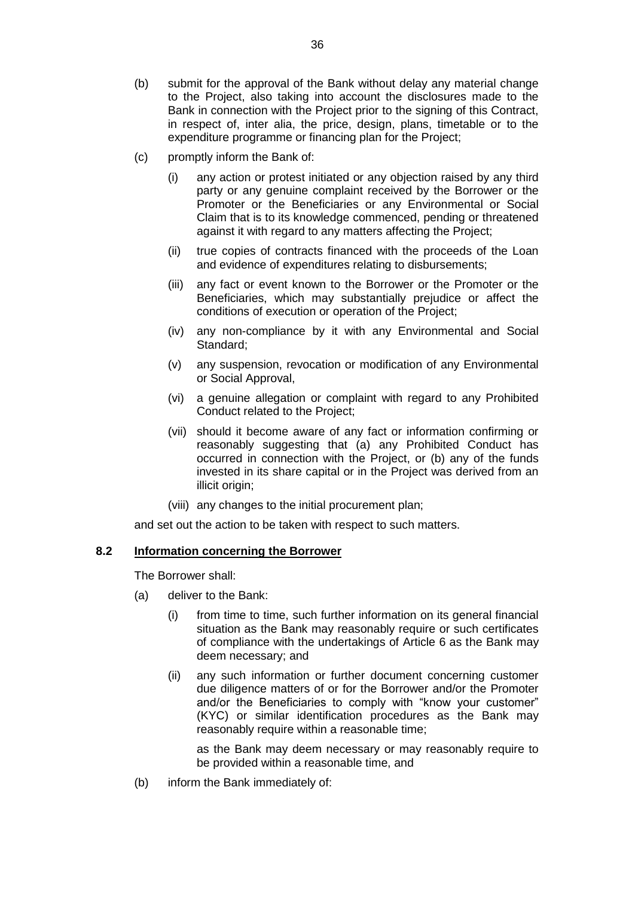- (b) submit for the approval of the Bank without delay any material change to the Project, also taking into account the disclosures made to the Bank in connection with the Project prior to the signing of this Contract, in respect of, inter alia, the price, design, plans, timetable or to the expenditure programme or financing plan for the Project;
- (c) promptly inform the Bank of:
	- (i) any action or protest initiated or any objection raised by any third party or any genuine complaint received by the Borrower or the Promoter or the Beneficiaries or any Environmental or Social Claim that is to its knowledge commenced, pending or threatened against it with regard to any matters affecting the Project;
	- (ii) true copies of contracts financed with the proceeds of the Loan and evidence of expenditures relating to disbursements;
	- (iii) any fact or event known to the Borrower or the Promoter or the Beneficiaries, which may substantially prejudice or affect the conditions of execution or operation of the Project;
	- (iv) any non-compliance by it with any Environmental and Social Standard;
	- (v) any suspension, revocation or modification of any Environmental or Social Approval,
	- (vi) a genuine allegation or complaint with regard to any Prohibited Conduct related to the Project;
	- (vii) should it become aware of any fact or information confirming or reasonably suggesting that (a) any Prohibited Conduct has occurred in connection with the Project, or (b) any of the funds invested in its share capital or in the Project was derived from an illicit origin;
	- (viii) any changes to the initial procurement plan;

and set out the action to be taken with respect to such matters.

#### **8.2 Information concerning the Borrower**

The Borrower shall:

- (a) deliver to the Bank:
	- (i) from time to time, such further information on its general financial situation as the Bank may reasonably require or such certificates of compliance with the undertakings of Article 6 as the Bank may deem necessary; and
	- (ii) any such information or further document concerning customer due diligence matters of or for the Borrower and/or the Promoter and/or the Beneficiaries to comply with "know your customer" (KYC) or similar identification procedures as the Bank may reasonably require within a reasonable time;

as the Bank may deem necessary or may reasonably require to be provided within a reasonable time, and

(b) inform the Bank immediately of: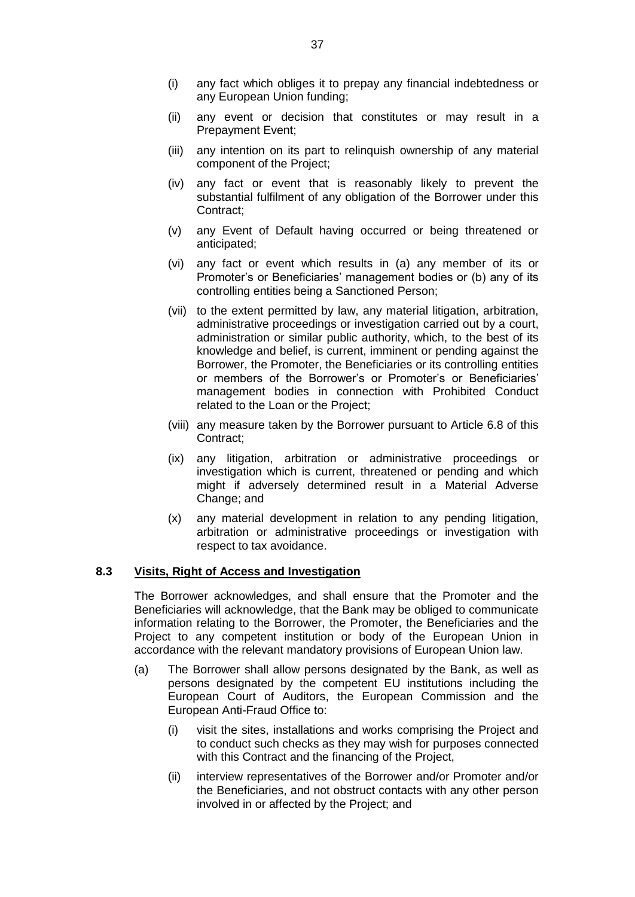- (i) any fact which obliges it to prepay any financial indebtedness or any European Union funding;
- (ii) any event or decision that constitutes or may result in a Prepayment Event;
- (iii) any intention on its part to relinquish ownership of any material component of the Project;
- (iv) any fact or event that is reasonably likely to prevent the substantial fulfilment of any obligation of the Borrower under this Contract;
- (v) any Event of Default having occurred or being threatened or anticipated;
- (vi) any fact or event which results in (a) any member of its or Promoter's or Beneficiaries' management bodies or (b) any of its controlling entities being a Sanctioned Person;
- (vii) to the extent permitted by law, any material litigation, arbitration, administrative proceedings or investigation carried out by a court, administration or similar public authority, which, to the best of its knowledge and belief, is current, imminent or pending against the Borrower, the Promoter, the Beneficiaries or its controlling entities or members of the Borrower's or Promoter's or Beneficiaries' management bodies in connection with Prohibited Conduct related to the Loan or the Project;
- (viii) any measure taken by the Borrower pursuant to Article 6.8 of this Contract;
- (ix) any litigation, arbitration or administrative proceedings or investigation which is current, threatened or pending and which might if adversely determined result in a Material Adverse Change; and
- (x) any material development in relation to any pending litigation, arbitration or administrative proceedings or investigation with respect to tax avoidance.

#### **8.3 Visits, Right of Access and Investigation**

The Borrower acknowledges, and shall ensure that the Promoter and the Beneficiaries will acknowledge, that the Bank may be obliged to communicate information relating to the Borrower, the Promoter, the Beneficiaries and the Project to any competent institution or body of the European Union in accordance with the relevant mandatory provisions of European Union law.

- (a) The Borrower shall allow persons designated by the Bank, as well as persons designated by the competent EU institutions including the European Court of Auditors, the European Commission and the European Anti-Fraud Office to:
	- (i) visit the sites, installations and works comprising the Project and to conduct such checks as they may wish for purposes connected with this Contract and the financing of the Project,
	- (ii) interview representatives of the Borrower and/or Promoter and/or the Beneficiaries, and not obstruct contacts with any other person involved in or affected by the Project; and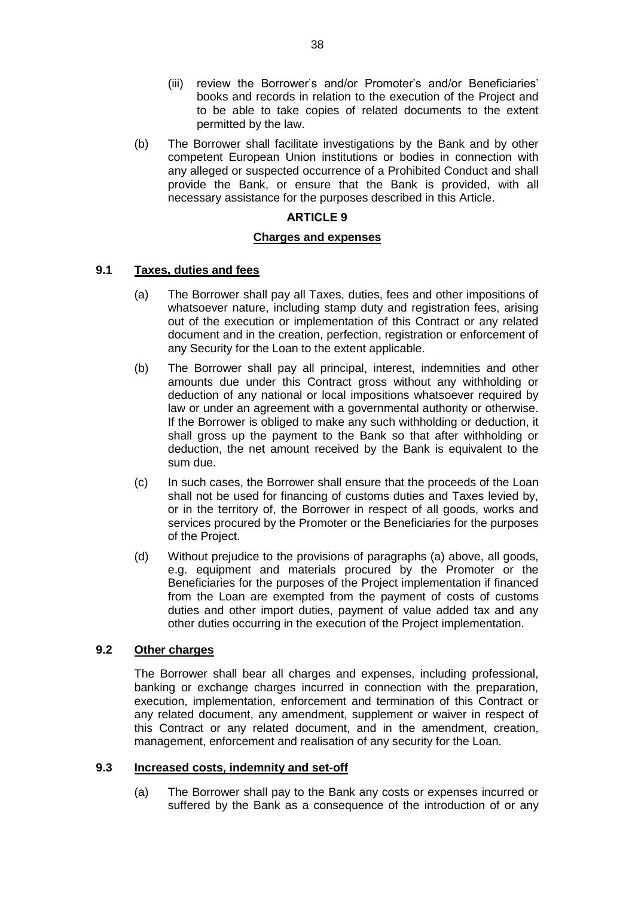- (iii) review the Borrower's and/or Promoter's and/or Beneficiaries' books and records in relation to the execution of the Project and to be able to take copies of related documents to the extent permitted by the law.
- (b) The Borrower shall facilitate investigations by the Bank and by other competent European Union institutions or bodies in connection with any alleged or suspected occurrence of a Prohibited Conduct and shall provide the Bank, or ensure that the Bank is provided, with all necessary assistance for the purposes described in this Article.

## **ARTICLE 9**

## **Charges and expenses**

## **9.1 Taxes, duties and fees**

- (a) The Borrower shall pay all Taxes, duties, fees and other impositions of whatsoever nature, including stamp duty and registration fees, arising out of the execution or implementation of this Contract or any related document and in the creation, perfection, registration or enforcement of any Security for the Loan to the extent applicable.
- (b) The Borrower shall pay all principal, interest, indemnities and other amounts due under this Contract gross without any withholding or deduction of any national or local impositions whatsoever required by law or under an agreement with a governmental authority or otherwise. If the Borrower is obliged to make any such withholding or deduction, it shall gross up the payment to the Bank so that after withholding or deduction, the net amount received by the Bank is equivalent to the sum due.
- (c) In such cases, the Borrower shall ensure that the proceeds of the Loan shall not be used for financing of customs duties and Taxes levied by, or in the territory of, the Borrower in respect of all goods, works and services procured by the Promoter or the Beneficiaries for the purposes of the Project.
- (d) Without prejudice to the provisions of paragraphs (a) above, all goods, e.g. equipment and materials procured by the Promoter or the Beneficiaries for the purposes of the Project implementation if financed from the Loan are exempted from the payment of costs of customs duties and other import duties, payment of value added tax and any other duties occurring in the execution of the Project implementation.

## **9.2 Other charges**

The Borrower shall bear all charges and expenses, including professional, banking or exchange charges incurred in connection with the preparation, execution, implementation, enforcement and termination of this Contract or any related document, any amendment, supplement or waiver in respect of this Contract or any related document, and in the amendment, creation, management, enforcement and realisation of any security for the Loan.

#### **9.3 Increased costs, indemnity and set-off**

(a) The Borrower shall pay to the Bank any costs or expenses incurred or suffered by the Bank as a consequence of the introduction of or any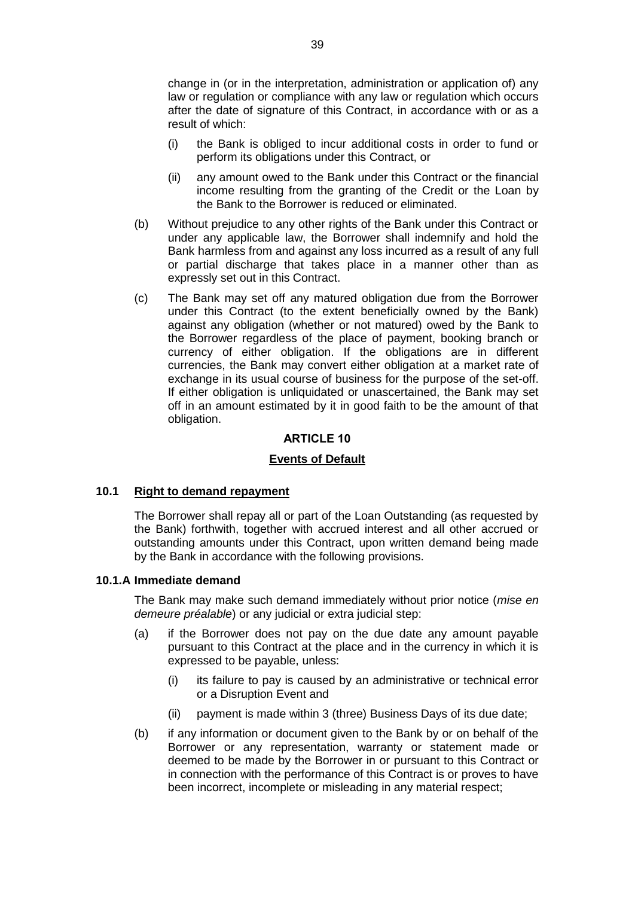change in (or in the interpretation, administration or application of) any law or regulation or compliance with any law or regulation which occurs after the date of signature of this Contract, in accordance with or as a result of which:

- (i) the Bank is obliged to incur additional costs in order to fund or perform its obligations under this Contract, or
- (ii) any amount owed to the Bank under this Contract or the financial income resulting from the granting of the Credit or the Loan by the Bank to the Borrower is reduced or eliminated.
- (b) Without prejudice to any other rights of the Bank under this Contract or under any applicable law, the Borrower shall indemnify and hold the Bank harmless from and against any loss incurred as a result of any full or partial discharge that takes place in a manner other than as expressly set out in this Contract.
- (c) The Bank may set off any matured obligation due from the Borrower under this Contract (to the extent beneficially owned by the Bank) against any obligation (whether or not matured) owed by the Bank to the Borrower regardless of the place of payment, booking branch or currency of either obligation. If the obligations are in different currencies, the Bank may convert either obligation at a market rate of exchange in its usual course of business for the purpose of the set-off. If either obligation is unliquidated or unascertained, the Bank may set off in an amount estimated by it in good faith to be the amount of that obligation.

## **ARTICLE 10**

## **Events of Default**

#### **10.1 Right to demand repayment**

The Borrower shall repay all or part of the Loan Outstanding (as requested by the Bank) forthwith, together with accrued interest and all other accrued or outstanding amounts under this Contract, upon written demand being made by the Bank in accordance with the following provisions.

#### **10.1.A Immediate demand**

The Bank may make such demand immediately without prior notice (*mise en demeure préalable*) or any judicial or extra judicial step:

- (a) if the Borrower does not pay on the due date any amount payable pursuant to this Contract at the place and in the currency in which it is expressed to be payable, unless:
	- (i) its failure to pay is caused by an administrative or technical error or a Disruption Event and
	- (ii) payment is made within 3 (three) Business Days of its due date;
- (b) if any information or document given to the Bank by or on behalf of the Borrower or any representation, warranty or statement made or deemed to be made by the Borrower in or pursuant to this Contract or in connection with the performance of this Contract is or proves to have been incorrect, incomplete or misleading in any material respect;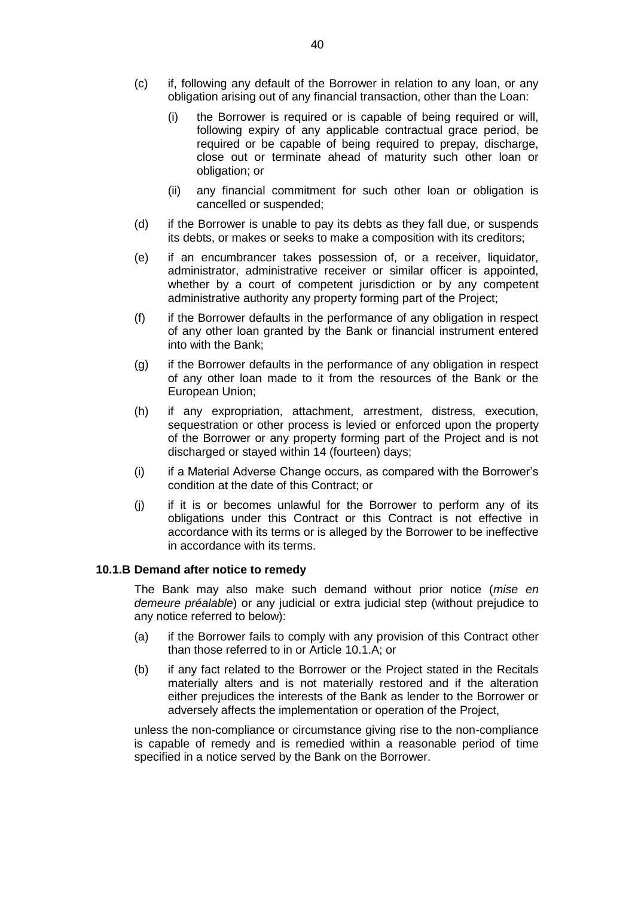- (c) if, following any default of the Borrower in relation to any loan, or any obligation arising out of any financial transaction, other than the Loan:
	- (i) the Borrower is required or is capable of being required or will, following expiry of any applicable contractual grace period, be required or be capable of being required to prepay, discharge, close out or terminate ahead of maturity such other loan or obligation; or
	- (ii) any financial commitment for such other loan or obligation is cancelled or suspended;
- (d) if the Borrower is unable to pay its debts as they fall due, or suspends its debts, or makes or seeks to make a composition with its creditors;
- (e) if an encumbrancer takes possession of, or a receiver, liquidator, administrator, administrative receiver or similar officer is appointed, whether by a court of competent jurisdiction or by any competent administrative authority any property forming part of the Project;
- (f) if the Borrower defaults in the performance of any obligation in respect of any other loan granted by the Bank or financial instrument entered into with the Bank;
- (g) if the Borrower defaults in the performance of any obligation in respect of any other loan made to it from the resources of the Bank or the European Union;
- (h) if any expropriation, attachment, arrestment, distress, execution, sequestration or other process is levied or enforced upon the property of the Borrower or any property forming part of the Project and is not discharged or stayed within 14 (fourteen) days;
- (i) if a Material Adverse Change occurs, as compared with the Borrower's condition at the date of this Contract; or
- (j) if it is or becomes unlawful for the Borrower to perform any of its obligations under this Contract or this Contract is not effective in accordance with its terms or is alleged by the Borrower to be ineffective in accordance with its terms.

#### **10.1.B Demand after notice to remedy**

The Bank may also make such demand without prior notice (*mise en demeure préalable*) or any judicial or extra judicial step (without prejudice to any notice referred to below):

- (a) if the Borrower fails to comply with any provision of this Contract other than those referred to in or Article 10.1.A; or
- (b) if any fact related to the Borrower or the Project stated in the Recitals materially alters and is not materially restored and if the alteration either prejudices the interests of the Bank as lender to the Borrower or adversely affects the implementation or operation of the Project,

unless the non-compliance or circumstance giving rise to the non-compliance is capable of remedy and is remedied within a reasonable period of time specified in a notice served by the Bank on the Borrower.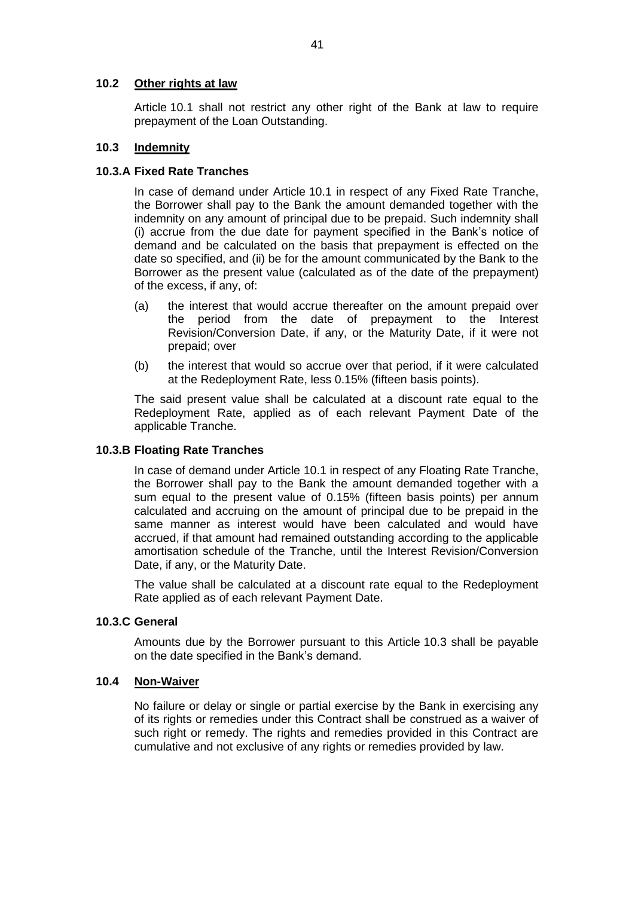## **10.2 Other rights at law**

Article 10.1 shall not restrict any other right of the Bank at law to require prepayment of the Loan Outstanding.

## **10.3 Indemnity**

## **10.3.A Fixed Rate Tranches**

In case of demand under Article 10.1 in respect of any Fixed Rate Tranche, the Borrower shall pay to the Bank the amount demanded together with the indemnity on any amount of principal due to be prepaid. Such indemnity shall (i) accrue from the due date for payment specified in the Bank's notice of demand and be calculated on the basis that prepayment is effected on the date so specified, and (ii) be for the amount communicated by the Bank to the Borrower as the present value (calculated as of the date of the prepayment) of the excess, if any, of:

- (a) the interest that would accrue thereafter on the amount prepaid over the period from the date of prepayment to the Interest Revision/Conversion Date, if any, or the Maturity Date, if it were not prepaid; over
- (b) the interest that would so accrue over that period, if it were calculated at the Redeployment Rate, less 0.15% (fifteen basis points).

The said present value shall be calculated at a discount rate equal to the Redeployment Rate, applied as of each relevant Payment Date of the applicable Tranche.

### **10.3.B Floating Rate Tranches**

In case of demand under Article 10.1 in respect of any Floating Rate Tranche, the Borrower shall pay to the Bank the amount demanded together with a sum equal to the present value of 0.15% (fifteen basis points) per annum calculated and accruing on the amount of principal due to be prepaid in the same manner as interest would have been calculated and would have accrued, if that amount had remained outstanding according to the applicable amortisation schedule of the Tranche, until the Interest Revision/Conversion Date, if any, or the Maturity Date.

The value shall be calculated at a discount rate equal to the Redeployment Rate applied as of each relevant Payment Date.

## **10.3.C General**

Amounts due by the Borrower pursuant to this Article 10.3 shall be payable on the date specified in the Bank's demand.

#### **10.4 Non-Waiver**

No failure or delay or single or partial exercise by the Bank in exercising any of its rights or remedies under this Contract shall be construed as a waiver of such right or remedy. The rights and remedies provided in this Contract are cumulative and not exclusive of any rights or remedies provided by law.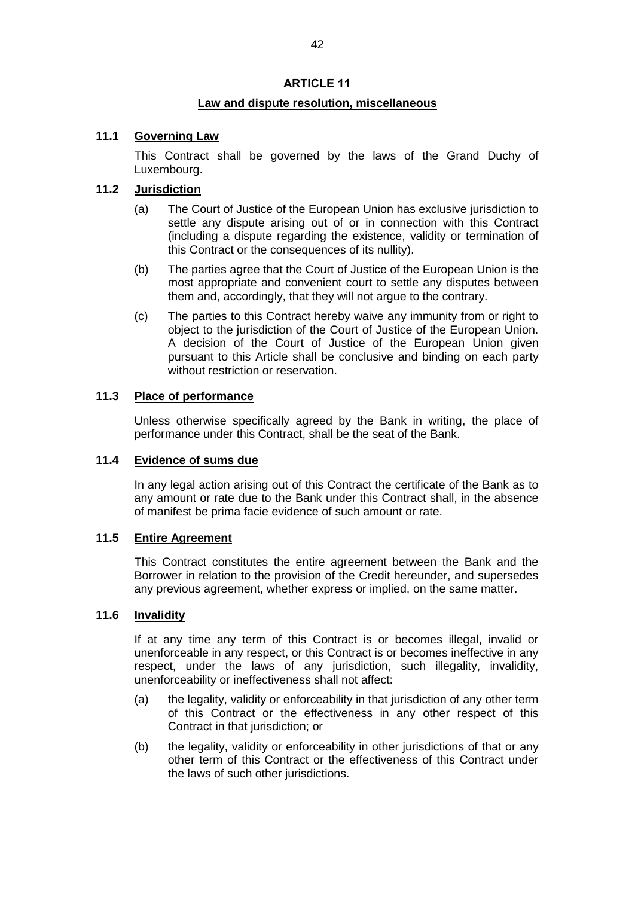## **ARTICLE 11**

## **Law and dispute resolution, miscellaneous**

## **11.1 Governing Law**

This Contract shall be governed by the laws of the Grand Duchy of Luxembourg.

## **11.2 Jurisdiction**

- (a) The Court of Justice of the European Union has exclusive jurisdiction to settle any dispute arising out of or in connection with this Contract (including a dispute regarding the existence, validity or termination of this Contract or the consequences of its nullity).
- (b) The parties agree that the Court of Justice of the European Union is the most appropriate and convenient court to settle any disputes between them and, accordingly, that they will not argue to the contrary.
- (c) The parties to this Contract hereby waive any immunity from or right to object to the jurisdiction of the Court of Justice of the European Union. A decision of the Court of Justice of the European Union given pursuant to this Article shall be conclusive and binding on each party without restriction or reservation.

## **11.3 Place of performance**

Unless otherwise specifically agreed by the Bank in writing, the place of performance under this Contract, shall be the seat of the Bank.

## **11.4 Evidence of sums due**

In any legal action arising out of this Contract the certificate of the Bank as to any amount or rate due to the Bank under this Contract shall, in the absence of manifest be prima facie evidence of such amount or rate.

#### **11.5 Entire Agreement**

This Contract constitutes the entire agreement between the Bank and the Borrower in relation to the provision of the Credit hereunder, and supersedes any previous agreement, whether express or implied, on the same matter.

## **11.6 Invalidity**

If at any time any term of this Contract is or becomes illegal, invalid or unenforceable in any respect, or this Contract is or becomes ineffective in any respect, under the laws of any jurisdiction, such illegality, invalidity, unenforceability or ineffectiveness shall not affect:

- (a) the legality, validity or enforceability in that jurisdiction of any other term of this Contract or the effectiveness in any other respect of this Contract in that jurisdiction; or
- (b) the legality, validity or enforceability in other jurisdictions of that or any other term of this Contract or the effectiveness of this Contract under the laws of such other jurisdictions.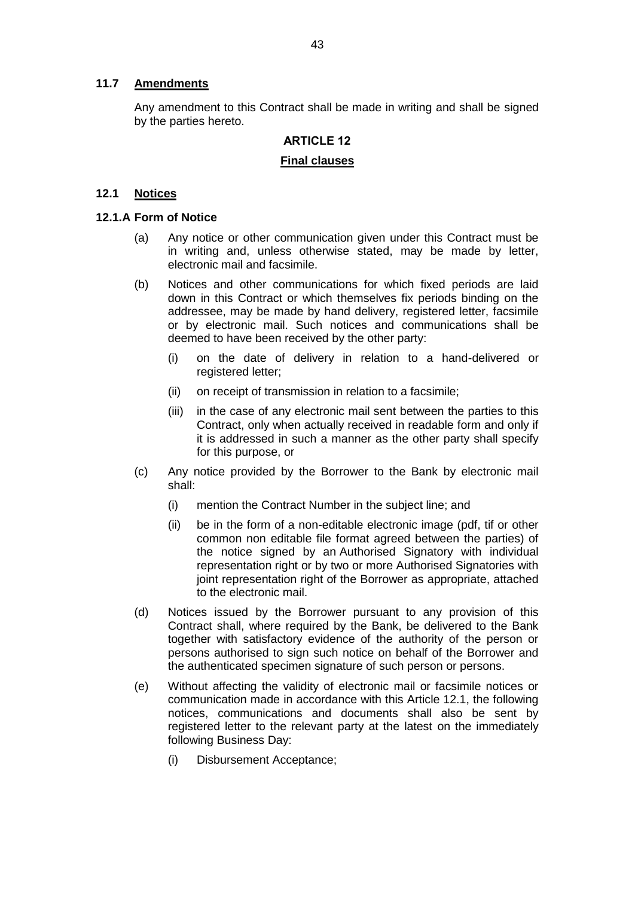## **11.7 Amendments**

Any amendment to this Contract shall be made in writing and shall be signed by the parties hereto.

# **ARTICLE 12**

# **Final clauses**

## **12.1 Notices**

## **12.1.A Form of Notice**

- (a) Any notice or other communication given under this Contract must be in writing and, unless otherwise stated, may be made by letter, electronic mail and facsimile.
- (b) Notices and other communications for which fixed periods are laid down in this Contract or which themselves fix periods binding on the addressee, may be made by hand delivery, registered letter, facsimile or by electronic mail. Such notices and communications shall be deemed to have been received by the other party:
	- (i) on the date of delivery in relation to a hand-delivered or registered letter:
	- (ii) on receipt of transmission in relation to a facsimile;
	- (iii) in the case of any electronic mail sent between the parties to this Contract, only when actually received in readable form and only if it is addressed in such a manner as the other party shall specify for this purpose, or
- (c) Any notice provided by the Borrower to the Bank by electronic mail shall:
	- (i) mention the Contract Number in the subject line; and
	- (ii) be in the form of a non-editable electronic image (pdf, tif or other common non editable file format agreed between the parties) of the notice signed by an Authorised Signatory with individual representation right or by two or more Authorised Signatories with joint representation right of the Borrower as appropriate, attached to the electronic mail.
- (d) Notices issued by the Borrower pursuant to any provision of this Contract shall, where required by the Bank, be delivered to the Bank together with satisfactory evidence of the authority of the person or persons authorised to sign such notice on behalf of the Borrower and the authenticated specimen signature of such person or persons.
- (e) Without affecting the validity of electronic mail or facsimile notices or communication made in accordance with this Article 12.1, the following notices, communications and documents shall also be sent by registered letter to the relevant party at the latest on the immediately following Business Day:
	- (i) Disbursement Acceptance;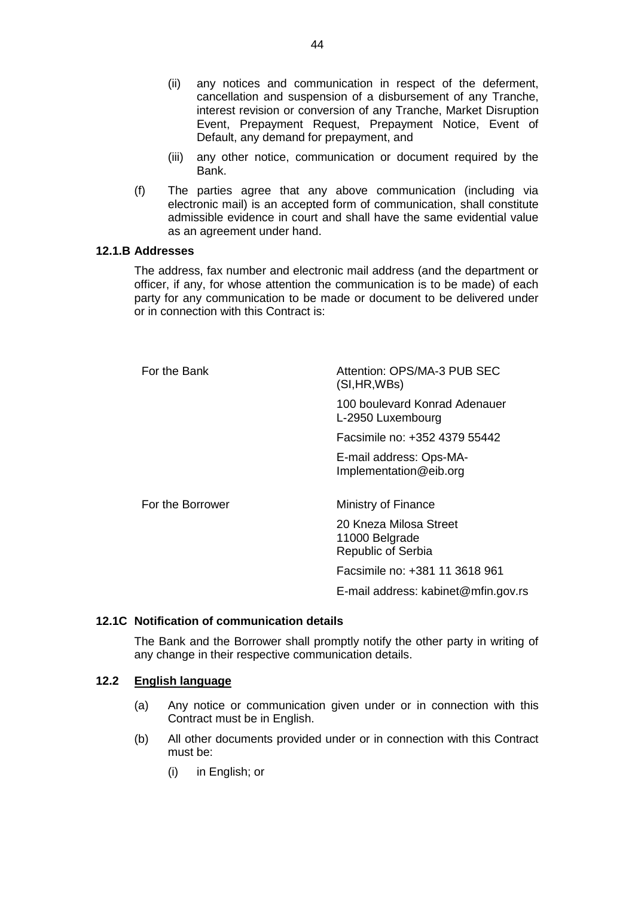- (ii) any notices and communication in respect of the deferment, cancellation and suspension of a disbursement of any Tranche, interest revision or conversion of any Tranche, Market Disruption Event, Prepayment Request, Prepayment Notice, Event of Default, any demand for prepayment, and
- (iii) any other notice, communication or document required by the Bank.
- (f) The parties agree that any above communication (including via electronic mail) is an accepted form of communication, shall constitute admissible evidence in court and shall have the same evidential value as an agreement under hand.

## **12.1.B Addresses**

The address, fax number and electronic mail address (and the department or officer, if any, for whose attention the communication is to be made) of each party for any communication to be made or document to be delivered under or in connection with this Contract is:

| For the Bank     | Attention: OPS/MA-3 PUB SEC<br>(SI, HR, WBs)                          |
|------------------|-----------------------------------------------------------------------|
|                  | 100 boulevard Konrad Adenauer<br>L-2950 Luxembourg                    |
|                  | Facsimile no: +352 4379 55442                                         |
|                  | E-mail address: Ops-MA-<br>Implementation@eib.org                     |
| For the Borrower | Ministry of Finance                                                   |
|                  | 20 Kneza Milosa Street<br>11000 Belgrade<br><b>Republic of Serbia</b> |
|                  | Facsimile no: +381 11 3618 961                                        |
|                  | E-mail address: kabinet@mfin.gov.rs                                   |

#### **12.1C Notification of communication details**

The Bank and the Borrower shall promptly notify the other party in writing of any change in their respective communication details.

## **12.2 English language**

- (a) Any notice or communication given under or in connection with this Contract must be in English.
- (b) All other documents provided under or in connection with this Contract must be:
	- (i) in English; or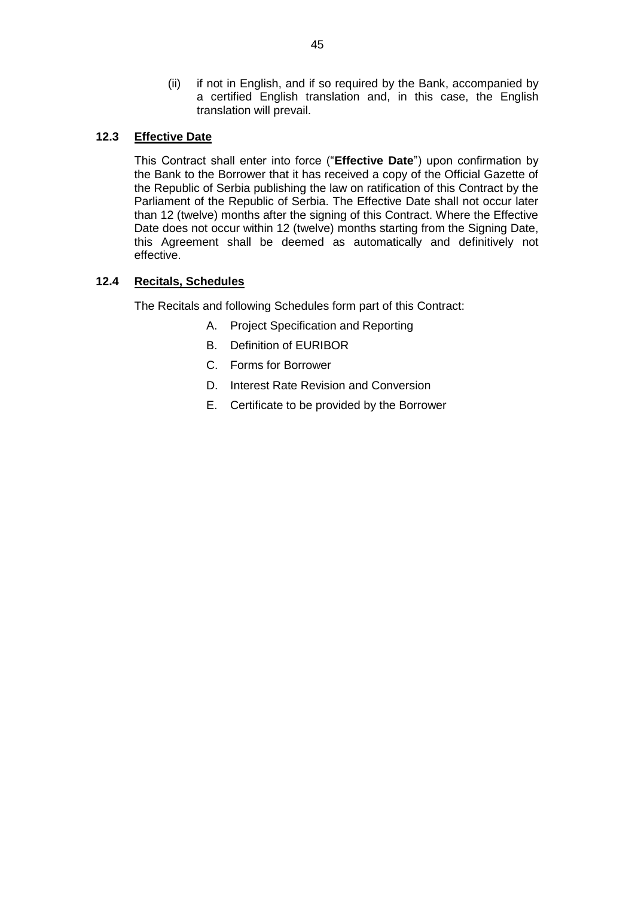(ii) if not in English, and if so required by the Bank, accompanied by a certified English translation and, in this case, the English translation will prevail.

## **12.3 Effective Date**

This Contract shall enter into force ("**Effective Date**") upon confirmation by the Bank to the Borrower that it has received a copy of the Official Gazette of the Republic of Serbia publishing the law on ratification of this Contract by the Parliament of the Republic of Serbia. The Effective Date shall not occur later than 12 (twelve) months after the signing of this Contract. Where the Effective Date does not occur within 12 (twelve) months starting from the Signing Date, this Agreement shall be deemed as automatically and definitively not effective.

## **12.4 Recitals, Schedules**

The Recitals and following Schedules form part of this Contract:

- A. Project Specification and Reporting
- B. Definition of EURIBOR
- C. Forms for Borrower
- D. Interest Rate Revision and Conversion
- E. Certificate to be provided by the Borrower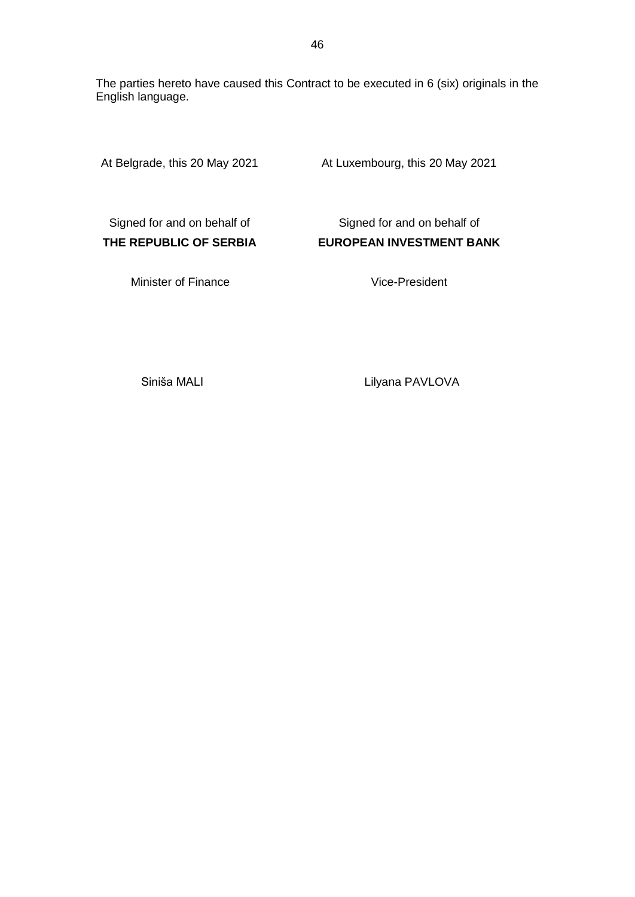The parties hereto have caused this Contract to be executed in 6 (six) originals in the English language.

At Belgrade, this 20 May 2021 At Luxembourg, this 20 May 2021

Signed for and on behalf of **THE REPUBLIC OF SERBIA**

Signed for and on behalf of **EUROPEAN INVESTMENT BANK**

Minister of Finance

## Vice-President

Siniša MALI

Lilyana PAVLOVA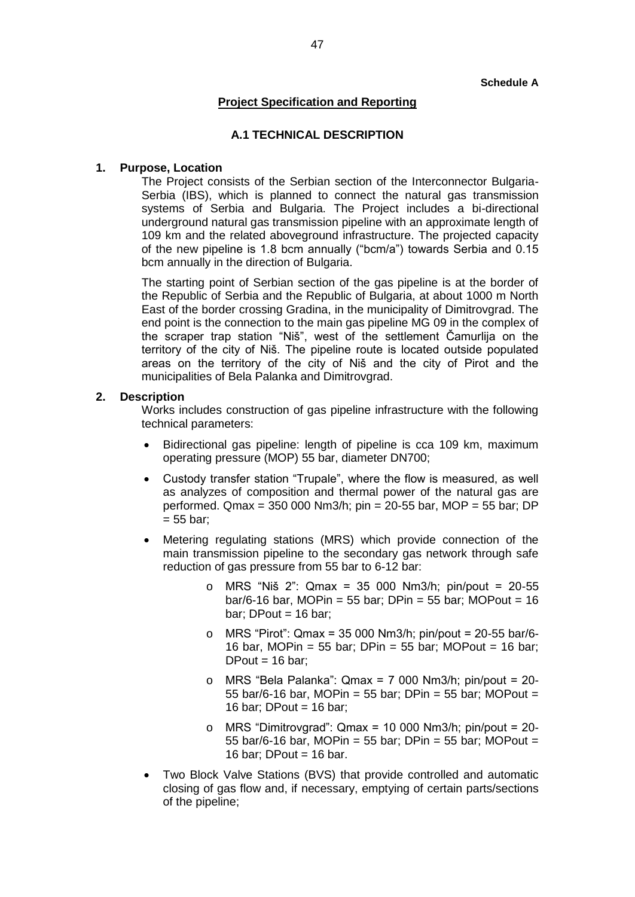#### **Schedule A**

## **Project Specification and Reporting**

#### **A.1 TECHNICAL DESCRIPTION**

#### **1. Purpose, Location**

The Project consists of the Serbian section of the Interconnector Bulgaria-Serbia (IBS), which is planned to connect the natural gas transmission systems of Serbia and Bulgaria. The Project includes a bi-directional underground natural gas transmission pipeline with an approximate length of 109 km and the related aboveground infrastructure. The projected capacity of the new pipeline is 1.8 bcm annually ("bcm/a") towards Serbia and 0.15 bcm annually in the direction of Bulgaria.

The starting point of Serbian section of the gas pipeline is at the border of the Republic of Serbia and the Republic of Bulgaria, at about 1000 m North East of the border crossing Gradina, in the municipality of Dimitrovgrad. The end point is the connection to the main gas pipeline MG 09 in the complex of the scraper trap station "Niš", west of the settlement Čamurlija on the territory of the city of Niš. The pipeline route is located outside populated areas on the territory of the city of Niš and the city of Pirot and the municipalities of Bela Palanka and Dimitrovgrad.

#### **2. Description**

Works includes construction of gas pipeline infrastructure with the following technical parameters:

- Bidirectional gas pipeline: length of pipeline is cca 109 km, maximum operating pressure (MOP) 55 bar, diameter DN700;
- Custody transfer station "Trupale", where the flow is measured, as well as analyzes of composition and thermal power of the natural gas are performed. Qmax = 350 000 Nm3/h; pin = 20-55 bar, MOP = 55 bar; DP  $= 55$  bar;
- Metering regulating stations (MRS) which provide connection of the main transmission pipeline to the secondary gas network through safe reduction of gas pressure from 55 bar to 6-12 bar:
	- o MRS "Niš 2": Qmax = 35 000 Nm3/h; pin/pout = 20-55 bar/6-16 bar, MOPin = 55 bar; DPin = 55 bar; MOPout =  $16$ bar: DPout  $= 16$  bar:
	- o MRS "Pirot": Qmax = 35 000 Nm3/h; pin/pout = 20-55 bar/6- 16 bar, MOPin = 55 bar; DPin = 55 bar; MOPout = 16 bar; DPout  $= 16$  bar:
	- o MRS "Bela Palanka": Qmax = 7 000 Nm3/h; pin/pout = 20- 55 bar/6-16 bar, MOPin = 55 bar; DPin = 55 bar; MOPout = 16 bar; DPout =  $16$  bar;
	- o MRS "Dimitrovgrad": Qmax = 10 000 Nm3/h; pin/pout = 20- 55 bar/6-16 bar, MOPin = 55 bar; DPin = 55 bar; MOPout = 16 bar: DPout =  $16$  bar.
- Two Block Valve Stations (BVS) that provide controlled and automatic closing of gas flow and, if necessary, emptying of certain parts/sections of the pipeline;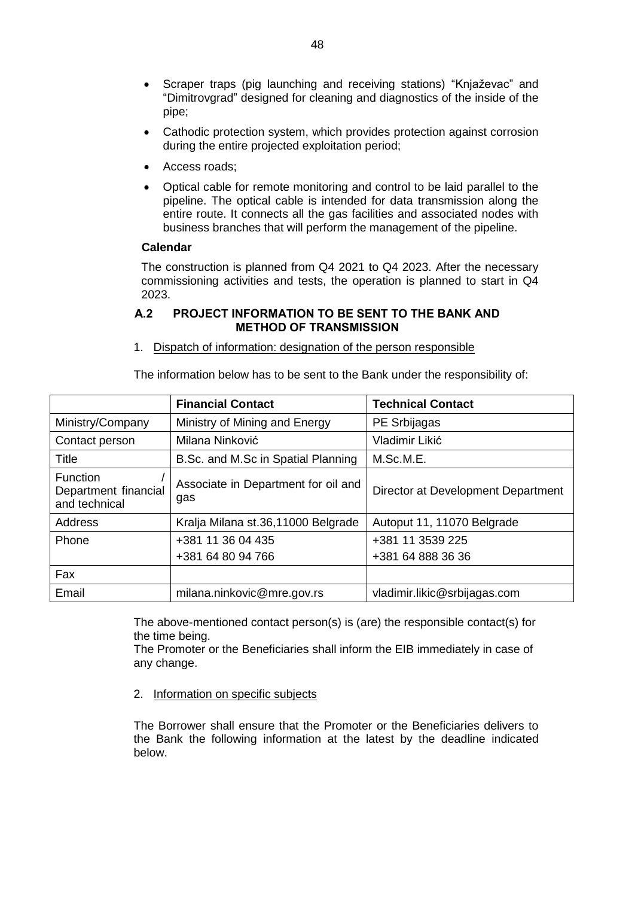- Scraper traps (pig launching and receiving stations) "Knjaževac" and "Dimitrovgrad" designed for cleaning and diagnostics of the inside of the pipe;
- Cathodic protection system, which provides protection against corrosion during the entire projected exploitation period;
- Access roads:
- Optical cable for remote monitoring and control to be laid parallel to the pipeline. The optical cable is intended for data transmission along the entire route. It connects all the gas facilities and associated nodes with business branches that will perform the management of the pipeline.

#### **Calendar**

The construction is planned from Q4 2021 to Q4 2023. After the necessary commissioning activities and tests, the operation is planned to start in Q4 2023.

## **A.2 PROJECT INFORMATION TO BE SENT TO THE BANK AND METHOD OF TRANSMISSION**

1. Dispatch of information: designation of the person responsible

The information below has to be sent to the Bank under the responsibility of:

|                                                          | <b>Financial Contact</b>                   | <b>Technical Contact</b>              |
|----------------------------------------------------------|--------------------------------------------|---------------------------------------|
| Ministry/Company                                         | Ministry of Mining and Energy              | PE Srbijagas                          |
| Contact person                                           | Milana Ninković                            | Vladimir Likić                        |
| Title                                                    | B.Sc. and M.Sc in Spatial Planning         | M.Sc.M.E.                             |
| <b>Function</b><br>Department financial<br>and technical | Associate in Department for oil and<br>gas | Director at Development Department    |
| <b>Address</b>                                           | Kralja Milana st.36,11000 Belgrade         | Autoput 11, 11070 Belgrade            |
| Phone                                                    | +381 11 36 04 435<br>+381 64 80 94 766     | +381 11 3539 225<br>+381 64 888 36 36 |
| Fax                                                      |                                            |                                       |
| Email                                                    | milana.ninkovic@mre.gov.rs                 | vladimir.likic@srbijagas.com          |

The above-mentioned contact person(s) is (are) the responsible contact(s) for the time being.

The Promoter or the Beneficiaries shall inform the EIB immediately in case of any change.

2. Information on specific subjects

The Borrower shall ensure that the Promoter or the Beneficiaries delivers to the Bank the following information at the latest by the deadline indicated below.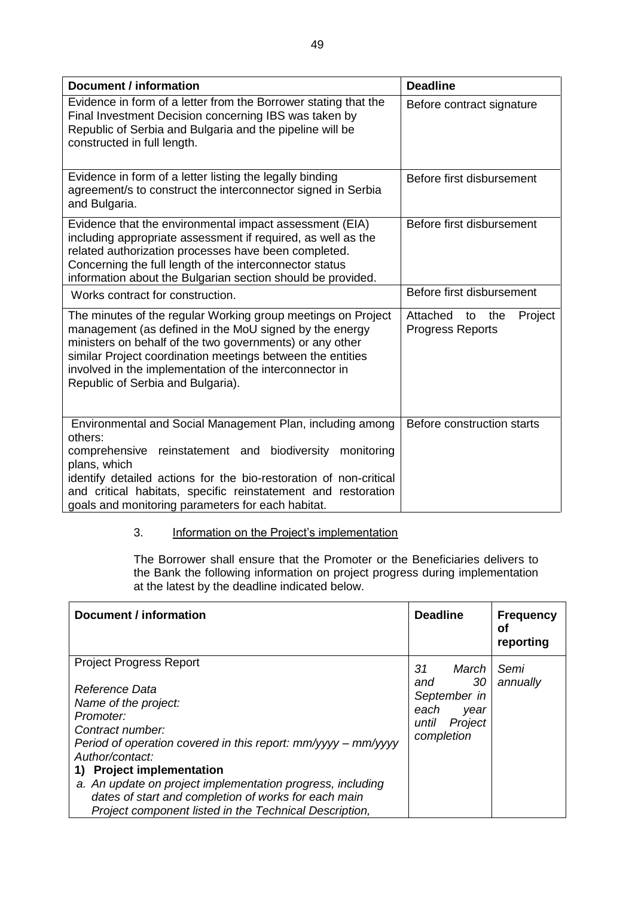| <b>Document / information</b>                                                                                                                                                                                                                                                                                                                    | <b>Deadline</b>                                             |  |
|--------------------------------------------------------------------------------------------------------------------------------------------------------------------------------------------------------------------------------------------------------------------------------------------------------------------------------------------------|-------------------------------------------------------------|--|
| Evidence in form of a letter from the Borrower stating that the<br>Final Investment Decision concerning IBS was taken by<br>Republic of Serbia and Bulgaria and the pipeline will be<br>constructed in full length.                                                                                                                              | Before contract signature                                   |  |
| Evidence in form of a letter listing the legally binding<br>agreement/s to construct the interconnector signed in Serbia<br>and Bulgaria.                                                                                                                                                                                                        | Before first disbursement                                   |  |
| Evidence that the environmental impact assessment (EIA)<br>including appropriate assessment if required, as well as the<br>related authorization processes have been completed.<br>Concerning the full length of the interconnector status<br>information about the Bulgarian section should be provided.                                        | Before first disbursement                                   |  |
| Works contract for construction.                                                                                                                                                                                                                                                                                                                 | Before first disbursement                                   |  |
| The minutes of the regular Working group meetings on Project<br>management (as defined in the MoU signed by the energy<br>ministers on behalf of the two governments) or any other<br>similar Project coordination meetings between the entities<br>involved in the implementation of the interconnector in<br>Republic of Serbia and Bulgaria). | Attached<br>Project<br>to<br>the<br><b>Progress Reports</b> |  |
| Environmental and Social Management Plan, including among<br>others:<br>comprehensive reinstatement and biodiversity<br>monitoring<br>plans, which<br>identify detailed actions for the bio-restoration of non-critical<br>and critical habitats, specific reinstatement and restoration                                                         | Before construction starts                                  |  |
| goals and monitoring parameters for each habitat.                                                                                                                                                                                                                                                                                                |                                                             |  |

## 3. Information on the Project's implementation

The Borrower shall ensure that the Promoter or the Beneficiaries delivers to the Bank the following information on project progress during implementation at the latest by the deadline indicated below.

| <b>Document / information</b>                                                                                                                                                                                                                                                                                                                                                                               | <b>Deadline</b>                                                                            | <b>Frequency</b><br>Οf<br>reporting |
|-------------------------------------------------------------------------------------------------------------------------------------------------------------------------------------------------------------------------------------------------------------------------------------------------------------------------------------------------------------------------------------------------------------|--------------------------------------------------------------------------------------------|-------------------------------------|
| <b>Project Progress Report</b><br>Reference Data<br>Name of the project:<br>Promoter:<br>Contract number:<br>Period of operation covered in this report: $mm/yyy - mm/yyyy$<br>Author/contact:<br>1) Project implementation<br>a. An update on project implementation progress, including<br>dates of start and completion of works for each main<br>Project component listed in the Technical Description, | 31<br>March<br>30<br>and<br>September in<br>each<br>year<br>Project<br>until<br>completion | Semi<br>annually                    |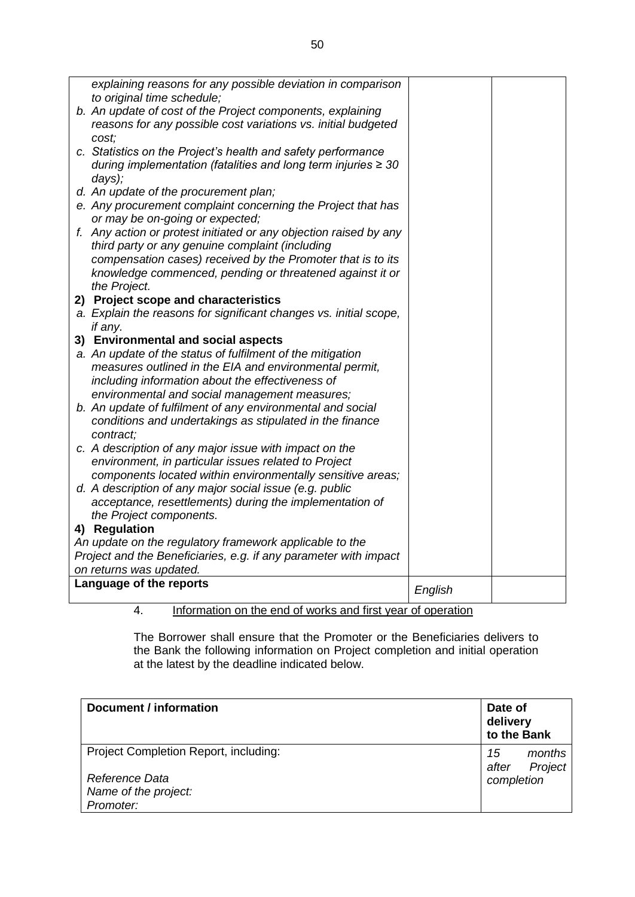|                                                                  | explaining reasons for any possible deviation in comparison                                                    |         |  |
|------------------------------------------------------------------|----------------------------------------------------------------------------------------------------------------|---------|--|
|                                                                  | to original time schedule;                                                                                     |         |  |
|                                                                  | b. An update of cost of the Project components, explaining                                                     |         |  |
|                                                                  | reasons for any possible cost variations vs. initial budgeted                                                  |         |  |
|                                                                  | cost;<br>c. Statistics on the Project's health and safety performance                                          |         |  |
|                                                                  | during implementation (fatalities and long term injuries $\geq 30$                                             |         |  |
|                                                                  | days);                                                                                                         |         |  |
|                                                                  | d. An update of the procurement plan;                                                                          |         |  |
|                                                                  | e. Any procurement complaint concerning the Project that has                                                   |         |  |
|                                                                  | or may be on-going or expected;                                                                                |         |  |
|                                                                  | f. Any action or protest initiated or any objection raised by any                                              |         |  |
|                                                                  | third party or any genuine complaint (including                                                                |         |  |
|                                                                  | compensation cases) received by the Promoter that is to its                                                    |         |  |
|                                                                  | knowledge commenced, pending or threatened against it or                                                       |         |  |
|                                                                  | the Project.                                                                                                   |         |  |
|                                                                  | 2) Project scope and characteristics                                                                           |         |  |
|                                                                  | a. Explain the reasons for significant changes vs. initial scope,                                              |         |  |
|                                                                  | if any.                                                                                                        |         |  |
|                                                                  | 3) Environmental and social aspects                                                                            |         |  |
|                                                                  | a. An update of the status of fulfilment of the mitigation                                                     |         |  |
|                                                                  | measures outlined in the EIA and environmental permit,                                                         |         |  |
|                                                                  | including information about the effectiveness of                                                               |         |  |
|                                                                  | environmental and social management measures;                                                                  |         |  |
|                                                                  | b. An update of fulfilment of any environmental and social                                                     |         |  |
|                                                                  | conditions and undertakings as stipulated in the finance                                                       |         |  |
|                                                                  | contract:                                                                                                      |         |  |
|                                                                  | c. A description of any major issue with impact on the<br>environment, in particular issues related to Project |         |  |
|                                                                  | components located within environmentally sensitive areas;                                                     |         |  |
|                                                                  | d. A description of any major social issue (e.g. public                                                        |         |  |
|                                                                  | acceptance, resettlements) during the implementation of                                                        |         |  |
|                                                                  | the Project components.                                                                                        |         |  |
|                                                                  | 4) Regulation                                                                                                  |         |  |
| An update on the regulatory framework applicable to the          |                                                                                                                |         |  |
| Project and the Beneficiaries, e.g. if any parameter with impact |                                                                                                                |         |  |
| on returns was updated.                                          |                                                                                                                |         |  |
|                                                                  | Language of the reports                                                                                        | English |  |
|                                                                  |                                                                                                                |         |  |

4. Information on the end of works and first year of operation

The Borrower shall ensure that the Promoter or the Beneficiaries delivers to the Bank the following information on Project completion and initial operation at the latest by the deadline indicated below.

| Document / information                                                                       | Date of<br>delivery<br>to the Bank             |  |
|----------------------------------------------------------------------------------------------|------------------------------------------------|--|
| Project Completion Report, including:<br>Reference Data<br>Name of the project:<br>Promoter: | months<br>15<br>Project<br>after<br>completion |  |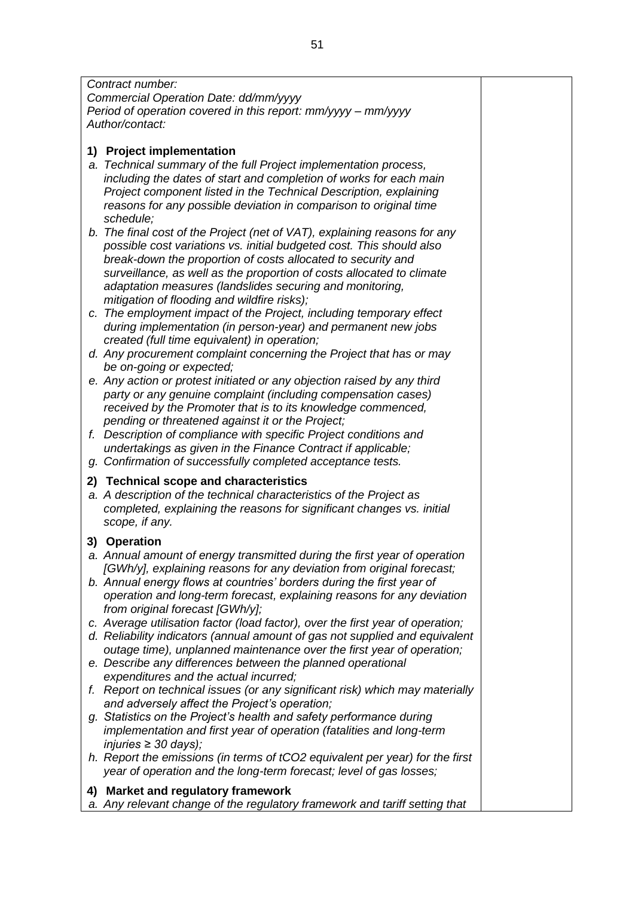*Contract number: Commercial Operation Date: dd/mm/yyyy Period of operation covered in this report: mm/yyyy – mm/yyyy Author/contact:*

## **1) Project implementation**

- *a. Technical summary of the full Project implementation process, including the dates of start and completion of works for each main Project component listed in the Technical Description, explaining reasons for any possible deviation in comparison to original time schedule;*
- *b. The final cost of the Project (net of VAT), explaining reasons for any possible cost variations vs. initial budgeted cost. This should also break-down the proportion of costs allocated to security and surveillance, as well as the proportion of costs allocated to climate adaptation measures (landslides securing and monitoring, mitigation of flooding and wildfire risks);*
- *c. The employment impact of the Project, including temporary effect during implementation (in person-year) and permanent new jobs created (full time equivalent) in operation;*
- *d. Any procurement complaint concerning the Project that has or may be on-going or expected;*
- *e. Any action or protest initiated or any objection raised by any third party or any genuine complaint (including compensation cases) received by the Promoter that is to its knowledge commenced, pending or threatened against it or the Project;*
- *f. Description of compliance with specific Project conditions and undertakings as given in the Finance Contract if applicable;*
- *g. Confirmation of successfully completed acceptance tests.*

## **2) Technical scope and characteristics**

*a. A description of the technical characteristics of the Project as completed, explaining the reasons for significant changes vs. initial scope, if any.*

## **3) Operation**

- *a. Annual amount of energy transmitted during the first year of operation [GWh/y], explaining reasons for any deviation from original forecast;*
- *b. Annual energy flows at countries' borders during the first year of operation and long-term forecast, explaining reasons for any deviation from original forecast [GWh/y];*
- *c. Average utilisation factor (load factor), over the first year of operation;*
- *d. Reliability indicators (annual amount of gas not supplied and equivalent outage time), unplanned maintenance over the first year of operation;*
- *e. Describe any differences between the planned operational expenditures and the actual incurred;*
- *f. Report on technical issues (or any significant risk) which may materially and adversely affect the Project's operation;*
- *g. Statistics on the Project's health and safety performance during implementation and first year of operation (fatalities and long-term injuries ≥ 30 days);*
- *h. Report the emissions (in terms of tCO2 equivalent per year) for the first year of operation and the long-term forecast; level of gas losses;*

## **4) Market and regulatory framework**

*a. Any relevant change of the regulatory framework and tariff setting that*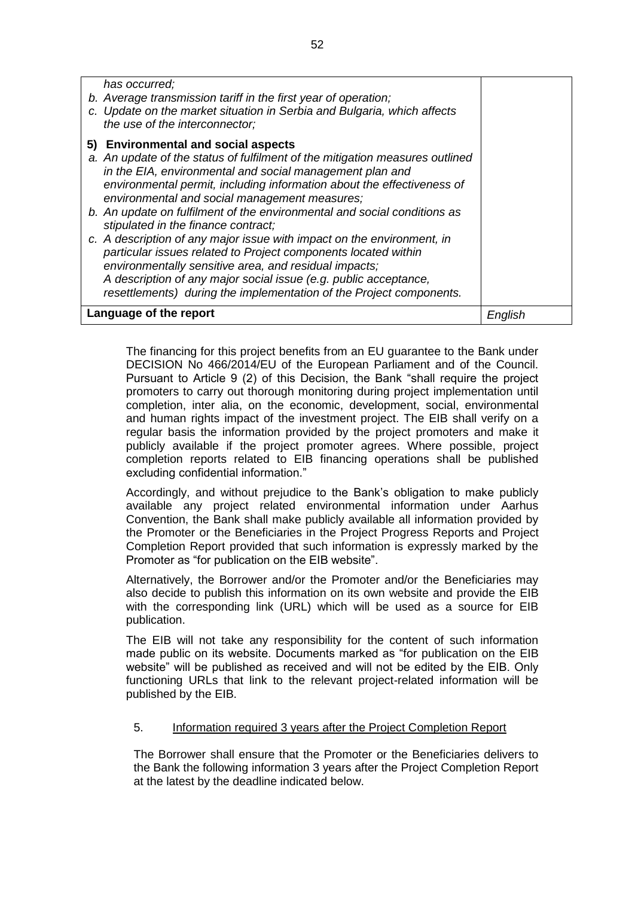| has occurred;<br>b. Average transmission tariff in the first year of operation;<br>c. Update on the market situation in Serbia and Bulgaria, which affects<br>the use of the interconnector;                                                                                                                                                 |         |
|----------------------------------------------------------------------------------------------------------------------------------------------------------------------------------------------------------------------------------------------------------------------------------------------------------------------------------------------|---------|
| 5) Environmental and social aspects<br>a. An update of the status of fulfilment of the mitigation measures outlined<br>in the EIA, environmental and social management plan and<br>environmental permit, including information about the effectiveness of<br>environmental and social management measures;                                   |         |
| b. An update on fulfilment of the environmental and social conditions as<br>stipulated in the finance contract;                                                                                                                                                                                                                              |         |
| c. A description of any major issue with impact on the environment, in<br>particular issues related to Project components located within<br>environmentally sensitive area, and residual impacts;<br>A description of any major social issue (e.g. public acceptance,<br>resettlements) during the implementation of the Project components. |         |
| Language of the report                                                                                                                                                                                                                                                                                                                       | English |

The financing for this project benefits from an EU guarantee to the Bank under DECISION No 466/2014/EU of the European Parliament and of the Council. Pursuant to Article 9 (2) of this Decision, the Bank "shall require the project promoters to carry out thorough monitoring during project implementation until completion, inter alia, on the economic, development, social, environmental and human rights impact of the investment project. The EIB shall verify on a regular basis the information provided by the project promoters and make it publicly available if the project promoter agrees. Where possible, project completion reports related to EIB financing operations shall be published excluding confidential information."

Accordingly, and without prejudice to the Bank's obligation to make publicly available any project related environmental information under Aarhus Convention, the Bank shall make publicly available all information provided by the Promoter or the Beneficiaries in the Project Progress Reports and Project Completion Report provided that such information is expressly marked by the Promoter as "for publication on the EIB website".

Alternatively, the Borrower and/or the Promoter and/or the Beneficiaries may also decide to publish this information on its own website and provide the EIB with the corresponding link (URL) which will be used as a source for EIB publication.

The EIB will not take any responsibility for the content of such information made public on its website. Documents marked as "for publication on the EIB website" will be published as received and will not be edited by the EIB. Only functioning URLs that link to the relevant project-related information will be published by the EIB.

## 5. Information required 3 years after the Project Completion Report

The Borrower shall ensure that the Promoter or the Beneficiaries delivers to the Bank the following information 3 years after the Project Completion Report at the latest by the deadline indicated below.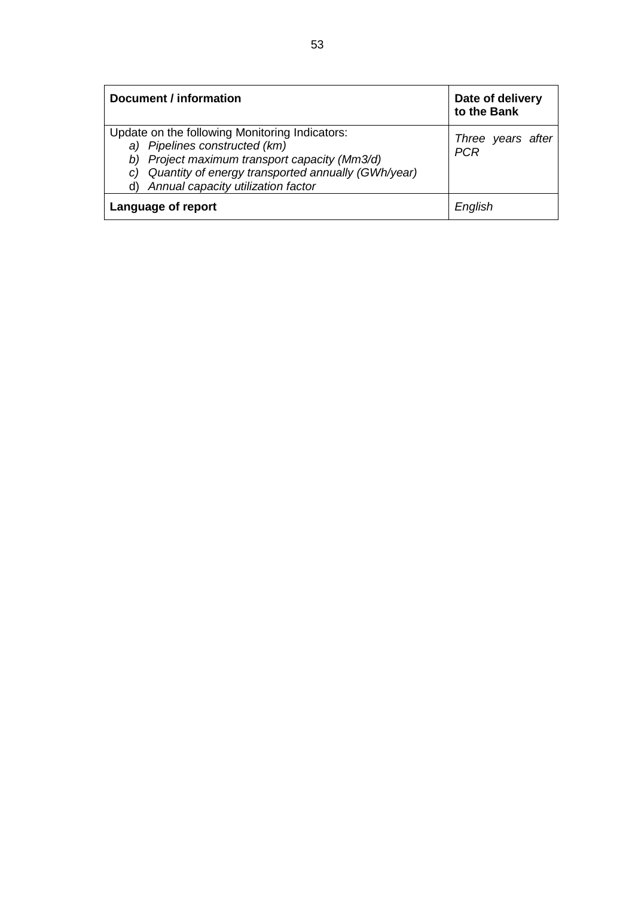| Document / information                                                                                                                                                                                                                | Date of delivery<br>to the Bank |
|---------------------------------------------------------------------------------------------------------------------------------------------------------------------------------------------------------------------------------------|---------------------------------|
| Update on the following Monitoring Indicators:<br>a) Pipelines constructed (km)<br>Project maximum transport capacity (Mm3/d)<br>Quantity of energy transported annually (GWh/year)<br>C)<br>Annual capacity utilization factor<br>d) | Three years after<br><b>PCR</b> |
| Language of report                                                                                                                                                                                                                    | English                         |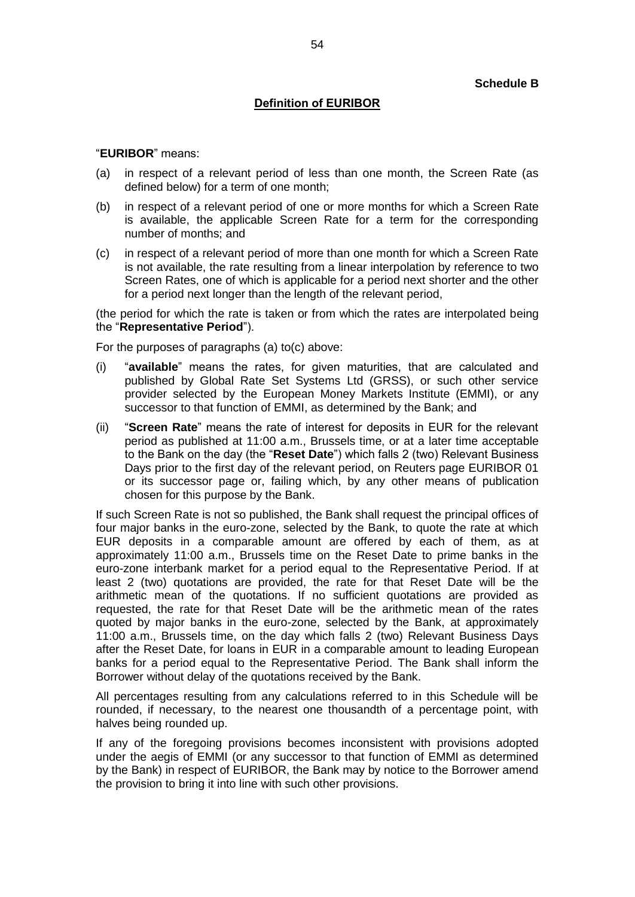## **Definition of EURIBOR**

#### "**EURIBOR**" means:

- (a) in respect of a relevant period of less than one month, the Screen Rate (as defined below) for a term of one month;
- (b) in respect of a relevant period of one or more months for which a Screen Rate is available, the applicable Screen Rate for a term for the corresponding number of months; and
- (c) in respect of a relevant period of more than one month for which a Screen Rate is not available, the rate resulting from a linear interpolation by reference to two Screen Rates, one of which is applicable for a period next shorter and the other for a period next longer than the length of the relevant period,

(the period for which the rate is taken or from which the rates are interpolated being the "**Representative Period**").

For the purposes of paragraphs (a) to(c) above:

- (i) "**available**" means the rates, for given maturities, that are calculated and published by Global Rate Set Systems Ltd (GRSS), or such other service provider selected by the European Money Markets Institute (EMMI), or any successor to that function of EMMI, as determined by the Bank; and
- (ii) "**Screen Rate**" means the rate of interest for deposits in EUR for the relevant period as published at 11:00 a.m., Brussels time, or at a later time acceptable to the Bank on the day (the "**Reset Date**") which falls 2 (two) Relevant Business Days prior to the first day of the relevant period, on Reuters page EURIBOR 01 or its successor page or, failing which, by any other means of publication chosen for this purpose by the Bank.

If such Screen Rate is not so published, the Bank shall request the principal offices of four major banks in the euro-zone, selected by the Bank, to quote the rate at which EUR deposits in a comparable amount are offered by each of them, as at approximately 11:00 a.m., Brussels time on the Reset Date to prime banks in the euro-zone interbank market for a period equal to the Representative Period. If at least 2 (two) quotations are provided, the rate for that Reset Date will be the arithmetic mean of the quotations. If no sufficient quotations are provided as requested, the rate for that Reset Date will be the arithmetic mean of the rates quoted by major banks in the euro-zone, selected by the Bank, at approximately 11:00 a.m., Brussels time, on the day which falls 2 (two) Relevant Business Days after the Reset Date, for loans in EUR in a comparable amount to leading European banks for a period equal to the Representative Period. The Bank shall inform the Borrower without delay of the quotations received by the Bank.

All percentages resulting from any calculations referred to in this Schedule will be rounded, if necessary, to the nearest one thousandth of a percentage point, with halves being rounded up.

If any of the foregoing provisions becomes inconsistent with provisions adopted under the aegis of EMMI (or any successor to that function of EMMI as determined by the Bank) in respect of EURIBOR, the Bank may by notice to the Borrower amend the provision to bring it into line with such other provisions.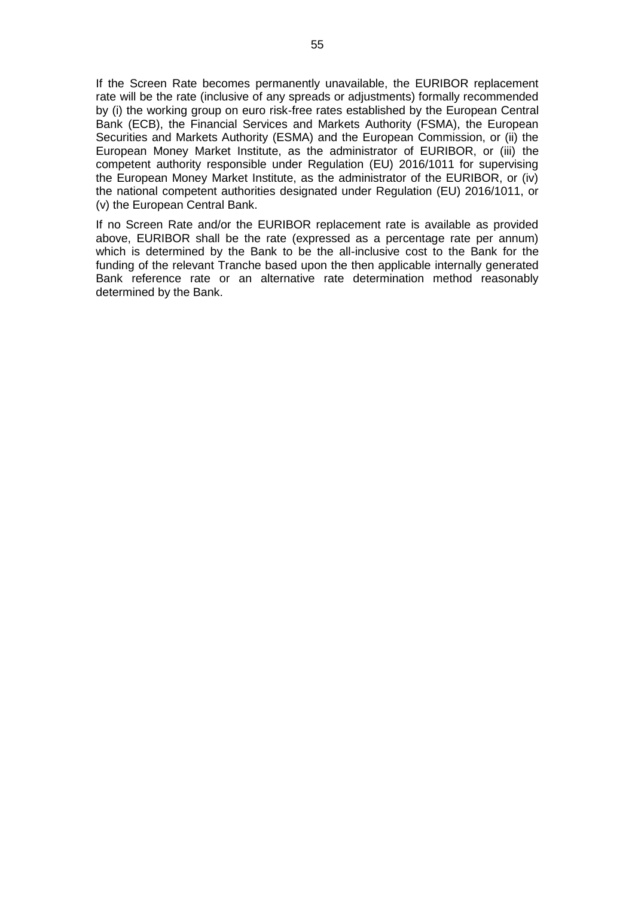If the Screen Rate becomes permanently unavailable, the EURIBOR replacement rate will be the rate (inclusive of any spreads or adjustments) formally recommended by (i) the working group on euro risk-free rates established by the European Central Bank (ECB), the Financial Services and Markets Authority (FSMA), the European Securities and Markets Authority (ESMA) and the European Commission, or (ii) the European Money Market Institute, as the administrator of EURIBOR, or (iii) the competent authority responsible under Regulation (EU) 2016/1011 for supervising the European Money Market Institute, as the administrator of the EURIBOR, or (iv) the national competent authorities designated under Regulation (EU) 2016/1011, or (v) the European Central Bank.

If no Screen Rate and/or the EURIBOR replacement rate is available as provided above, EURIBOR shall be the rate (expressed as a percentage rate per annum) which is determined by the Bank to be the all-inclusive cost to the Bank for the funding of the relevant Tranche based upon the then applicable internally generated Bank reference rate or an alternative rate determination method reasonably determined by the Bank.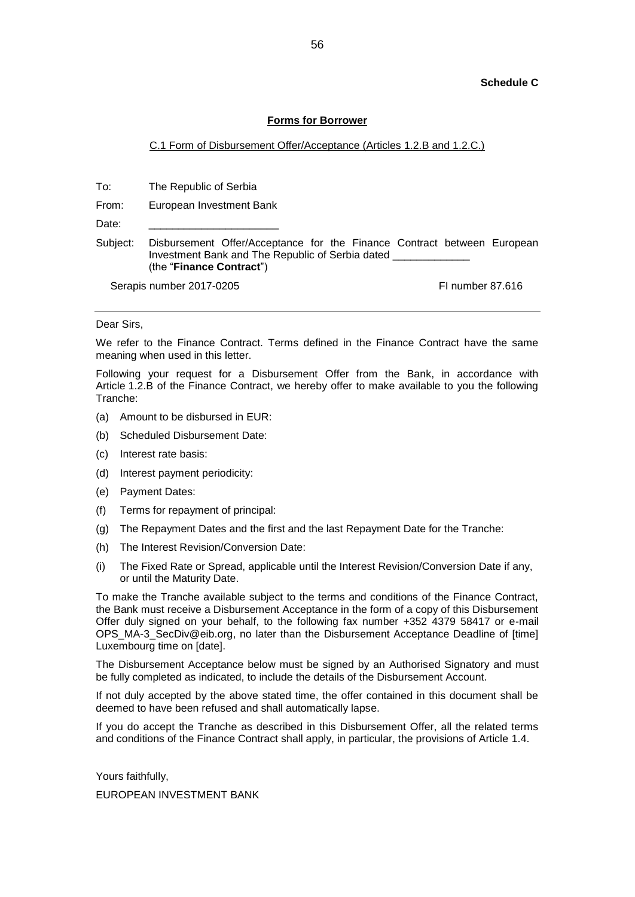#### **Schedule C**

#### **Forms for Borrower**

#### C.1 Form of Disbursement Offer/Acceptance (Articles 1.2.B and 1.2.C.)

To: The Republic of Serbia

From: European Investment Bank

Date:

Subject: Disbursement Offer/Acceptance for the Finance Contract between European Investment Bank and The Republic of Serbia dated \_\_\_\_\_\_\_\_\_\_\_\_\_ (the "**Finance Contract**")

Serapis number 2017-0205 FI number 87.616

Dear Sirs,

We refer to the Finance Contract. Terms defined in the Finance Contract have the same meaning when used in this letter.

Following your request for a Disbursement Offer from the Bank, in accordance with Article 1.2.B of the Finance Contract, we hereby offer to make available to you the following Tranche:

- (a) Amount to be disbursed in EUR:
- (b) Scheduled Disbursement Date:
- (c) Interest rate basis:
- (d) Interest payment periodicity:
- (e) Payment Dates:
- (f) Terms for repayment of principal:
- (g) The Repayment Dates and the first and the last Repayment Date for the Tranche:
- (h) The Interest Revision/Conversion Date:
- (i) The Fixed Rate or Spread, applicable until the Interest Revision/Conversion Date if any, or until the Maturity Date.

To make the Tranche available subject to the terms and conditions of the Finance Contract, the Bank must receive a Disbursement Acceptance in the form of a copy of this Disbursement Offer duly signed on your behalf, to the following fax number +352 4379 58417 or e-mail OPS\_MA-3\_SecDiv@eib.org, no later than the Disbursement Acceptance Deadline of [time] Luxembourg time on [date].

The Disbursement Acceptance below must be signed by an Authorised Signatory and must be fully completed as indicated, to include the details of the Disbursement Account.

If not duly accepted by the above stated time, the offer contained in this document shall be deemed to have been refused and shall automatically lapse.

If you do accept the Tranche as described in this Disbursement Offer, all the related terms and conditions of the Finance Contract shall apply, in particular, the provisions of Article 1.4.

Yours faithfully,

EUROPEAN INVESTMENT BANK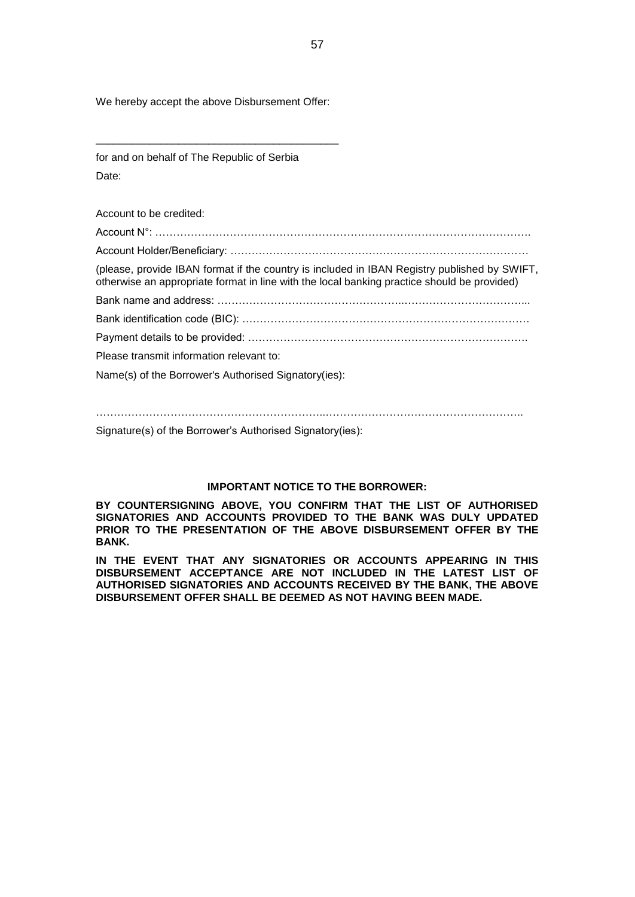We hereby accept the above Disbursement Offer:

\_\_\_\_\_\_\_\_\_\_\_\_\_\_\_\_\_\_\_\_\_\_\_\_\_\_\_\_\_\_\_\_\_\_\_\_\_\_\_\_\_

for and on behalf of The Republic of Serbia Date:

Account to be credited: Account N°: …………………………………………………………………………………………….

Account Holder/Beneficiary: …………………………………………………………………………

(please, provide IBAN format if the country is included in IBAN Registry published by SWIFT, otherwise an appropriate format in line with the local banking practice should be provided)

Bank name and address: ……………………………………………..……………………………... Bank identification code (BIC): ………………………………………………………………………

Payment details to be provided: …………………………………………………………………….

Please transmit information relevant to:

Name(s) of the Borrower's Authorised Signatory(ies):

Signature(s) of the Borrower's Authorised Signatory(ies):

#### **IMPORTANT NOTICE TO THE BORROWER:**

**BY COUNTERSIGNING ABOVE, YOU CONFIRM THAT THE LIST OF AUTHORISED SIGNATORIES AND ACCOUNTS PROVIDED TO THE BANK WAS DULY UPDATED PRIOR TO THE PRESENTATION OF THE ABOVE DISBURSEMENT OFFER BY THE BANK.** 

**IN THE EVENT THAT ANY SIGNATORIES OR ACCOUNTS APPEARING IN THIS DISBURSEMENT ACCEPTANCE ARE NOT INCLUDED IN THE LATEST LIST OF AUTHORISED SIGNATORIES AND ACCOUNTS RECEIVED BY THE BANK, THE ABOVE DISBURSEMENT OFFER SHALL BE DEEMED AS NOT HAVING BEEN MADE.**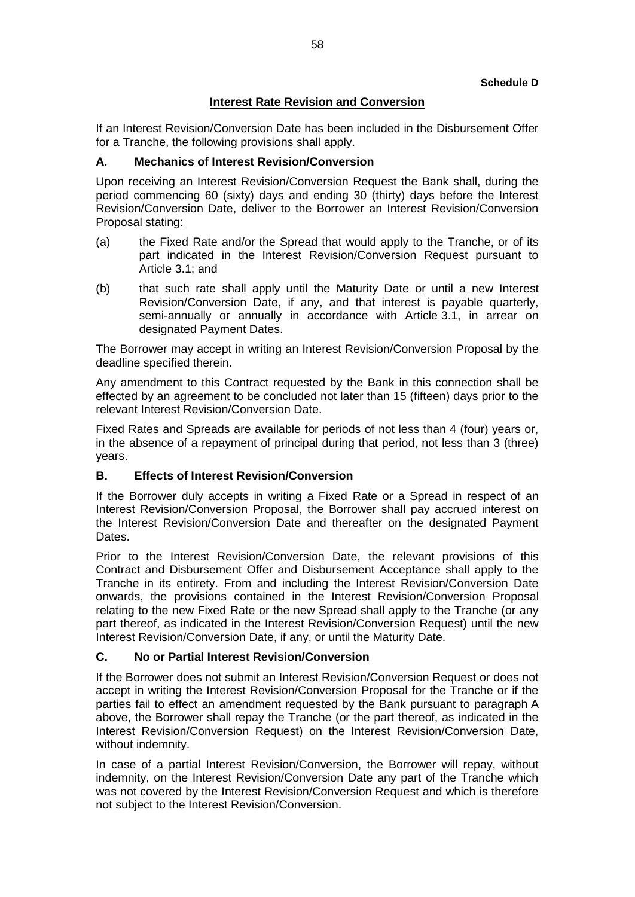## **Interest Rate Revision and Conversion**

If an Interest Revision/Conversion Date has been included in the Disbursement Offer for a Tranche, the following provisions shall apply.

## **A. Mechanics of Interest Revision/Conversion**

Upon receiving an Interest Revision/Conversion Request the Bank shall, during the period commencing 60 (sixty) days and ending 30 (thirty) days before the Interest Revision/Conversion Date, deliver to the Borrower an Interest Revision/Conversion Proposal stating:

- (a) the Fixed Rate and/or the Spread that would apply to the Tranche, or of its part indicated in the Interest Revision/Conversion Request pursuant to Article 3.1; and
- (b) that such rate shall apply until the Maturity Date or until a new Interest Revision/Conversion Date, if any, and that interest is payable quarterly, semi-annually or annually in accordance with Article 3.1, in arrear on designated Payment Dates.

The Borrower may accept in writing an Interest Revision/Conversion Proposal by the deadline specified therein.

Any amendment to this Contract requested by the Bank in this connection shall be effected by an agreement to be concluded not later than 15 (fifteen) days prior to the relevant Interest Revision/Conversion Date.

Fixed Rates and Spreads are available for periods of not less than 4 (four) years or, in the absence of a repayment of principal during that period, not less than 3 (three) years.

## **B. Effects of Interest Revision/Conversion**

If the Borrower duly accepts in writing a Fixed Rate or a Spread in respect of an Interest Revision/Conversion Proposal, the Borrower shall pay accrued interest on the Interest Revision/Conversion Date and thereafter on the designated Payment Dates.

Prior to the Interest Revision/Conversion Date, the relevant provisions of this Contract and Disbursement Offer and Disbursement Acceptance shall apply to the Tranche in its entirety. From and including the Interest Revision/Conversion Date onwards, the provisions contained in the Interest Revision/Conversion Proposal relating to the new Fixed Rate or the new Spread shall apply to the Tranche (or any part thereof, as indicated in the Interest Revision/Conversion Request) until the new Interest Revision/Conversion Date, if any, or until the Maturity Date.

#### **C. No or Partial Interest Revision/Conversion**

If the Borrower does not submit an Interest Revision/Conversion Request or does not accept in writing the Interest Revision/Conversion Proposal for the Tranche or if the parties fail to effect an amendment requested by the Bank pursuant to paragraph A above, the Borrower shall repay the Tranche (or the part thereof, as indicated in the Interest Revision/Conversion Request) on the Interest Revision/Conversion Date, without indemnity.

In case of a partial Interest Revision/Conversion, the Borrower will repay, without indemnity, on the Interest Revision/Conversion Date any part of the Tranche which was not covered by the Interest Revision/Conversion Request and which is therefore not subject to the Interest Revision/Conversion.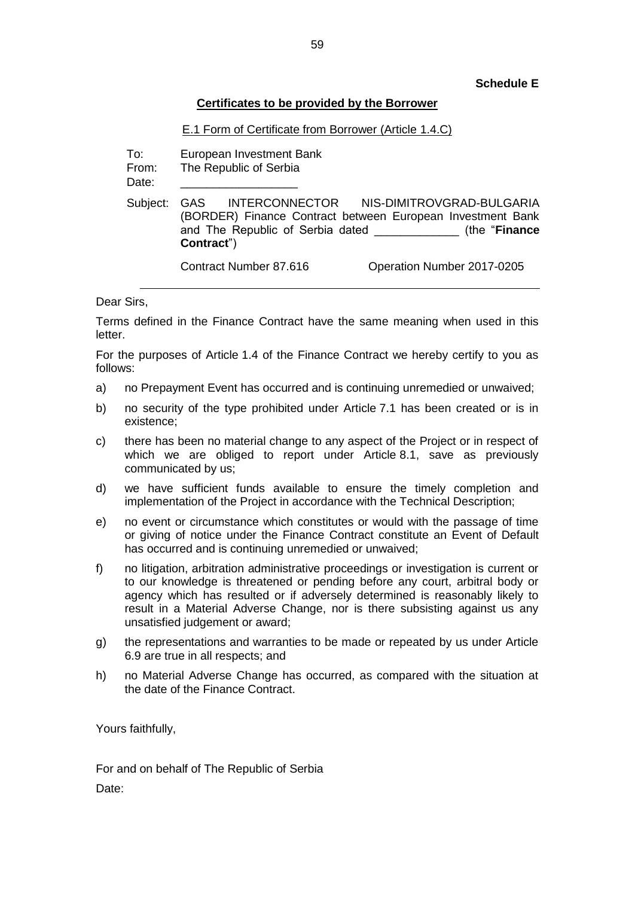### **Schedule E**

## **Certificates to be provided by the Borrower**

## E.1 Form of Certificate from Borrower (Article 1.4.C)

To: European Investment Bank

From: The Republic of Serbia

Date:

Subject: GAS INTERCONNECTOR NIS-DIMITROVGRAD-BULGARIA (BORDER) Finance Contract between European Investment Bank and The Republic of Serbia dated \_\_\_\_\_\_\_\_\_\_\_\_\_ (the "**Finance Contract**")

Contract Number 87.616 Operation Number 2017-0205

Dear Sirs,

Terms defined in the Finance Contract have the same meaning when used in this letter.

For the purposes of Article 1.4 of the Finance Contract we hereby certify to you as follows:

- a) no Prepayment Event has occurred and is continuing unremedied or unwaived;
- b) no security of the type prohibited under Article 7.1 has been created or is in existence;
- c) there has been no material change to any aspect of the Project or in respect of which we are obliged to report under Article 8.1, save as previously communicated by us;
- d) we have sufficient funds available to ensure the timely completion and implementation of the Project in accordance with the Technical Description;
- e) no event or circumstance which constitutes or would with the passage of time or giving of notice under the Finance Contract constitute an Event of Default has occurred and is continuing unremedied or unwaived;
- f) no litigation, arbitration administrative proceedings or investigation is current or to our knowledge is threatened or pending before any court, arbitral body or agency which has resulted or if adversely determined is reasonably likely to result in a Material Adverse Change, nor is there subsisting against us any unsatisfied judgement or award;
- g) the representations and warranties to be made or repeated by us under Article 6.9 are true in all respects; and
- h) no Material Adverse Change has occurred, as compared with the situation at the date of the Finance Contract.

Yours faithfully,

For and on behalf of The Republic of Serbia Date: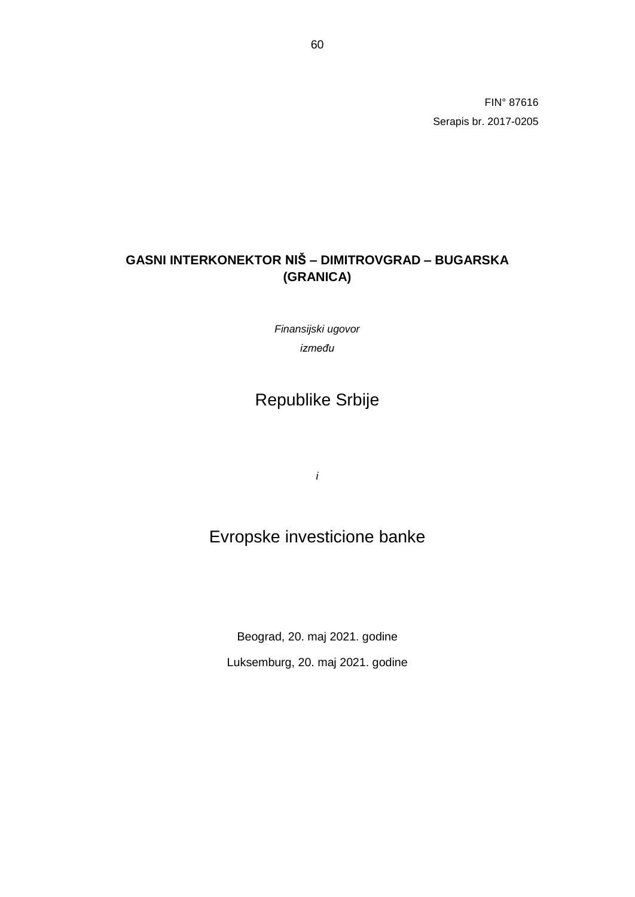FIN° 87616 Serapis br. 2017-0205

# **GASNI INTERKONEKTOR NIŠ – DIMITROVGRAD – BUGARSKA (GRANICA)**

*Finansijski ugovor između*

# Republike Srbije

*i*

# Evropske investicione banke

Beograd, 20. maj 2021. godine Luksemburg, 20. maj 2021. godine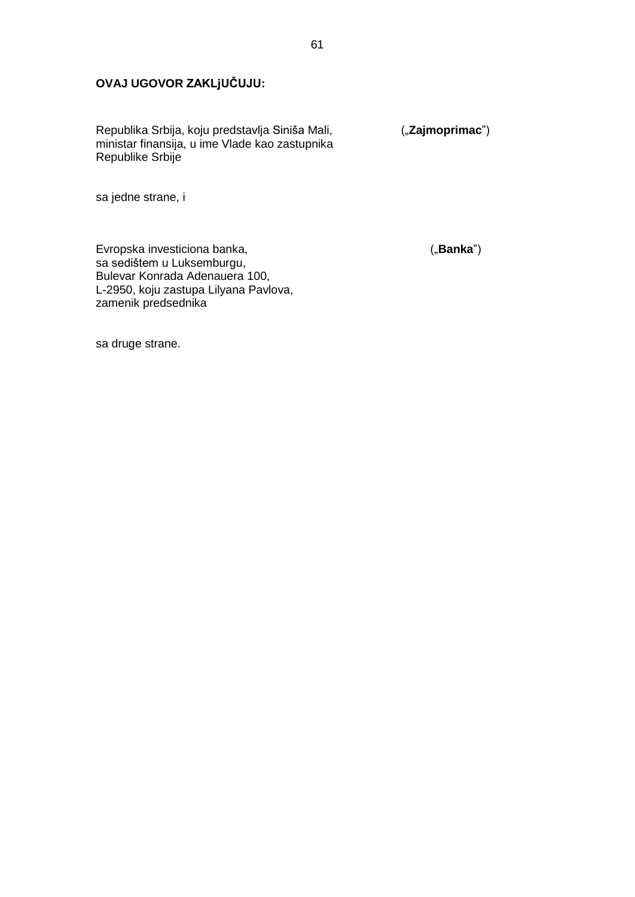## **OVAJ UGOVOR ZAKLjUČUJU:**

Republika Srbija, koju predstavlja Siniša Mali, ("**Zajmoprimac**") ministar finansija, u ime Vlade kao zastupnika Republike Srbije

sa jedne strane, i

Evropska investiciona banka, **Executional Executor ("Banka**") sa sedištem u Luksemburgu, Bulevar Konrada Adenauera 100, L-2950, koju zastupa Lilyana Pavlova, zamenik predsednika

sa druge strane.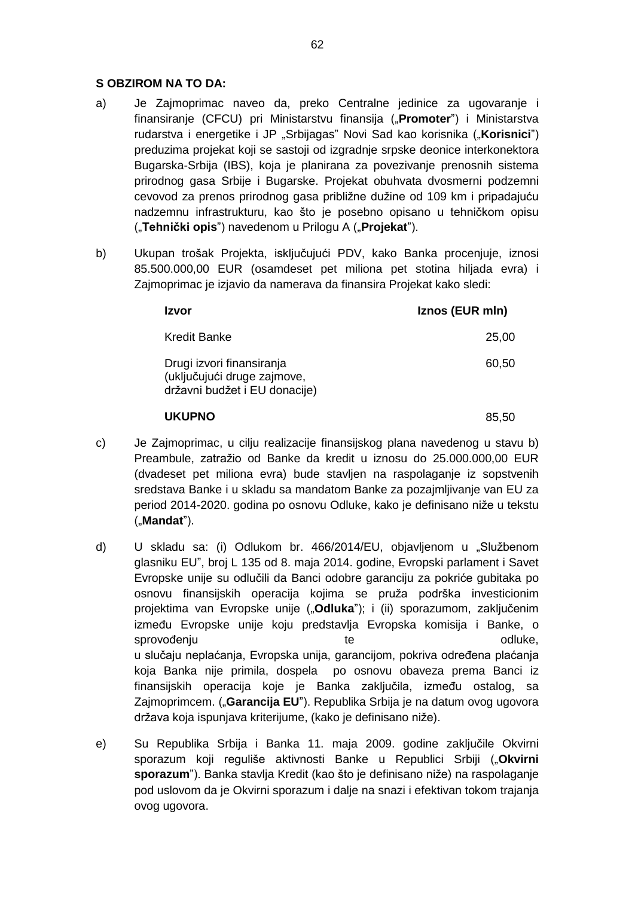## **S OBZIROM NA TO DA:**

- a) Je Zajmoprimac naveo da, preko Centralne jedinice za ugovaranje i finansiranje (CFCU) pri Ministarstvu finansija ("**Promoter**") i Ministarstva rudarstva i energetike i JP "Srbijagas" Novi Sad kao korisnika ("Korisnici") preduzima projekat koji se sastoji od izgradnje srpske deonice interkonektora Bugarska-Srbija (IBS), koja je planirana za povezivanje prenosnih sistema prirodnog gasa Srbije i Bugarske. Projekat obuhvata dvosmerni podzemni cevovod za prenos prirodnog gasa približne dužine od 109 km i pripadajuću nadzemnu infrastrukturu, kao što je posebno opisano u tehničkom opisu ("**Tehnički opis**") navedenom u Prilogu A ("**Projekat**").
- b) Ukupan trošak Projekta, isključujući PDV, kako Banka procenjuje, iznosi 85.500.000,00 EUR (osamdeset pet miliona pet stotina hiljada evra) i Zajmoprimac je izjavio da namerava da finansira Projekat kako sledi:

| Izvor                                                                                     | Iznos (EUR mln) |
|-------------------------------------------------------------------------------------------|-----------------|
| <b>Kredit Banke</b>                                                                       | 25,00           |
| Drugi izvori finansiranja<br>(uključujući druge zajmove,<br>državni budžet i EU donacije) | 60.50           |
| <b>UKUPNO</b>                                                                             | 85.50           |

- c) Je Zajmoprimac, u cilju realizacije finansijskog plana navedenog u stavu b) Preambule, zatražio od Banke da kredit u iznosu do 25.000.000,00 EUR (dvadeset pet miliona evra) bude stavljen na raspolaganje iz sopstvenih sredstava Banke i u skladu sa mandatom Banke za pozajmljivanje van EU za period 2014-2020. godina po osnovu Odluke, kako je definisano niže u tekstu ("**Mandat**").
- d) U skladu sa: (i) Odlukom br. 466/2014/EU, objavljenom u "Službenom glasniku EU", broj L 135 od 8. maja 2014. godine, Evropski parlament i Savet Evropske unije su odlučili da Banci odobre garanciju za pokriće gubitaka po osnovu finansijskih operacija kojima se pruža podrška investicionim projektima van Evropske unije ("**Odluka**"); i (ii) sporazumom, zaključenim između Evropske unije koju predstavlja Evropska komisija i Banke, o sprovođenju sprovođenju te odluke, u slučaju neplaćanja, Evropska unija, garancijom, pokriva određena plaćanja koja Banka nije primila, dospela po osnovu obaveza prema Banci iz finansijskih operacija koje je Banka zaključila, između ostalog, sa Zajmoprimcem. ("**Garancija EU**"). Republika Srbija je na datum ovog ugovora država koja ispunjava kriterijume, (kako je definisano niže).
- e) Su Republika Srbija i Banka 11. maja 2009. godine zaključile Okvirni sporazum koji reguliše aktivnosti Banke u Republici Srbiji ("**Okvirni sporazum**"). Banka stavlja Kredit (kao što je definisano niže) na raspolaganje pod uslovom da je Okvirni sporazum i dalje na snazi i efektivan tokom trajanja ovog ugovora.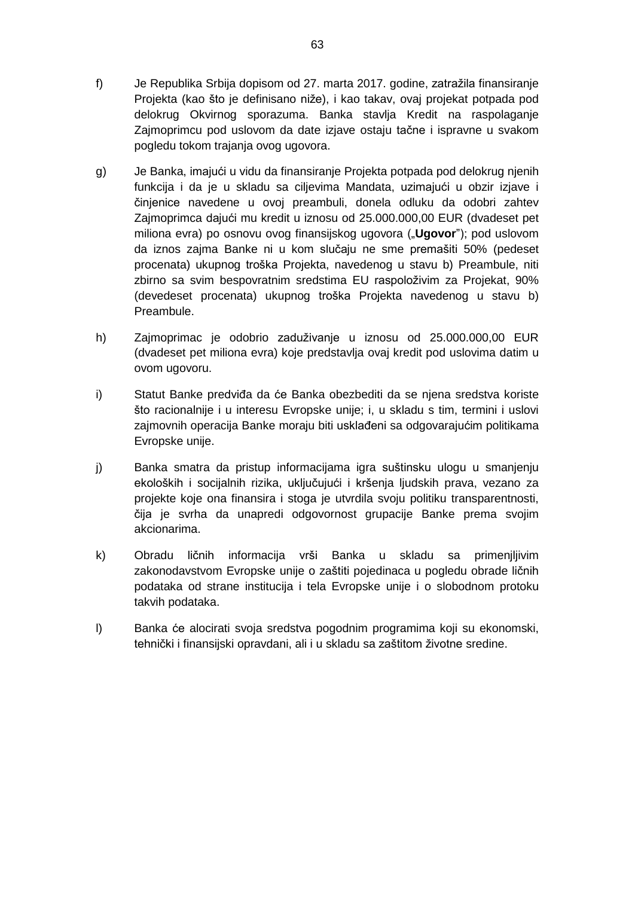- f) Je Republika Srbija dopisom od 27. marta 2017. godine, zatražila finansiranje Projekta (kao što je definisano niže), i kao takav, ovaj projekat potpada pod delokrug Okvirnog sporazuma. Banka stavlja Kredit na raspolaganje Zajmoprimcu pod uslovom da date izjave ostaju tačne i ispravne u svakom pogledu tokom trajanja ovog ugovora.
- g) Je Banka, imajući u vidu da finansiranje Projekta potpada pod delokrug njenih funkcija i da je u skladu sa ciljevima Mandata, uzimajući u obzir izjave i činjenice navedene u ovoj preambuli, donela odluku da odobri zahtev Zajmoprimca dajući mu kredit u iznosu od 25.000.000,00 EUR (dvadeset pet miliona evra) po osnovu ovog finansijskog ugovora ("**Ugovor**"); pod uslovom da iznos zajma Banke ni u kom slučaju ne sme premašiti 50% (pedeset procenata) ukupnog troška Projekta, navedenog u stavu b) Preambule, niti zbirno sa svim bespovratnim sredstima EU raspoloživim za Projekat, 90% (devedeset procenata) ukupnog troška Projekta navedenog u stavu b) Preambule.
- h) Zajmoprimac je odobrio zaduživanje u iznosu od 25.000.000,00 EUR (dvadeset pet miliona evra) koje predstavlja ovaj kredit pod uslovima datim u ovom ugovoru.
- i) Statut Banke predviđa da će Banka obezbediti da se njena sredstva koriste što racionalnije i u interesu Evropske unije; i, u skladu s tim, termini i uslovi zajmovnih operacija Banke moraju biti usklađeni sa odgovarajućim politikama Evropske unije.
- j) Banka smatra da pristup informacijama igra suštinsku ulogu u smanjenju ekoloških i socijalnih rizika, uključujući i kršenja ljudskih prava, vezano za projekte koje ona finansira i stoga je utvrdila svoju politiku transparentnosti, čija je svrha da unapredi odgovornost grupacije Banke prema svojim akcionarima.
- k) Obradu ličnih informacija vrši Banka u skladu sa primenjljivim zakonodavstvom Evropske unije o zaštiti pojedinaca u pogledu obrade ličnih podataka od strane institucija i tela Evropske unije i o slobodnom protoku takvih podataka.
- l) Banka će alocirati svoja sredstva pogodnim programima koji su ekonomski, tehnički i finansijski opravdani, ali i u skladu sa zaštitom životne sredine.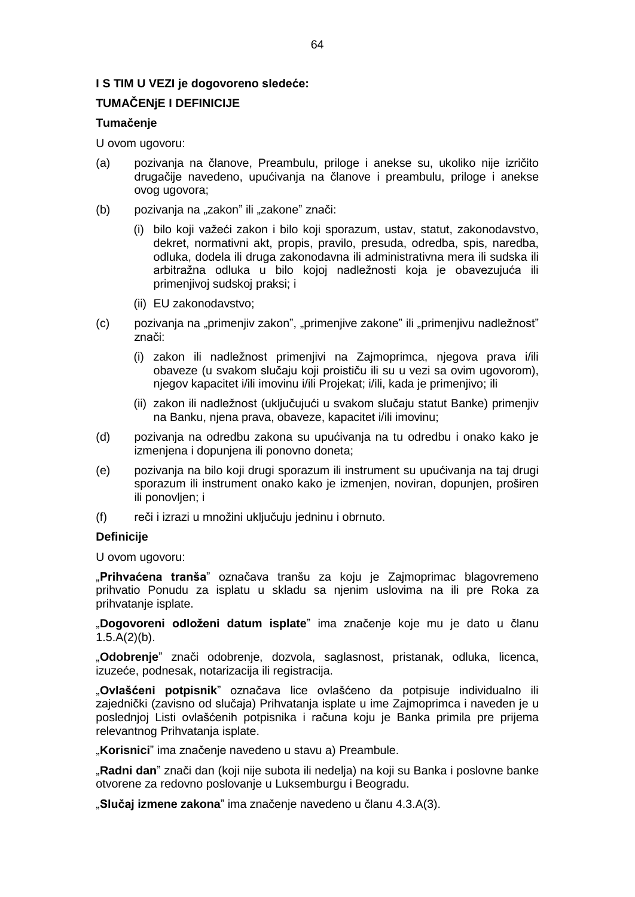## **I S TIM U VEZI je dogovoreno sledeće:**

## **TUMAČENjE I DEFINICIJE**

## **Tumačenje**

U ovom ugovoru:

- (a) pozivanja na članove, Preambulu, priloge i anekse su, ukoliko nije izričito drugačije navedeno, upućivanja na članove i preambulu, priloge i anekse ovog ugovora;
- (b) pozivanja na "zakon" ili "zakone" znači:
	- (i) bilo koji važeći zakon i bilo koji sporazum, ustav, statut, zakonodavstvo, dekret, normativni akt, propis, pravilo, presuda, odredba, spis, naredba, odluka, dodela ili druga zakonodavna ili administrativna mera ili sudska ili arbitražna odluka u bilo kojoj nadležnosti koja je obavezujuća ili primenjivoj sudskoj praksi; i
	- (ii) EU zakonodavstvo;
- (c) pozivanja na "primenjiv zakon", "primenjive zakone" ili "primenjivu nadležnost" znači:
	- (i) zakon ili nadležnost primenjivi na Zajmoprimca, njegova prava i/ili obaveze (u svakom slučaju koji proističu ili su u vezi sa ovim ugovorom), njegov kapacitet i/ili imovinu i/ili Projekat; i/ili, kada je primenjivo; ili
	- (ii) zakon ili nadležnost (uključujući u svakom slučaju statut Banke) primenjiv na Banku, njena prava, obaveze, kapacitet i/ili imovinu;
- (d) pozivanja na odredbu zakona su upućivanja na tu odredbu i onako kako je izmenjena i dopunjena ili ponovno doneta;
- (e) pozivanja na bilo koji drugi sporazum ili instrument su upućivanja na taj drugi sporazum ili instrument onako kako je izmenjen, noviran, dopunjen, proširen ili ponovljen; i
- (f) reči i izrazi u množini uključuju jedninu i obrnuto.

## **Definicije**

U ovom ugovoru:

"**Prihvaćena tranša**" označava tranšu za koju je Zajmoprimac blagovremeno prihvatio Ponudu za isplatu u skladu sa njenim uslovima na ili pre Roka za prihvatanje isplate.

"**Dogovoreni odloženi datum isplate**" ima značenje koje mu je dato u članu  $1.5.A(2)(b)$ .

"**Odobrenje**" znači odobrenje, dozvola, saglasnost, pristanak, odluka, licenca, izuzeće, podnesak, notarizacija ili registracija.

"**Ovlašćeni potpisnik**" označava lice ovlašćeno da potpisuje individualno ili zajednički (zavisno od slučaja) Prihvatanja isplate u ime Zajmoprimca i naveden je u poslednjoj Listi ovlašćenih potpisnika i računa koju je Banka primila pre prijema relevantnog Prihvatanja isplate.

"Korisnici" ima značenje navedeno u stavu a) Preambule.

"**Radni dan**" znači dan (koji nije subota ili nedelja) na koji su Banka i poslovne banke otvorene za redovno poslovanje u Luksemburgu i Beogradu.

"**Slučaj izmene zakona**" ima značenje navedeno u članu 4.3.A(3).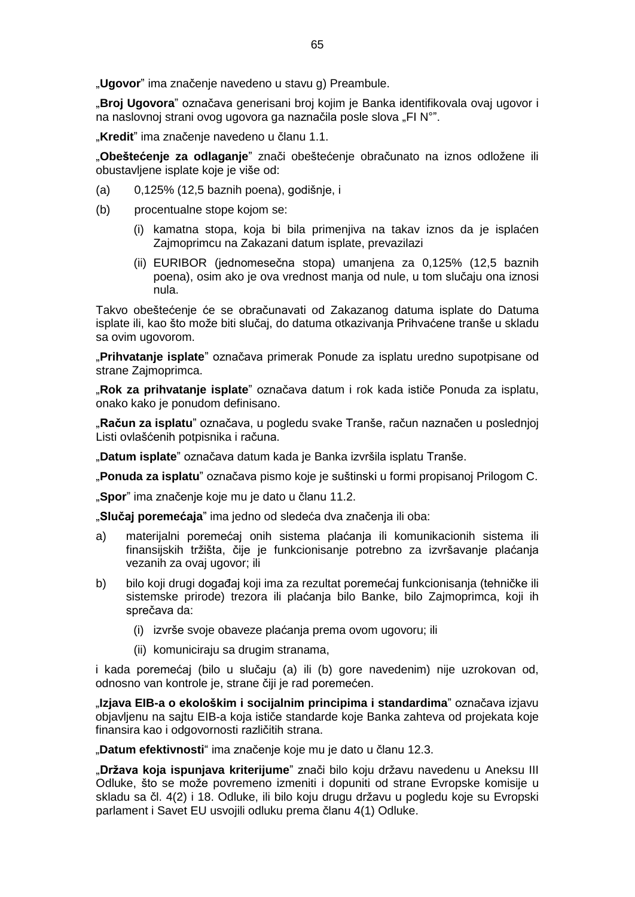"**Ugovor**" ima značenje navedeno u stavu g) Preambule.

"**Broj Ugovora**" označava generisani broj kojim je Banka identifikovala ovaj ugovor i na naslovnoj strani ovog ugovora ga naznačila posle slova "FI N°".

"**Kredit**" ima značenje navedeno u članu 1.1.

"**Obeštećenje za odlaganje**" znači obeštećenje obračunato na iznos odložene ili obustavljene isplate koje je više od:

- (a) 0,125% (12,5 baznih poena), godišnje, i
- (b) procentualne stope kojom se:
	- (i) kamatna stopa, koja bi bila primenjiva na takav iznos da je isplaćen Zajmoprimcu na Zakazani datum isplate, prevazilazi
	- (ii) EURIBOR (jednomesečna stopa) umanjena za 0,125% (12,5 baznih poena), osim ako je ova vrednost manja od nule, u tom slučaju ona iznosi nula.

Takvo obeštećenje će se obračunavati od Zakazanog datuma isplate do Datuma isplate ili, kao što može biti slučaj, do datuma otkazivanja Prihvaćene tranše u skladu sa ovim ugovorom.

"**Prihvatanje isplate**" označava primerak Ponude za isplatu uredno supotpisane od strane Zajmoprimca.

"**Rok za prihvatanje isplate**" označava datum i rok kada ističe Ponuda za isplatu, onako kako je ponudom definisano.

"**Račun za isplatu**" označava, u pogledu svake Tranše, račun naznačen u poslednjoj Listi ovlašćenih potpisnika i računa.

"**Datum isplate**" označava datum kada je Banka izvršila isplatu Tranše.

"**Ponuda za isplatu**" označava pismo koje je suštinski u formi propisanoj Prilogom C.

"**Spor**" ima značenje koje mu je dato u članu 11.2.

"**Slučaj poremećaja**" ima jedno od sledeća dva značenja ili oba:

- a) materijalni poremećaj onih sistema plaćanja ili komunikacionih sistema ili finansijskih tržišta, čije je funkcionisanje potrebno za izvršavanje plaćanja vezanih za ovaj ugovor; ili
- b) bilo koji drugi događaj koji ima za rezultat poremećaj funkcionisanja (tehničke ili sistemske prirode) trezora ili plaćanja bilo Banke, bilo Zajmoprimca, koji ih sprečava da:
	- (i) izvrše svoje obaveze plaćanja prema ovom ugovoru; ili
	- (ii) komuniciraju sa drugim stranama,

i kada poremećaj (bilo u slučaju (a) ili (b) gore navedenim) nije uzrokovan od, odnosno van kontrole je, strane čiji je rad poremećen.

"**Izjava EIB-a o ekološkim i socijalnim principima i standardima**" označava izjavu objavljenu na sajtu EIB-a koja ističe standarde koje Banka zahteva od projekata koje finansira kao i odgovornosti različitih strana.

"**Datum efektivnosti**" ima značenje koje mu je dato u članu 12.3.

"**Država koja ispunjava kriterijume**" znači bilo koju državu navedenu u Aneksu III Odluke, što se može povremeno izmeniti i dopuniti od strane Evropske komisije u skladu sa čl. 4(2) i 18. Odluke, ili bilo koju drugu državu u pogledu koje su Evropski parlament i Savet EU usvojili odluku prema članu 4(1) Odluke.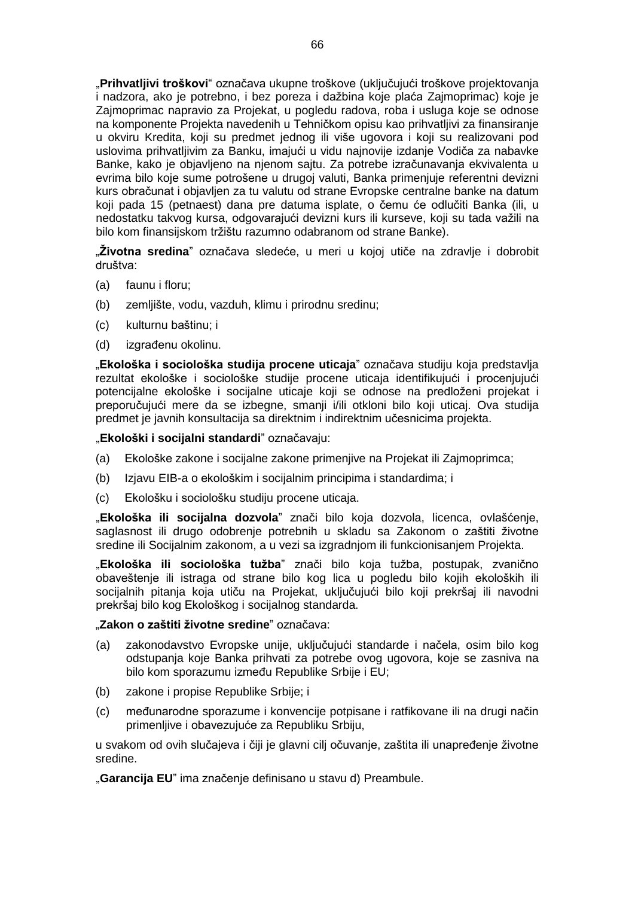"**Prihvatljivi troškovi**" označava ukupne troškove (uključujući troškove projektovanja i nadzora, ako je potrebno, i bez poreza i dažbina koje plaća Zajmoprimac) koje je Zajmoprimac napravio za Projekat, u pogledu radova, roba i usluga koje se odnose na komponente Projekta navedenih u Tehničkom opisu kao prihvatljivi za finansiranje u okviru Kredita, koji su predmet jednog ili više ugovora i koji su realizovani pod uslovima prihvatljivim za Banku, imajući u vidu najnovije izdanje Vodiča za nabavke Banke, kako je objavljeno na njenom sajtu. Za potrebe izračunavanja ekvivalenta u evrima bilo koje sume potrošene u drugoj valuti, Banka primenjuje referentni devizni kurs obračunat i objavljen za tu valutu od strane Evropske centralne banke na datum koji pada 15 (petnaest) dana pre datuma isplate, o čemu će odlučiti Banka (ili, u nedostatku takvog kursa, odgovarajući devizni kurs ili kurseve, koji su tada važili na bilo kom finansijskom tržištu razumno odabranom od strane Banke).

"**Životna sredina**" označava sledeće, u meri u kojoj utiče na zdravlje i dobrobit društva:

- (a) faunu i floru;
- (b) zemljište, vodu, vazduh, klimu i prirodnu sredinu;
- (c) kulturnu baštinu; i
- (d) izgrađenu okolinu.

"**Ekološka i sociološka studija procene uticaja**" označava studiju koja predstavlja rezultat ekološke i sociološke studije procene uticaja identifikujući i procenjujući potencijalne ekološke i socijalne uticaje koji se odnose na predloženi projekat i preporučujući mere da se izbegne, smanji i/ili otkloni bilo koji uticaj. Ova studija predmet je javnih konsultacija sa direktnim i indirektnim učesnicima projekta.

"**Ekološki i socijalni standardi**" označavaju:

- (a) Ekološke zakone i socijalne zakone primenjive na Projekat ili Zajmoprimca;
- (b) Izjavu EIB-a o ekološkim i socijalnim principima i standardima; i
- (c) Ekološku i sociološku studiju procene uticaja.

"**Ekološka ili socijalna dozvola**" znači bilo koja dozvola, licenca, ovlašćenje, saglasnost ili drugo odobrenje potrebnih u skladu sa Zakonom o zaštiti životne sredine ili Socijalnim zakonom, a u vezi sa izgradnjom ili funkcionisanjem Projekta.

"**Ekološka ili sociološka tužba**" znači bilo koja tužba, postupak, zvanično obaveštenje ili istraga od strane bilo kog lica u pogledu bilo kojih ekoloških ili socijalnih pitanja koja utiču na Projekat, uključujući bilo koji prekršaj ili navodni prekršaj bilo kog Ekološkog i socijalnog standarda.

#### "**Zakon o zaštiti životne sredine**" označava:

- (a) zakonodavstvo Evropske unije, uključujući standarde i načela, osim bilo kog odstupanja koje Banka prihvati za potrebe ovog ugovora, koje se zasniva na bilo kom sporazumu između Republike Srbije i EU;
- (b) zakone i propise Republike Srbije; i
- (c) međunarodne sporazume i konvencije potpisane i ratfikovane ili na drugi način primenljive i obavezujuće za Republiku Srbiju,

u svakom od ovih slučajeva i čiji je glavni cilj očuvanje, zaštita ili unapređenje životne sredine.

"**Garancija EU**" ima značenje definisano u stavu d) Preambule.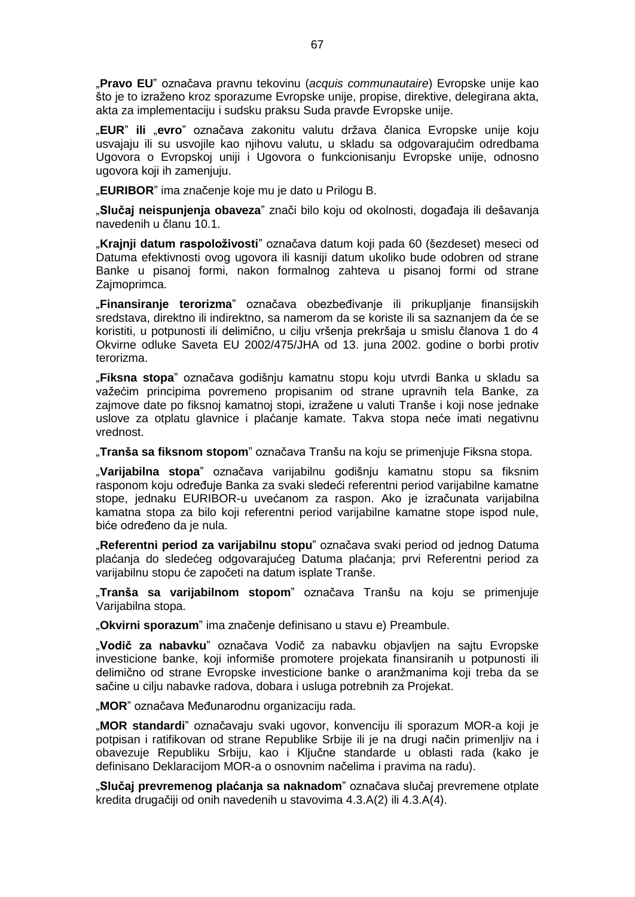"**Pravo EU**" označava pravnu tekovinu (*acquis communautaire*) Evropske unije kao što je to izraženo kroz sporazume Evropske unije, propise, direktive, delegirana akta, akta za implementaciju i sudsku praksu Suda pravde Evropske unije.

"**EUR**" **ili** "**evro**" označava zakonitu valutu država članica Evropske unije koju usvajaju ili su usvojile kao njihovu valutu, u skladu sa odgovarajućim odredbama Ugovora o Evropskoj uniji i Ugovora o funkcionisanju Evropske unije, odnosno ugovora koji ih zamenjuju.

"**EURIBOR**" ima značenje koje mu je dato u Prilogu B.

"**Slučaj neispunjenja obaveza**" znači bilo koju od okolnosti, događaja ili dešavanja navedenih u članu 10.1.

"**Krajnji datum raspoloživosti**" označava datum koji pada 60 (šezdeset) meseci od Datuma efektivnosti ovog ugovora ili kasniji datum ukoliko bude odobren od strane Banke u pisanoj formi, nakon formalnog zahteva u pisanoj formi od strane Zajmoprimca.

"**Finansiranje terorizma**" označava obezbeđivanje ili prikupljanje finansijskih sredstava, direktno ili indirektno, sa namerom da se koriste ili sa saznanjem da će se koristiti, u potpunosti ili delimično, u cilju vršenja prekršaja u smislu članova 1 do 4 Okvirne odluke Saveta EU 2002/475/JHA od 13. juna 2002. godine o borbi protiv terorizma.

"**Fiksna stopa**" označava godišnju kamatnu stopu koju utvrdi Banka u skladu sa važećim principima povremeno propisanim od strane upravnih tela Banke, za zajmove date po fiksnoj kamatnoj stopi, izražene u valuti Tranše i koji nose jednake uslove za otplatu glavnice i plaćanje kamate. Takva stopa neće imati negativnu vrednost.

"**Tranša sa fiksnom stopom**" označava Tranšu na koju se primenjuje Fiksna stopa.

"**Varijabilna stopa**" označava varijabilnu godišnju kamatnu stopu sa fiksnim rasponom koju određuje Banka za svaki sledeći referentni period varijabilne kamatne stope, jednaku EURIBOR-u uvećanom za raspon. Ako je izračunata varijabilna kamatna stopa za bilo koji referentni period varijabilne kamatne stope ispod nule, biće određeno da je nula.

"**Referentni period za varijabilnu stopu**" označava svaki period od jednog Datuma plaćanja do sledećeg odgovarajućeg Datuma plaćanja; prvi Referentni period za varijabilnu stopu će započeti na datum isplate Tranše.

"**Tranša sa varijabilnom stopom**" označava Tranšu na koju se primenjuje Varijabilna stopa.

"**Okvirni sporazum**" ima značenje definisano u stavu e) Preambule.

"**Vodič za nabavku**" označava Vodič za nabavku objavljen na sajtu Evropske investicione banke, koji informiše promotere projekata finansiranih u potpunosti ili delimično od strane Evropske investicione banke o aranžmanima koji treba da se sačine u cilju nabavke radova, dobara i usluga potrebnih za Projekat.

"**MOR**" označava Međunarodnu organizaciju rada.

"**MOR standardi**" označavaju svaki ugovor, konvenciju ili sporazum MOR-a koji je potpisan i ratifikovan od strane Republike Srbije ili je na drugi način primenljiv na i obavezuje Republiku Srbiju, kao i Ključne standarde u oblasti rada (kako je definisano Deklaracijom MOR-a o osnovnim načelima i pravima na radu).

"**Slučaj prevremenog plaćanja sa naknadom**" označava slučaj prevremene otplate kredita drugačiji od onih navedenih u stavovima 4.3.A(2) ili 4.3.A(4).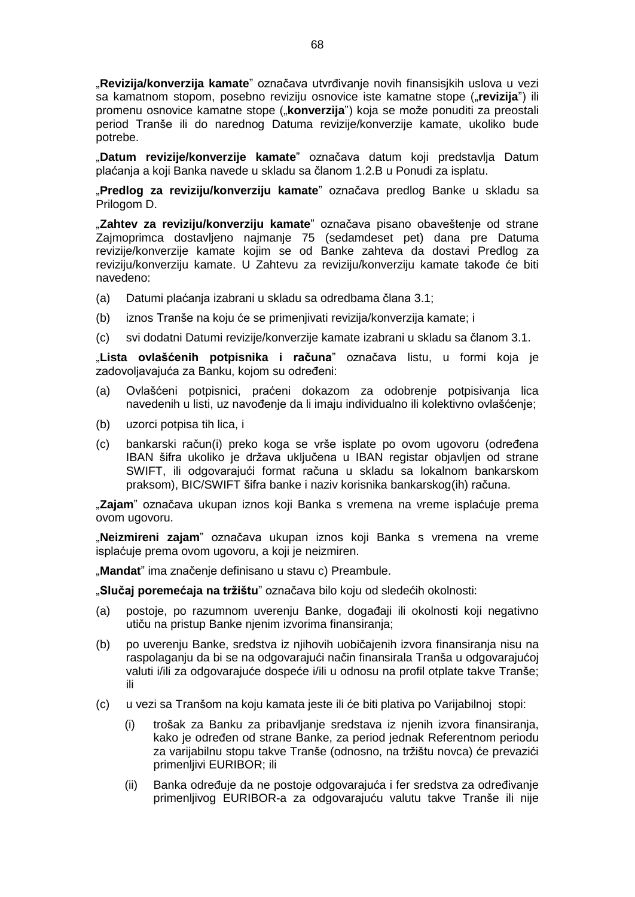"**Revizija/konverzija kamate**" označava utvrđivanje novih finansisjkih uslova u vezi sa kamatnom stopom, posebno reviziju osnovice iste kamatne stope ("revizija") ili promenu osnovice kamatne stope ("**konverzija**") koja se može ponuditi za preostali period Tranše ili do narednog Datuma revizije/konverzije kamate, ukoliko bude potrebe.

"**Datum revizije/konverzije kamate**" označava datum koji predstavlja Datum plaćanja a koji Banka navede u skladu sa članom 1.2.B u Ponudi za isplatu.

"**Predlog za reviziju/konverziju kamate**" označava predlog Banke u skladu sa Prilogom D.

"**Zahtev za reviziju/konverziju kamate**" označava pisano obaveštenje od strane Zajmoprimca dostavljeno najmanje 75 (sedamdeset pet) dana pre Datuma revizije/konverzije kamate kojim se od Banke zahteva da dostavi Predlog za reviziju/konverziju kamate. U Zahtevu za reviziju/konverziju kamate takođe će biti navedeno:

- (a) Datumi plaćanja izabrani u skladu sa odredbama člana 3.1;
- (b) iznos Tranše na koju će se primenjivati revizija/konverzija kamate; i
- (c) svi dodatni Datumi revizije/konverzije kamate izabrani u skladu sa članom 3.1.

"**Lista ovlašćenih potpisnika i računa**" označava listu, u formi koja je zadovoljavajuća za Banku, kojom su određeni:

- (a) Ovlašćeni potpisnici, praćeni dokazom za odobrenje potpisivanja lica navedenih u listi, uz navođenje da li imaju individualno ili kolektivno ovlašćenje;
- (b) uzorci potpisa tih lica, i
- (c) bankarski račun(i) preko koga se vrše isplate po ovom ugovoru (određena IBAN šifra ukoliko je država uključena u IBAN registar objavljen od strane SWIFT, ili odgovarajući format računa u skladu sa lokalnom bankarskom praksom), BIC/SWIFT šifra banke i naziv korisnika bankarskog(ih) računa.

"**Zajam**" označava ukupan iznos koji Banka s vremena na vreme isplaćuje prema ovom ugovoru.

"**Neizmireni zajam**" označava ukupan iznos koji Banka s vremena na vreme isplaćuje prema ovom ugovoru, a koji je neizmiren.

"**Mandat**" ima značenje definisano u stavu c) Preambule.

"**Slučaj poremećaja na tržištu**" označava bilo koju od sledećih okolnosti:

- (a) postoje, po razumnom uverenju Banke, događaji ili okolnosti koji negativno utiču na pristup Banke njenim izvorima finansiranja;
- (b) po uverenju Banke, sredstva iz njihovih uobičajenih izvora finansiranja nisu na raspolaganju da bi se na odgovarajući način finansirala Tranša u odgovarajućoj valuti i/ili za odgovarajuće dospeće i/ili u odnosu na profil otplate takve Tranše; ili
- (c) u vezi sa Tranšom na koju kamata jeste ili će biti plativa po Varijabilnoj stopi:
	- (i) trošak za Banku za pribavljanje sredstava iz njenih izvora finansiranja, kako je određen od strane Banke, za period jednak Referentnom periodu za varijabilnu stopu takve Tranše (odnosno, na tržištu novca) će prevazići primenljivi EURIBOR; ili
	- (ii) Banka određuje da ne postoje odgovarajuća i fer sredstva za određivanje primenljivog EURIBOR-a za odgovarajuću valutu takve Tranše ili nije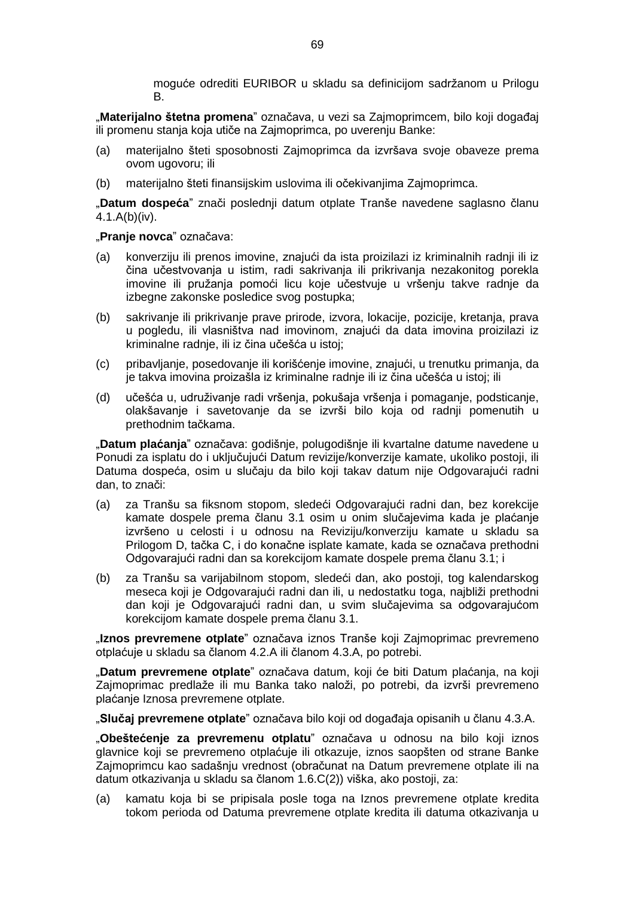moguće odrediti EURIBOR u skladu sa definicijom sadržanom u Prilogu B.

"**Materijalno štetna promena**" označava, u vezi sa Zajmoprimcem, bilo koji događaj ili promenu stanja koja utiče na Zajmoprimca, po uverenju Banke:

- (a) materijalno šteti sposobnosti Zajmoprimca da izvršava svoje obaveze prema ovom ugovoru; ili
- (b) materijalno šteti finansijskim uslovima ili očekivanjima Zajmoprimca.

"**Datum dospeća**" znači poslednji datum otplate Tranše navedene saglasno članu 4.1.A(b)(iv).

## "**Pranje novca**" označava:

- (a) konverziju ili prenos imovine, znajući da ista proizilazi iz kriminalnih radnji ili iz čina učestvovanja u istim, radi sakrivanja ili prikrivanja nezakonitog porekla imovine ili pružanja pomoći licu koje učestvuje u vršenju takve radnje da izbegne zakonske posledice svog postupka;
- (b) sakrivanje ili prikrivanje prave prirode, izvora, lokacije, pozicije, kretanja, prava u pogledu, ili vlasništva nad imovinom, znajući da data imovina proizilazi iz kriminalne radnje, ili iz čina učešća u istoj;
- (c) pribavljanje, posedovanje ili korišćenje imovine, znajući, u trenutku primanja, da je takva imovina proizašla iz kriminalne radnje ili iz čina učešća u istoj; ili
- (d) učešća u, udruživanje radi vršenja, pokušaja vršenja i pomaganje, podsticanje, olakšavanje i savetovanje da se izvrši bilo koja od radnji pomenutih u prethodnim tačkama.

"**Datum plaćanja**" označava: godišnje, polugodišnje ili kvartalne datume navedene u Ponudi za isplatu do i uključujući Datum revizije/konverzije kamate, ukoliko postoji, ili Datuma dospeća, osim u slučaju da bilo koji takav datum nije Odgovarajući radni dan, to znači:

- (a) za Tranšu sa fiksnom stopom, sledeći Odgovarajući radni dan, bez korekcije kamate dospele prema članu 3.1 osim u onim slučajevima kada je plaćanje izvršeno u celosti i u odnosu na Reviziju/konverziju kamate u skladu sa Prilogom D, tačka C, i do konačne isplate kamate, kada se označava prethodni Odgovarajući radni dan sa korekcijom kamate dospele prema članu 3.1; i
- (b) za Tranšu sa varijabilnom stopom, sledeći dan, ako postoji, tog kalendarskog meseca koji je Odgovarajući radni dan ili, u nedostatku toga, najbliži prethodni dan koji je Odgovarajući radni dan, u svim slučajevima sa odgovarajućom korekcijom kamate dospele prema članu 3.1.

"**Iznos prevremene otplate**" označava iznos Tranše koji Zajmoprimac prevremeno otplaćuje u skladu sa članom 4.2.A ili članom 4.3.A, po potrebi.

"**Datum prevremene otplate**" označava datum, koji će biti Datum plaćanja, na koji Zajmoprimac predlaže ili mu Banka tako naloži, po potrebi, da izvrši prevremeno plaćanje Iznosa prevremene otplate.

"**Slučaj prevremene otplate**" označava bilo koji od događaja opisanih u članu 4.3.A.

"**Obeštećenje za prevremenu otplatu**" označava u odnosu na bilo koji iznos glavnice koji se prevremeno otplaćuje ili otkazuje, iznos saopšten od strane Banke Zajmoprimcu kao sadašnju vrednost (obračunat na Datum prevremene otplate ili na datum otkazivanja u skladu sa članom 1.6.C(2)) viška, ako postoji, za:

(a) kamatu koja bi se pripisala posle toga na Iznos prevremene otplate kredita tokom perioda od Datuma prevremene otplate kredita ili datuma otkazivanja u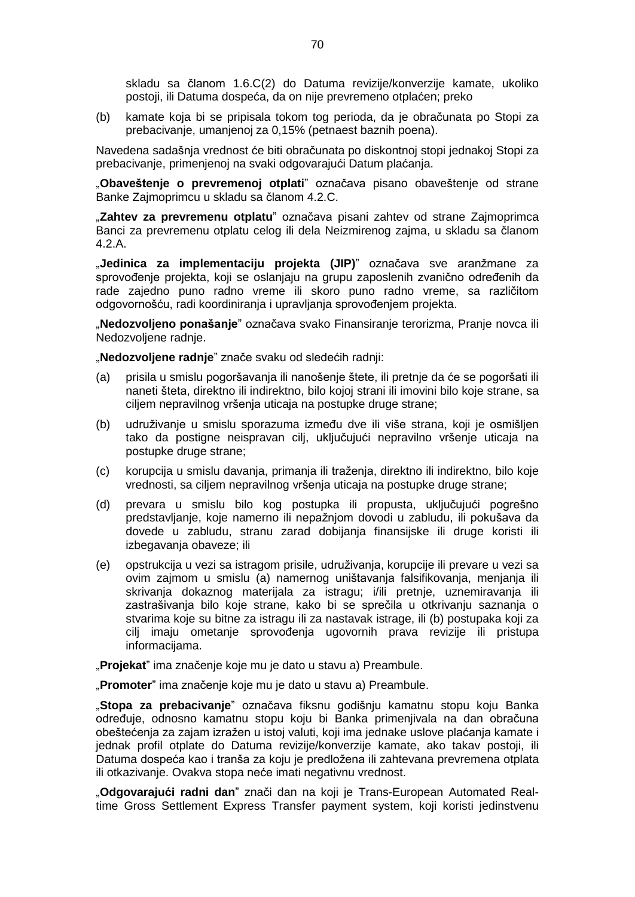skladu sa članom 1.6.C(2) do Datuma revizije/konverzije kamate, ukoliko postoji, ili Datuma dospeća, da on nije prevremeno otplaćen; preko

(b) kamate koja bi se pripisala tokom tog perioda, da je obračunata po Stopi za prebacivanje, umanjenoj za 0,15% (petnaest baznih poena).

Navedena sadašnja vrednost će biti obračunata po diskontnoj stopi jednakoj Stopi za prebacivanje, primenjenoj na svaki odgovarajući Datum plaćanja.

"**Obaveštenje o prevremenoj otplati**" označava pisano obaveštenje od strane Banke Zajmoprimcu u skladu sa članom 4.2.C.

"**Zahtev za prevremenu otplatu**" označava pisani zahtev od strane Zajmoprimca Banci za prevremenu otplatu celog ili dela Neizmirenog zajma, u skladu sa članom 4.2.A.

"**Jedinica za implementaciju projekta (JIP)**" označava sve aranžmane za sprovođenje projekta, koji se oslanjaju na grupu zaposlenih zvanično određenih da rade zajedno puno radno vreme ili skoro puno radno vreme, sa različitom odgovornošću, radi koordiniranja i upravljanja sprovođenjem projekta.

"**Nedozvoljeno ponašanje**" označava svako Finansiranje terorizma, Pranje novca ili Nedozvoljene radnje.

"**Nedozvoljene radnje**" znače svaku od sledećih radnji:

- (a) prisila u smislu pogoršavanja ili nanošenje štete, ili pretnje da će se pogoršati ili naneti šteta, direktno ili indirektno, bilo kojoj strani ili imovini bilo koje strane, sa ciljem nepravilnog vršenja uticaja na postupke druge strane;
- (b) udruživanje u smislu sporazuma između dve ili više strana, koji je osmišljen tako da postigne neispravan cilj, uključujući nepravilno vršenje uticaja na postupke druge strane;
- (c) korupcija u smislu davanja, primanja ili traženja, direktno ili indirektno, bilo koje vrednosti, sa ciljem nepravilnog vršenja uticaja na postupke druge strane;
- (d) prevara u smislu bilo kog postupka ili propusta, uključujući pogrešno predstavljanje, koje namerno ili nepažnjom dovodi u zabludu, ili pokušava da dovede u zabludu, stranu zarad dobijanja finansijske ili druge koristi ili izbegavanja obaveze; ili
- (e) opstrukcija u vezi sa istragom prisile, udruživanja, korupcije ili prevare u vezi sa ovim zajmom u smislu (a) namernog uništavanja falsifikovanja, menjanja ili skrivanja dokaznog materijala za istragu; i/ili pretnje, uznemiravanja ili zastrašivanja bilo koje strane, kako bi se sprečila u otkrivanju saznanja o stvarima koje su bitne za istragu ili za nastavak istrage, ili (b) postupaka koji za cilj imaju ometanje sprovođenja ugovornih prava revizije ili pristupa informacijama.

"**Projekat**" ima značenje koje mu je dato u stavu a) Preambule.

"**Promoter**" ima značenje koje mu je dato u stavu a) Preambule.

"**Stopa za prebacivanje**" označava fiksnu godišnju kamatnu stopu koju Banka određuje, odnosno kamatnu stopu koju bi Banka primenjivala na dan obračuna obeštećenja za zajam izražen u istoj valuti, koji ima jednake uslove plaćanja kamate i jednak profil otplate do Datuma revizije/konverzije kamate, ako takav postoji, ili Datuma dospeća kao i tranša za koju je predložena ili zahtevana prevremena otplata ili otkazivanje. Ovakva stopa neće imati negativnu vrednost.

"**Odgovarajući radni dan**" znači dan na koji je Trans-European Automated Realtime Gross Settlement Express Transfer payment system, koji koristi jedinstvenu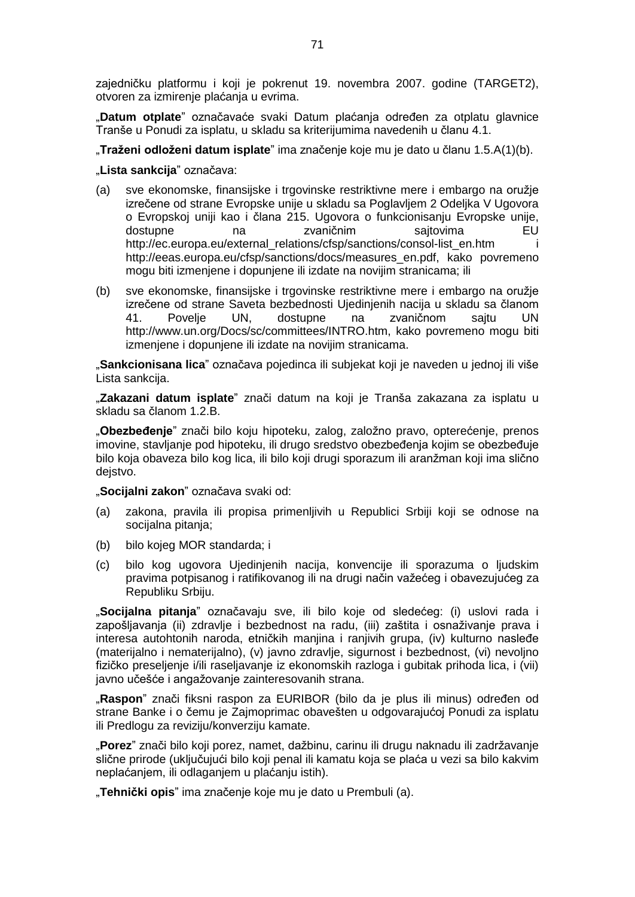zajedničku platformu i koji je pokrenut 19. novembra 2007. godine (TARGET2), otvoren za izmirenje plaćanja u evrima.

"**Datum otplate**" označavaće svaki Datum plaćanja određen za otplatu glavnice Tranše u Ponudi za isplatu, u skladu sa kriterijumima navedenih u članu 4.1.

"**Traženi odloženi datum isplate**" ima značenje koje mu je dato u članu 1.5.A(1)(b).

"**Lista sankcija**" označava:

- (a) sve ekonomske, finansijske i trgovinske restriktivne mere i embargo na oružje izrečene od strane Evropske unije u skladu sa Poglavljem 2 Odeljka V Ugovora o Evropskoj uniji kao i člana 215. Ugovora o funkcionisanju Evropske unije, dostupne na zvaničnim sajtovima EU http://ec.europa.eu/external\_relations/cfsp/sanctions/consol-list\_en.htm i http://eeas.europa.eu/cfsp/sanctions/docs/measures\_en.pdf, kako povremeno mogu biti izmenjene i dopunjene ili izdate na novijim stranicama; ili
- (b) sve ekonomske, finansijske i trgovinske restriktivne mere i embargo na oružje izrečene od strane Saveta bezbednosti Ujedinjenih nacija u skladu sa članom<br>41. Povelie UN. dostupne na zvaničnom saitu UN 41. Povelje UN, dostupne na zvaničnom sajtu UN http://www.un.org/Docs/sc/committees/INTRO.htm, kako povremeno mogu biti izmenjene i dopunjene ili izdate na novijim stranicama.

"**Sankcionisana lica**" označava pojedinca ili subjekat koji je naveden u jednoj ili više Lista sankcija.

"**Zakazani datum isplate**" znači datum na koji je Tranša zakazana za isplatu u skladu sa članom 1.2.B.

"**Obezbeđenje**" znači bilo koju hipoteku, zalog, založno pravo, opterećenje, prenos imovine, stavljanje pod hipoteku, ili drugo sredstvo obezbeđenja kojim se obezbeđuje bilo koja obaveza bilo kog lica, ili bilo koji drugi sporazum ili aranžman koji ima slično dejstvo.

"**Socijalni zakon**" označava svaki od:

- (a) zakona, pravila ili propisa primenljivih u Republici Srbiji koji se odnose na socijalna pitanja;
- (b) bilo kojeg MOR standarda; i
- (c) bilo kog ugovora Ujedinjenih nacija, konvencije ili sporazuma o ljudskim pravima potpisanog i ratifikovanog ili na drugi način važećeg i obavezujućeg za Republiku Srbiju.

"**Socijalna pitanja**" označavaju sve, ili bilo koje od sledećeg: (i) uslovi rada i zapošljavanja (ii) zdravlje i bezbednost na radu, (iii) zaštita i osnaživanje prava i interesa autohtonih naroda, etničkih manjina i ranjivih grupa, (iv) kulturno nasleđe (materijalno i nematerijalno), (v) javno zdravlje, sigurnost i bezbednost, (vi) nevoljno fizičko preseljenje i/ili raseljavanje iz ekonomskih razloga i gubitak prihoda lica, i (vii) javno učešće i angažovanje zainteresovanih strana.

"Raspon" znači fiksni raspon za EURIBOR (bilo da je plus ili minus) određen od strane Banke i o čemu je Zajmoprimac obavešten u odgovarajućoj Ponudi za isplatu ili Predlogu za reviziju/konverziju kamate.

"**Porez**" znači bilo koji porez, namet, dažbinu, carinu ili drugu naknadu ili zadržavanje slične prirode (uključujući bilo koji penal ili kamatu koja se plaća u vezi sa bilo kakvim neplaćanjem, ili odlaganjem u plaćanju istih).

"**Tehnički opis**" ima značenje koje mu je dato u Prembuli (a).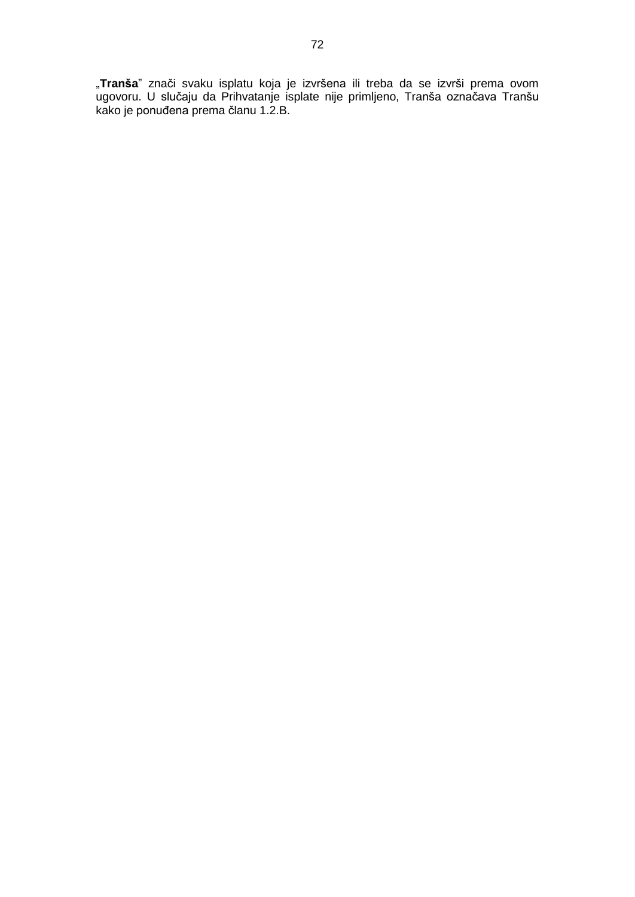"**Tranša**" znači svaku isplatu koja je izvršena ili treba da se izvrši prema ovom ugovoru. U slučaju da Prihvatanje isplate nije primljeno, Tranša označava Tranšu kako je ponuđena prema članu 1.2.B.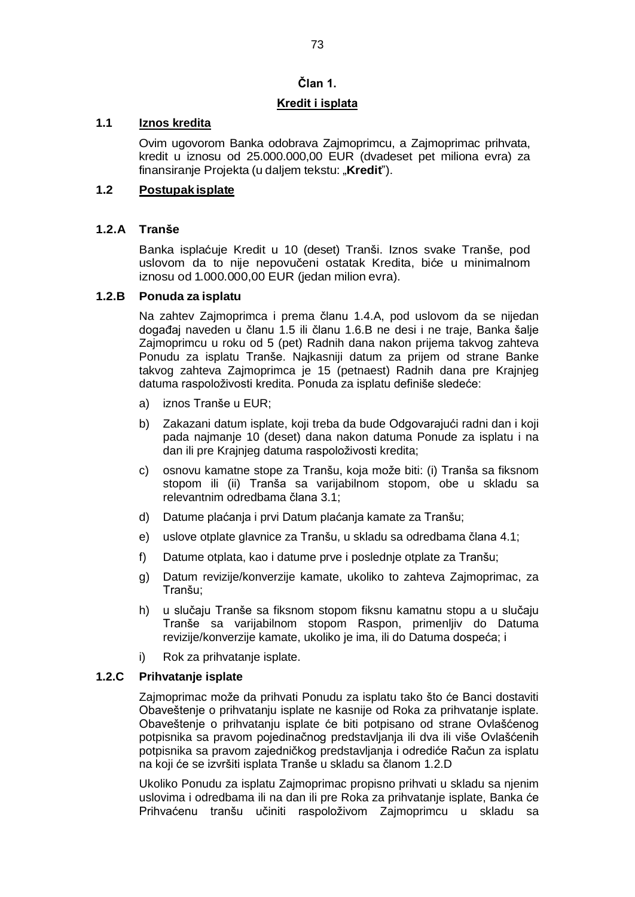# **Član 1.**

## **Kredit i isplata**

## **1.1 Iznos kredita**

Ovim ugovorom Banka odobrava Zajmoprimcu, a Zajmoprimac prihvata, kredit u iznosu od 25.000.000,00 EUR (dvadeset pet miliona evra) za finansiranje Projekta (u daljem tekstu: "**Kredit**").

# **1.2 Postupak isplate**

## **1.2.A Tranše**

Banka isplaćuje Kredit u 10 (deset) Tranši. Iznos svake Tranše, pod uslovom da to nije nepovučeni ostatak Kredita, biće u minimalnom iznosu od 1.000.000,00 EUR (jedan milion evra).

## **1.2.B Ponuda za isplatu**

Na zahtev Zajmoprimca i prema članu 1.4.A, pod uslovom da se nijedan događaj naveden u članu 1.5 ili članu 1.6.B ne desi i ne traje, Banka šalje Zajmoprimcu u roku od 5 (pet) Radnih dana nakon prijema takvog zahteva Ponudu za isplatu Tranše. Najkasniji datum za prijem od strane Banke takvog zahteva Zajmoprimca je 15 (petnaest) Radnih dana pre Krajnjeg datuma raspoloživosti kredita. Ponuda za isplatu definiše sledeće:

- a) iznos Tranše u EUR;
- b) Zakazani datum isplate, koji treba da bude Odgovarajući radni dan i koji pada najmanje 10 (deset) dana nakon datuma Ponude za isplatu i na dan ili pre Krajnjeg datuma raspoloživosti kredita;
- c) osnovu kamatne stope za Tranšu, koja može biti: (i) Tranša sa fiksnom stopom ili (ii) Tranša sa varijabilnom stopom, obe u skladu sa relevantnim odredbama člana 3.1;
- d) Datume plaćanja i prvi Datum plaćanja kamate za Tranšu;
- e) uslove otplate glavnice za Tranšu, u skladu sa odredbama člana 4.1;
- f) Datume otplata, kao i datume prve i poslednje otplate za Tranšu;
- g) Datum revizije/konverzije kamate, ukoliko to zahteva Zajmoprimac, za Tranšu;
- h) u slučaju Tranše sa fiksnom stopom fiksnu kamatnu stopu a u slučaju Tranše sa varijabilnom stopom Raspon, primenljiv do Datuma revizije/konverzije kamate, ukoliko je ima, ili do Datuma dospeća; i
- i) Rok za prihvatanje isplate.

# **1.2.C Prihvatanje isplate**

Zajmoprimac može da prihvati Ponudu za isplatu tako što će Banci dostaviti Obaveštenje o prihvatanju isplate ne kasnije od Roka za prihvatanje isplate. Obaveštenje o prihvatanju isplate će biti potpisano od strane Ovlašćenog potpisnika sa pravom pojedinačnog predstavljanja ili dva ili više Ovlašćenih potpisnika sa pravom zajedničkog predstavljanja i odrediće Račun za isplatu na koji će se izvršiti isplata Tranše u skladu sa članom 1.2.D

Ukoliko Ponudu za isplatu Zajmoprimac propisno prihvati u skladu sa njenim uslovima i odredbama ili na dan ili pre Roka za prihvatanje isplate, Banka će Prihvaćenu tranšu učiniti raspoloživom Zajmoprimcu u skladu sa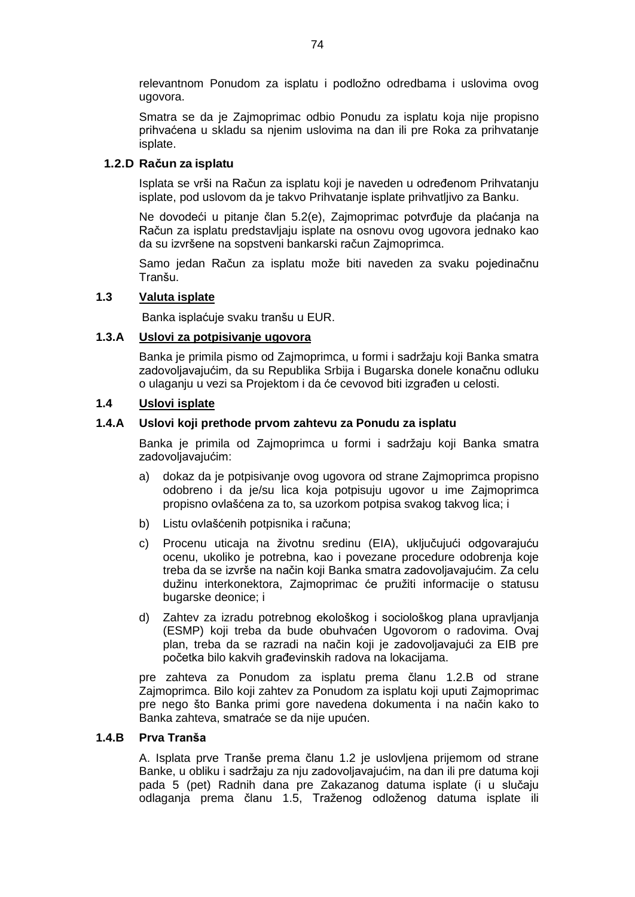relevantnom Ponudom za isplatu i podložno odredbama i uslovima ovog ugovora.

Smatra se da je Zajmoprimac odbio Ponudu za isplatu koja nije propisno prihvaćena u skladu sa njenim uslovima na dan ili pre Roka za prihvatanje isplate.

## **1.2.D Račun za isplatu**

Isplata se vrši na Račun za isplatu koji je naveden u određenom Prihvatanju isplate, pod uslovom da je takvo Prihvatanje isplate prihvatljivo za Banku.

Ne dovodeći u pitanje član 5.2(e), Zajmoprimac potvrđuje da plaćanja na Račun za isplatu predstavljaju isplate na osnovu ovog ugovora jednako kao da su izvršene na sopstveni bankarski račun Zajmoprimca.

Samo jedan Račun za isplatu može biti naveden za svaku pojedinačnu Tranšu.

## **1.3 Valuta isplate**

Banka isplaćuje svaku tranšu u EUR.

#### **1.3.A Uslovi za potpisivanje ugovora**

Banka je primila pismo od Zajmoprimca, u formi i sadržaju koji Banka smatra zadovoljavajućim, da su Republika Srbija i Bugarska donele konačnu odluku o ulaganju u vezi sa Projektom i da će cevovod biti izgrađen u celosti.

## **1.4 Uslovi isplate**

#### **1.4.A Uslovi koji prethode prvom zahtevu za Ponudu za isplatu**

Banka je primila od Zajmoprimca u formi i sadržaju koji Banka smatra zadovoljavajućim:

- a) dokaz da je potpisivanje ovog ugovora od strane Zajmoprimca propisno odobreno i da je/su lica koja potpisuju ugovor u ime Zajmoprimca propisno ovlašćena za to, sa uzorkom potpisa svakog takvog lica; i
- b) Listu ovlašćenih potpisnika i računa;
- c) Procenu uticaja na životnu sredinu (EIA), uključujući odgovarajuću ocenu, ukoliko je potrebna, kao i povezane procedure odobrenja koje treba da se izvrše na način koji Banka smatra zadovoljavajućim. Za celu dužinu interkonektora, Zajmoprimac će pružiti informacije o statusu bugarske deonice; i
- d) Zahtev za izradu potrebnog ekološkog i sociološkog plana upravljanja (ESMP) koji treba da bude obuhvaćen Ugovorom o radovima. Ovaj plan, treba da se razradi na način koji je zadovoljavajući za EIB pre početka bilo kakvih građevinskih radova na lokacijama.

pre zahteva za Ponudom za isplatu prema članu 1.2.B od strane Zajmoprimca. Bilo koji zahtev za Ponudom za isplatu koji uputi Zajmoprimac pre nego što Banka primi gore navedena dokumenta i na način kako to Banka zahteva, smatraće se da nije upućen.

#### **1.4.B Prva Tranša**

A. Isplata prve Tranše prema članu 1.2 je uslovljena prijemom od strane Banke, u obliku i sadržaju za nju zadovoljavajućim, na dan ili pre datuma koji pada 5 (pet) Radnih dana pre Zakazanog datuma isplate (i u slučaju odlaganja prema članu 1.5, Traženog odloženog datuma isplate ili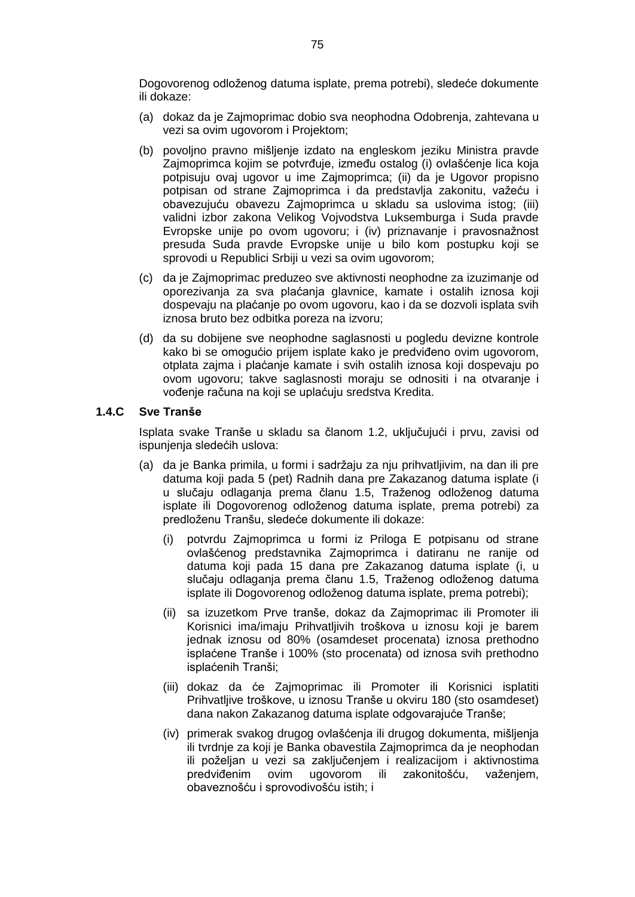Dogovorenog odloženog datuma isplate, prema potrebi), sledeće dokumente ili dokaze:

- (a) dokaz da je Zajmoprimac dobio sva neophodna Odobrenja, zahtevana u vezi sa ovim ugovorom i Projektom;
- (b) povoljno pravno mišljenje izdato na engleskom jeziku Ministra pravde Zajmoprimca kojim se potvrđuje, između ostalog (i) ovlašćenje lica koja potpisuju ovaj ugovor u ime Zajmoprimca; (ii) da je Ugovor propisno potpisan od strane Zajmoprimca i da predstavlja zakonitu, važeću i obavezujuću obavezu Zajmoprimca u skladu sa uslovima istog; (iii) validni izbor zakona Velikog Vojvodstva Luksemburga i Suda pravde Evropske unije po ovom ugovoru; i (iv) priznavanje i pravosnažnost presuda Suda pravde Evropske unije u bilo kom postupku koji se sprovodi u Republici Srbiji u vezi sa ovim ugovorom;
- (c) da je Zajmoprimac preduzeo sve aktivnosti neophodne za izuzimanje od oporezivanja za sva plaćanja glavnice, kamate i ostalih iznosa koji dospevaju na plaćanje po ovom ugovoru, kao i da se dozvoli isplata svih iznosa bruto bez odbitka poreza na izvoru;
- (d) da su dobijene sve neophodne saglasnosti u pogledu devizne kontrole kako bi se omogućio prijem isplate kako je predviđeno ovim ugovorom, otplata zajma i plaćanje kamate i svih ostalih iznosa koji dospevaju po ovom ugovoru; takve saglasnosti moraju se odnositi i na otvaranje i vođenje računa na koji se uplaćuju sredstva Kredita.

#### **1.4.C Sve Tranše**

Isplata svake Tranše u skladu sa članom 1.2, uključujući i prvu, zavisi od ispunjenja sledećih uslova:

- (a) da je Banka primila, u formi i sadržaju za nju prihvatljivim, na dan ili pre datuma koji pada 5 (pet) Radnih dana pre Zakazanog datuma isplate (i u slučaju odlaganja prema članu 1.5, Traženog odloženog datuma isplate ili Dogovorenog odloženog datuma isplate, prema potrebi) za predloženu Tranšu, sledeće dokumente ili dokaze:
	- (i) potvrdu Zajmoprimca u formi iz Priloga E potpisanu od strane ovlašćenog predstavnika Zajmoprimca i datiranu ne ranije od datuma koji pada 15 dana pre Zakazanog datuma isplate (i, u slučaju odlaganja prema članu 1.5, Traženog odloženog datuma isplate ili Dogovorenog odloženog datuma isplate, prema potrebi);
	- (ii) sa izuzetkom Prve tranše, dokaz da Zajmoprimac ili Promoter ili Korisnici ima/imaju Prihvatljivih troškova u iznosu koji je barem jednak iznosu od 80% (osamdeset procenata) iznosa prethodno isplaćene Tranše i 100% (sto procenata) od iznosa svih prethodno isplaćenih Tranši;
	- (iii) dokaz da će Zajmoprimac ili Promoter ili Korisnici isplatiti Prihvatljive troškove, u iznosu Tranše u okviru 180 (sto osamdeset) dana nakon Zakazanog datuma isplate odgovarajuće Tranše;
	- (iv) primerak svakog drugog ovlašćenja ili drugog dokumenta, mišljenja ili tvrdnje za koji je Banka obavestila Zajmoprimca da je neophodan ili poželjan u vezi sa zaključenjem i realizacijom i aktivnostima predviđenim ovim ugovorom ili zakonitošću, važenjem, obaveznošću i sprovodivošću istih; i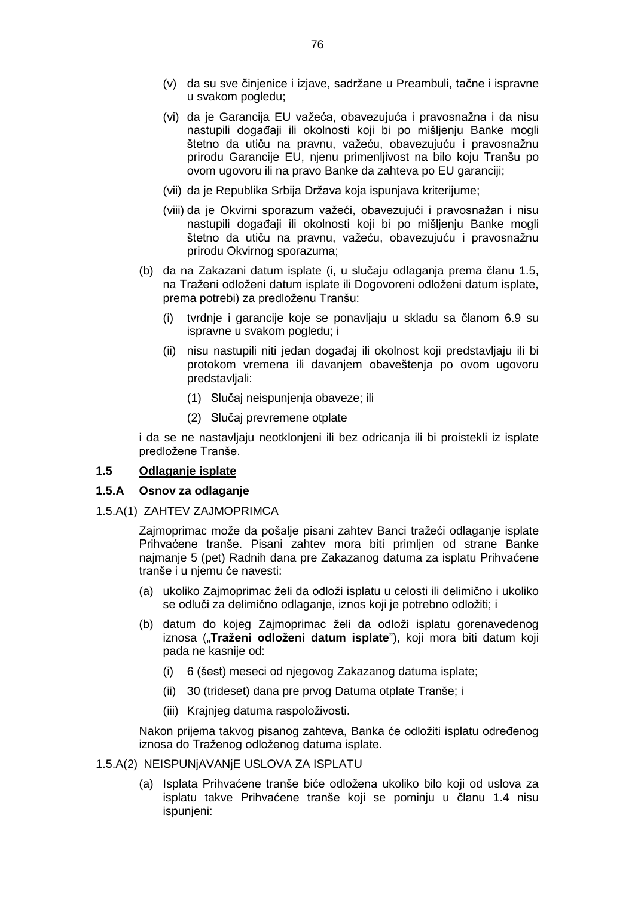- (v) da su sve činjenice i izjave, sadržane u Preambuli, tačne i ispravne u svakom pogledu;
- (vi) da je Garancija EU važeća, obavezujuća i pravosnažna i da nisu nastupili događaji ili okolnosti koji bi po mišljenju Banke mogli štetno da utiču na pravnu, važeću, obavezujuću i pravosnažnu prirodu Garancije EU, njenu primenljivost na bilo koju Tranšu po ovom ugovoru ili na pravo Banke da zahteva po EU garanciji;
- (vii) da je Republika Srbija Država koja ispunjava kriterijume;
- (viii) da je Okvirni sporazum važeći, obavezujući i pravosnažan i nisu nastupili događaji ili okolnosti koji bi po mišljenju Banke mogli štetno da utiču na pravnu, važeću, obavezujuću i pravosnažnu prirodu Okvirnog sporazuma;
- (b) da na Zakazani datum isplate (i, u slučaju odlaganja prema članu 1.5, na Traženi odloženi datum isplate ili Dogovoreni odloženi datum isplate, prema potrebi) za predloženu Tranšu:
	- (i) tvrdnje i garancije koje se ponavljaju u skladu sa članom 6.9 su ispravne u svakom pogledu; i
	- (ii) nisu nastupili niti jedan događaj ili okolnost koji predstavljaju ili bi protokom vremena ili davanjem obaveštenja po ovom ugovoru predstavljali:
		- (1) Slučaj neispunjenja obaveze; ili
		- (2) Slučaj prevremene otplate

i da se ne nastavljaju neotklonjeni ili bez odricanja ili bi proistekli iz isplate predložene Tranše.

## **1.5 Odlaganje isplate**

#### **1.5.A Osnov za odlaganje**

1.5.A(1) ZAHTEV ZAJMOPRIMCA

Zajmoprimac može da pošalje pisani zahtev Banci tražeći odlaganje isplate Prihvaćene tranše. Pisani zahtev mora biti primljen od strane Banke najmanje 5 (pet) Radnih dana pre Zakazanog datuma za isplatu Prihvaćene tranše i u njemu će navesti:

- (a) ukoliko Zajmoprimac želi da odloži isplatu u celosti ili delimično i ukoliko se odluči za delimično odlaganje, iznos koji je potrebno odložiti; i
- (b) datum do kojeg Zajmoprimac želi da odloži isplatu gorenavedenog iznosa ("**Traženi odloženi datum isplate**ˮ), koji mora biti datum koji pada ne kasnije od:
	- (i) 6 (šest) meseci od njegovog Zakazanog datuma isplate;
	- (ii) 30 (trideset) dana pre prvog Datuma otplate Tranše; i
	- (iii) Krajnjeg datuma raspoloživosti.

Nakon prijema takvog pisanog zahteva, Banka će odložiti isplatu određenog iznosa do Traženog odloženog datuma isplate.

- 1.5.A(2) NEISPUNjAVANjE USLOVA ZA ISPLATU
	- (a) Isplata Prihvaćene tranše biće odložena ukoliko bilo koji od uslova za isplatu takve Prihvaćene tranše koji se pominju u članu 1.4 nisu ispunjeni: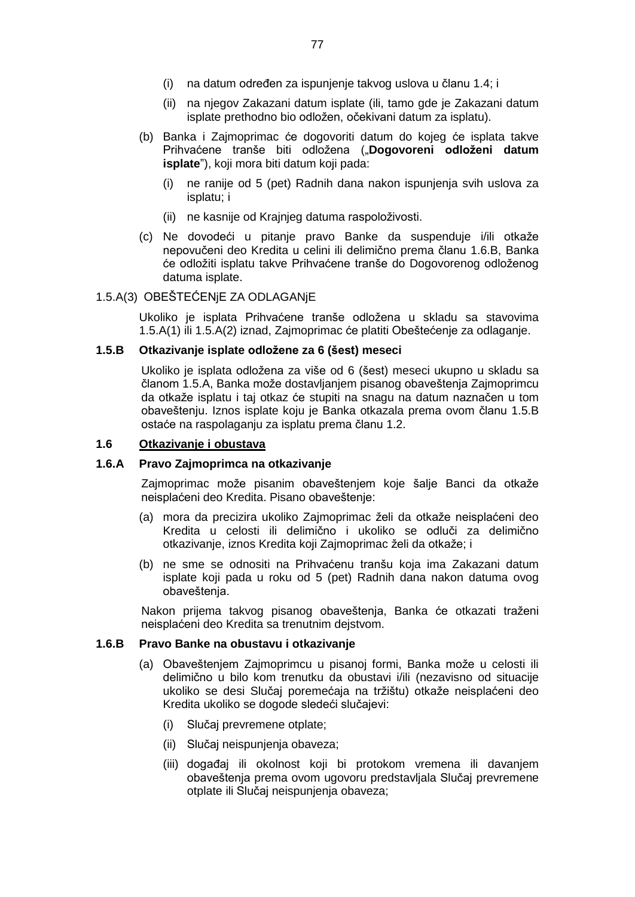- (i) na datum određen za ispunjenje takvog uslova u članu 1.4; i
- (ii) na njegov Zakazani datum isplate (ili, tamo gde je Zakazani datum isplate prethodno bio odložen, očekivani datum za isplatu).
- (b) Banka i Zajmoprimac će dogovoriti datum do kojeg će isplata takve Prihvaćene tranše biti odložena ("**Dogovoreni odloženi datum isplate**"), koji mora biti datum koji pada:
	- (i) ne ranije od 5 (pet) Radnih dana nakon ispunjenja svih uslova za isplatu; i
	- (ii) ne kasnije od Krajnjeg datuma raspoloživosti.
- (c) Ne dovodeći u pitanje pravo Banke da suspenduje i/ili otkaže nepovučeni deo Kredita u celini ili delimično prema članu 1.6.B, Banka će odložiti isplatu takve Prihvaćene tranše do Dogovorenog odloženog datuma isplate.

#### 1.5.A(3) OBEŠTEĆENjE ZA ODLAGANjE

Ukoliko je isplata Prihvaćene tranše odložena u skladu sa stavovima 1.5.A(1) ili 1.5.A(2) iznad, Zajmoprimac će platiti Obeštećenje za odlaganje.

#### **1.5.B Otkazivanje isplate odložene za 6 (šest) meseci**

Ukoliko je isplata odložena za više od 6 (šest) meseci ukupno u skladu sa članom 1.5.A, Banka može dostavljanjem pisanog obaveštenja Zajmoprimcu da otkaže isplatu i taj otkaz će stupiti na snagu na datum naznačen u tom obaveštenju. Iznos isplate koju je Banka otkazala prema ovom članu 1.5.B ostaće na raspolaganju za isplatu prema članu 1.2.

#### **1.6 Otkazivanje i obustava**

#### **1.6.A Pravo Zajmoprimca na otkazivanje**

Zajmoprimac može pisanim obaveštenjem koje šalje Banci da otkaže neisplaćeni deo Kredita. Pisano obaveštenje:

- (a) mora da precizira ukoliko Zajmoprimac želi da otkaže neisplaćeni deo Kredita u celosti ili delimično i ukoliko se odluči za delimično otkazivanje, iznos Kredita koji Zajmoprimac želi da otkaže; i
- (b) ne sme se odnositi na Prihvaćenu tranšu koja ima Zakazani datum isplate koji pada u roku od 5 (pet) Radnih dana nakon datuma ovog obaveštenja.

Nakon prijema takvog pisanog obaveštenja, Banka će otkazati traženi neisplaćeni deo Kredita sa trenutnim dejstvom.

#### **1.6.B Pravo Banke na obustavu i otkazivanje**

- (a) Obaveštenjem Zajmoprimcu u pisanoj formi, Banka može u celosti ili delimično u bilo kom trenutku da obustavi i/ili (nezavisno od situacije ukoliko se desi Slučaj poremećaja na tržištu) otkaže neisplaćeni deo Kredita ukoliko se dogode sledeći slučajevi:
	- (i) Slučaj prevremene otplate;
	- (ii) Slučaj neispunjenja obaveza;
	- (iii) događaj ili okolnost koji bi protokom vremena ili davanjem obaveštenja prema ovom ugovoru predstavljala Slučaj prevremene otplate ili Slučaj neispunjenja obaveza;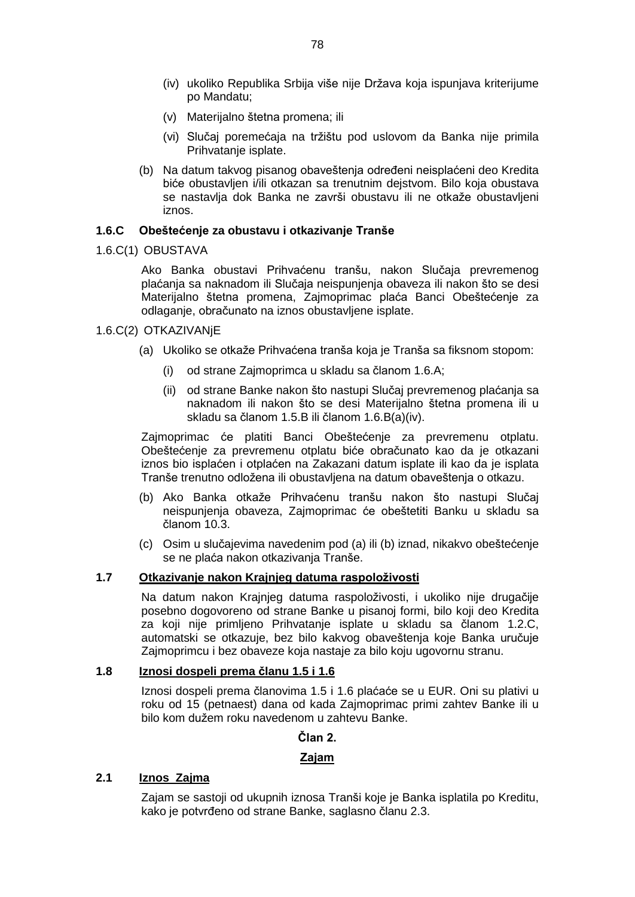- (iv) ukoliko Republika Srbija više nije Država koja ispunjava kriterijume po Mandatu;
- (v) Materijalno štetna promena; ili
- (vi) Slučaj poremećaja na tržištu pod uslovom da Banka nije primila Prihvatanje isplate.
- (b) Na datum takvog pisanog obaveštenja određeni neisplaćeni deo Kredita biće obustavljen i/ili otkazan sa trenutnim dejstvom. Bilo koja obustava se nastavlja dok Banka ne završi obustavu ili ne otkaže obustavljeni iznos.

#### **1.6.C Obeštećenje za obustavu i otkazivanje Tranše**

1.6.C(1) OBUSTAVA

Ako Banka obustavi Prihvaćenu tranšu, nakon Slučaja prevremenog plaćanja sa naknadom ili Slučaja neispunjenja obaveza ili nakon što se desi Materijalno štetna promena, Zajmoprimac plaća Banci Obeštećenje za odlaganje, obračunato na iznos obustavljene isplate.

- 1.6.C(2) OTKAZIVANjE
	- (a) Ukoliko se otkaže Prihvaćena tranša koja je Tranša sa fiksnom stopom:
		- (i) od strane Zajmoprimca u skladu sa članom 1.6.A;
		- (ii) od strane Banke nakon što nastupi Slučaj prevremenog plaćanja sa naknadom ili nakon što se desi Materijalno štetna promena ili u skladu sa članom 1.5.B ili članom 1.6.B(a)(iv).

Zajmoprimac će platiti Banci Obeštećenje za prevremenu otplatu. Obeštećenje za prevremenu otplatu biće obračunato kao da je otkazani iznos bio isplaćen i otplaćen na Zakazani datum isplate ili kao da je isplata Tranše trenutno odložena ili obustavljena na datum obaveštenja o otkazu.

- (b) Ako Banka otkaže Prihvaćenu tranšu nakon što nastupi Slučaj neispunjenja obaveza, Zajmoprimac će obeštetiti Banku u skladu sa članom 10.3.
- (c) Osim u slučajevima navedenim pod (a) ili (b) iznad, nikakvo obeštećenje se ne plaća nakon otkazivanja Tranše.

#### **1.7 Otkazivanje nakon Krajnjeg datuma raspoloživosti**

Na datum nakon Krajnjeg datuma raspoloživosti, i ukoliko nije drugačije posebno dogovoreno od strane Banke u pisanoj formi, bilo koji deo Kredita za koji nije primljeno Prihvatanje isplate u skladu sa članom 1.2.C, automatski se otkazuje, bez bilo kakvog obaveštenja koje Banka uručuje Zajmoprimcu i bez obaveze koja nastaje za bilo koju ugovornu stranu.

## **1.8 Iznosi dospeli prema članu 1.5 i 1.6**

Iznosi dospeli prema članovima 1.5 i 1.6 plaćaće se u EUR. Oni su plativi u roku od 15 (petnaest) dana od kada Zajmoprimac primi zahtev Banke ili u bilo kom dužem roku navedenom u zahtevu Banke.

#### **Član 2.**

#### **Zajam**

#### **2.1 Iznos Zajma**

Zajam se sastoji od ukupnih iznosa Tranši koje je Banka isplatila po Kreditu, kako je potvrđeno od strane Banke, saglasno članu 2.3.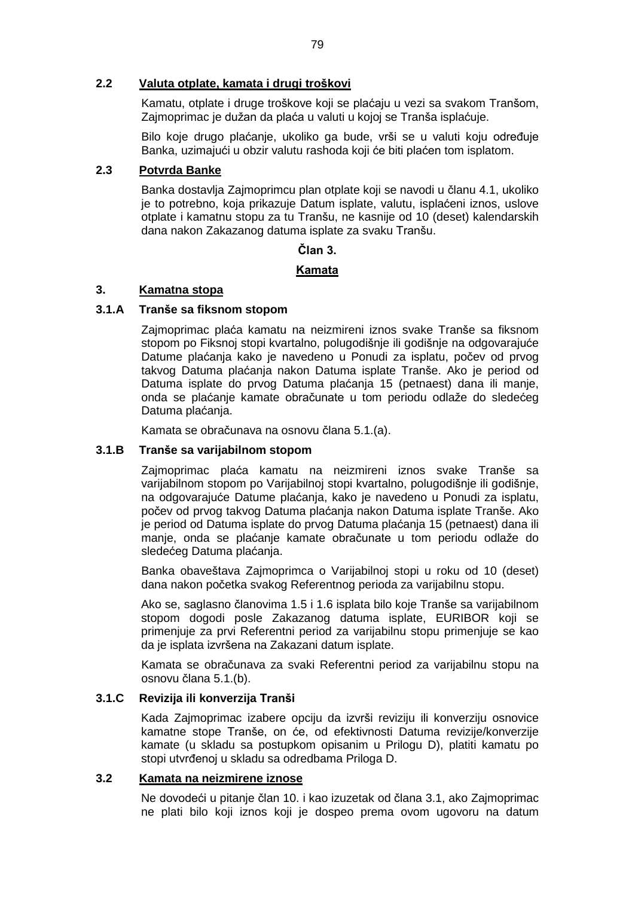#### **2.2 Valuta otplate, kamata i drugi troškovi**

Kamatu, otplate i druge troškove koji se plaćaju u vezi sa svakom Tranšom, Zajmoprimac je dužan da plaća u valuti u kojoj se Tranša isplaćuje.

Bilo koje drugo plaćanje, ukoliko ga bude, vrši se u valuti koju određuje Banka, uzimajući u obzir valutu rashoda koji će biti plaćen tom isplatom.

## **2.3 Potvrda Banke**

Banka dostavlja Zajmoprimcu plan otplate koji se navodi u članu 4.1, ukoliko je to potrebno, koja prikazuje Datum isplate, valutu, isplaćeni iznos, uslove otplate i kamatnu stopu za tu Tranšu, ne kasnije od 10 (deset) kalendarskih dana nakon Zakazanog datuma isplate za svaku Tranšu.

#### **Član 3.**

## **Kamata**

### **3. Kamatna stopa**

### **3.1.A Tranše sa fiksnom stopom**

Zajmoprimac plaća kamatu na neizmireni iznos svake Tranše sa fiksnom stopom po Fiksnoj stopi kvartalno, polugodišnje ili godišnje na odgovarajuće Datume plaćanja kako je navedeno u Ponudi za isplatu, počev od prvog takvog Datuma plaćanja nakon Datuma isplate Tranše. Ako je period od Datuma isplate do prvog Datuma plaćanja 15 (petnaest) dana ili manje, onda se plaćanje kamate obračunate u tom periodu odlaže do sledećeg Datuma plaćanja.

Kamata se obračunava na osnovu člana 5.1.(a).

#### **3.1.B Tranše sa varijabilnom stopom**

Zajmoprimac plaća kamatu na neizmireni iznos svake Tranše sa varijabilnom stopom po Varijabilnoj stopi kvartalno, polugodišnje ili godišnje, na odgovarajuće Datume plaćanja, kako je navedeno u Ponudi za isplatu, počev od prvog takvog Datuma plaćanja nakon Datuma isplate Tranše. Ako je period od Datuma isplate do prvog Datuma plaćanja 15 (petnaest) dana ili manje, onda se plaćanje kamate obračunate u tom periodu odlaže do sledećeg Datuma plaćanja.

Banka obaveštava Zajmoprimca o Varijabilnoj stopi u roku od 10 (deset) dana nakon početka svakog Referentnog perioda za varijabilnu stopu.

Ako se, saglasno članovima 1.5 i 1.6 isplata bilo koje Tranše sa varijabilnom stopom dogodi posle Zakazanog datuma isplate, EURIBOR koji se primenjuje za prvi Referentni period za varijabilnu stopu primenjuje se kao da je isplata izvršena na Zakazani datum isplate.

Kamata se obračunava za svaki Referentni period za varijabilnu stopu na osnovu člana 5.1.(b).

## **3.1.C Revizija ili konverzija Tranši**

Kada Zajmoprimac izabere opciju da izvrši reviziju ili konverziju osnovice kamatne stope Tranše, on će, od efektivnosti Datuma revizije/konverzije kamate (u skladu sa postupkom opisanim u Prilogu D), platiti kamatu po stopi utvrđenoj u skladu sa odredbama Priloga D.

#### **3.2 Kamata na neizmirene iznose**

Ne dovodeći u pitanje član 10. i kao izuzetak od člana 3.1, ako Zajmoprimac ne plati bilo koji iznos koji je dospeo prema ovom ugovoru na datum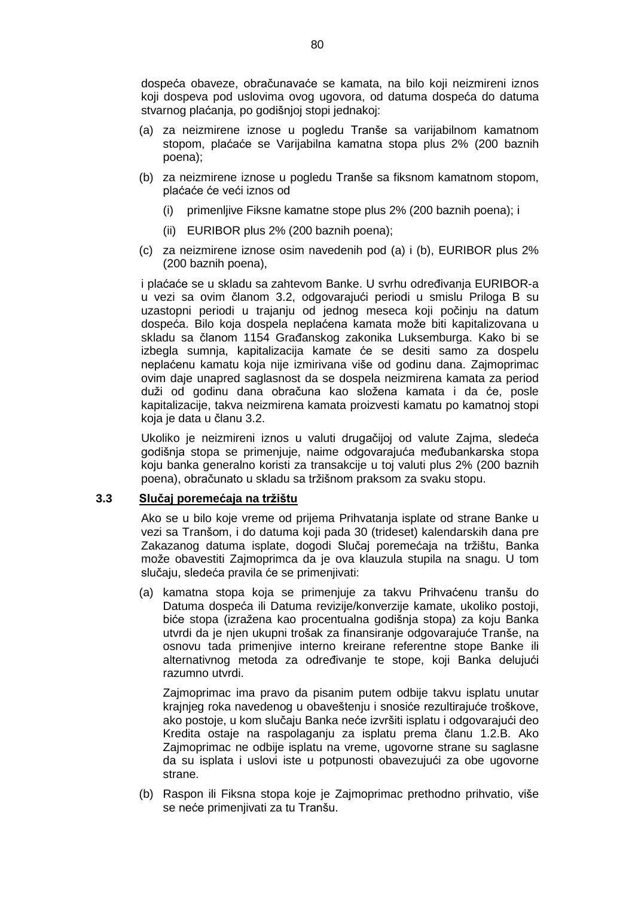dospeća obaveze, obračunavaće se kamata, na bilo koji neizmireni iznos koji dospeva pod uslovima ovog ugovora, od datuma dospeća do datuma stvarnog plaćanja, po godišnjoj stopi jednakoj:

- (a) za neizmirene iznose u pogledu Tranše sa varijabilnom kamatnom stopom, plaćaće se Varijabilna kamatna stopa plus 2% (200 baznih poena);
- (b) za neizmirene iznose u pogledu Tranše sa fiksnom kamatnom stopom, plaćaće će veći iznos od
	- (i) primenljive Fiksne kamatne stope plus 2% (200 baznih poena); i
	- (ii) EURIBOR plus 2% (200 baznih poena);
- (c) za neizmirene iznose osim navedenih pod (a) i (b), EURIBOR plus 2% (200 baznih poena),

i plaćaće se u skladu sa zahtevom Banke. U svrhu određivanja EURIBOR-a u vezi sa ovim članom 3.2, odgovarajući periodi u smislu Priloga B su uzastopni periodi u trajanju od jednog meseca koji počinju na datum dospeća. Bilo koja dospela neplaćena kamata može biti kapitalizovana u skladu sa članom 1154 Građanskog zakonika Luksemburga. Kako bi se izbegla sumnja, kapitalizacija kamate će se desiti samo za dospelu neplaćenu kamatu koja nije izmirivana više od godinu dana. Zajmoprimac ovim daje unapred saglasnost da se dospela neizmirena kamata za period duži od godinu dana obračuna kao složena kamata i da će, posle kapitalizacije, takva neizmirena kamata proizvesti kamatu po kamatnoj stopi koja je data u članu 3.2.

Ukoliko je neizmireni iznos u valuti drugačijoj od valute Zajma, sledeća godišnja stopa se primenjuje, naime odgovarajuća međubankarska stopa koju banka generalno koristi za transakcije u toj valuti plus 2% (200 baznih poena), obračunato u skladu sa tržišnom praksom za svaku stopu.

## **3.3 Slučaj poremećaja na tržištu**

Ako se u bilo koje vreme od prijema Prihvatanja isplate od strane Banke u vezi sa Tranšom, i do datuma koji pada 30 (trideset) kalendarskih dana pre Zakazanog datuma isplate, dogodi Slučaj poremećaja na tržištu, Banka može obavestiti Zajmoprimca da je ova klauzula stupila na snagu. U tom slučaju, sledeća pravila će se primenjivati:

(a) kamatna stopa koja se primenjuje za takvu Prihvaćenu tranšu do Datuma dospeća ili Datuma revizije/konverzije kamate, ukoliko postoji, biće stopa (izražena kao procentualna godišnja stopa) za koju Banka utvrdi da je njen ukupni trošak za finansiranje odgovarajuće Tranše, na osnovu tada primenjive interno kreirane referentne stope Banke ili alternativnog metoda za određivanje te stope, koji Banka delujući razumno utvrdi.

Zajmoprimac ima pravo da pisanim putem odbije takvu isplatu unutar krajnjeg roka navedenog u obaveštenju i snosiće rezultirajuće troškove, ako postoje, u kom slučaju Banka neće izvršiti isplatu i odgovarajući deo Kredita ostaje na raspolaganju za isplatu prema članu 1.2.B. Ako Zajmoprimac ne odbije isplatu na vreme, ugovorne strane su saglasne da su isplata i uslovi iste u potpunosti obavezujući za obe ugovorne strane.

(b) Raspon ili Fiksna stopa koje je Zajmoprimac prethodno prihvatio, više se neće primenjivati za tu Tranšu.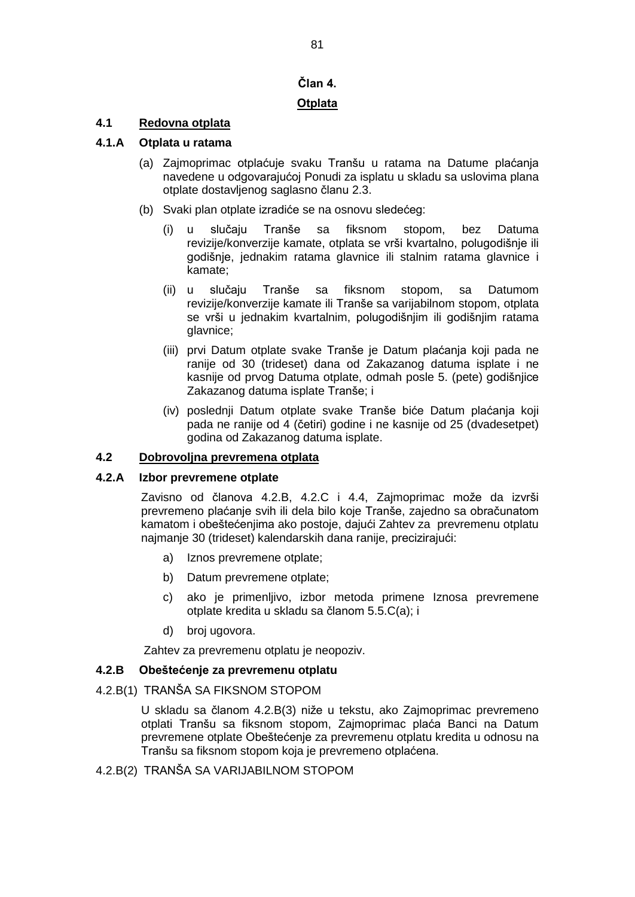# **Član 4.**

# **Otplata**

# **4.1 Redovna otplata**

## **4.1.A Otplata u ratama**

- (a) Zajmoprimac otplaćuje svaku Tranšu u ratama na Datume plaćanja navedene u odgovarajućoj Ponudi za isplatu u skladu sa uslovima plana otplate dostavljenog saglasno članu 2.3.
- (b) Svaki plan otplate izradiće se na osnovu sledećeg:
	- (i) u slučaju Tranše sa fiksnom stopom, bez Datuma revizije/konverzije kamate, otplata se vrši kvartalno, polugodišnje ili godišnje, jednakim ratama glavnice ili stalnim ratama glavnice i kamate;
	- (ii) u slučaju Tranše sa fiksnom stopom, sa Datumom revizije/konverzije kamate ili Tranše sa varijabilnom stopom, otplata se vrši u jednakim kvartalnim, polugodišnjim ili godišnjim ratama glavnice;
	- (iii) prvi Datum otplate svake Tranše je Datum plaćanja koji pada ne ranije od 30 (trideset) dana od Zakazanog datuma isplate i ne kasnije od prvog Datuma otplate, odmah posle 5. (pete) godišnjice Zakazanog datuma isplate Tranše; i
	- (iv) poslednji Datum otplate svake Tranše biće Datum plaćanja koji pada ne ranije od 4 (četiri) godine i ne kasnije od 25 (dvadesetpet) godina od Zakazanog datuma isplate.

## **4.2 Dobrovoljna prevremena otplata**

## **4.2.A Izbor prevremene otplate**

Zavisno od članova 4.2.B, 4.2.C i 4.4, Zajmoprimac može da izvrši prevremeno plaćanje svih ili dela bilo koje Tranše, zajedno sa obračunatom kamatom i obeštećenjima ako postoje, dajući Zahtev za prevremenu otplatu najmanje 30 (trideset) kalendarskih dana ranije, precizirajući:

- a) Iznos prevremene otplate;
- b) Datum prevremene otplate;
- c) ako je primenljivo, izbor metoda primene Iznosa prevremene otplate kredita u skladu sa članom 5.5.C(a); i
- d) broj ugovora.

Zahtev za prevremenu otplatu je neopoziv.

#### **4.2.B Obeštećenje za prevremenu otplatu**

#### 4.2.B(1) TRANŠA SA FIKSNOM STOPOM

U skladu sa članom 4.2.B(3) niže u tekstu, ako Zajmoprimac prevremeno otplati Tranšu sa fiksnom stopom, Zajmoprimac plaća Banci na Datum prevremene otplate Obeštećenje za prevremenu otplatu kredita u odnosu na Tranšu sa fiksnom stopom koja je prevremeno otplaćena.

4.2.B(2) TRANŠA SA VARIJABILNOM STOPOM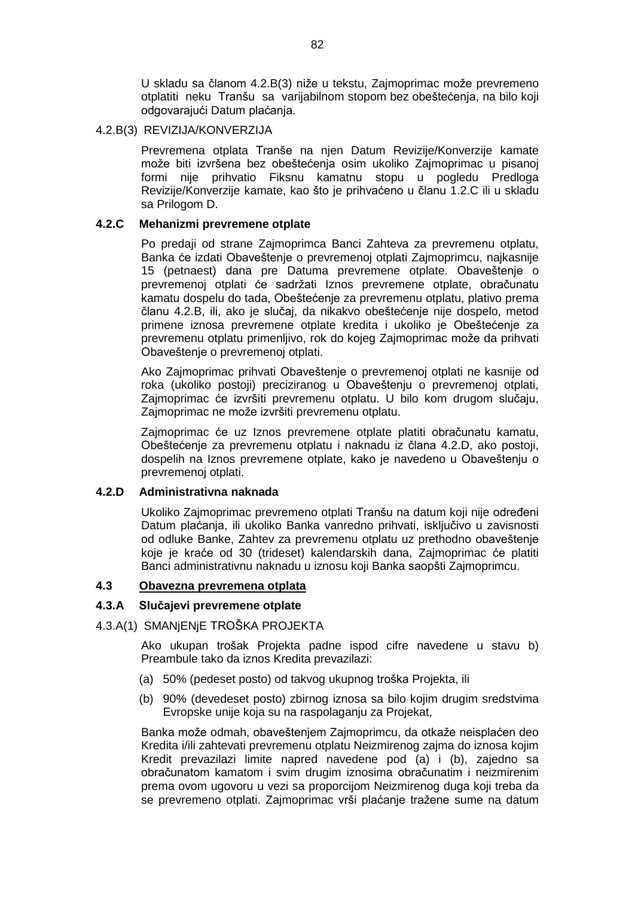U skladu sa članom 4.2.B(3) niže u tekstu, Zajmoprimac može prevremeno otplatiti neku Tranšu sa varijabilnom stopom bez obeštećenja, na bilo koji odgovarajući Datum plaćanja.

#### 4.2.B(3) REVIZIJA/KONVERZIJA

Prevremena otplata Tranše na njen Datum Revizije/Konverzije kamate može biti izvršena bez obeštećenja osim ukoliko Zajmoprimac u pisanoj formi nije prihvatio Fiksnu kamatnu stopu u pogledu Predloga Revizije/Konverzije kamate, kao što je prihvaćeno u članu 1.2.C ili u skladu sa Prilogom D.

### **4.2.C Mehanizmi prevremene otplate**

Po predaji od strane Zajmoprimca Banci Zahteva za prevremenu otplatu, Banka će izdati Obaveštenje o prevremenoj otplati Zajmoprimcu, najkasnije 15 (petnaest) dana pre Datuma prevremene otplate. Obaveštenje o prevremenoj otplati će sadržati Iznos prevremene otplate, obračunatu kamatu dospelu do tada, Obeštećenje za prevremenu otplatu, plativo prema članu 4.2.B, ili, ako je slučaj, da nikakvo obeštećenje nije dospelo, metod primene iznosa prevremene otplate kredita i ukoliko je Obeštećenje za prevremenu otplatu primenljivo, rok do kojeg Zajmoprimac može da prihvati Obaveštenje o prevremenoj otplati.

Ako Zajmoprimac prihvati Obaveštenje o prevremenoj otplati ne kasnije od roka (ukoliko postoji) preciziranog u Obaveštenju o prevremenoj otplati, Zajmoprimac će izvršiti prevremenu otplatu. U bilo kom drugom slučaju, Zajmoprimac ne može izvršiti prevremenu otplatu.

Zajmoprimac će uz Iznos prevremene otplate platiti obračunatu kamatu, Obeštećenje za prevremenu otplatu i naknadu iz člana 4.2.D, ako postoji, dospelih na Iznos prevremene otplate, kako je navedeno u Obaveštenju o prevremenoj otplati.

## **4.2.D Administrativna naknada**

Ukoliko Zajmoprimac prevremeno otplati Tranšu na datum koji nije određeni Datum plaćanja, ili ukoliko Banka vanredno prihvati, isključivo u zavisnosti od odluke Banke, Zahtev za prevremenu otplatu uz prethodno obaveštenje koje je kraće od 30 (trideset) kalendarskih dana, Zajmoprimac će platiti Banci administrativnu naknadu u iznosu koji Banka saopšti Zajmoprimcu.

#### **4.3 Obavezna prevremena otplata**

#### **4.3.A Slučajevi prevremene otplate**

## 4.3.A(1) SMANjENjE TROŠKA PROJEKTA

Ako ukupan trošak Projekta padne ispod cifre navedene u stavu b) Preambule tako da iznos Kredita prevazilazi:

- (a) 50% (pedeset posto) od takvog ukupnog troška Projekta, ili
- (b) 90% (devedeset posto) zbirnog iznosa sa bilo kojim drugim sredstvima Evropske unije koja su na raspolaganju za Projekat,

Banka može odmah, obaveštenjem Zajmoprimcu, da otkaže neisplaćen deo Kredita i/ili zahtevati prevremenu otplatu Neizmirenog zajma do iznosa kojim Kredit prevazilazi limite napred navedene pod (a) i (b), zajedno sa obračunatom kamatom i svim drugim iznosima obračunatim i neizmirenim prema ovom ugovoru u vezi sa proporcijom Neizmirenog duga koji treba da se prevremeno otplati. Zajmoprimac vrši plaćanje tražene sume na datum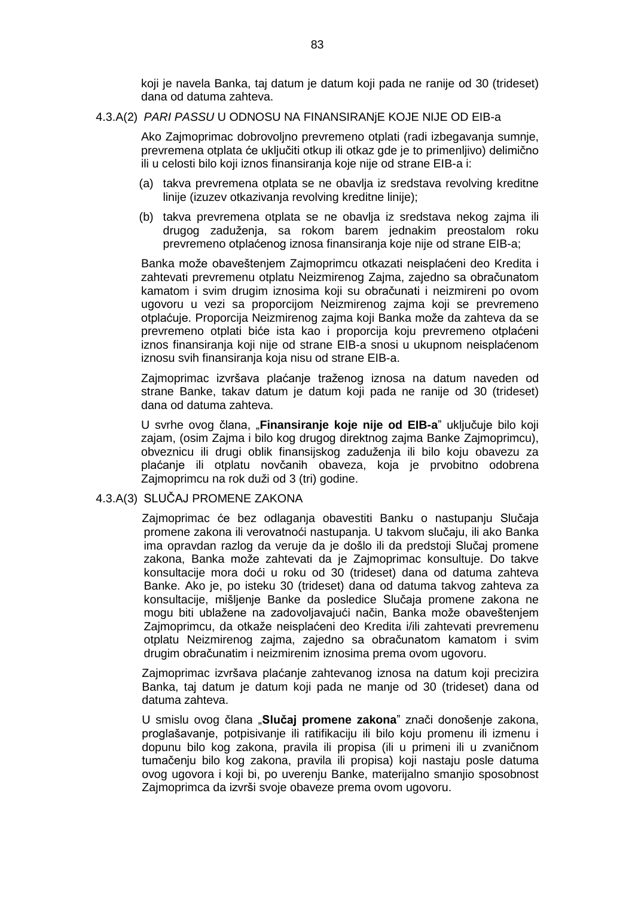koji je navela Banka, taj datum je datum koji pada ne ranije od 30 (trideset) dana od datuma zahteva.

#### 4.3.A(2) *PARI PASSU* U ODNOSU NA FINANSIRANjE KOJE NIJE OD EIB-a

Ako Zajmoprimac dobrovoljno prevremeno otplati (radi izbegavanja sumnje, prevremena otplata će uključiti otkup ili otkaz gde je to primenljivo) delimično ili u celosti bilo koji iznos finansiranja koje nije od strane EIB-a i:

- (a) takva prevremena otplata se ne obavlja iz sredstava revolving kreditne linije (izuzev otkazivanja revolving kreditne linije);
- (b) takva prevremena otplata se ne obavlja iz sredstava nekog zajma ili drugog zaduženja, sa rokom barem jednakim preostalom roku prevremeno otplaćenog iznosa finansiranja koje nije od strane EIB-a;

Banka može obaveštenjem Zajmoprimcu otkazati neisplaćeni deo Kredita i zahtevati prevremenu otplatu Neizmirenog Zajma, zajedno sa obračunatom kamatom i svim drugim iznosima koji su obračunati i neizmireni po ovom ugovoru u vezi sa proporcijom Neizmirenog zajma koji se prevremeno otplaćuje. Proporcija Neizmirenog zajma koji Banka može da zahteva da se prevremeno otplati biće ista kao i proporcija koju prevremeno otplaćeni iznos finansiranja koji nije od strane EIB-a snosi u ukupnom neisplaćenom iznosu svih finansiranja koja nisu od strane EIB-a.

Zajmoprimac izvršava plaćanje traženog iznosa na datum naveden od strane Banke, takav datum je datum koji pada ne ranije od 30 (trideset) dana od datuma zahteva.

U svrhe ovog člana, "**Finansiranje koje nije od EIB-a**" uključuje bilo koji zajam, (osim Zajma i bilo kog drugog direktnog zajma Banke Zajmoprimcu), obveznicu ili drugi oblik finansijskog zaduženja ili bilo koju obavezu za plaćanje ili otplatu novčanih obaveza, koja je prvobitno odobrena Zajmoprimcu na rok duži od 3 (tri) godine.

#### 4.3.A(3) SLUČAJ PROMENE ZAKONA

Zajmoprimac će bez odlaganja obavestiti Banku o nastupanju Slučaja promene zakona ili verovatnoći nastupanja. U takvom slučaju, ili ako Banka ima opravdan razlog da veruje da je došlo ili da predstoji Slučaj promene zakona, Banka može zahtevati da je Zajmoprimac konsultuje. Do takve konsultacije mora doći u roku od 30 (trideset) dana od datuma zahteva Banke. Ako je, po isteku 30 (trideset) dana od datuma takvog zahteva za konsultacije, mišljenje Banke da posledice Slučaja promene zakona ne mogu biti ublažene na zadovoljavajući način, Banka može obaveštenjem Zajmoprimcu, da otkaže neisplaćeni deo Kredita i/ili zahtevati prevremenu otplatu Neizmirenog zajma, zajedno sa obračunatom kamatom i svim drugim obračunatim i neizmirenim iznosima prema ovom ugovoru.

Zajmoprimac izvršava plaćanje zahtevanog iznosa na datum koji precizira Banka, taj datum je datum koji pada ne manje od 30 (trideset) dana od datuma zahteva.

U smislu ovog člana "**Slučaj promene zakona**" znači donošenje zakona, proglašavanje, potpisivanje ili ratifikaciju ili bilo koju promenu ili izmenu i dopunu bilo kog zakona, pravila ili propisa (ili u primeni ili u zvaničnom tumačenju bilo kog zakona, pravila ili propisa) koji nastaju posle datuma ovog ugovora i koji bi, po uverenju Banke, materijalno smanjio sposobnost Zajmoprimca da izvrši svoje obaveze prema ovom ugovoru.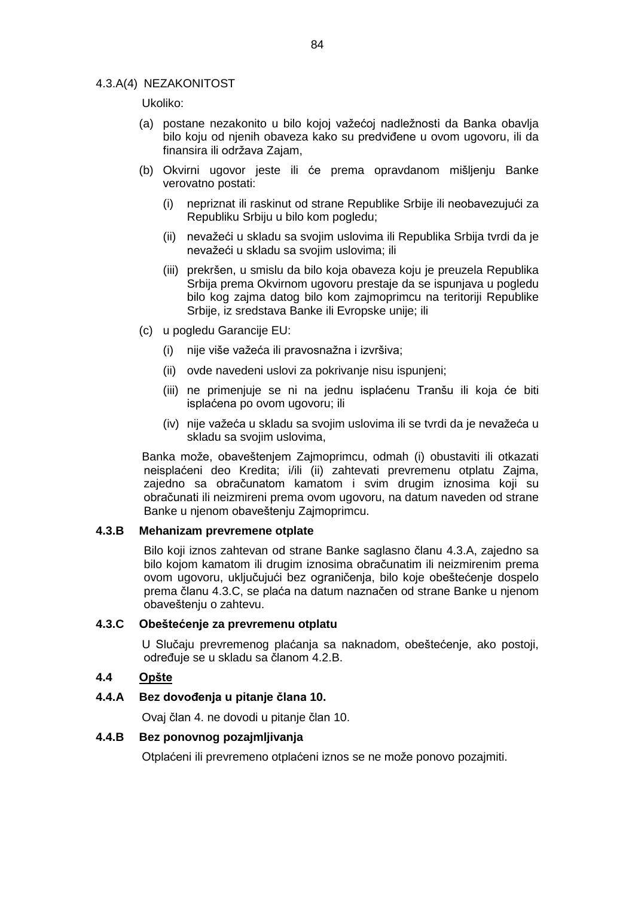#### 4.3.A(4) NEZAKONITOST

Ukoliko:

- (a) postane nezakonito u bilo kojoj važećoj nadležnosti da Banka obavlja bilo koju od njenih obaveza kako su predviđene u ovom ugovoru, ili da finansira ili održava Zajam,
- (b) Okvirni ugovor jeste ili će prema opravdanom mišljenju Banke verovatno postati:
	- (i) nepriznat ili raskinut od strane Republike Srbije ili neobavezujući za Republiku Srbiju u bilo kom pogledu;
	- (ii) nevažeći u skladu sa svojim uslovima ili Republika Srbija tvrdi da je nevažeći u skladu sa svojim uslovima; ili
	- (iii) prekršen, u smislu da bilo koja obaveza koju je preuzela Republika Srbija prema Okvirnom ugovoru prestaje da se ispunjava u pogledu bilo kog zajma datog bilo kom zajmoprimcu na teritoriji Republike Srbije, iz sredstava Banke ili Evropske unije; ili
- (c) u pogledu Garancije EU:
	- (i) nije više važeća ili pravosnažna i izvršiva;
	- (ii) ovde navedeni uslovi za pokrivanje nisu ispunjeni;
	- (iii) ne primenjuje se ni na jednu isplaćenu Tranšu ili koja će biti isplaćena po ovom ugovoru; ili
	- (iv) nije važeća u skladu sa svojim uslovima ili se tvrdi da je nevažeća u skladu sa svojim uslovima,

Banka može, obaveštenjem Zajmoprimcu, odmah (i) obustaviti ili otkazati neisplaćeni deo Kredita; i/ili (ii) zahtevati prevremenu otplatu Zajma, zajedno sa obračunatom kamatom i svim drugim iznosima koji su obračunati ili neizmireni prema ovom ugovoru, na datum naveden od strane Banke u njenom obaveštenju Zajmoprimcu.

#### **4.3.B Mehanizam prevremene otplate**

Bilo koji iznos zahtevan od strane Banke saglasno članu 4.3.A, zajedno sa bilo kojom kamatom ili drugim iznosima obračunatim ili neizmirenim prema ovom ugovoru, uključujući bez ograničenja, bilo koje obeštećenje dospelo prema članu 4.3.C, se plaća na datum naznačen od strane Banke u njenom obaveštenju o zahtevu.

#### **4.3.C Obeštećenje za prevremenu otplatu**

U Slučaju prevremenog plaćanja sa naknadom, obeštećenje, ako postoji, određuje se u skladu sa članom 4.2.B.

## **4.4 Opšte**

#### **4.4.A Bez dovođenja u pitanje člana 10.**

Ovaj član 4. ne dovodi u pitanje član 10.

#### **4.4.B Bez ponovnog pozajmljivanja**

Otplaćeni ili prevremeno otplaćeni iznos se ne može ponovo pozajmiti.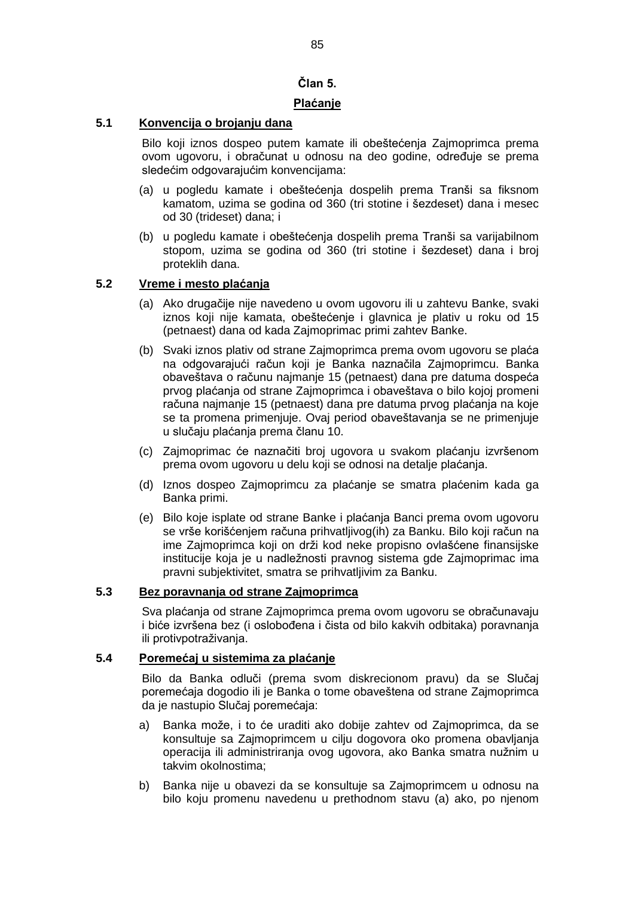# **Član 5.**

## **Plaćanje**

# **5.1 Konvencija o brojanju dana**

Bilo koji iznos dospeo putem kamate ili obeštećenja Zajmoprimca prema ovom ugovoru, i obračunat u odnosu na deo godine, određuje se prema sledećim odgovarajućim konvencijama:

- (a) u pogledu kamate i obeštećenja dospelih prema Tranši sa fiksnom kamatom, uzima se godina od 360 (tri stotine i šezdeset) dana i mesec od 30 (trideset) dana; i
- (b) u pogledu kamate i obeštećenja dospelih prema Tranši sa varijabilnom stopom, uzima se godina od 360 (tri stotine i šezdeset) dana i broj proteklih dana.

## **5.2 Vreme i mesto plaćanja**

- (a) Ako drugačije nije navedeno u ovom ugovoru ili u zahtevu Banke, svaki iznos koji nije kamata, obeštećenje i glavnica je plativ u roku od 15 (petnaest) dana od kada Zajmoprimac primi zahtev Banke.
- (b) Svaki iznos plativ od strane Zajmoprimca prema ovom ugovoru se plaća na odgovarajući račun koji je Banka naznačila Zajmoprimcu. Banka obaveštava o računu najmanje 15 (petnaest) dana pre datuma dospeća prvog plaćanja od strane Zajmoprimca i obaveštava o bilo kojoj promeni računa najmanje 15 (petnaest) dana pre datuma prvog plaćanja na koje se ta promena primenjuje. Ovaj period obaveštavanja se ne primenjuje u slučaju plaćanja prema članu 10.
- (c) Zajmoprimac će naznačiti broj ugovora u svakom plaćanju izvršenom prema ovom ugovoru u delu koji se odnosi na detalje plaćanja.
- (d) Iznos dospeo Zajmoprimcu za plaćanje se smatra plaćenim kada ga Banka primi.
- (e) Bilo koje isplate od strane Banke i plaćanja Banci prema ovom ugovoru se vrše korišćenjem računa prihvatljivog(ih) za Banku. Bilo koji račun na ime Zajmoprimca koji on drži kod neke propisno ovlašćene finansijske institucije koja je u nadležnosti pravnog sistema gde Zajmoprimac ima pravni subjektivitet, smatra se prihvatljivim za Banku.

# **5.3 Bez poravnanja od strane Zajmoprimca**

Sva plaćanja od strane Zajmoprimca prema ovom ugovoru se obračunavaju i biće izvršena bez (i oslobođena i čista od bilo kakvih odbitaka) poravnanja ili protivpotraživanja.

## **5.4 Poremećaj u sistemima za plaćanje**

Bilo da Banka odluči (prema svom diskrecionom pravu) da se Slučaj poremećaja dogodio ili je Banka o tome obaveštena od strane Zajmoprimca da je nastupio Slučaj poremećaja:

- a) Banka može, i to će uraditi ako dobije zahtev od Zajmoprimca, da se konsultuje sa Zajmoprimcem u cilju dogovora oko promena obavljanja operacija ili administriranja ovog ugovora, ako Banka smatra nužnim u takvim okolnostima;
- b) Banka nije u obavezi da se konsultuje sa Zajmoprimcem u odnosu na bilo koju promenu navedenu u prethodnom stavu (a) ako, po njenom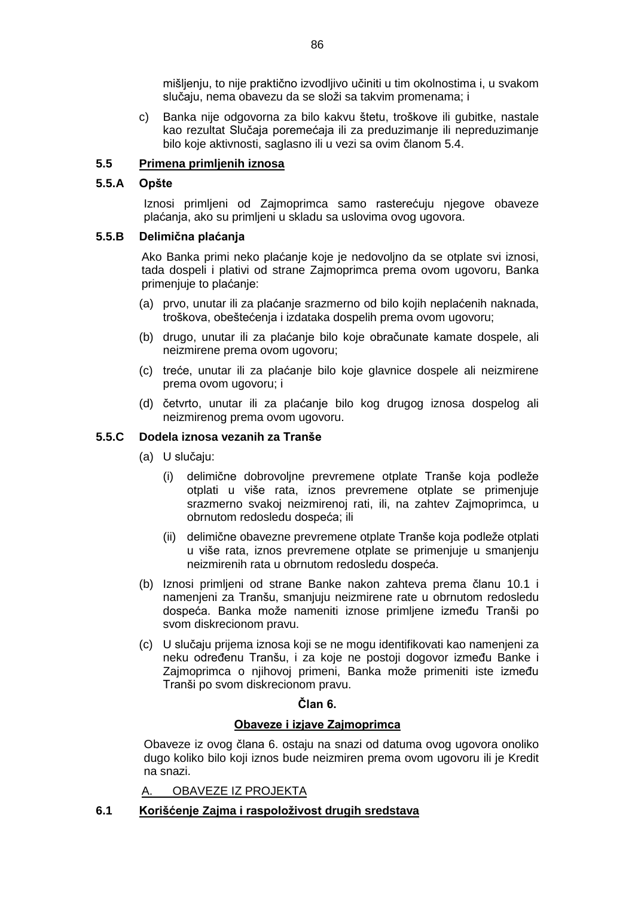mišljenju, to nije praktično izvodljivo učiniti u tim okolnostima i, u svakom slučaju, nema obavezu da se složi sa takvim promenama; i

c) Banka nije odgovorna za bilo kakvu štetu, troškove ili gubitke, nastale kao rezultat Slučaja poremećaja ili za preduzimanje ili nepreduzimanje bilo koje aktivnosti, saglasno ili u vezi sa ovim članom 5.4.

## **5.5 Primena primljenih iznosa**

## **5.5.A Opšte**

Iznosi primljeni od Zajmoprimca samo rasterećuju njegove obaveze plaćanja, ako su primljeni u skladu sa uslovima ovog ugovora.

## **5.5.B Delimična plaćanja**

Ako Banka primi neko plaćanje koje je nedovoljno da se otplate svi iznosi, tada dospeli i plativi od strane Zajmoprimca prema ovom ugovoru, Banka primenjuje to plaćanje:

- (a) prvo, unutar ili za plaćanje srazmerno od bilo kojih neplaćenih naknada, troškova, obeštećenja i izdataka dospelih prema ovom ugovoru;
- (b) drugo, unutar ili za plaćanje bilo koje obračunate kamate dospele, ali neizmirene prema ovom ugovoru;
- (c) treće, unutar ili za plaćanje bilo koje glavnice dospele ali neizmirene prema ovom ugovoru; i
- (d) četvrto, unutar ili za plaćanje bilo kog drugog iznosa dospelog ali neizmirenog prema ovom ugovoru.

## **5.5.C Dodela iznosa vezanih za Tranše**

- (a) U slučaju:
	- (i) delimične dobrovoljne prevremene otplate Tranše koja podleže otplati u više rata, iznos prevremene otplate se primenjuje srazmerno svakoj neizmirenoj rati, ili, na zahtev Zajmoprimca, u obrnutom redosledu dospeća; ili
	- (ii) delimične obavezne prevremene otplate Tranše koja podleže otplati u više rata, iznos prevremene otplate se primenjuje u smanjenju neizmirenih rata u obrnutom redosledu dospeća.
- (b) Iznosi primljeni od strane Banke nakon zahteva prema članu 10.1 i namenjeni za Tranšu, smanjuju neizmirene rate u obrnutom redosledu dospeća. Banka može nameniti iznose primljene između Tranši po svom diskrecionom pravu.
- (c) U slučaju prijema iznosa koji se ne mogu identifikovati kao namenjeni za neku određenu Tranšu, i za koje ne postoji dogovor između Banke i Zajmoprimca o njihovoj primeni, Banka može primeniti iste između Tranši po svom diskrecionom pravu.

## **Član 6.**

## **Obaveze i izjave Zajmoprimca**

Obaveze iz ovog člana 6. ostaju na snazi od datuma ovog ugovora onoliko dugo koliko bilo koji iznos bude neizmiren prema ovom ugovoru ili je Kredit na snazi.

## A. OBAVEZE IZ PROJEKTA

# **6.1 Korišćenje Zajma i raspoloživost drugih sredstava**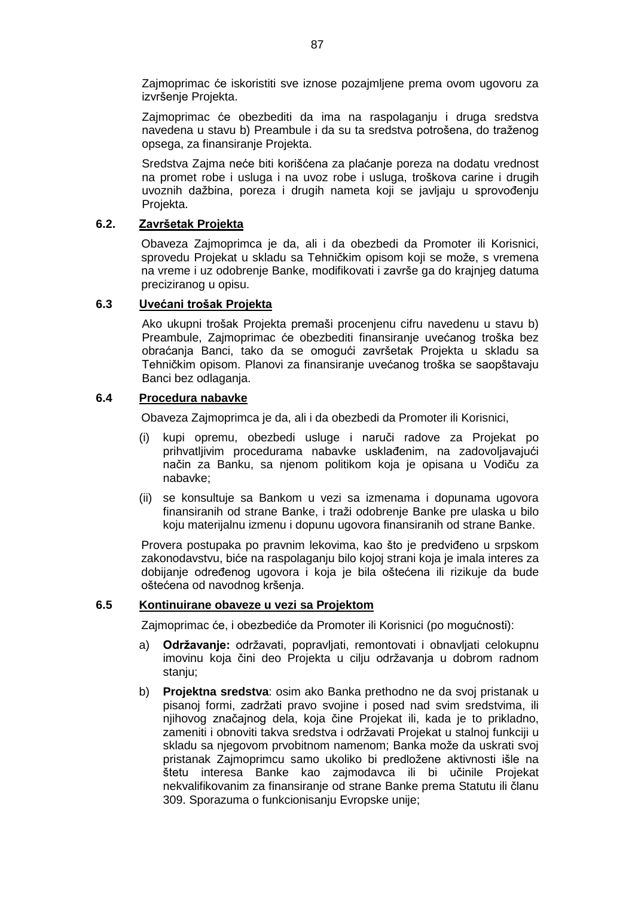Zajmoprimac će iskoristiti sve iznose pozajmljene prema ovom ugovoru za izvršenje Projekta.

Zajmoprimac će obezbediti da ima na raspolaganju i druga sredstva navedena u stavu b) Preambule i da su ta sredstva potrošena, do traženog opsega, za finansiranje Projekta.

Sredstva Zajma neće biti korišćena za plaćanje poreza na dodatu vrednost na promet robe i usluga i na uvoz robe i usluga, troškova carine i drugih uvoznih dažbina, poreza i drugih nameta koji se javljaju u sprovođenju Projekta.

## **6.2. Završetak Projekta**

Obaveza Zajmoprimca je da, ali i da obezbedi da Promoter ili Korisnici, sprovedu Projekat u skladu sa Tehničkim opisom koji se može, s vremena na vreme i uz odobrenje Banke, modifikovati i završe ga do krajnjeg datuma preciziranog u opisu.

## **6.3 Uvećani trošak Projekta**

Ako ukupni trošak Projekta premaši procenjenu cifru navedenu u stavu b) Preambule, Zajmoprimac će obezbediti finansiranje uvećanog troška bez obraćanja Banci, tako da se omogući završetak Projekta u skladu sa Tehničkim opisom. Planovi za finansiranje uvećanog troška se saopštavaju Banci bez odlaganja.

#### **6.4 Procedura nabavke**

Obaveza Zajmoprimca je da, ali i da obezbedi da Promoter ili Korisnici,

- (i) kupi opremu, obezbedi usluge i naruči radove za Projekat po prihvatljivim procedurama nabavke usklađenim, na zadovoljavajući način za Banku, sa njenom politikom koja je opisana u Vodiču za nabavke;
- (ii) se konsultuje sa Bankom u vezi sa izmenama i dopunama ugovora finansiranih od strane Banke, i traži odobrenje Banke pre ulaska u bilo koju materijalnu izmenu i dopunu ugovora finansiranih od strane Banke.

Provera postupaka po pravnim lekovima, kao što je predviđeno u srpskom zakonodavstvu, biće na raspolaganju bilo kojoj strani koja je imala interes za dobijanje određenog ugovora i koja je bila oštećena ili rizikuje da bude oštećena od navodnog kršenja.

#### **6.5 Kontinuirane obaveze u vezi sa Projektom**

Zajmoprimac će, i obezbediće da Promoter ili Korisnici (po mogućnosti):

- a) **Održavanje:** održavati, popravljati, remontovati i obnavljati celokupnu imovinu koja čini deo Projekta u cilju održavanja u dobrom radnom stanju;
- b) **Projektna sredstva**: osim ako Banka prethodno ne da svoj pristanak u pisanoj formi, zadržati pravo svojine i posed nad svim sredstvima, ili njihovog značajnog dela, koja čine Projekat ili, kada je to prikladno, zameniti i obnoviti takva sredstva i održavati Projekat u stalnoj funkciji u skladu sa njegovom prvobitnom namenom; Banka može da uskrati svoj pristanak Zajmoprimcu samo ukoliko bi predložene aktivnosti išle na štetu interesa Banke kao zajmodavca ili bi učinile Projekat nekvalifikovanim za finansiranje od strane Banke prema Statutu ili članu 309. Sporazuma o funkcionisanju Evropske unije;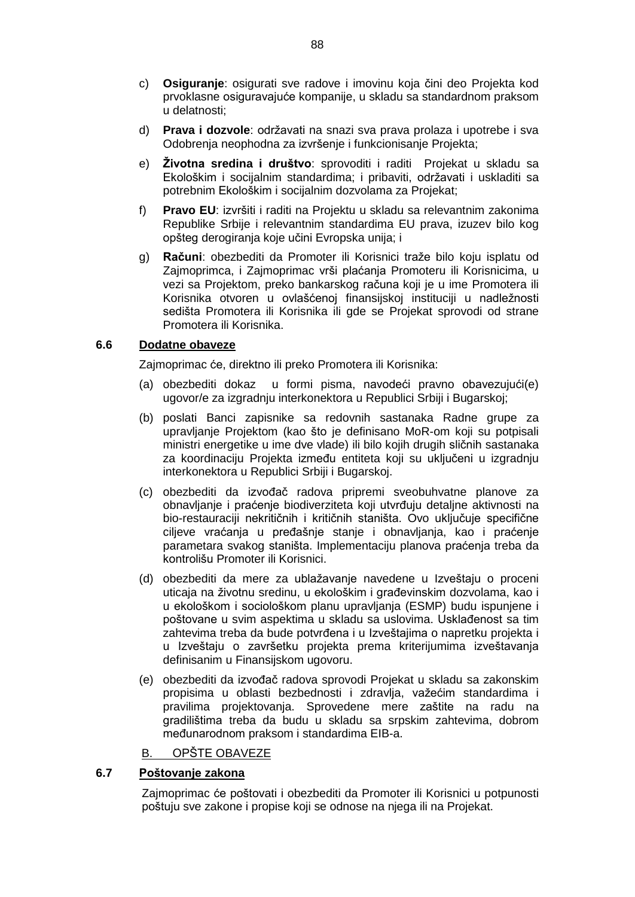- c) **Osiguranje**: osigurati sve radove i imovinu koja čini deo Projekta kod prvoklasne osiguravajuće kompanije, u skladu sa standardnom praksom u delatnosti;
- d) **Prava i dozvole**: održavati na snazi sva prava prolaza i upotrebe i sva Odobrenja neophodna za izvršenje i funkcionisanje Projekta;
- e) **Životna sredina i društvo**: sprovoditi i raditi Projekat u skladu sa Ekološkim i socijalnim standardima; i pribaviti, održavati i uskladiti sa potrebnim Ekološkim i socijalnim dozvolama za Projekat;
- f) **Pravo EU**: izvršiti i raditi na Projektu u skladu sa relevantnim zakonima Republike Srbije i relevantnim standardima EU prava, izuzev bilo kog opšteg derogiranja koje učini Evropska unija; i
- g) **Računi**: obezbediti da Promoter ili Korisnici traže bilo koju isplatu od Zajmoprimca, i Zajmoprimac vrši plaćanja Promoteru ili Korisnicima, u vezi sa Projektom, preko bankarskog računa koji je u ime Promotera ili Korisnika otvoren u ovlašćenoj finansijskoj instituciji u nadležnosti sedišta Promotera ili Korisnika ili gde se Projekat sprovodi od strane Promotera ili Korisnika.

#### **6.6 Dodatne obaveze**

Zajmoprimac će, direktno ili preko Promotera ili Korisnika:

- (a) obezbediti dokaz u formi pisma, navodeći pravno obavezujući(e) ugovor/e za izgradnju interkonektora u Republici Srbiji i Bugarskoj;
- (b) poslati Banci zapisnike sa redovnih sastanaka Radne grupe za upravljanje Projektom (kao što je definisano MoR-om koji su potpisali ministri energetike u ime dve vlade) ili bilo kojih drugih sličnih sastanaka za koordinaciju Projekta između entiteta koji su uključeni u izgradnju interkonektora u Republici Srbiji i Bugarskoj.
- (c) obezbediti da izvođač radova pripremi sveobuhvatne planove za obnavljanje i praćenje biodiverziteta koji utvrđuju detaljne aktivnosti na bio-restauraciji nekritičnih i kritičnih staništa. Ovo uključuje specifične ciljeve vraćanja u pređašnje stanje i obnavljanja, kao i praćenje parametara svakog staništa. Implementaciju planova praćenja treba da kontrolišu Promoter ili Korisnici.
- (d) obezbediti da mere za ublažavanje navedene u Izveštaju o proceni uticaja na životnu sredinu, u ekološkim i građevinskim dozvolama, kao i u ekološkom i sociološkom planu upravljanja (ESMP) budu ispunjene i poštovane u svim aspektima u skladu sa uslovima. Usklađenost sa tim zahtevima treba da bude potvrđena i u Izveštajima o napretku projekta i u Izveštaju o završetku projekta prema kriterijumima izveštavanja definisanim u Finansijskom ugovoru.
- (e) obezbediti da izvođač radova sprovodi Projekat u skladu sa zakonskim propisima u oblasti bezbednosti i zdravlja, važećim standardima i pravilima projektovanja. Sprovedene mere zaštite na radu na gradilištima treba da budu u skladu sa srpskim zahtevima, dobrom međunarodnom praksom i standardima EIB-a.
- B. OPŠTE OBAVEZE

## **6.7 Poštovanje zakona**

Zajmoprimac će poštovati i obezbediti da Promoter ili Korisnici u potpunosti poštuju sve zakone i propise koji se odnose na njega ili na Projekat.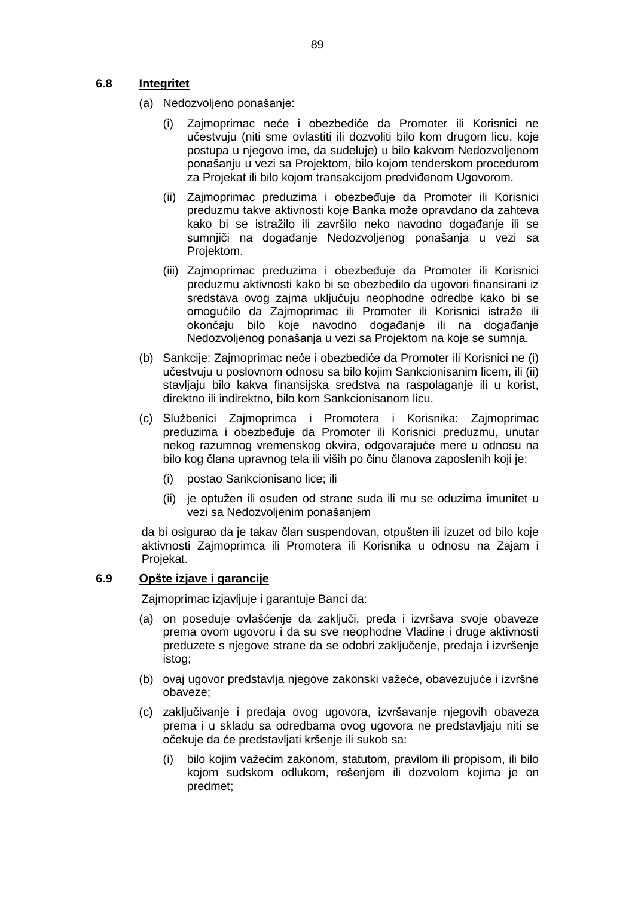## **6.8 Integritet**

- (a) Nedozvoljeno ponašanje:
	- (i) Zajmoprimac neće i obezbediće da Promoter ili Korisnici ne učestvuju (niti sme ovlastiti ili dozvoliti bilo kom drugom licu, koje postupa u njegovo ime, da sudeluje) u bilo kakvom Nedozvoljenom ponašanju u vezi sa Projektom, bilo kojom tenderskom procedurom za Projekat ili bilo kojom transakcijom predviđenom Ugovorom.
	- (ii) Zajmoprimac preduzima i obezbeđuje da Promoter ili Korisnici preduzmu takve aktivnosti koje Banka može opravdano da zahteva kako bi se istražilo ili završilo neko navodno događanje ili se sumnjiči na događanje Nedozvoljenog ponašanja u vezi sa Projektom.
	- (iii) Zajmoprimac preduzima i obezbeđuje da Promoter ili Korisnici preduzmu aktivnosti kako bi se obezbedilo da ugovori finansirani iz sredstava ovog zajma uključuju neophodne odredbe kako bi se omogućilo da Zajmoprimac ili Promoter ili Korisnici istraže ili okončaju bilo koje navodno događanje ili na događanje Nedozvoljenog ponašanja u vezi sa Projektom na koje se sumnja.
- (b) Sankcije: Zajmoprimac neće i obezbediće da Promoter ili Korisnici ne (i) učestvuju u poslovnom odnosu sa bilo kojim Sankcionisanim licem, ili (ii) stavljaju bilo kakva finansijska sredstva na raspolaganje ili u korist, direktno ili indirektno, bilo kom Sankcionisanom licu.
- (c) Službenici Zajmoprimca i Promotera i Korisnika: Zajmoprimac preduzima i obezbeđuje da Promoter ili Korisnici preduzmu, unutar nekog razumnog vremenskog okvira, odgovarajuće mere u odnosu na bilo kog člana upravnog tela ili viših po činu članova zaposlenih koji je:
	- (i) postao Sankcionisano lice; ili
	- (ii) je optužen ili osuđen od strane suda ili mu se oduzima imunitet u vezi sa Nedozvoljenim ponašanjem

da bi osigurao da je takav član suspendovan, otpušten ili izuzet od bilo koje aktivnosti Zajmoprimca ili Promotera ili Korisnika u odnosu na Zajam i Projekat.

#### **6.9 Opšte izjave i garancije**

Zajmoprimac izjavljuje i garantuje Banci da:

- (a) on poseduje ovlašćenje da zaključi, preda i izvršava svoje obaveze prema ovom ugovoru i da su sve neophodne Vladine i druge aktivnosti preduzete s njegove strane da se odobri zaključenje, predaja i izvršenje istog;
- (b) ovaj ugovor predstavlja njegove zakonski važeće, obavezujuće i izvršne obaveze;
- (c) zaključivanje i predaja ovog ugovora, izvršavanje njegovih obaveza prema i u skladu sa odredbama ovog ugovora ne predstavljaju niti se očekuje da će predstavljati kršenje ili sukob sa:
	- (i) bilo kojim važećim zakonom, statutom, pravilom ili propisom, ili bilo kojom sudskom odlukom, rešenjem ili dozvolom kojima je on predmet;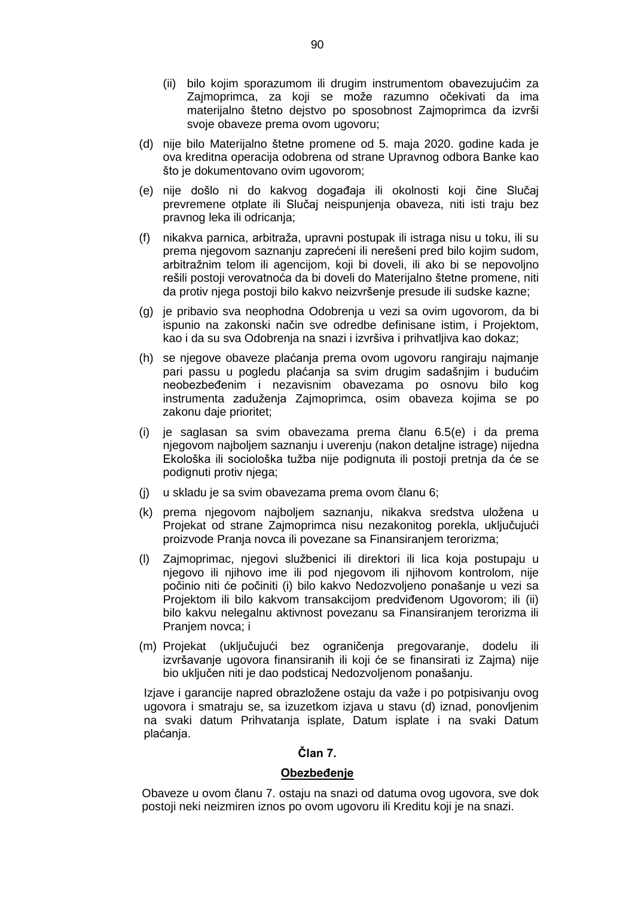- (ii) bilo kojim sporazumom ili drugim instrumentom obavezujućim za Zajmoprimca, za koji se može razumno očekivati da ima materijalno štetno dejstvo po sposobnost Zajmoprimca da izvrši svoje obaveze prema ovom ugovoru;
- (d) nije bilo Materijalno štetne promene od 5. maja 2020. godine kada je ova kreditna operacija odobrena od strane Upravnog odbora Banke kao što je dokumentovano ovim ugovorom:
- (e) nije došlo ni do kakvog događaja ili okolnosti koji čine Slučaj prevremene otplate ili Slučaj neispunjenja obaveza, niti isti traju bez pravnog leka ili odricanja;
- (f) nikakva parnica, arbitraža, upravni postupak ili istraga nisu u toku, ili su prema njegovom saznanju zaprećeni ili nerešeni pred bilo kojim sudom, arbitražnim telom ili agencijom, koji bi doveli, ili ako bi se nepovoljno rešili postoji verovatnoća da bi doveli do Materijalno štetne promene, niti da protiv njega postoji bilo kakvo neizvršenje presude ili sudske kazne;
- (g) je pribavio sva neophodna Odobrenja u vezi sa ovim ugovorom, da bi ispunio na zakonski način sve odredbe definisane istim, i Projektom, kao i da su sva Odobrenja na snazi i izvršiva i prihvatljiva kao dokaz;
- (h) se njegove obaveze plaćanja prema ovom ugovoru rangiraju najmanje pari passu u pogledu plaćanja sa svim drugim sadašnjim i budućim neobezbeđenim i nezavisnim obavezama po osnovu bilo kog instrumenta zaduženja Zajmoprimca, osim obaveza kojima se po zakonu daje prioritet;
- (i) je saglasan sa svim obavezama prema članu 6.5(e) i da prema njegovom najboljem saznanju i uverenju (nakon detaljne istrage) nijedna Ekološka ili sociološka tužba nije podignuta ili postoji pretnja da će se podignuti protiv njega;
- (j) u skladu je sa svim obavezama prema ovom članu 6;
- (k) prema njegovom najboljem saznanju, nikakva sredstva uložena u Projekat od strane Zajmoprimca nisu nezakonitog porekla, uključujući proizvode Pranja novca ili povezane sa Finansiranjem terorizma;
- (l) Zajmoprimac, njegovi službenici ili direktori ili lica koja postupaju u njegovo ili njihovo ime ili pod njegovom ili njihovom kontrolom, nije počinio niti će počiniti (i) bilo kakvo Nedozvoljeno ponašanje u vezi sa Projektom ili bilo kakvom transakcijom predviđenom Ugovorom; ili (ii) bilo kakvu nelegalnu aktivnost povezanu sa Finansiranjem terorizma ili Pranjem novca; i
- (m) Projekat (uključujući bez ograničenja pregovaranje, dodelu ili izvršavanje ugovora finansiranih ili koji će se finansirati iz Zajma) nije bio uključen niti je dao podsticaj Nedozvoljenom ponašanju.

Izjave i garancije napred obrazložene ostaju da važe i po potpisivanju ovog ugovora i smatraju se, sa izuzetkom izjava u stavu (d) iznad, ponovljenim na svaki datum Prihvatanja isplate, Datum isplate i na svaki Datum plaćanja.

## **Član 7.**

### **Obezbeđenje**

Obaveze u ovom članu 7. ostaju na snazi od datuma ovog ugovora, sve dok postoji neki neizmiren iznos po ovom ugovoru ili Kreditu koji je na snazi.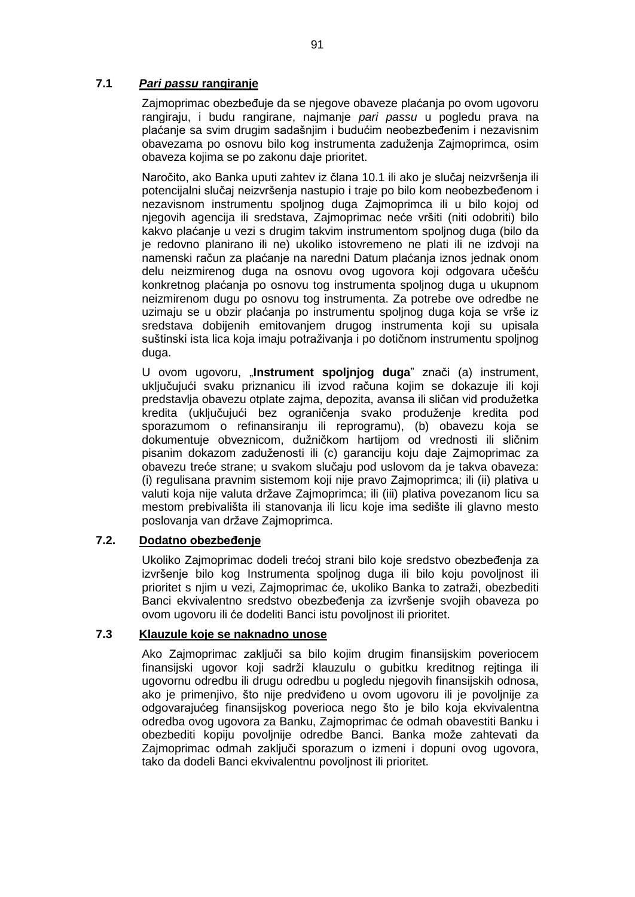## **7.1** *Pari passu* **rangiranje**

Zajmoprimac obezbeđuje da se njegove obaveze plaćanja po ovom ugovoru rangiraju, i budu rangirane, najmanje *pari passu* u pogledu prava na plaćanje sa svim drugim sadašnjim i budućim neobezbeđenim i nezavisnim obavezama po osnovu bilo kog instrumenta zaduženja Zajmoprimca, osim obaveza kojima se po zakonu daje prioritet.

Naročito, ako Banka uputi zahtev iz člana 10.1 ili ako je slučaj neizvršenja ili potencijalni slučaj neizvršenja nastupio i traje po bilo kom neobezbeđenom i nezavisnom instrumentu spoljnog duga Zajmoprimca ili u bilo kojoj od njegovih agencija ili sredstava, Zajmoprimac neće vršiti (niti odobriti) bilo kakvo plaćanje u vezi s drugim takvim instrumentom spoljnog duga (bilo da je redovno planirano ili ne) ukoliko istovremeno ne plati ili ne izdvoji na namenski račun za plaćanje na naredni Datum plaćanja iznos jednak onom delu neizmirenog duga na osnovu ovog ugovora koji odgovara učešću konkretnog plaćanja po osnovu tog instrumenta spoljnog duga u ukupnom neizmirenom dugu po osnovu tog instrumenta. Za potrebe ove odredbe ne uzimaju se u obzir plaćanja po instrumentu spoljnog duga koja se vrše iz sredstava dobijenih emitovanjem drugog instrumenta koji su upisala suštinski ista lica koja imaju potraživanja i po dotičnom instrumentu spoljnog duga.

U ovom ugovoru, "**Instrument spoljnjog duga**" znači (a) instrument, uključujući svaku priznanicu ili izvod računa kojim se dokazuje ili koji predstavlja obavezu otplate zajma, depozita, avansa ili sličan vid produžetka kredita (uključujući bez ograničenja svako produženje kredita pod sporazumom o refinansiranju ili reprogramu), (b) obavezu koja se dokumentuje obveznicom, dužničkom hartijom od vrednosti ili sličnim pisanim dokazom zaduženosti ili (c) garanciju koju daje Zajmoprimac za obavezu treće strane; u svakom slučaju pod uslovom da je takva obaveza: (i) regulisana pravnim sistemom koji nije pravo Zajmoprimca; ili (ii) plativa u valuti koja nije valuta države Zajmoprimca; ili (iii) plativa povezanom licu sa mestom prebivališta ili stanovanja ili licu koje ima sedište ili glavno mesto poslovanja van države Zajmoprimca.

## **7.2. Dodatno obezbeđenje**

Ukoliko Zajmoprimac dodeli trećoj strani bilo koje sredstvo obezbeđenja za izvršenje bilo kog Instrumenta spoljnog duga ili bilo koju povoljnost ili prioritet s njim u vezi, Zajmoprimac će, ukoliko Banka to zatraži, obezbediti Banci ekvivalentno sredstvo obezbeđenja za izvršenje svojih obaveza po ovom ugovoru ili će dodeliti Banci istu povoljnost ili prioritet.

#### **7.3 Klauzule koje se naknadno unose**

Ako Zajmoprimac zaključi sa bilo kojim drugim finansijskim poveriocem finansijski ugovor koji sadrži klauzulu o gubitku kreditnog rejtinga ili ugovornu odredbu ili drugu odredbu u pogledu njegovih finansijskih odnosa, ako je primenjivo, što nije predviđeno u ovom ugovoru ili je povoljnije za odgovarajućeg finansijskog poverioca nego što je bilo koja ekvivalentna odredba ovog ugovora za Banku, Zajmoprimac će odmah obavestiti Banku i obezbediti kopiju povoljnije odredbe Banci. Banka može zahtevati da Zajmoprimac odmah zaključi sporazum o izmeni i dopuni ovog ugovora, tako da dodeli Banci ekvivalentnu povoljnost ili prioritet.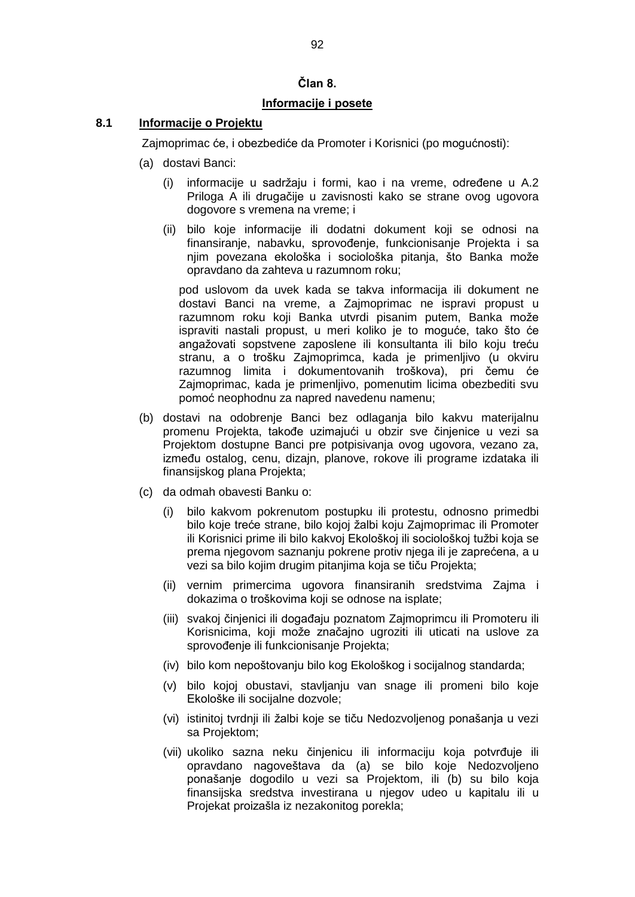## **Član 8.**

## **Informacije i posete**

## **8.1 Informacije o Projektu**

Zajmoprimac će, i obezbediće da Promoter i Korisnici (po mogućnosti):

- (a) dostavi Banci:
	- (i) informacije u sadržaju i formi, kao i na vreme, određene u A.2 Priloga A ili drugačije u zavisnosti kako se strane ovog ugovora dogovore s vremena na vreme; i
	- (ii) bilo koje informacije ili dodatni dokument koji se odnosi na finansiranje, nabavku, sprovođenje, funkcionisanje Projekta i sa njim povezana ekološka i sociološka pitanja, što Banka može opravdano da zahteva u razumnom roku;

pod uslovom da uvek kada se takva informacija ili dokument ne dostavi Banci na vreme, a Zajmoprimac ne ispravi propust u razumnom roku koji Banka utvrdi pisanim putem, Banka može ispraviti nastali propust, u meri koliko je to moguće, tako što će angažovati sopstvene zaposlene ili konsultanta ili bilo koju treću stranu, a o trošku Zajmoprimca, kada je primenljivo (u okviru razumnog limita i dokumentovanih troškova), pri čemu će Zajmoprimac, kada je primenljivo, pomenutim licima obezbediti svu pomoć neophodnu za napred navedenu namenu;

- (b) dostavi na odobrenje Banci bez odlaganja bilo kakvu materijalnu promenu Projekta, takođe uzimajući u obzir sve činjenice u vezi sa Projektom dostupne Banci pre potpisivanja ovog ugovora, vezano za, između ostalog, cenu, dizajn, planove, rokove ili programe izdataka ili finansijskog plana Projekta;
- (c) da odmah obavesti Banku o:
	- (i) bilo kakvom pokrenutom postupku ili protestu, odnosno primedbi bilo koje treće strane, bilo kojoj žalbi koju Zajmoprimac ili Promoter ili Korisnici prime ili bilo kakvoj Ekološkoj ili sociološkoj tužbi koja se prema njegovom saznanju pokrene protiv njega ili je zaprećena, a u vezi sa bilo kojim drugim pitanjima koja se tiču Projekta;
	- (ii) vernim primercima ugovora finansiranih sredstvima Zajma i dokazima o troškovima koji se odnose na isplate;
	- (iii) svakoj činjenici ili događaju poznatom Zajmoprimcu ili Promoteru ili Korisnicima, koji može značajno ugroziti ili uticati na uslove za sprovođenje ili funkcionisanje Projekta;
	- (iv) bilo kom nepoštovanju bilo kog Ekološkog i socijalnog standarda;
	- (v) bilo kojoj obustavi, stavljanju van snage ili promeni bilo koje Ekološke ili socijalne dozvole;
	- (vi) istinitoj tvrdnji ili žalbi koje se tiču Nedozvoljenog ponašanja u vezi sa Projektom;
	- (vii) ukoliko sazna neku činjenicu ili informaciju koja potvrđuje ili opravdano nagoveštava da (a) se bilo koje Nedozvoljeno ponašanje dogodilo u vezi sa Projektom, ili (b) su bilo koja finansijska sredstva investirana u njegov udeo u kapitalu ili u Projekat proizašla iz nezakonitog porekla;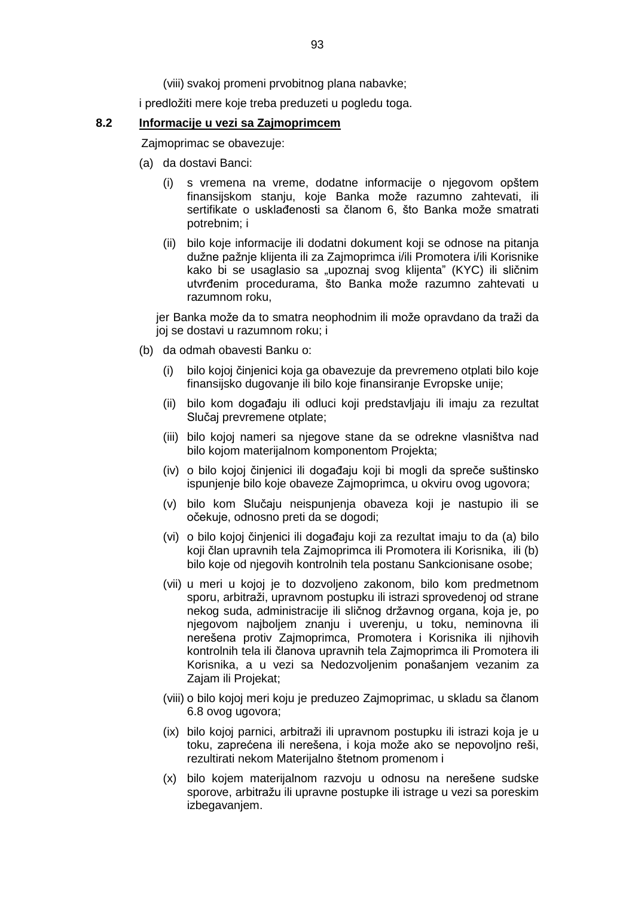(viii) svakoj promeni prvobitnog plana nabavke;

i predložiti mere koje treba preduzeti u pogledu toga.

#### **8.2 Informacije u vezi sa Zajmoprimcem**

Zajmoprimac se obavezuje:

- (a) da dostavi Banci:
	- (i) s vremena na vreme, dodatne informacije o njegovom opštem finansijskom stanju, koje Banka može razumno zahtevati, ili sertifikate o usklađenosti sa članom 6, što Banka može smatrati potrebnim; i
	- (ii) bilo koje informacije ili dodatni dokument koji se odnose na pitanja dužne pažnje klijenta ili za Zajmoprimca i/ili Promotera i/ili Korisnike kako bi se usaglasio sa "upoznaj svog klijenta" (KYC) ili sličnim utvrđenim procedurama, što Banka može razumno zahtevati u razumnom roku,

jer Banka može da to smatra neophodnim ili može opravdano da traži da joj se dostavi u razumnom roku; i

- (b) da odmah obavesti Banku o:
	- (i) bilo kojoj činjenici koja ga obavezuje da prevremeno otplati bilo koje finansijsko dugovanje ili bilo koje finansiranje Evropske unije;
	- (ii) bilo kom događaju ili odluci koji predstavljaju ili imaju za rezultat Slučaj prevremene otplate;
	- (iii) bilo kojoj nameri sa njegove stane da se odrekne vlasništva nad bilo kojom materijalnom komponentom Projekta;
	- (iv) o bilo kojoj činjenici ili događaju koji bi mogli da spreče suštinsko ispunjenje bilo koje obaveze Zajmoprimca, u okviru ovog ugovora;
	- (v) bilo kom Slučaju neispunjenja obaveza koji je nastupio ili se očekuje, odnosno preti da se dogodi;
	- (vi) o bilo kojoj činjenici ili događaju koji za rezultat imaju to da (a) bilo koji član upravnih tela Zajmoprimca ili Promotera ili Korisnika, ili (b) bilo koje od njegovih kontrolnih tela postanu Sankcionisane osobe;
	- (vii) u meri u kojoj je to dozvoljeno zakonom, bilo kom predmetnom sporu, arbitraži, upravnom postupku ili istrazi sprovedenoj od strane nekog suda, administracije ili sličnog državnog organa, koja je, po njegovom najboljem znanju i uverenju, u toku, neminovna ili nerešena protiv Zajmoprimca, Promotera i Korisnika ili njihovih kontrolnih tela ili članova upravnih tela Zajmoprimca ili Promotera ili Korisnika, a u vezi sa Nedozvoljenim ponašanjem vezanim za Zajam ili Projekat;
	- (viii) o bilo kojoj meri koju je preduzeo Zajmoprimac, u skladu sa članom 6.8 ovog ugovora;
	- (ix) bilo kojoj parnici, arbitraži ili upravnom postupku ili istrazi koja je u toku, zaprećena ili nerešena, i koja može ako se nepovoljno reši, rezultirati nekom Materijalno štetnom promenom i
	- (x) bilo kojem materijalnom razvoju u odnosu na nerešene sudske sporove, arbitražu ili upravne postupke ili istrage u vezi sa poreskim izbegavanjem.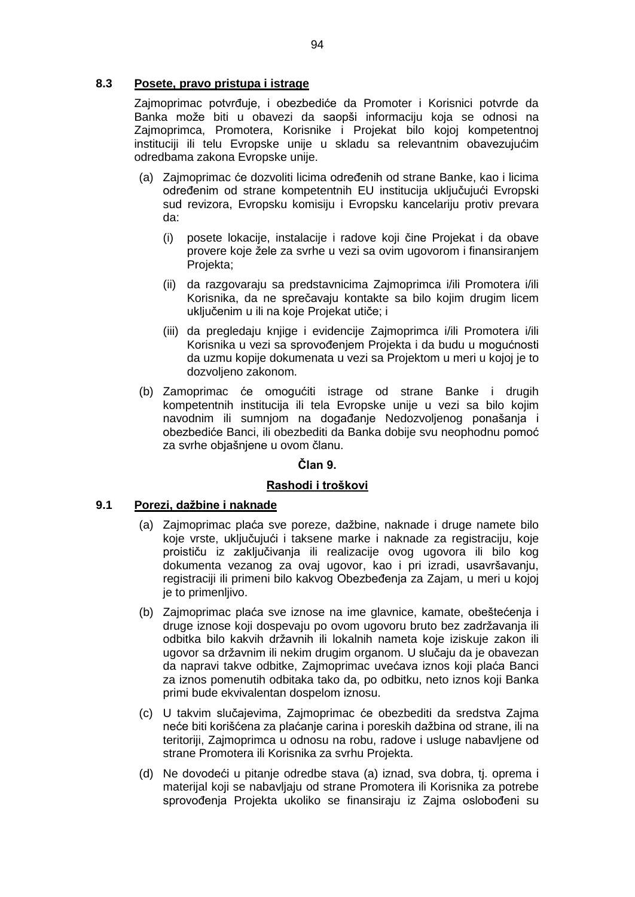## **8.3 Posete, pravo pristupa i istrage**

Zajmoprimac potvrđuje, i obezbediće da Promoter i Korisnici potvrde da Banka može biti u obavezi da saopši informaciju koja se odnosi na Zajmoprimca, Promotera, Korisnike i Projekat bilo kojoj kompetentnoj instituciji ili telu Evropske unije u skladu sa relevantnim obavezujućim odredbama zakona Evropske unije.

- (a) Zajmoprimac će dozvoliti licima određenih od strane Banke, kao i licima određenim od strane kompetentnih EU institucija uključujući Evropski sud revizora, Evropsku komisiju i Evropsku kancelariju protiv prevara da:
	- (i) posete lokacije, instalacije i radove koji čine Projekat i da obave provere koje žele za svrhe u vezi sa ovim ugovorom i finansiranjem Projekta;
	- (ii) da razgovaraju sa predstavnicima Zajmoprimca i/ili Promotera i/ili Korisnika, da ne sprečavaju kontakte sa bilo kojim drugim licem uključenim u ili na koje Projekat utiče; i
	- (iii) da pregledaju knjige i evidencije Zajmoprimca i/ili Promotera i/ili Korisnika u vezi sa sprovođenjem Projekta i da budu u mogućnosti da uzmu kopije dokumenata u vezi sa Projektom u meri u kojoj je to dozvoljeno zakonom.
- (b) Zamoprimac će omogućiti istrage od strane Banke i drugih kompetentnih institucija ili tela Evropske unije u vezi sa bilo kojim navodnim ili sumnjom na događanje Nedozvoljenog ponašanja i obezbediće Banci, ili obezbediti da Banka dobije svu neophodnu pomoć za svrhe objašnjene u ovom članu.

#### **Član 9.**

## **Rashodi i troškovi**

## **9.1 Porezi, dažbine i naknade**

- (a) Zajmoprimac plaća sve poreze, dažbine, naknade i druge namete bilo koje vrste, uključujući i taksene marke i naknade za registraciju, koje proističu iz zaključivanja ili realizacije ovog ugovora ili bilo kog dokumenta vezanog za ovaj ugovor, kao i pri izradi, usavršavanju, registraciji ili primeni bilo kakvog Obezbeđenja za Zajam, u meri u kojoj je to primenljivo.
- (b) Zajmoprimac plaća sve iznose na ime glavnice, kamate, obeštećenja i druge iznose koji dospevaju po ovom ugovoru bruto bez zadržavanja ili odbitka bilo kakvih državnih ili lokalnih nameta koje iziskuje zakon ili ugovor sa državnim ili nekim drugim organom. U slučaju da je obavezan da napravi takve odbitke, Zajmoprimac uvećava iznos koji plaća Banci za iznos pomenutih odbitaka tako da, po odbitku, neto iznos koji Banka primi bude ekvivalentan dospelom iznosu.
- (c) U takvim slučajevima, Zajmoprimac će obezbediti da sredstva Zajma neće biti korišćena za plaćanje carina i poreskih dažbina od strane, ili na teritoriji, Zajmoprimca u odnosu na robu, radove i usluge nabavljene od strane Promotera ili Korisnika za svrhu Projekta.
- (d) Ne dovodeći u pitanje odredbe stava (a) iznad, sva dobra, tj. oprema i materijal koji se nabavljaju od strane Promotera ili Korisnika za potrebe sprovođenja Projekta ukoliko se finansiraju iz Zajma oslobođeni su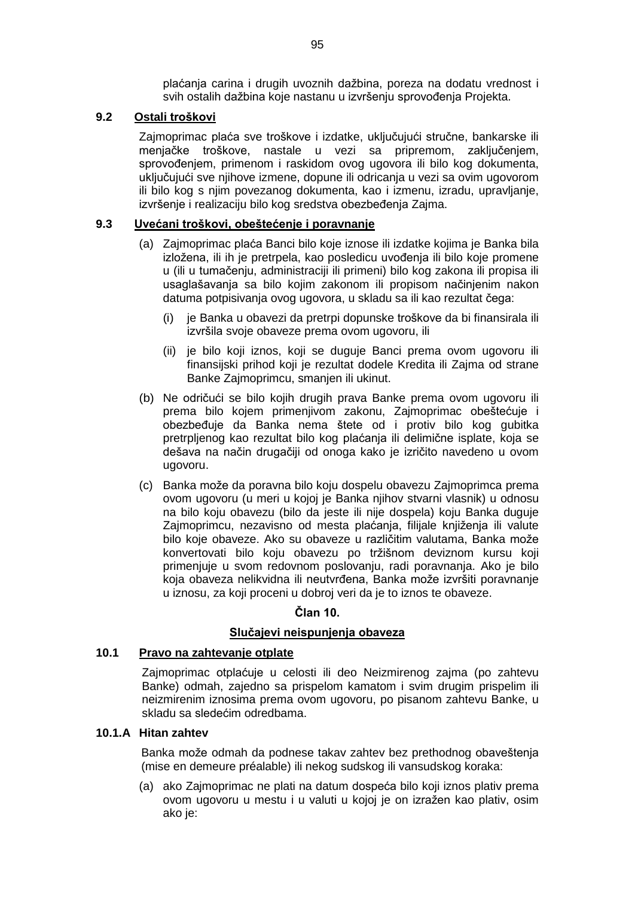plaćanja carina i drugih uvoznih dažbina, poreza na dodatu vrednost i svih ostalih dažbina koje nastanu u izvršenju sprovođenja Projekta.

## **9.2 Ostali troškovi**

Zajmoprimac plaća sve troškove i izdatke, uključujući stručne, bankarske ili menjačke troškove, nastale u vezi sa pripremom, zaključenjem, sprovođenjem, primenom i raskidom ovog ugovora ili bilo kog dokumenta, uključujući sve njihove izmene, dopune ili odricanja u vezi sa ovim ugovorom ili bilo kog s njim povezanog dokumenta, kao i izmenu, izradu, upravljanje, izvršenje i realizaciju bilo kog sredstva obezbeđenja Zajma.

## **9.3 Uvećani troškovi, obeštećenje i poravnanje**

- (a) Zajmoprimac plaća Banci bilo koje iznose ili izdatke kojima je Banka bila izložena, ili ih je pretrpela, kao posledicu uvođenja ili bilo koje promene u (ili u tumačenju, administraciji ili primeni) bilo kog zakona ili propisa ili usaglašavanja sa bilo kojim zakonom ili propisom načinjenim nakon datuma potpisivanja ovog ugovora, u skladu sa ili kao rezultat čega:
	- (i) je Banka u obavezi da pretrpi dopunske troškove da bi finansirala ili izvršila svoje obaveze prema ovom ugovoru, ili
	- (ii) je bilo koji iznos, koji se duguje Banci prema ovom ugovoru ili finansijski prihod koji je rezultat dodele Kredita ili Zajma od strane Banke Zajmoprimcu, smanjen ili ukinut.
- (b) Ne odričući se bilo kojih drugih prava Banke prema ovom ugovoru ili prema bilo kojem primenjivom zakonu, Zajmoprimac obeštećuje i obezbeđuje da Banka nema štete od i protiv bilo kog gubitka pretrpljenog kao rezultat bilo kog plaćanja ili delimične isplate, koja se dešava na način drugačiji od onoga kako je izričito navedeno u ovom ugovoru.
- (c) Banka može da poravna bilo koju dospelu obavezu Zajmoprimca prema ovom ugovoru (u meri u kojoj je Banka njihov stvarni vlasnik) u odnosu na bilo koju obavezu (bilo da jeste ili nije dospela) koju Banka duguje Zajmoprimcu, nezavisno od mesta plaćanja, filijale knjiženja ili valute bilo koje obaveze. Ako su obaveze u različitim valutama, Banka može konvertovati bilo koju obavezu po tržišnom deviznom kursu koji primenjuje u svom redovnom poslovanju, radi poravnanja. Ako je bilo koja obaveza nelikvidna ili neutvrđena, Banka može izvršiti poravnanje u iznosu, za koji proceni u dobroj veri da je to iznos te obaveze.

# **Član 10.**

## **Slučajevi neispunjenja obaveza**

## **10.1 Pravo na zahtevanje otplate**

Zajmoprimac otplaćuje u celosti ili deo Neizmirenog zajma (po zahtevu Banke) odmah, zajedno sa prispelom kamatom i svim drugim prispelim ili neizmirenim iznosima prema ovom ugovoru, po pisanom zahtevu Banke, u skladu sa sledećim odredbama.

## **10.1.A Hitan zahtev**

Banka može odmah da podnese takav zahtev bez prethodnog obaveštenja (mise en demeure préalable) ili nekog sudskog ili vansudskog koraka:

(a) ako Zajmoprimac ne plati na datum dospeća bilo koji iznos plativ prema ovom ugovoru u mestu i u valuti u kojoj je on izražen kao plativ, osim ako je: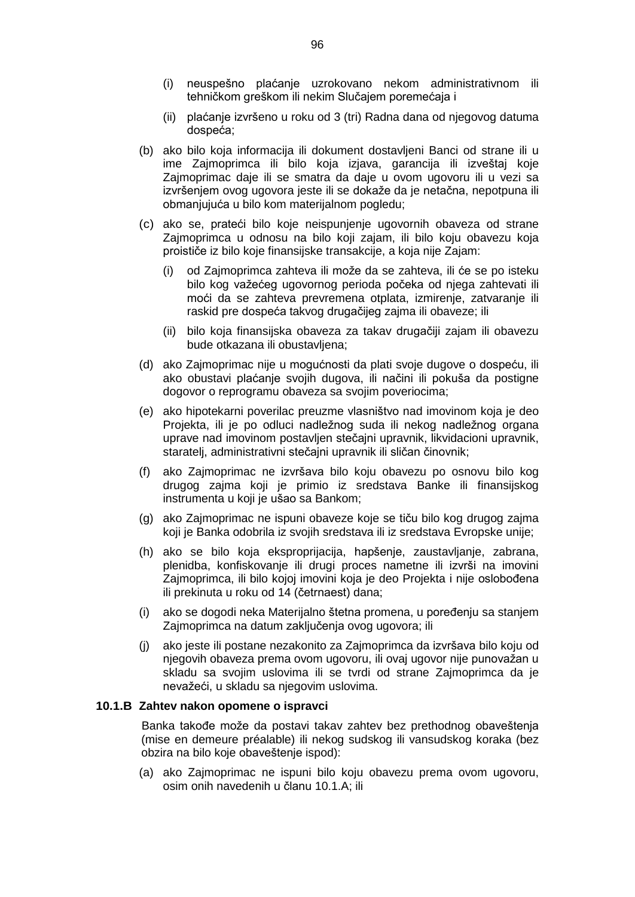- (i) neuspešno plaćanje uzrokovano nekom administrativnom ili tehničkom greškom ili nekim Slučajem poremećaja i
- (ii) plaćanje izvršeno u roku od 3 (tri) Radna dana od njegovog datuma dospeća;
- (b) ako bilo koja informacija ili dokument dostavljeni Banci od strane ili u ime Zajmoprimca ili bilo koja izjava, garancija ili izveštaj koje Zajmoprimac daje ili se smatra da daje u ovom ugovoru ili u vezi sa izvršenjem ovog ugovora jeste ili se dokaže da je netačna, nepotpuna ili obmanjujuća u bilo kom materijalnom pogledu;
- (c) ako se, prateći bilo koje neispunjenje ugovornih obaveza od strane Zajmoprimca u odnosu na bilo koji zajam, ili bilo koju obavezu koja proističe iz bilo koje finansijske transakcije, a koja nije Zajam:
	- (i) od Zajmoprimca zahteva ili može da se zahteva, ili će se po isteku bilo kog važećeg ugovornog perioda počeka od njega zahtevati ili moći da se zahteva prevremena otplata, izmirenje, zatvaranje ili raskid pre dospeća takvog drugačijeg zajma ili obaveze; ili
	- (ii) bilo koja finansijska obaveza za takav drugačiji zajam ili obavezu bude otkazana ili obustavljena;
- (d) ako Zajmoprimac nije u mogućnosti da plati svoje dugove o dospeću, ili ako obustavi plaćanje svojih dugova, ili načini ili pokuša da postigne dogovor o reprogramu obaveza sa svojim poveriocima;
- (e) ako hipotekarni poverilac preuzme vlasništvo nad imovinom koja je deo Projekta, ili je po odluci nadležnog suda ili nekog nadležnog organa uprave nad imovinom postavljen stečajni upravnik, likvidacioni upravnik, staratelj, administrativni stečajni upravnik ili sličan činovnik;
- (f) ako Zajmoprimac ne izvršava bilo koju obavezu po osnovu bilo kog drugog zajma koji je primio iz sredstava Banke ili finansijskog instrumenta u koji je ušao sa Bankom;
- (g) ako Zajmoprimac ne ispuni obaveze koje se tiču bilo kog drugog zajma koji je Banka odobrila iz svojih sredstava ili iz sredstava Evropske unije;
- (h) ako se bilo koja eksproprijacija, hapšenje, zaustavljanje, zabrana, plenidba, konfiskovanje ili drugi proces nametne ili izvrši na imovini Zajmoprimca, ili bilo kojoj imovini koja je deo Projekta i nije oslobođena ili prekinuta u roku od 14 (četrnaest) dana;
- (i) ako se dogodi neka Materijalno štetna promena, u poređenju sa stanjem Zajmoprimca na datum zaključenja ovog ugovora; ili
- (j) ako jeste ili postane nezakonito za Zajmoprimca da izvršava bilo koju od njegovih obaveza prema ovom ugovoru, ili ovaj ugovor nije punovažan u skladu sa svojim uslovima ili se tvrdi od strane Zajmoprimca da je nevažeći, u skladu sa njegovim uslovima.

### **10.1.B Zahtev nakon opomene o ispravci**

Banka takođe može da postavi takav zahtev bez prethodnog obaveštenja (mise en demeure préalable) ili nekog sudskog ili vansudskog koraka (bez obzira na bilo koje obaveštenje ispod):

(a) ako Zajmoprimac ne ispuni bilo koju obavezu prema ovom ugovoru, osim onih navedenih u članu 10.1.A; ili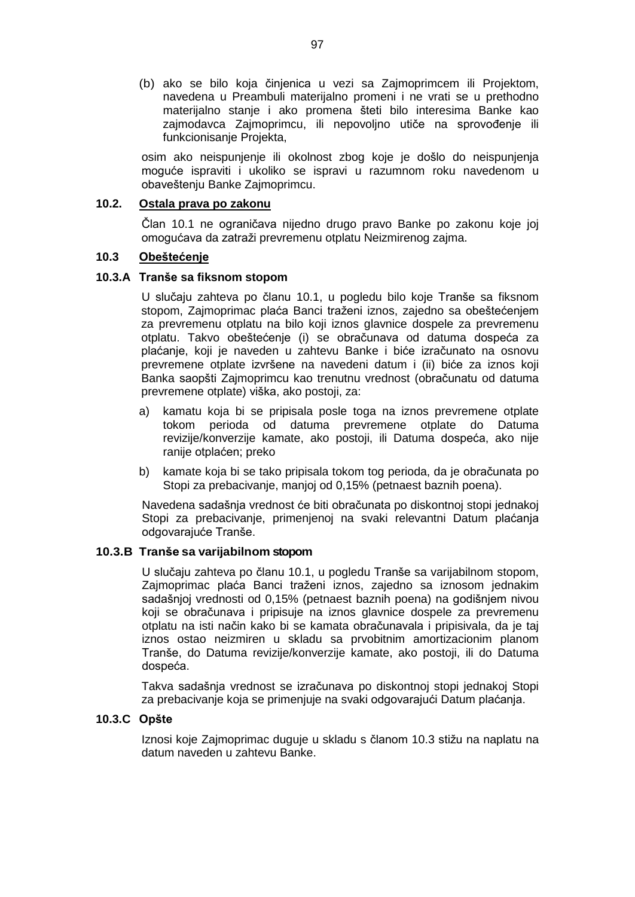(b) ako se bilo koja činjenica u vezi sa Zajmoprimcem ili Projektom, navedena u Preambuli materijalno promeni i ne vrati se u prethodno materijalno stanje i ako promena šteti bilo interesima Banke kao zajmodavca Zajmoprimcu, ili nepovoljno utiče na sprovođenje ili funkcionisanie Projekta.

osim ako neispunjenje ili okolnost zbog koje je došlo do neispunjenja moguće ispraviti i ukoliko se ispravi u razumnom roku navedenom u obaveštenju Banke Zajmoprimcu.

## **10.2. Ostala prava po zakonu**

Član 10.1 ne ograničava nijedno drugo pravo Banke po zakonu koje joj omogućava da zatraži prevremenu otplatu Neizmirenog zajma.

#### **10.3 Obeštećenje**

#### **10.3.A Tranše sa fiksnom stopom**

U slučaju zahteva po članu 10.1, u pogledu bilo koje Tranše sa fiksnom stopom, Zajmoprimac plaća Banci traženi iznos, zajedno sa obeštećenjem za prevremenu otplatu na bilo koji iznos glavnice dospele za prevremenu otplatu. Takvo obeštećenje (i) se obračunava od datuma dospeća za plaćanje, koji je naveden u zahtevu Banke i biće izračunato na osnovu prevremene otplate izvršene na navedeni datum i (ii) biće za iznos koji Banka saopšti Zajmoprimcu kao trenutnu vrednost (obračunatu od datuma prevremene otplate) viška, ako postoji, za:

- a) kamatu koja bi se pripisala posle toga na iznos prevremene otplate tokom perioda od datuma prevremene otplate do Datuma revizije/konverzije kamate, ako postoji, ili Datuma dospeća, ako nije ranije otplaćen; preko
- b) kamate koja bi se tako pripisala tokom tog perioda, da je obračunata po Stopi za prebacivanje, manjoj od 0,15% (petnaest baznih poena).

Navedena sadašnja vrednost će biti obračunata po diskontnoj stopi jednakoj Stopi za prebacivanje, primenjenoj na svaki relevantni Datum plaćanja odgovarajuće Tranše.

#### **10.3.B Tranše sa varijabilnom stopom**

U slučaju zahteva po članu 10.1, u pogledu Tranše sa varijabilnom stopom, Zajmoprimac plaća Banci traženi iznos, zajedno sa iznosom jednakim sadašnjoj vrednosti od 0,15% (petnaest baznih poena) na godišnjem nivou koji se obračunava i pripisuje na iznos glavnice dospele za prevremenu otplatu na isti način kako bi se kamata obračunavala i pripisivala, da je taj iznos ostao neizmiren u skladu sa prvobitnim amortizacionim planom Tranše, do Datuma revizije/konverzije kamate, ako postoji, ili do Datuma dospeća.

Takva sadašnja vrednost se izračunava po diskontnoj stopi jednakoj Stopi za prebacivanje koja se primenjuje na svaki odgovarajući Datum plaćanja.

#### **10.3.C Opšte**

Iznosi koje Zajmoprimac duguje u skladu s članom 10.3 stižu na naplatu na datum naveden u zahtevu Banke.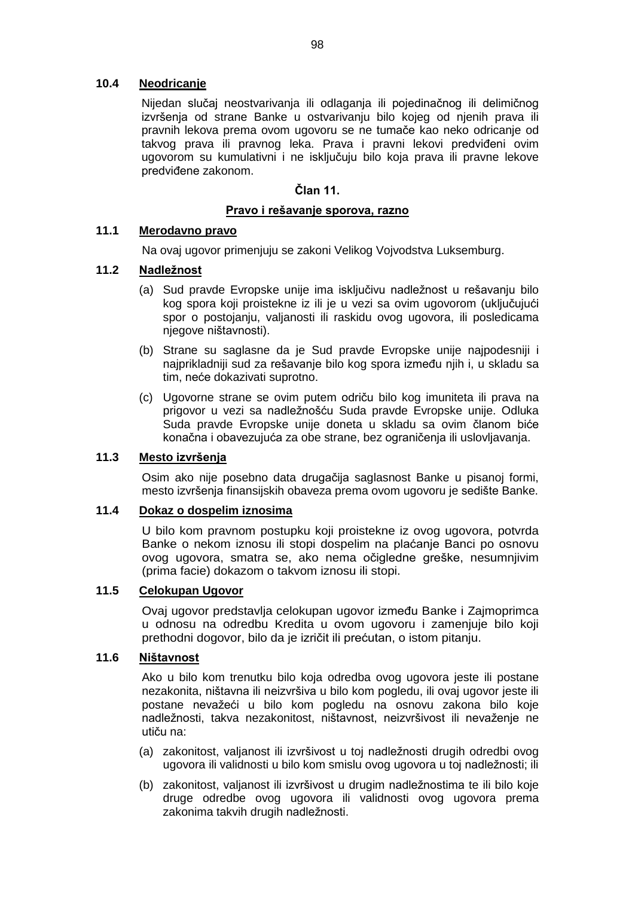## **10.4 Neodricanje**

Nijedan slučaj neostvarivanja ili odlaganja ili pojedinačnog ili delimičnog izvršenja od strane Banke u ostvarivanju bilo kojeg od njenih prava ili pravnih lekova prema ovom ugovoru se ne tumače kao neko odricanje od takvog prava ili pravnog leka. Prava i pravni lekovi predviđeni ovim ugovorom su kumulativni i ne isključuju bilo koja prava ili pravne lekove predviđene zakonom.

### **Član 11.**

#### **Pravo i rešavanje sporova, razno**

# **11.1 Merodavno pravo**

Na ovaj ugovor primenjuju se zakoni Velikog Vojvodstva Luksemburg.

## **11.2 Nadležnost**

- (a) Sud pravde Evropske unije ima isključivu nadležnost u rešavanju bilo kog spora koji proistekne iz ili je u vezi sa ovim ugovorom (uključujući spor o postojanju, valjanosti ili raskidu ovog ugovora, ili posledicama njegove ništavnosti).
- (b) Strane su saglasne da je Sud pravde Evropske unije najpodesniji i najprikladniji sud za rešavanje bilo kog spora između njih i, u skladu sa tim, neće dokazivati suprotno.
- (c) Ugovorne strane se ovim putem odriču bilo kog imuniteta ili prava na prigovor u vezi sa nadležnošću Suda pravde Evropske unije. Odluka Suda pravde Evropske unije doneta u skladu sa ovim članom biće konačna i obavezujuća za obe strane, bez ograničenja ili uslovljavanja.

#### **11.3 Mesto izvršenja**

Osim ako nije posebno data drugačija saglasnost Banke u pisanoj formi, mesto izvršenja finansijskih obaveza prema ovom ugovoru je sedište Banke.

#### **11.4 Dokaz o dospelim iznosima**

U bilo kom pravnom postupku koji proistekne iz ovog ugovora, potvrda Banke o nekom iznosu ili stopi dospelim na plaćanje Banci po osnovu ovog ugovora, smatra se, ako nema očigledne greške, nesumnjivim (prima facie) dokazom o takvom iznosu ili stopi.

## **11.5 Celokupan Ugovor**

Ovaj ugovor predstavlja celokupan ugovor između Banke i Zajmoprimca u odnosu na odredbu Kredita u ovom ugovoru i zamenjuje bilo koji prethodni dogovor, bilo da je izričit ili prećutan, o istom pitanju.

#### **11.6 Ništavnost**

Ako u bilo kom trenutku bilo koja odredba ovog ugovora jeste ili postane nezakonita, ništavna ili neizvršiva u bilo kom pogledu, ili ovaj ugovor jeste ili postane nevažeći u bilo kom pogledu na osnovu zakona bilo koje nadležnosti, takva nezakonitost, ništavnost, neizvršivost ili nevaženje ne utiču na:

- (a) zakonitost, valjanost ili izvršivost u toj nadležnosti drugih odredbi ovog ugovora ili validnosti u bilo kom smislu ovog ugovora u toj nadležnosti; ili
- (b) zakonitost, valjanost ili izvršivost u drugim nadležnostima te ili bilo koje druge odredbe ovog ugovora ili validnosti ovog ugovora prema zakonima takvih drugih nadležnosti.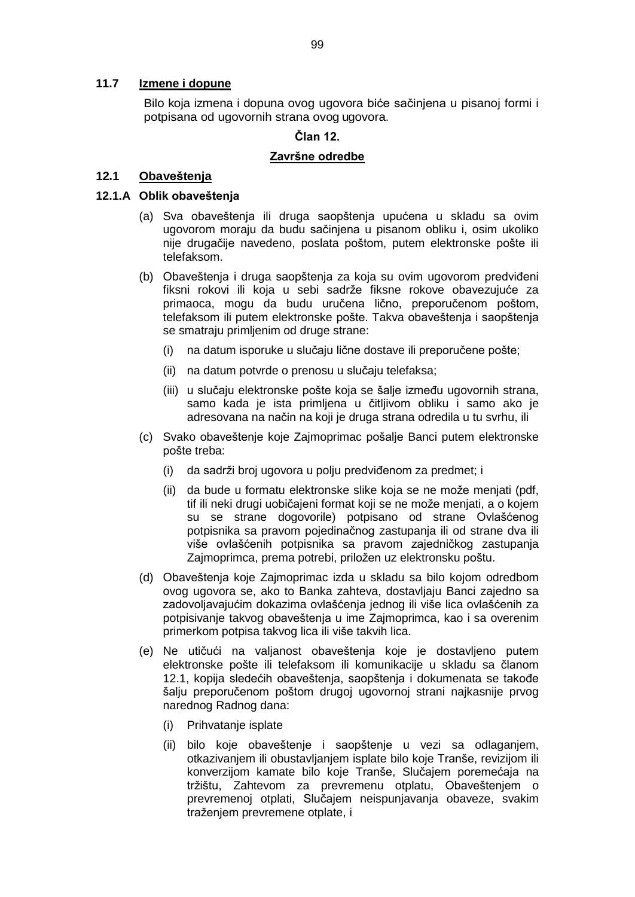#### **11.7 Izmene i dopune**

Bilo koja izmena i dopuna ovog ugovora biće sačinjena u pisanoj formi i potpisana od ugovornih strana ovog ugovora.

### **Član 12.**

#### **Završne odredbe**

## **12.1 Obaveštenja**

#### **12.1.A Oblik obaveštenja**

- (a) Sva obaveštenja ili druga saopštenja upućena u skladu sa ovim ugovorom moraju da budu sačinjena u pisanom obliku i, osim ukoliko nije drugačije navedeno, poslata poštom, putem elektronske pošte ili telefaksom.
- (b) Obaveštenja i druga saopštenja za koja su ovim ugovorom predviđeni fiksni rokovi ili koja u sebi sadrže fiksne rokove obavezujuće za primaoca, mogu da budu uručena lično, preporučenom poštom, telefaksom ili putem elektronske pošte. Takva obaveštenja i saopštenja se smatraju primljenim od druge strane:
	- (i) na datum isporuke u slučaju lične dostave ili preporučene pošte;
	- (ii) na datum potvrde o prenosu u slučaju telefaksa;
	- (iii) u slučaju elektronske pošte koja se šalje između ugovornih strana, samo kada je ista primljena u čitljivom obliku i samo ako je adresovana na način na koji je druga strana odredila u tu svrhu, ili
- (c) Svako obaveštenje koje Zajmoprimac pošalje Banci putem elektronske pošte treba:
	- (i) da sadrži broj ugovora u polju predviđenom za predmet; i
	- (ii) da bude u formatu elektronske slike koja se ne može menjati (pdf, tif ili neki drugi uobičajeni format koji se ne može menjati, a o kojem su se strane dogovorile) potpisano od strane Ovlašćenog potpisnika sa pravom pojedinačnog zastupanja ili od strane dva ili više ovlašćenih potpisnika sa pravom zajedničkog zastupanja Zajmoprimca, prema potrebi, priložen uz elektronsku poštu.
- (d) Obaveštenja koje Zajmoprimac izda u skladu sa bilo kojom odredbom ovog ugovora se, ako to Banka zahteva, dostavljaju Banci zajedno sa zadovoljavajućim dokazima ovlašćenja jednog ili više lica ovlašćenih za potpisivanje takvog obaveštenja u ime Zajmoprimca, kao i sa overenim primerkom potpisa takvog lica ili više takvih lica.
- (e) Ne utičući na valjanost obaveštenja koje je dostavljeno putem elektronske pošte ili telefaksom ili komunikacije u skladu sa članom 12.1, kopija sledećih obaveštenja, saopštenja i dokumenata se takođe šalju preporučenom poštom drugoj ugovornoj strani najkasnije prvog narednog Radnog dana:
	- (i) Prihvatanje isplate
	- (ii) bilo koje obaveštenje i saopštenje u vezi sa odlaganjem, otkazivanjem ili obustavljanjem isplate bilo koje Tranše, revizijom ili konverzijom kamate bilo koje Tranše, Slučajem poremećaja na tržištu, Zahtevom za prevremenu otplatu, Obaveštenjem o prevremenoj otplati, Slučajem neispunjavanja obaveze, svakim traženjem prevremene otplate, i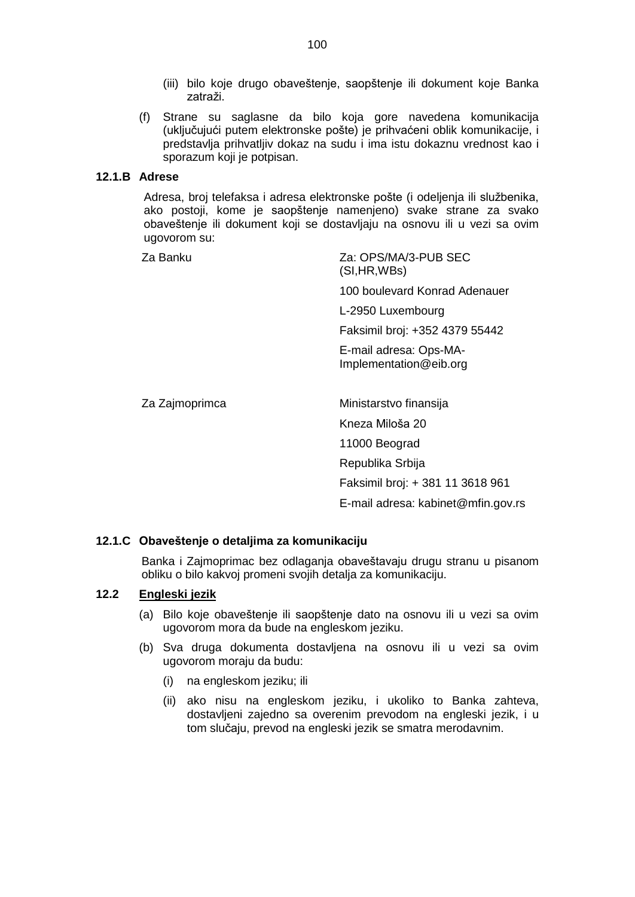- (iii) bilo koje drugo obaveštenje, saopštenje ili dokument koje Banka zatraži.
- (f) Strane su saglasne da bilo koja gore navedena komunikacija (uključujući putem elektronske pošte) je prihvaćeni oblik komunikacije, i predstavlja prihvatljiv dokaz na sudu i ima istu dokaznu vrednost kao i sporazum koji je potpisan.

#### **12.1.B Adrese**

Adresa, broj telefaksa i adresa elektronske pošte (i odeljenja ili službenika, ako postoji, kome je saopštenje namenjeno) svake strane za svako obaveštenje ili dokument koji se dostavljaju na osnovu ili u vezi sa ovim ugovorom su:

Za Banku Za: OPS/MA/3-PUB SEC (SI,HR,WBs)

100 boulevard Konrad Adenauer

L-2950 Luxembourg

Faksimil broj: +352 4379 55442

E-mail adresa: Ops-MA-Implementation@eib.org

Za Zaimoprimca **Ministarstvo finansija** Kneza Miloša 20 11000 Beograd Republika Srbija Faksimil broj: + 381 11 3618 961 E-mail adresa: kabinet@mfin.gov.rs

#### **12.1.C Obaveštenje o detaljima za komunikaciju**

Banka i Zajmoprimac bez odlaganja obaveštavaju drugu stranu u pisanom obliku o bilo kakvoj promeni svojih detalja za komunikaciju.

### **12.2 Engleski jezik**

- (a) Bilo koje obaveštenje ili saopštenje dato na osnovu ili u vezi sa ovim ugovorom mora da bude na engleskom jeziku.
- (b) Sva druga dokumenta dostavljena na osnovu ili u vezi sa ovim ugovorom moraju da budu:
	- (i) na engleskom jeziku; ili
	- (ii) ako nisu na engleskom jeziku, i ukoliko to Banka zahteva, dostavljeni zajedno sa overenim prevodom na engleski jezik, i u tom slučaju, prevod na engleski jezik se smatra merodavnim.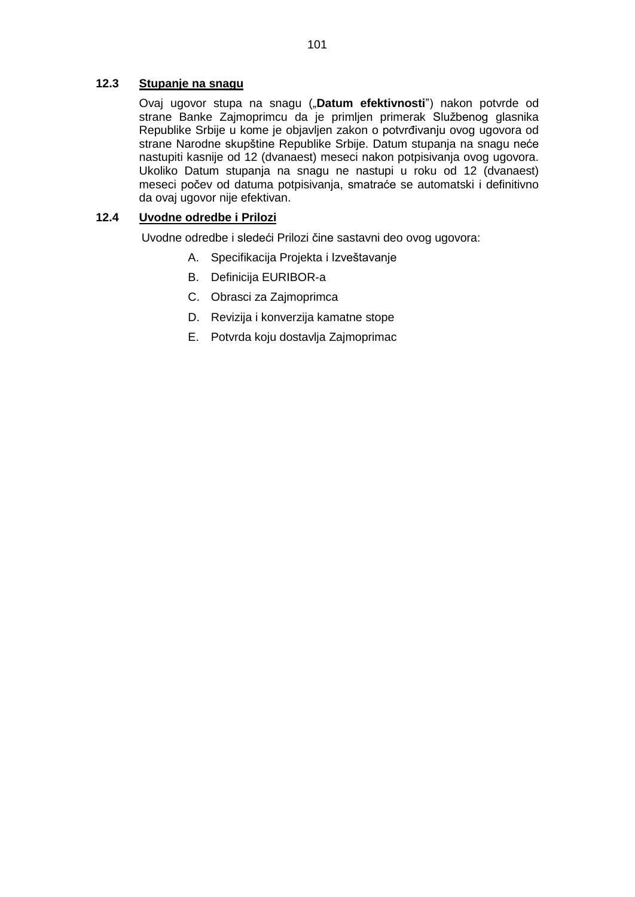## **12.3 Stupanje na snagu**

Ovaj ugovor stupa na snagu ("**Datum efektivnosti**") nakon potvrde od strane Banke Zajmoprimcu da je primljen primerak Službenog glasnika Republike Srbije u kome je objavljen zakon o potvrđivanju ovog ugovora od strane Narodne skupštine Republike Srbije. Datum stupanja na snagu neće nastupiti kasnije od 12 (dvanaest) meseci nakon potpisivanja ovog ugovora. Ukoliko Datum stupanja na snagu ne nastupi u roku od 12 (dvanaest) meseci počev od datuma potpisivanja, smatraće se automatski i definitivno da ovaj ugovor nije efektivan.

# **12.4 Uvodne odredbe i Prilozi**

Uvodne odredbe i sledeći Prilozi čine sastavni deo ovog ugovora:

- A. Specifikacija Projekta i Izveštavanje
- B. Definicija EURIBOR-a
- C. Obrasci za Zajmoprimca
- D. Revizija i konverzija kamatne stope
- E. Potvrda koju dostavlja Zajmoprimac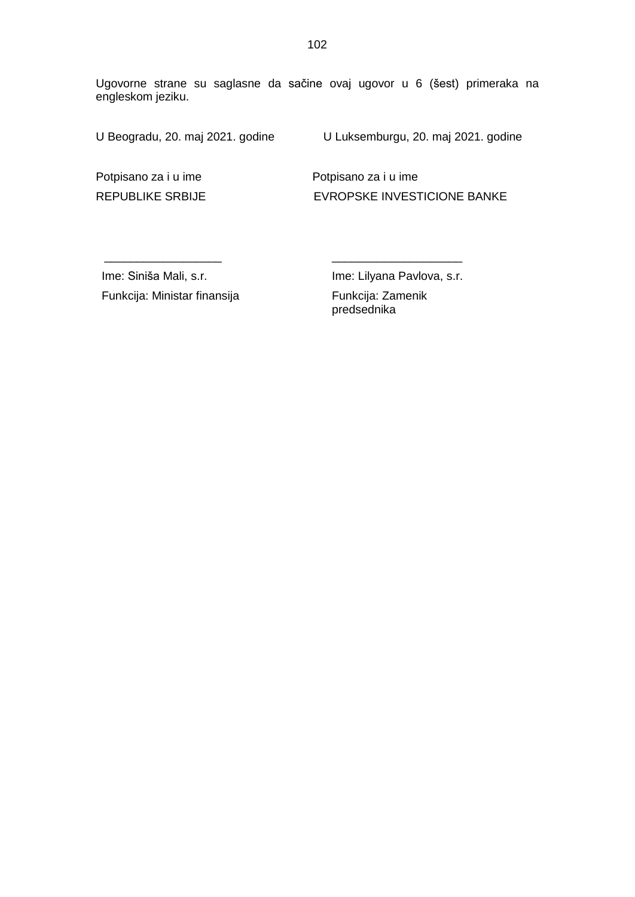Ugovorne strane su saglasne da sačine ovaj ugovor u 6 (šest) primeraka na engleskom jeziku.

U Beogradu, 20. maj 2021. godine U Luksemburgu, 20. maj 2021. godine

Potpisano za i u ime Potpisano za i u ime REPUBLIKE SRBIJE EVROPSKE INVESTICIONE BANKE

Ime: Siniša Mali, s.r. Funkcija: Ministar finansija

 $\frac{1}{\sqrt{2\pi}}$  , which is the set of the set of the set of the set of the set of the set of the set of the set of the set of the set of the set of the set of the set of the set of the set of the set of the set of the set

Ime: Lilyana Pavlova, s.r. Funkcija: Zamenik predsednika

\_\_\_\_\_\_\_\_\_\_\_\_\_\_\_\_\_\_\_\_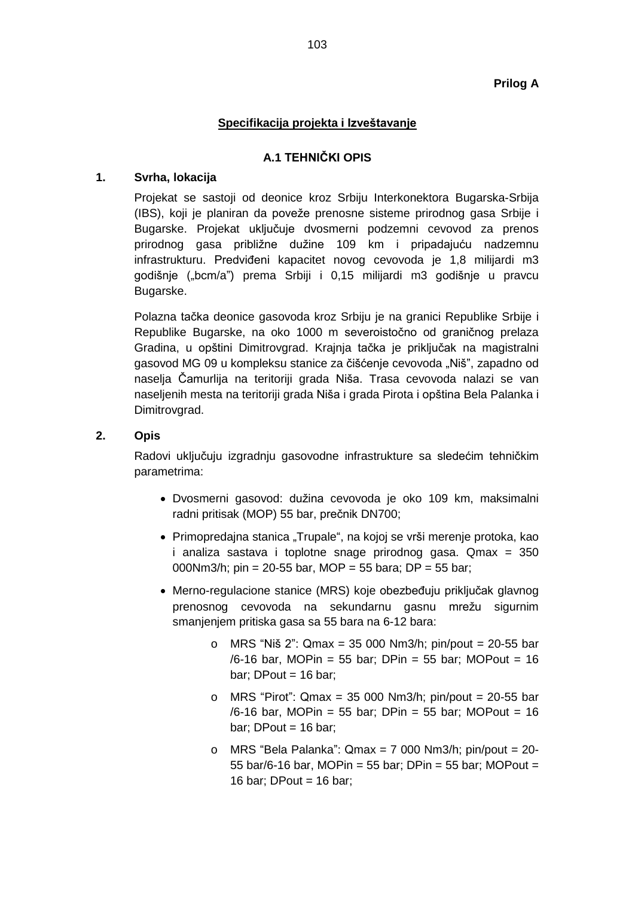## **Prilog A**

## **Specifikacija projekta i Izveštavanje**

## **A.1 TEHNIČKI OPIS**

### **1. Svrha, lokacija**

Projekat se sastoji od deonice kroz Srbiju Interkonektora Bugarska-Srbija (IBS), koji je planiran da poveže prenosne sisteme prirodnog gasa Srbije i Bugarske. Projekat uključuje dvosmerni podzemni cevovod za prenos prirodnog gasa približne dužine 109 km i pripadajuću nadzemnu infrastrukturu. Predviđeni kapacitet novog cevovoda je 1,8 milijardi m3 godišnje ("bcm/a") prema Srbiji i 0,15 milijardi m3 godišnje u pravcu Bugarske.

Polazna tačka deonice gasovoda kroz Srbiju je na granici Republike Srbije i Republike Bugarske, na oko 1000 m severoistočno od graničnog prelaza Gradina, u opštini Dimitrovgrad. Krajnja tačka je priključak na magistralni gasovod MG 09 u kompleksu stanice za čišćenje cevovoda "Niš", zapadno od naselja Čamurlija na teritoriji grada Niša. Trasa cevovoda nalazi se van naseljenih mesta na teritoriji grada Niša i grada Pirota i opština Bela Palanka i Dimitrovgrad.

#### **2. Opis**

Radovi uključuju izgradnju gasovodne infrastrukture sa sledećim tehničkim parametrima:

- Dvosmerni gasovod: dužina cevovoda je oko 109 km, maksimalni radni pritisak (MOP) 55 bar, prečnik DN700;
- Primopredajna stanica "Trupale", na kojoj se vrši merenje protoka, kao i analiza sastava i toplotne snage prirodnog gasa. Qmax = 350 000Nm3/h; pin = 20-55 bar, MOP = 55 bara; DP = 55 bar;
- Merno-regulacione stanice (MRS) koje obezbeđuju priključak glavnog prenosnog cevovoda na sekundarnu gasnu mrežu sigurnim smanjenjem pritiska gasa sa 55 bara na 6-12 bara:
	- o MRS "Niš 2": Qmax = 35 000 Nm3/h; pin/pout = 20-55 bar /6-16 bar, MOPin = 55 bar; DPin = 55 bar; MOPout = 16 bar; DPout  $= 16$  bar;
	- o MRS "Pirot": Qmax = 35 000 Nm3/h; pin/pout =  $20-55$  bar /6-16 bar, MOPin = 55 bar; DPin = 55 bar; MOPout = 16 bar; DPout  $= 16$  bar;
	- o MRS "Bela Palanka": Qmax = 7 000 Nm3/h; pin/pout = 20- 55 bar/6-16 bar, MOPin = 55 bar; DPin = 55 bar; MOPout = 16 bar; DPout =  $16$  bar;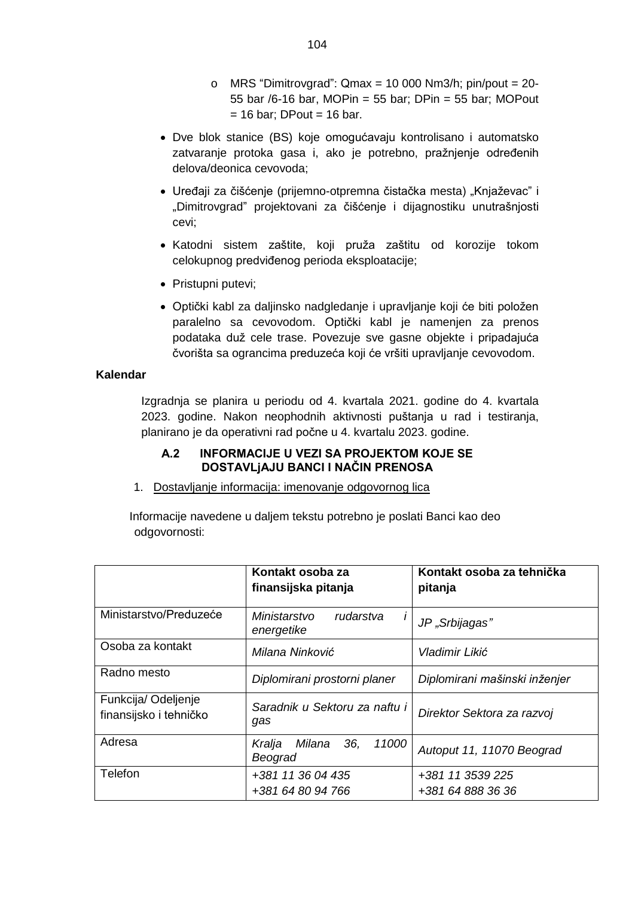- o MRS "Dimitrovgrad":  $Qmax = 10000 Nm3/h$ ; pin/pout = 20-55 bar /6-16 bar, MOPin = 55 bar; DPin = 55 bar; MOPout  $= 16$  bar; DPout = 16 bar.
- Dve blok stanice (BS) koje omogućavaju kontrolisano i automatsko zatvaranje protoka gasa i, ako je potrebno, pražnjenje određenih delova/deonica cevovoda;
- · Uređaji za čišćenje (prijemno-otpremna čistačka mesta) "Knjaževac" i "Dimitrovgrad" projektovani za čišćenje i dijagnostiku unutrašnjosti cevi;
- Katodni sistem zaštite, koji pruža zaštitu od korozije tokom celokupnog predviđenog perioda eksploatacije;
- Pristupni putevi;
- Optički kabl za daljinsko nadgledanje i upravljanje koji će biti položen paralelno sa cevovodom. Optički kabl je namenjen za prenos podataka duž cele trase. Povezuje sve gasne objekte i pripadajuća čvorišta sa ograncima preduzeća koji će vršiti upravljanje cevovodom.

#### **Kalendar**

Izgradnja se planira u periodu od 4. kvartala 2021. godine do 4. kvartala 2023. godine. Nakon neophodnih aktivnosti puštanja u rad i testiranja, planirano je da operativni rad počne u 4. kvartalu 2023. godine.

## **A.2 INFORMACIJE U VEZI SA PROJEKTOM KOJE SE DOSTAVLjAJU BANCI I NAČIN PRENOSA**

1. Dostavljanje informacija: imenovanje odgovornog lica

Informacije navedene u daljem tekstu potrebno je poslati Banci kao deo odgovornosti:

|                                              | Kontakt osoba za<br>finansijska pitanja             | Kontakt osoba za tehnička<br>pitanja  |
|----------------------------------------------|-----------------------------------------------------|---------------------------------------|
| Ministarstvo/Preduzeće                       | Ministarstvo<br>rudarstva<br>$\prime$<br>energetike | JP "Srbijagas"                        |
| Osoba za kontakt                             | Milana Ninković                                     | Vladimir Likić                        |
| Radno mesto                                  | Diplomirani prostorni planer                        | Diplomirani mašinski inženjer         |
| Funkcija/Odeljenje<br>finansijsko i tehničko | Saradnik u Sektoru za naftu i<br>gas                | Direktor Sektora za razvoj            |
| Adresa                                       | 36,<br>11000<br>Kralja<br>Milana<br>Beograd         | Autoput 11, 11070 Beograd             |
| Telefon                                      | +381 11 36 04 435<br>+381 64 80 94 766              | +381 11 3539 225<br>+381 64 888 36 36 |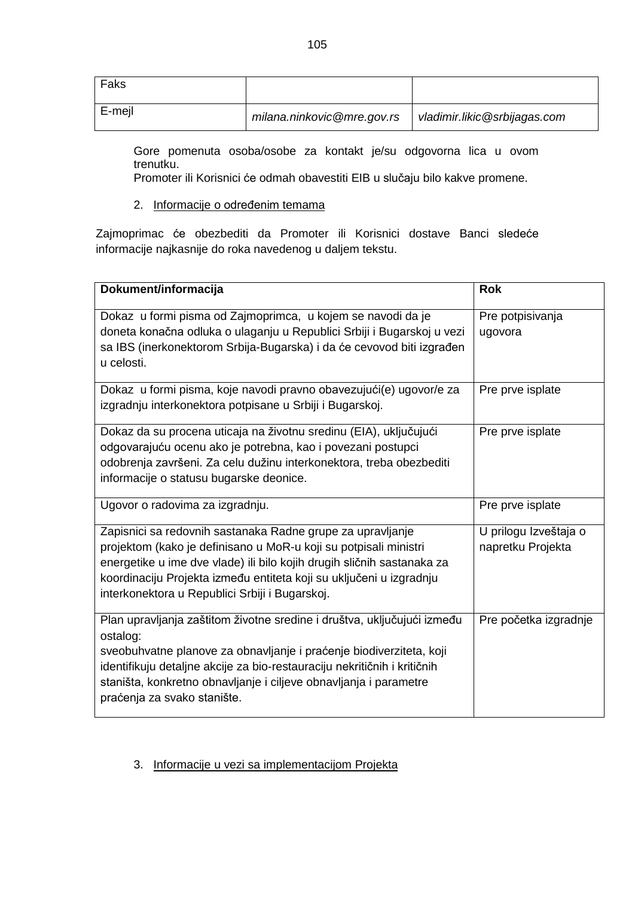| Faks   |                            |                              |
|--------|----------------------------|------------------------------|
| E-mejl | milana.ninkovic@mre.gov.rs | vladimir.likic@srbijagas.com |

Gore pomenuta osoba/osobe za kontakt je/su odgovorna lica u ovom trenutku.

Promoter ili Korisnici će odmah obavestiti EIB u slučaju bilo kakve promene.

2. Informacije o određenim temama

Zajmoprimac će obezbediti da Promoter ili Korisnici dostave Banci sledeće informacije najkasnije do roka navedenog u daljem tekstu.

| Dokument/informacija                                                                                                                                                                                                                                                                                                                       | <b>Rok</b>                                 |
|--------------------------------------------------------------------------------------------------------------------------------------------------------------------------------------------------------------------------------------------------------------------------------------------------------------------------------------------|--------------------------------------------|
| Dokaz u formi pisma od Zajmoprimca, u kojem se navodi da je<br>doneta konačna odluka o ulaganju u Republici Srbiji i Bugarskoj u vezi<br>sa IBS (inerkonektorom Srbija-Bugarska) i da će cevovod biti izgrađen<br>u celosti.                                                                                                               | Pre potpisivanja<br>ugovora                |
| Dokaz u formi pisma, koje navodi pravno obavezujući(e) ugovor/e za<br>izgradnju interkonektora potpisane u Srbiji i Bugarskoj.                                                                                                                                                                                                             | Pre prve isplate                           |
| Dokaz da su procena uticaja na životnu sredinu (EIA), uključujući<br>odgovarajuću ocenu ako je potrebna, kao i povezani postupci<br>odobrenja završeni. Za celu dužinu interkonektora, treba obezbediti<br>informacije o statusu bugarske deonice.                                                                                         | Pre prve isplate                           |
| Ugovor o radovima za izgradnju.                                                                                                                                                                                                                                                                                                            | Pre prve isplate                           |
| Zapisnici sa redovnih sastanaka Radne grupe za upravljanje<br>projektom (kako je definisano u MoR-u koji su potpisali ministri<br>energetike u ime dve vlade) ili bilo kojih drugih sličnih sastanaka za<br>koordinaciju Projekta između entiteta koji su uključeni u izgradnju<br>interkonektora u Republici Srbiji i Bugarskoj.          | U prilogu Izveštaja o<br>napretku Projekta |
| Plan upravljanja zaštitom životne sredine i društva, uključujući između<br>ostalog:<br>sveobuhvatne planove za obnavljanje i praćenje biodiverziteta, koji<br>identifikuju detaljne akcije za bio-restauraciju nekritičnih i kritičnih<br>staništa, konkretno obnavljanje i ciljeve obnavljanja i parametre<br>praćenja za svako stanište. | Pre početka izgradnje                      |

3. Informacije u vezi sa implementacijom Projekta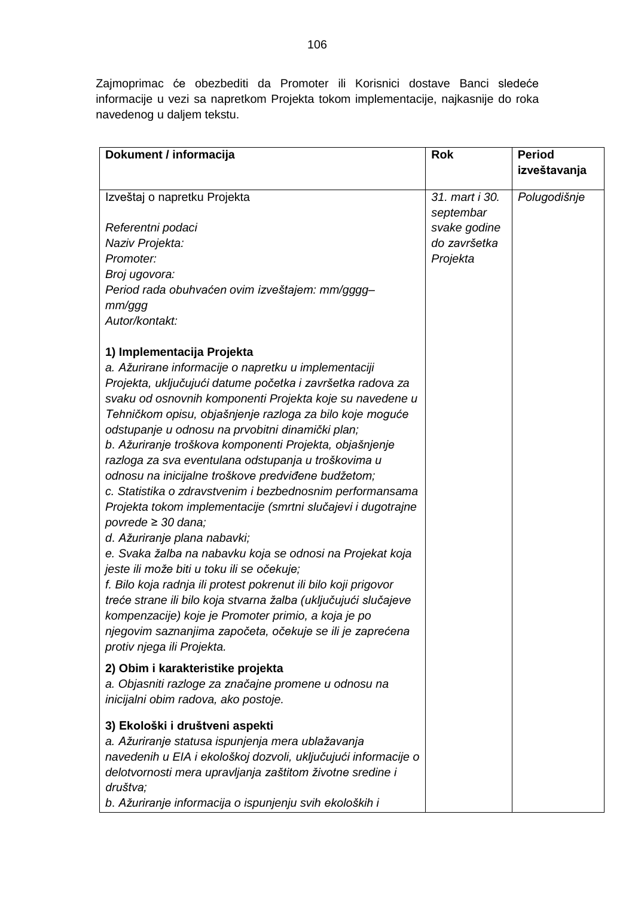Zajmoprimac će obezbediti da Promoter ili Korisnici dostave Banci sledeće informacije u vezi sa napretkom Projekta tokom implementacije, najkasnije do roka navedenog u daljem tekstu.

| Dokument / informacija<br><b>Rok</b><br><b>Period</b>           |              |
|-----------------------------------------------------------------|--------------|
|                                                                 | izveštavanja |
| Izveštaj o napretku Projekta<br>31. mart i 30.<br>Polugodišnje  |              |
| septembar                                                       |              |
| svake godine<br>Referentni podaci                               |              |
| do završetka<br>Naziv Projekta:                                 |              |
| Projekta<br>Promoter:                                           |              |
| Broj ugovora:                                                   |              |
| Period rada obuhvaćen ovim izveštajem: mm/gggg-                 |              |
| mm/ggg                                                          |              |
| Autor/kontakt:                                                  |              |
|                                                                 |              |
| 1) Implementacija Projekta                                      |              |
| a. Ažurirane informacije o napretku u implementaciji            |              |
| Projekta, uključujući datume početka i završetka radova za      |              |
| svaku od osnovnih komponenti Projekta koje su navedene u        |              |
| Tehničkom opisu, objašnjenje razloga za bilo koje moguće        |              |
| odstupanje u odnosu na prvobitni dinamički plan;                |              |
| b. Ažuriranje troškova komponenti Projekta, objašnjenje         |              |
| razloga za sva eventulana odstupanja u troškovima u             |              |
| odnosu na inicijalne troškove predviđene budžetom;              |              |
| c. Statistika o zdravstvenim i bezbednosnim performansama       |              |
| Projekta tokom implementacije (smrtni slučajevi i dugotrajne    |              |
| povrede $\geq$ 30 dana;                                         |              |
| d. Ažuriranje plana nabavki;                                    |              |
| e. Svaka žalba na nabavku koja se odnosi na Projekat koja       |              |
| jeste ili može biti u toku ili se očekuje;                      |              |
| f. Bilo koja radnja ili protest pokrenut ili bilo koji prigovor |              |
| treće strane ili bilo koja stvarna žalba (uključujući slučajeve |              |
| kompenzacije) koje je Promoter primio, a koja je po             |              |
| njegovim saznanjima započeta, očekuje se ili je zaprećena       |              |
| protiv njega ili Projekta.                                      |              |
| 2) Obim i karakteristike projekta                               |              |
| a. Objasniti razloge za značajne promene u odnosu na            |              |
| inicijalni obim radova, ako postoje.                            |              |
| 3) Ekološki i društveni aspekti                                 |              |
| a. Ažuriranje statusa ispunjenja mera ublažavanja               |              |
| navedenih u EIA i ekološkoj dozvoli, uključujući informacije o  |              |
| delotvornosti mera upravljanja zaštitom životne sredine i       |              |
| društva;                                                        |              |
| b. Ažuriranje informacija o ispunjenju svih ekoloških i         |              |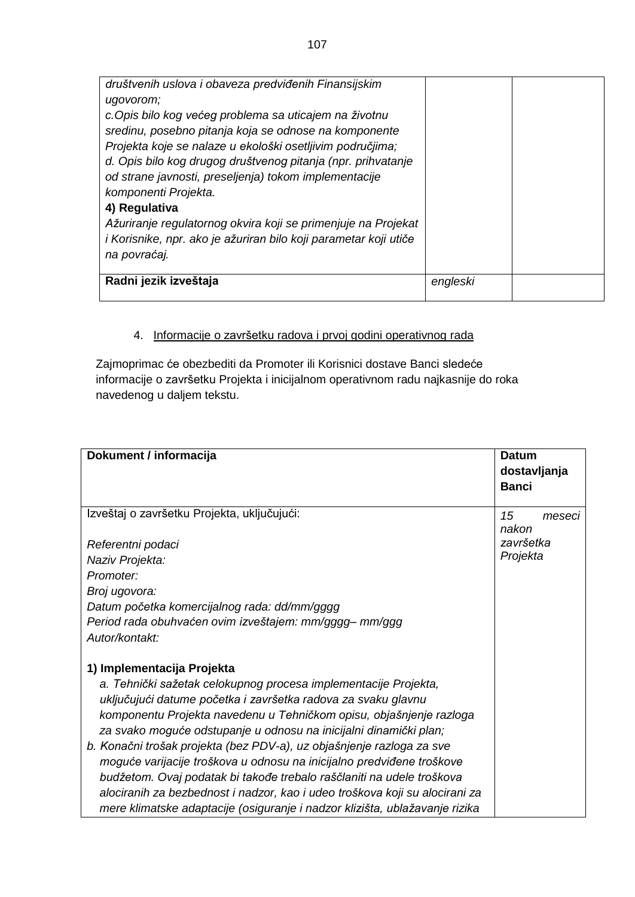| društvenih uslova i obaveza predviđenih Finansijskim             |          |  |
|------------------------------------------------------------------|----------|--|
| ugovorom;                                                        |          |  |
| c. Opis bilo kog većeg problema sa uticajem na životnu           |          |  |
| sredinu, posebno pitanja koja se odnose na komponente            |          |  |
| Projekta koje se nalaze u ekološki osetljivim područjima;        |          |  |
| d. Opis bilo kog drugog društvenog pitanja (npr. prihvatanje     |          |  |
| od strane javnosti, preseljenja) tokom implementacije            |          |  |
| komponenti Projekta.                                             |          |  |
| 4) Regulativa                                                    |          |  |
| Ažuriranje regulatornog okvira koji se primenjuje na Projekat    |          |  |
| i Korisnike, npr. ako je ažuriran bilo koji parametar koji utiče |          |  |
| na povraćaj.                                                     |          |  |
|                                                                  |          |  |
| Radni jezik izveštaja                                            | engleski |  |
|                                                                  |          |  |

# 4. Informacije o završetku radova i prvoj godini operativnog rada

Zajmoprimac će obezbediti da Promoter ili Korisnici dostave Banci sledeće informacije o završetku Projekta i inicijalnom operativnom radu najkasnije do roka navedenog u daljem tekstu.

| Dokument / informacija                                                      | <b>Datum</b> |
|-----------------------------------------------------------------------------|--------------|
|                                                                             | dostavljanja |
|                                                                             | <b>Banci</b> |
|                                                                             |              |
| Izveštaj o završetku Projekta, uključujući:                                 | 15<br>meseci |
|                                                                             | nakon        |
| Referentni podaci                                                           | završetka    |
| Naziv Projekta:                                                             | Projekta     |
| Promoter:                                                                   |              |
| Broj ugovora:                                                               |              |
| Datum početka komercijalnog rada: dd/mm/gggg                                |              |
| Period rada obuhvaćen ovim izveštajem: mm/gggg- mm/ggg                      |              |
| Autor/kontakt:                                                              |              |
|                                                                             |              |
| 1) Implementacija Projekta                                                  |              |
| a. Tehnički sažetak celokupnog procesa implementacije Projekta,             |              |
| uključujući datume početka i završetka radova za svaku glavnu               |              |
| komponentu Projekta navedenu u Tehničkom opisu, objašnjenje razloga         |              |
| za svako moguće odstupanje u odnosu na inicijalni dinamički plan;           |              |
| b. Konačni trošak projekta (bez PDV-a), uz objašnjenje razloga za sve       |              |
| moguće varijacije troškova u odnosu na inicijalno predviđene troškove       |              |
| budžetom. Ovaj podatak bi takođe trebalo raščlaniti na udele troškova       |              |
| alociranih za bezbednost i nadzor, kao i udeo troškova koji su alocirani za |              |
| mere klimatske adaptacije (osiguranje i nadzor klizišta, ublažavanje rizika |              |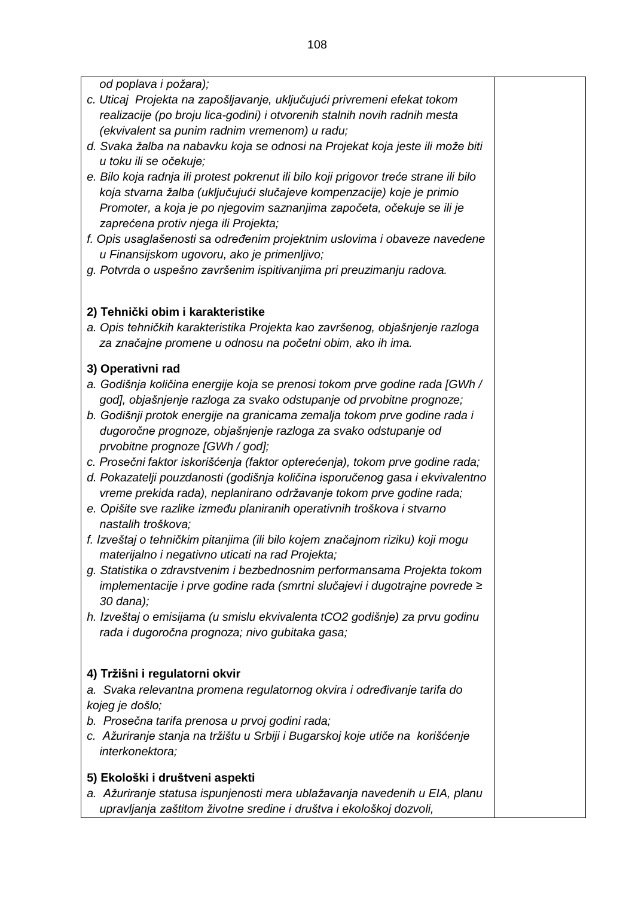*od poplava i požara);*

- *c. Uticaj Projekta na zapošljavanje, uključujući privremeni efekat tokom realizacije (po broju lica-godini) i otvorenih stalnih novih radnih mesta (ekvivalent sa punim radnim vremenom) u radu;*
- *d. Svaka žalba na nabavku koja se odnosi na Projekat koja jeste ili može biti u toku ili se očekuje;*
- *e. Bilo koja radnja ili protest pokrenut ili bilo koji prigovor treće strane ili bilo koja stvarna žalba (uključujući slučajeve kompenzacije) koje je primio Promoter, a koja je po njegovim saznanjima započeta, očekuje se ili je zaprećena protiv njega ili Projekta;*
- *f. Opis usaglašenosti sa određenim projektnim uslovima i obaveze navedene u Finansijskom ugovoru, ako je primenljivo;*
- *g. Potvrda o uspešno završenim ispitivanjima pri preuzimanju radova.*

# **2) Tehnički obim i karakteristike**

*a. Opis tehničkih karakteristika Projekta kao završenog, objašnjenje razloga za značajne promene u odnosu na početni obim, ako ih ima.*

## **3) Operativni rad**

- *a. Godišnja količina energije koja se prenosi tokom prve godine rada [GWh / god], objašnjenje razloga za svako odstupanje od prvobitne prognoze;*
- *b. Godišnji protok energije na granicama zemalja tokom prve godine rada i dugoročne prognoze, objašnjenje razloga za svako odstupanje od prvobitne prognoze [GWh / god];*
- *c. Prosečni faktor iskorišćenja (faktor opterećenja), tokom prve godine rada;*
- *d. Pokazatelji pouzdanosti (godišnja količina isporučenog gasa i ekvivalentno vreme prekida rada), neplanirano održavanje tokom prve godine rada;*
- *e. Opišite sve razlike između planiranih operativnih troškova i stvarno nastalih troškova;*
- *f. Izveštaj o tehničkim pitanjima (ili bilo kojem značajnom riziku) koji mogu materijalno i negativno uticati na rad Projekta;*
- *g. Statistika o zdravstvenim i bezbednosnim performansama Projekta tokom implementacije i prve godine rada (smrtni slučajevi i dugotrajne povrede ≥ 30 dana);*
- *h. Izveštaj o emisijama (u smislu ekvivalenta tCO2 godišnje) za prvu godinu rada i dugoročna prognoza; nivo gubitaka gasa;*

# **4) Tržišni i regulatorni okvir**

- *a. Svaka relevantna promena regulatornog okvira i određivanje tarifa do kojeg je došlo;*
- *b. Prosečna tarifa prenosa u prvoj godini rada;*
- *c. Ažuriranje stanja na tržištu u Srbiji i Bugarskoj koje utiče na korišćenje interkonektora;*

# **5) Ekološki i društveni aspekti**

*a. Ažuriranje statusa ispunjenosti mera ublažavanja navedenih u EIA, planu upravljanja zaštitom životne sredine i društva i ekološkoj dozvoli,*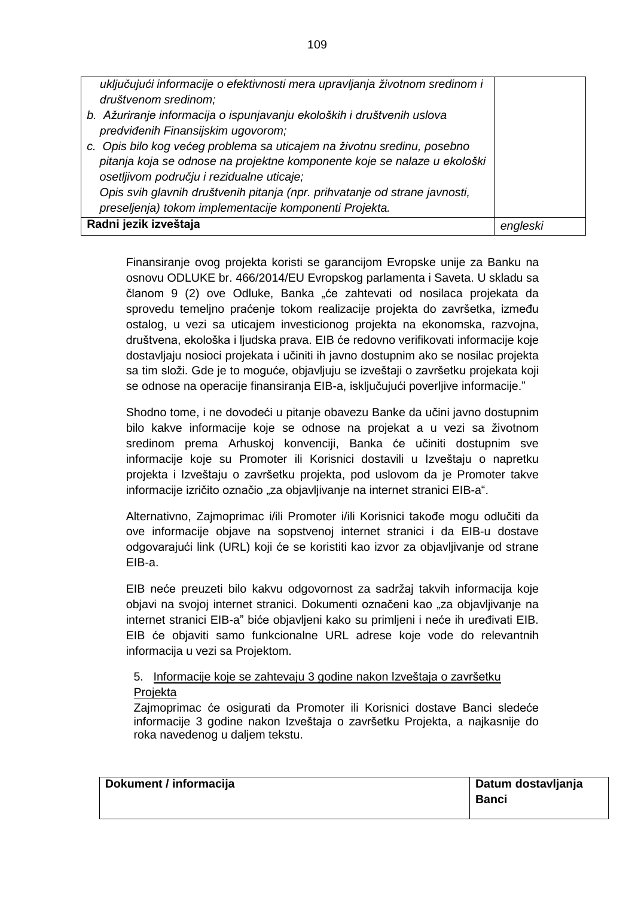| uključujući informacije o efektivnosti mera upravljanja životnom sredinom i<br>društvenom sredinom;<br>b. Ažuriranje informacija o ispunjavanju ekoloških i društvenih uslova<br>predviđenih Finansijskim ugovorom;<br>c. Opis bilo kog većeg problema sa uticajem na životnu sredinu, posebno<br>pitanja koja se odnose na projektne komponente koje se nalaze u ekološki<br>osetljivom području i rezidualne uticaje; |  |
|-------------------------------------------------------------------------------------------------------------------------------------------------------------------------------------------------------------------------------------------------------------------------------------------------------------------------------------------------------------------------------------------------------------------------|--|
| Opis svih glavnih društvenih pitanja (npr. prihvatanje od strane javnosti,<br>preseljenja) tokom implementacije komponenti Projekta.                                                                                                                                                                                                                                                                                    |  |
| Radni jezik izveštaja                                                                                                                                                                                                                                                                                                                                                                                                   |  |

Finansiranje ovog projekta koristi se garancijom Evropske unije za Banku na osnovu ODLUKE br. 466/2014/EU Evropskog parlamenta i Saveta. U skladu sa članom 9 (2) ove Odluke, Banka "će zahtevati od nosilaca projekata da sprovedu temeljno praćenje tokom realizacije projekta do završetka, između ostalog, u vezi sa uticajem investicionog projekta na ekonomska, razvojna, društvena, ekološka i ljudska prava. EIB će redovno verifikovati informacije koje dostavljaju nosioci projekata i učiniti ih javno dostupnim ako se nosilac projekta sa tim složi. Gde je to moguće, objavljuju se izveštaji o završetku projekata koji se odnose na operacije finansiranja EIB-a, isključujući poverljive informacije."

Shodno tome, i ne dovodeći u pitanje obavezu Banke da učini javno dostupnim bilo kakve informacije koje se odnose na projekat a u vezi sa životnom sredinom prema Arhuskoj konvenciji, Banka će učiniti dostupnim sve informacije koje su Promoter ili Korisnici dostavili u Izveštaju o napretku projekta i Izveštaju o završetku projekta, pod uslovom da je Promoter takve informacije izričito označio "za objavljivanje na internet stranici EIB-a".

Alternativno, Zajmoprimac i/ili Promoter i/ili Korisnici takođe mogu odlučiti da ove informacije objave na sopstvenoj internet stranici i da EIB-u dostave odgovarajući link (URL) koji će se koristiti kao izvor za objavljivanje od strane EIB-a.

EIB neće preuzeti bilo kakvu odgovornost za sadržaj takvih informacija koje objavi na svojoj internet stranici. Dokumenti označeni kao "za objavljivanje na internet stranici EIB-aˮ biće objavljeni kako su primljeni i neće ih uređivati EIB. EIB će objaviti samo funkcionalne URL adrese koje vode do relevantnih informacija u vezi sa Projektom.

# 5. Informacije koje se zahtevaju 3 godine nakon Izveštaja o završetku Projekta

Zajmoprimac će osigurati da Promoter ili Korisnici dostave Banci sledeće informacije 3 godine nakon Izveštaja o završetku Projekta, a najkasnije do roka navedenog u daljem tekstu.

| Dokument / informacija | Datum dostavljanja |
|------------------------|--------------------|
|                        | <b>Banci</b>       |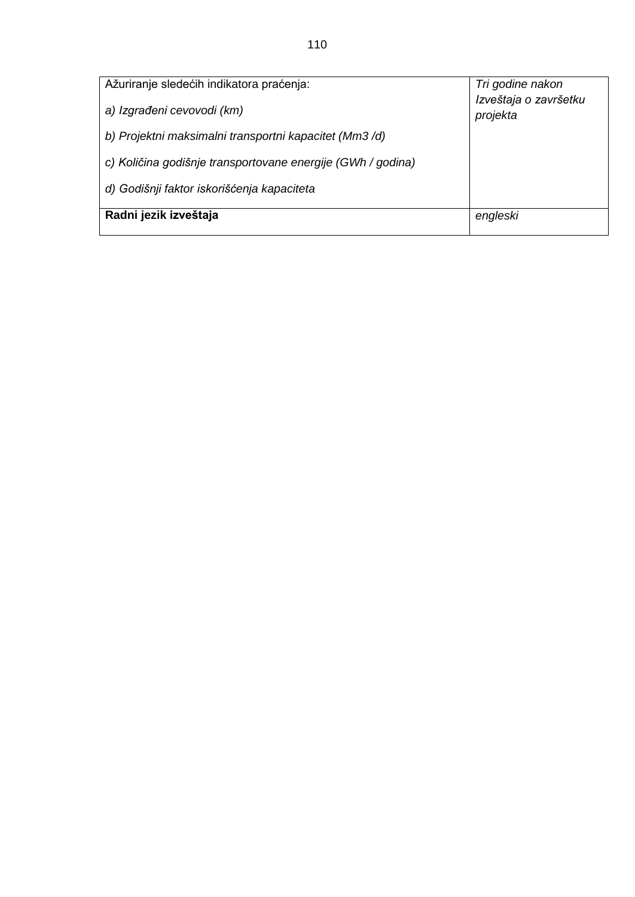| Ažuriranje sledećih indikatora praćenja:                    | Tri godine nakon                  |
|-------------------------------------------------------------|-----------------------------------|
| a) Izgrađeni cevovodi (km)                                  | Izveštaja o završetku<br>projekta |
| b) Projektni maksimalni transportni kapacitet (Mm3/d)       |                                   |
| c) Količina godišnje transportovane energije (GWh / godina) |                                   |
| d) Godišnji faktor iskorišćenja kapaciteta                  |                                   |
| Radni jezik izveštaja                                       | engleski                          |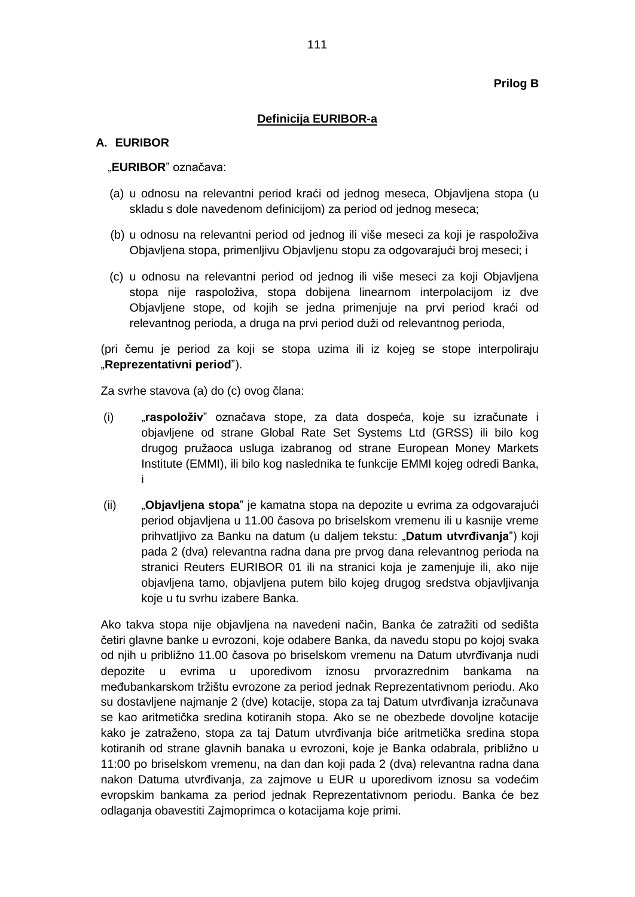### **Prilog B**

### **Definicija EURIBOR-a**

### **A. EURIBOR**

### "**EURIBOR**" označava:

- (a) u odnosu na relevantni period kraći od jednog meseca, Objavljena stopa (u skladu s dole navedenom definicijom) za period od jednog meseca;
- (b) u odnosu na relevantni period od jednog ili više meseci za koji je raspoloživa Objavljena stopa, primenljivu Objavljenu stopu za odgovarajući broj meseci; i
- (c) u odnosu na relevantni period od jednog ili više meseci za koji Objavljena stopa nije raspoloživa, stopa dobijena linearnom interpolacijom iz dve Objavljene stope, od kojih se jedna primenjuje na prvi period kraći od relevantnog perioda, a druga na prvi period duži od relevantnog perioda,

(pri čemu je period za koji se stopa uzima ili iz kojeg se stope interpoliraju "**Reprezentativni period**").

Za svrhe stavova (a) do (c) ovog člana:

- (i) "**raspoloživ**" označava stope, za data dospeća, koje su izračunate i objavljene od strane Global Rate Set Systems Ltd (GRSS) ili bilo kog drugog pružaoca usluga izabranog od strane European Money Markets Institute (EMMI), ili bilo kog naslednika te funkcije EMMI kojeg odredi Banka, i
- (ii) "**Objavljena stopa**" je kamatna stopa na depozite u evrima za odgovarajući period objavljena u 11.00 časova po briselskom vremenu ili u kasnije vreme prihvatljivo za Banku na datum (u daljem tekstu: "**Datum utvrđivanja**") koji pada 2 (dva) relevantna radna dana pre prvog dana relevantnog perioda na stranici Reuters EURIBOR 01 ili na stranici koja je zamenjuje ili, ako nije objavljena tamo, objavljena putem bilo kojeg drugog sredstva objavljivanja koje u tu svrhu izabere Banka.

Ako takva stopa nije objavljena na navedeni način, Banka će zatražiti od sedišta četiri glavne banke u evrozoni, koje odabere Banka, da navedu stopu po kojoj svaka od njih u približno 11.00 časova po briselskom vremenu na Datum utvrđivanja nudi depozite u evrima u uporedivom iznosu prvorazrednim bankama na međubankarskom tržištu evrozone za period jednak Reprezentativnom periodu. Ako su dostavljene najmanje 2 (dve) kotacije, stopa za taj Datum utvrđivanja izračunava se kao aritmetička sredina kotiranih stopa. Ako se ne obezbede dovoljne kotacije kako je zatraženo, stopa za taj Datum utvrđivanja biće aritmetička sredina stopa kotiranih od strane glavnih banaka u evrozoni, koje je Banka odabrala, približno u 11:00 po briselskom vremenu, na dan dan koji pada 2 (dva) relevantna radna dana nakon Datuma utvrđivanja, za zajmove u EUR u uporedivom iznosu sa vodećim evropskim bankama za period jednak Reprezentativnom periodu. Banka će bez odlaganja obavestiti Zajmoprimca o kotacijama koje primi.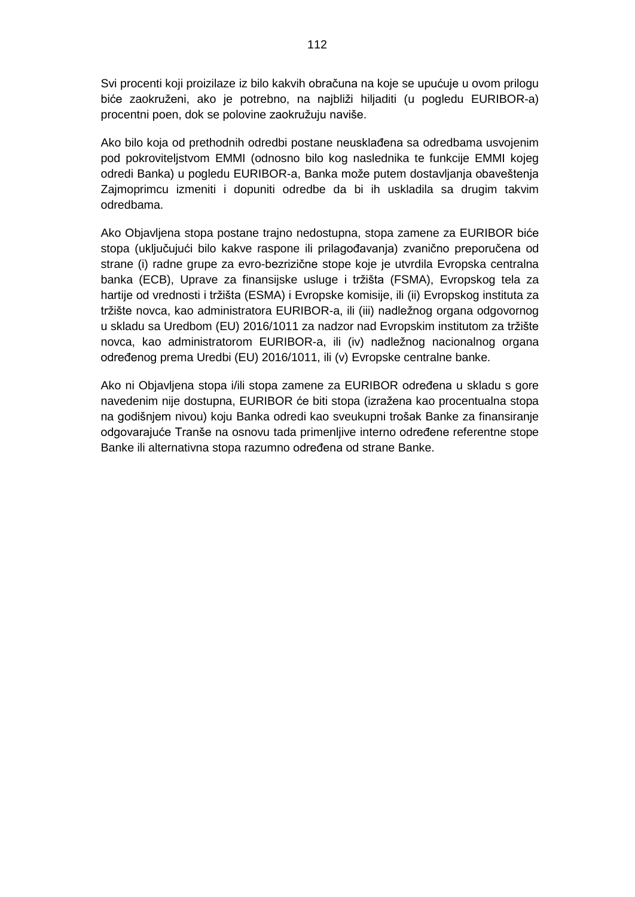Svi procenti koji proizilaze iz bilo kakvih obračuna na koje se upućuje u ovom prilogu biće zaokruženi, ako je potrebno, na najbliži hiljaditi (u pogledu EURIBOR-a) procentni poen, dok se polovine zaokružuju naviše.

Ako bilo koja od prethodnih odredbi postane neusklađena sa odredbama usvojenim pod pokroviteljstvom EMMI (odnosno bilo kog naslednika te funkcije EMMI kojeg odredi Banka) u pogledu EURIBOR-a, Banka može putem dostavljanja obaveštenja Zajmoprimcu izmeniti i dopuniti odredbe da bi ih uskladila sa drugim takvim odredbama.

Ako Objavljena stopa postane trajno nedostupna, stopa zamene za EURIBOR biće stopa (uključujući bilo kakve raspone ili prilagođavanja) zvanično preporučena od strane (i) radne grupe za evro-bezrizične stope koje je utvrdila Evropska centralna banka (ECB), Uprave za finansijske usluge i tržišta (FSMA), Evropskog tela za hartije od vrednosti i tržišta (ESMA) i Evropske komisije, ili (ii) Evropskog instituta za tržište novca, kao administratora EURIBOR-a, ili (iii) nadležnog organa odgovornog u skladu sa Uredbom (EU) 2016/1011 za nadzor nad Evropskim institutom za tržište novca, kao administratorom EURIBOR-a, ili (iv) nadležnog nacionalnog organa određenog prema Uredbi (EU) 2016/1011, ili (v) Evropske centralne banke.

Ako ni Objavljena stopa i/ili stopa zamene za EURIBOR određena u skladu s gore navedenim nije dostupna, EURIBOR će biti stopa (izražena kao procentualna stopa na godišnjem nivou) koju Banka odredi kao sveukupni trošak Banke za finansiranje odgovarajuće Tranše na osnovu tada primenljive interno određene referentne stope Banke ili alternativna stopa razumno određena od strane Banke.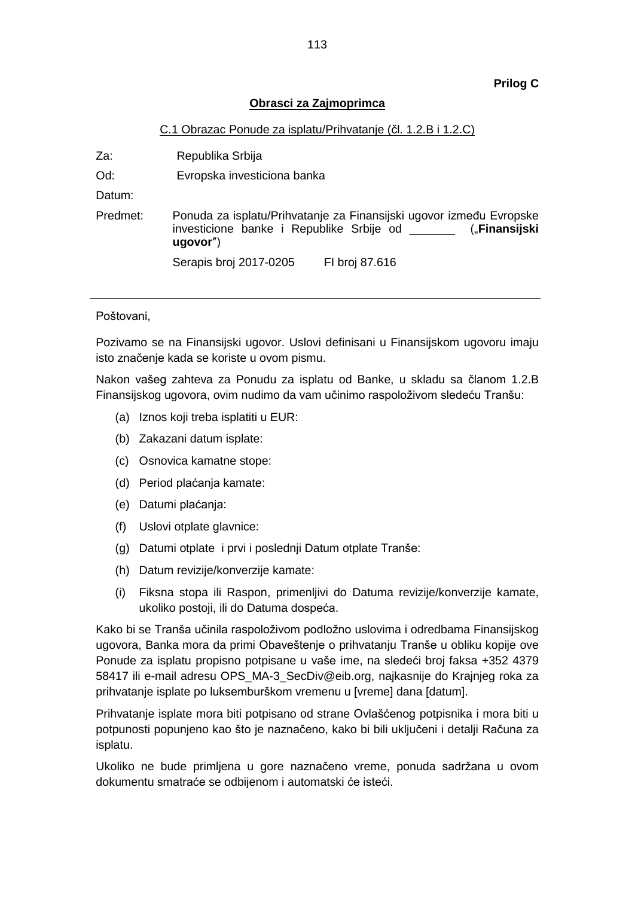### **Prilog C**

### **Obrasci za Zajmoprimca**

#### C.1 Obrazac Ponude za isplatu/Prihvatanje (čl. 1.2.B i 1.2.C)

Za: Republika Srbija

Od: Evropska investiciona banka

Datum:

Predmet: Ponuda za isplatu/Prihvatanje za Finansijski ugovor između Evropske investicione banke i Republike Srbije od \_\_\_\_\_\_\_ ("**Finansijski ugovor**″) Serapis broj 2017-0205 FI broj 87.616

#### Poštovani,

Pozivamo se na Finansijski ugovor. Uslovi definisani u Finansijskom ugovoru imaju isto značenje kada se koriste u ovom pismu.

Nakon vašeg zahteva za Ponudu za isplatu od Banke, u skladu sa članom 1.2.B Finansijskog ugovora, ovim nudimo da vam učinimo raspoloživom sledeću Tranšu:

- (a) Iznos koji treba isplatiti u EUR:
- (b) Zakazani datum isplate:
- (c) Osnovica kamatne stope:
- (d) Period plaćanja kamate:
- (e) Datumi plaćanja:
- (f) Uslovi otplate glavnice:
- (g) Datumi otplate i prvi i poslednji Datum otplate Tranše:
- (h) Datum revizije/konverzije kamate:
- (i) Fiksna stopa ili Raspon, primenljivi do Datuma revizije/konverzije kamate, ukoliko postoji, ili do Datuma dospeća.

Kako bi se Tranša učinila raspoloživom podložno uslovima i odredbama Finansijskog ugovora, Banka mora da primi Obaveštenje o prihvatanju Tranše u obliku kopije ove Ponude za isplatu propisno potpisane u vaše ime, na sledeći broj faksa +352 4379 58417 ili e-mail adresu OPS\_MA-3\_SecDiv@eib.org, najkasnije do Krajnjeg roka za prihvatanje isplate po luksemburškom vremenu u [vreme] dana [datum].

Prihvatanje isplate mora biti potpisano od strane Ovlašćenog potpisnika i mora biti u potpunosti popunjeno kao što je naznačeno, kako bi bili uključeni i detalji Računa za isplatu.

Ukoliko ne bude primljena u gore naznačeno vreme, ponuda sadržana u ovom dokumentu smatraće se odbijenom i automatski će isteći.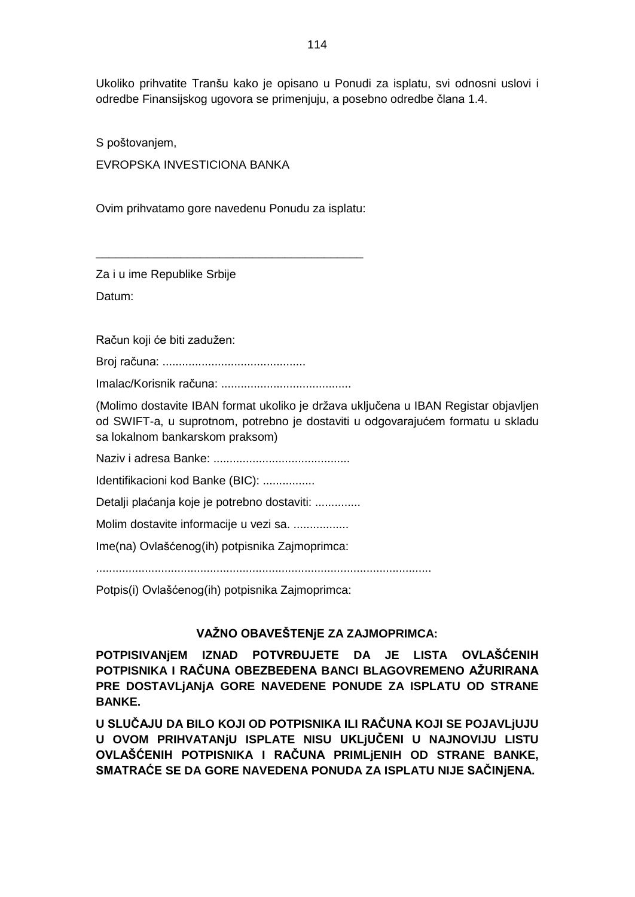Ukoliko prihvatite Tranšu kako je opisano u Ponudi za isplatu, svi odnosni uslovi i odredbe Finansijskog ugovora se primenjuju, a posebno odredbe člana 1.4.

S poštovanjem, EVROPSKA INVESTICIONA BANKA

Ovim prihvatamo gore navedenu Ponudu za isplatu:

\_\_\_\_\_\_\_\_\_\_\_\_\_\_\_\_\_\_\_\_\_\_\_\_\_\_\_\_\_\_\_\_\_\_\_\_\_\_\_\_\_

Za i u ime Republike Srbije Datum:

Račun koji će biti zadužen:

Broj računa: ............................................

Imalac/Korisnik računa: ........................................

(Molimo dostavite IBAN format ukoliko je država uključena u IBAN Registar objavljen od SWIFT-a, u suprotnom, potrebno je dostaviti u odgovarajućem formatu u skladu sa lokalnom bankarskom praksom)

Naziv i adresa Banke: ..........................................

Identifikacioni kod Banke (BIC): ................

Detalji plaćanja koje je potrebno dostaviti: ..............

Molim dostavite informacije u vezi sa. .................

Ime(na) Ovlašćenog(ih) potpisnika Zajmoprimca:

.......................................................................................................

Potpis(i) Ovlašćenog(ih) potpisnika Zajmoprimca:

# **VAŽNO OBAVEŠTENjE ZA ZAJMOPRIMCA:**

**POTPISIVANjEM IZNAD POTVRĐUJETE DA JE LISTA OVLAŠĆENIH POTPISNIKA I RAČUNA OBEZBEĐENA BANCI BLAGOVREMENO AŽURIRANA PRE DOSTAVLjANjA GORE NAVEDENE PONUDE ZA ISPLATU OD STRANE BANKE.**

**U SLUČAJU DA BILO KOJI OD POTPISNIKA ILI RAČUNA KOJI SE POJAVLjUJU U OVOM PRIHVATANjU ISPLATE NISU UKLjUČENI U NAJNOVIJU LISTU OVLAŠĆENIH POTPISNIKA I RAČUNA PRIMLjENIH OD STRANE BANKE, SMATRAĆE SE DA GORE NAVEDENA PONUDA ZA ISPLATU NIJE SAČINjENA.**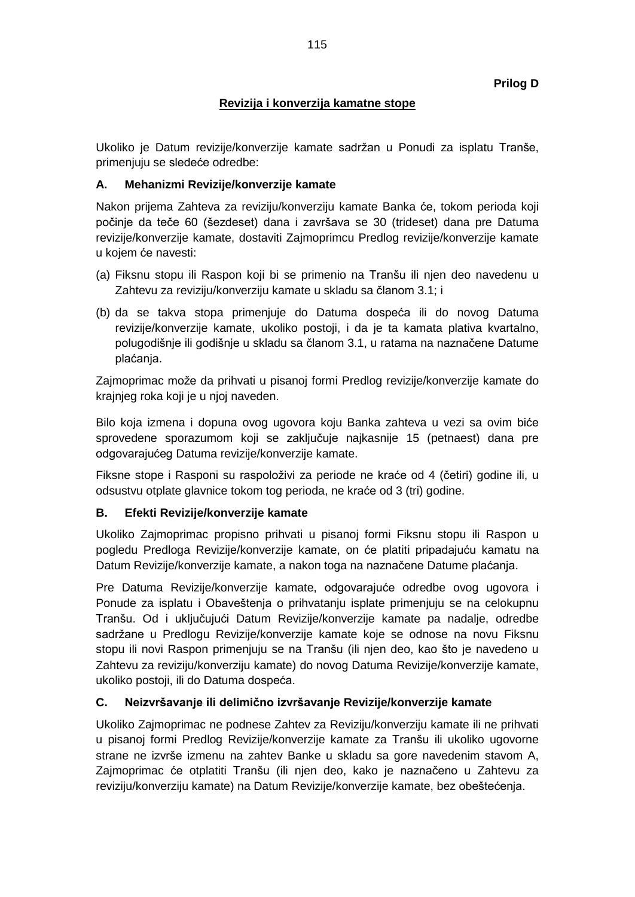# **Revizija i konverzija kamatne stope**

Ukoliko je Datum revizije/konverzije kamate sadržan u Ponudi za isplatu Tranše, primenjuju se sledeće odredbe:

## **A. Mehanizmi Revizije/konverzije kamate**

Nakon prijema Zahteva za reviziju/konverziju kamate Banka će, tokom perioda koji počinje da teče 60 (šezdeset) dana i završava se 30 (trideset) dana pre Datuma revizije/konverzije kamate, dostaviti Zajmoprimcu Predlog revizije/konverzije kamate u kojem će navesti:

- (a) Fiksnu stopu ili Raspon koji bi se primenio na Tranšu ili njen deo navedenu u Zahtevu za reviziju/konverziju kamate u skladu sa članom 3.1; i
- (b) da se takva stopa primenjuje do Datuma dospeća ili do novog Datuma revizije/konverzije kamate, ukoliko postoji, i da je ta kamata plativa kvartalno, polugodišnje ili godišnje u skladu sa članom 3.1, u ratama na naznačene Datume plaćanja.

Zajmoprimac može da prihvati u pisanoj formi Predlog revizije/konverzije kamate do krajnjeg roka koji je u njoj naveden.

Bilo koja izmena i dopuna ovog ugovora koju Banka zahteva u vezi sa ovim biće sprovedene sporazumom koji se zaključuje najkasnije 15 (petnaest) dana pre odgovarajućeg Datuma revizije/konverzije kamate.

Fiksne stope i Rasponi su raspoloživi za periode ne kraće od 4 (četiri) godine ili, u odsustvu otplate glavnice tokom tog perioda, ne kraće od 3 (tri) godine.

### **B. Efekti Revizije/konverzije kamate**

Ukoliko Zajmoprimac propisno prihvati u pisanoj formi Fiksnu stopu ili Raspon u pogledu Predloga Revizije/konverzije kamate, on će platiti pripadajuću kamatu na Datum Revizije/konverzije kamate, a nakon toga na naznačene Datume plaćanja.

Pre Datuma Revizije/konverzije kamate, odgovarajuće odredbe ovog ugovora i Ponude za isplatu i Obaveštenja o prihvatanju isplate primenjuju se na celokupnu Tranšu. Od i uključujući Datum Revizije/konverzije kamate pa nadalje, odredbe sadržane u Predlogu Revizije/konverzije kamate koje se odnose na novu Fiksnu stopu ili novi Raspon primenjuju se na Tranšu (ili njen deo, kao što je navedeno u Zahtevu za reviziju/konverziju kamate) do novog Datuma Revizije/konverzije kamate, ukoliko postoji, ili do Datuma dospeća.

# **C. Neizvršavanje ili delimično izvršavanje Revizije/konverzije kamate**

Ukoliko Zajmoprimac ne podnese Zahtev za Reviziju/konverziju kamate ili ne prihvati u pisanoj formi Predlog Revizije/konverzije kamate za Tranšu ili ukoliko ugovorne strane ne izvrše izmenu na zahtev Banke u skladu sa gore navedenim stavom A, Zajmoprimac će otplatiti Tranšu (ili njen deo, kako je naznačeno u Zahtevu za reviziju/konverziju kamate) na Datum Revizije/konverzije kamate, bez obeštećenja.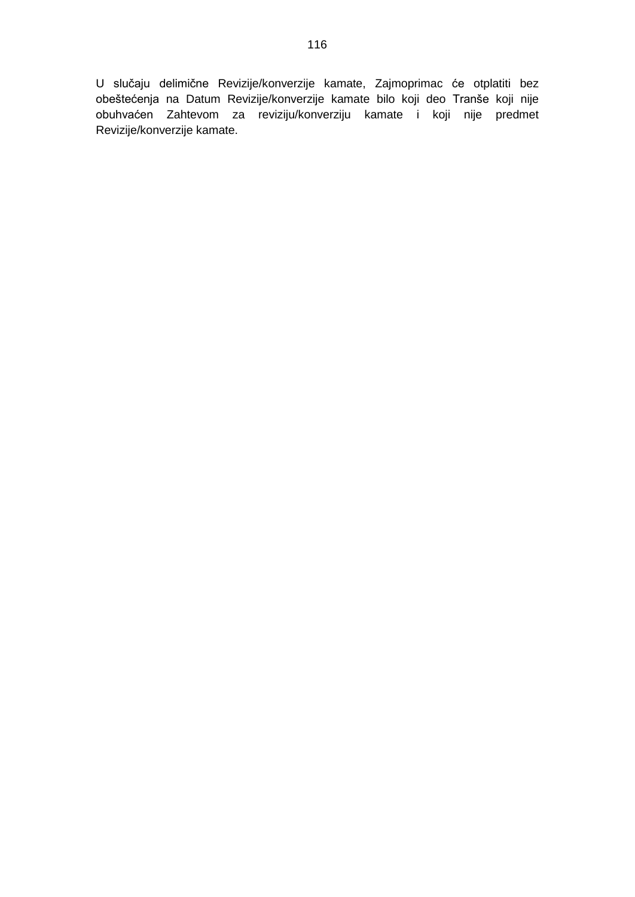U slučaju delimične Revizije/konverzije kamate, Zajmoprimac će otplatiti bez obeštećenja na Datum Revizije/konverzije kamate bilo koji deo Tranše koji nije obuhvaćen Zahtevom za reviziju/konverziju kamate i koji nije predmet Revizije/konverzije kamate.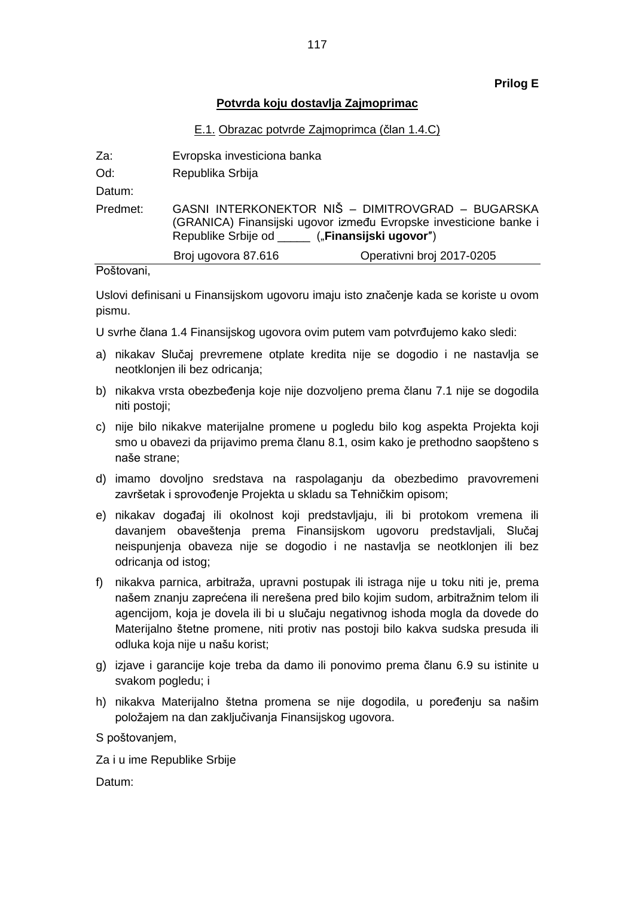### **Prilog E**

### **Potvrda koju dostavlja Zajmoprimac**

### E.1. Obrazac potvrde Zajmoprimca (član 1.4.C)

| Za:      | Evropska investiciona banka                                                                                                                                          |                           |
|----------|----------------------------------------------------------------------------------------------------------------------------------------------------------------------|---------------------------|
| Od:      | Republika Srbija                                                                                                                                                     |                           |
| Datum:   |                                                                                                                                                                      |                           |
| Predmet: | GASNI INTERKONEKTOR NIŠ - DIMITROVGRAD - BUGARSKA<br>(GRANICA) Finansijski ugovor između Evropske investicione banke i<br>Republike Srbije od ("Finansijski ugovor") |                           |
|          | Broj ugovora 87.616                                                                                                                                                  | Operativni broj 2017-0205 |

#### Poštovani,

Uslovi definisani u Finansijskom ugovoru imaju isto značenje kada se koriste u ovom pismu.

- U svrhe člana 1.4 Finansijskog ugovora ovim putem vam potvrđujemo kako sledi:
- a) nikakav Slučaj prevremene otplate kredita nije se dogodio i ne nastavlja se neotklonjen ili bez odricanja;
- b) nikakva vrsta obezbeđenja koje nije dozvoljeno prema članu 7.1 nije se dogodila niti postoji;
- c) nije bilo nikakve materijalne promene u pogledu bilo kog aspekta Projekta koji smo u obavezi da prijavimo prema članu 8.1, osim kako je prethodno saopšteno s naše strane;
- d) imamo dovoljno sredstava na raspolaganju da obezbedimo pravovremeni završetak i sprovođenje Projekta u skladu sa Tehničkim opisom;
- e) nikakav događaj ili okolnost koji predstavljaju, ili bi protokom vremena ili davanjem obaveštenja prema Finansijskom ugovoru predstavljali, Slučaj neispunjenja obaveza nije se dogodio i ne nastavlja se neotklonjen ili bez odricanja od istog;
- f) nikakva parnica, arbitraža, upravni postupak ili istraga nije u toku niti je, prema našem znanju zaprećena ili nerešena pred bilo kojim sudom, arbitražnim telom ili agencijom, koja je dovela ili bi u slučaju negativnog ishoda mogla da dovede do Materijalno štetne promene, niti protiv nas postoji bilo kakva sudska presuda ili odluka koja nije u našu korist;
- g) izjave i garancije koje treba da damo ili ponovimo prema članu 6.9 su istinite u svakom pogledu; i
- h) nikakva Materijalno štetna promena se nije dogodila, u poređenju sa našim položajem na dan zaključivanja Finansijskog ugovora.

S poštovanjem,

Za i u ime Republike Srbije

Datum: